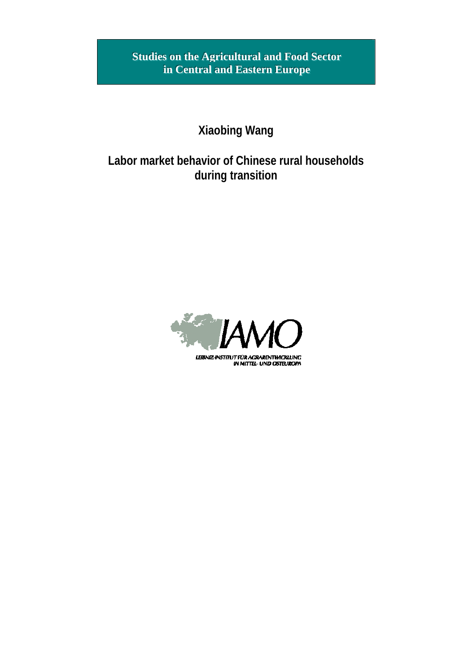**Studies on the Agricultural and Food Sector in Central and Eastern Europe** 

# **Xiaobing Wang**

### **Labor market behavior of Chinese rural households during transition**



LEBNIZ-INSTITUT FÜR AGRARENTWICKLUNG<br>IN MITTEL- UND OSTEUROPA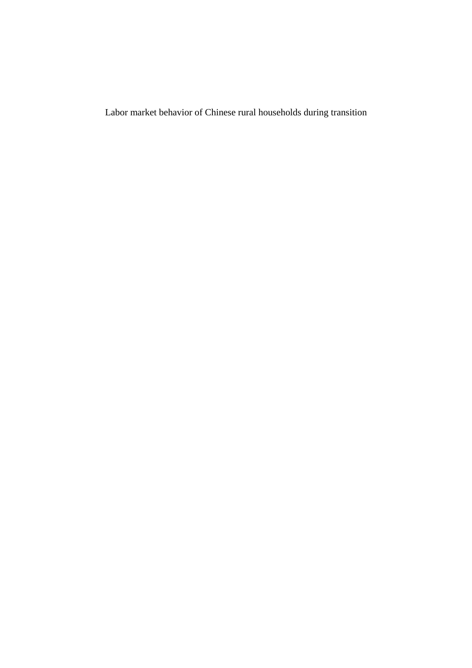Labor market behavior of Chinese rural households during transition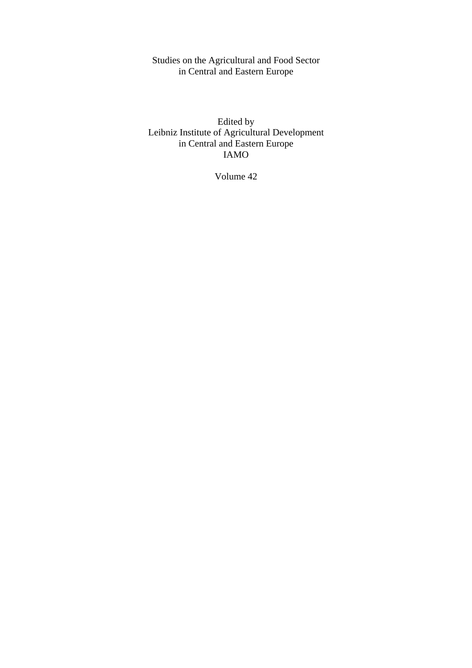Studies on the Agricultural and Food Sector in Central and Eastern Europe

Edited by Leibniz Institute of Agricultural Development in Central and Eastern Europe IAMO

Volume 42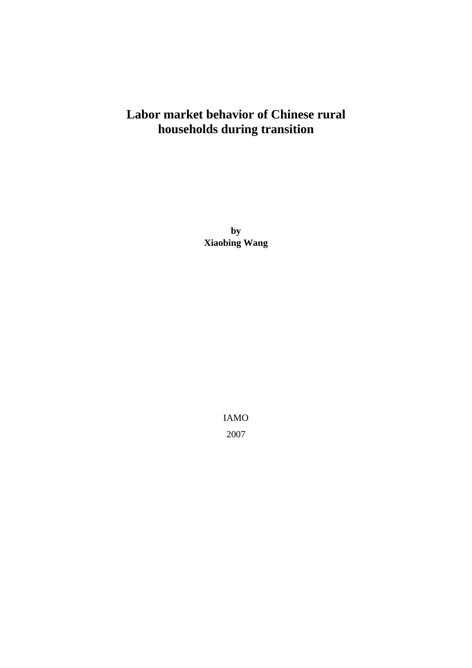# **Labor market behavior of Chinese rural households during transition**

**by Xiaobing Wang** 

> IAMO 2007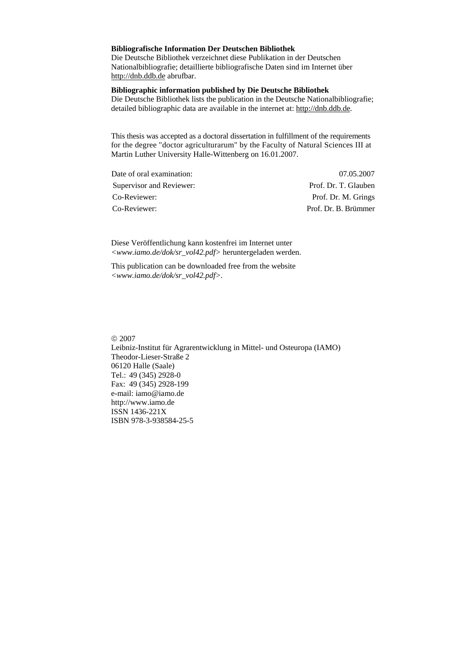#### **Bibliografische Information Der Deutschen Bibliothek**

Die Deutsche Bibliothek verzeichnet diese Publikation in der Deutschen Nationalbibliografie; detaillierte bibliografische Daten sind im Internet über http://dnb.ddb.de abrufbar.

#### **Bibliographic information published by Die Deutsche Bibliothek**

 Die Deutsche Bibliothek lists the publication in the Deutsche Nationalbibliografie; detailed bibliographic data are available in the internet at: http://dnb.ddb.de.

 This thesis was accepted as a doctoral dissertation in fulfillment of the requirements for the degree "doctor agriculturarum" by the Faculty of Natural Sciences III at Martin Luther University Halle-Wittenberg on 16.01.2007.

| Date of oral examination: | 07.05.2007           |
|---------------------------|----------------------|
| Supervisor and Reviewer:  | Prof. Dr. T. Glauben |
| Co-Reviewer:              | Prof. Dr. M. Grings  |
| Co-Reviewer:              | Prof. Dr. B. Brümmer |

Diese Veröffentlichung kann kostenfrei im Internet unter *<www.iamo.de/dok/sr\_vol42.pdf>* heruntergeladen werden.

 This publication can be downloaded free from the website *<www.iamo.de/dok/sr\_vol42.pdf>.*

© 2007 Leibniz-Institut für Agrarentwicklung in Mittel- und Osteuropa (IAMO) Theodor-Lieser-Straße 2 06120 Halle (Saale) Tel.: 49 (345) 2928-0 Fax: 49 (345) 2928-199 e-mail: iamo@iamo.de http://www.iamo.de ISSN 1436-221X ISBN 978-3-938584-25-5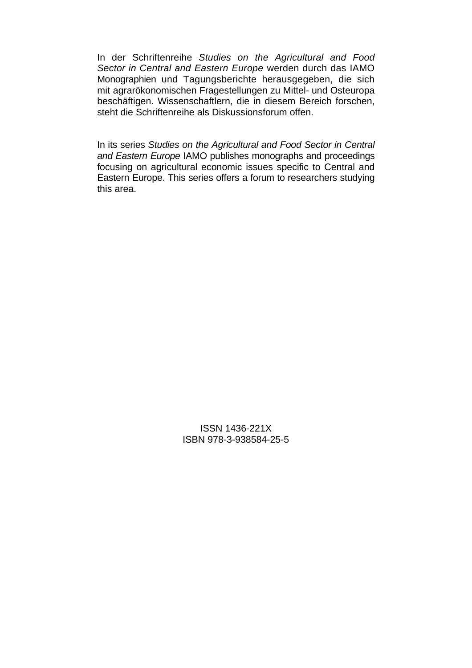In der Schriftenreihe *Studies on the Agricultural and Food Sector in Central and Eastern Europe* werden durch das IAMO Monographien und Tagungsberichte herausgegeben, die sich mit agrarökonomischen Fragestellungen zu Mittel- und Osteuropa beschäftigen. Wissenschaftlern, die in diesem Bereich forschen, steht die Schriftenreihe als Diskussionsforum offen.

In its series *Studies on the Agricultural and Food Sector in Central and Eastern Europe* IAMO publishes monographs and proceedings focusing on agricultural economic issues specific to Central and Eastern Europe. This series offers a forum to researchers studying this area.

> ISSN 1436-221X ISBN 978-3-938584-25-5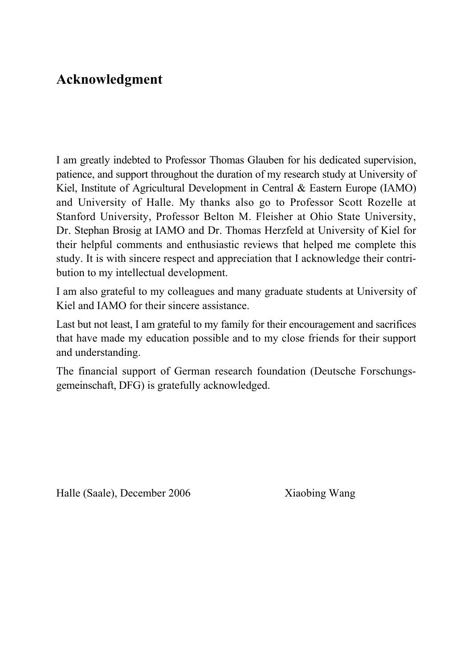# **Acknowledgment**

I am greatly indebted to Professor Thomas Glauben for his dedicated supervision, patience, and support throughout the duration of my research study at University of Kiel, Institute of Agricultural Development in Central & Eastern Europe (IAMO) and University of Halle. My thanks also go to Professor Scott Rozelle at Stanford University, Professor Belton M. Fleisher at Ohio State University, Dr. Stephan Brosig at IAMO and Dr. Thomas Herzfeld at University of Kiel for their helpful comments and enthusiastic reviews that helped me complete this study. It is with sincere respect and appreciation that I acknowledge their contribution to my intellectual development.

I am also grateful to my colleagues and many graduate students at University of Kiel and IAMO for their sincere assistance.

Last but not least, I am grateful to my family for their encouragement and sacrifices that have made my education possible and to my close friends for their support and understanding.

The financial support of German research foundation (Deutsche Forschungsgemeinschaft, DFG) is gratefully acknowledged.

Halle (Saale), December 2006 Xiaobing Wang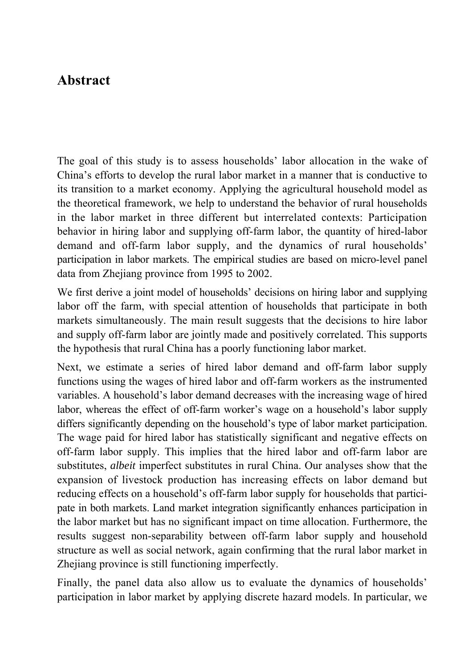### **Abstract**

The goal of this study is to assess households' labor allocation in the wake of China's efforts to develop the rural labor market in a manner that is conductive to its transition to a market economy. Applying the agricultural household model as the theoretical framework, we help to understand the behavior of rural households in the labor market in three different but interrelated contexts: Participation behavior in hiring labor and supplying off-farm labor, the quantity of hired-labor demand and off-farm labor supply, and the dynamics of rural households' participation in labor markets. The empirical studies are based on micro-level panel data from Zhejiang province from 1995 to 2002.

We first derive a joint model of households' decisions on hiring labor and supplying labor off the farm, with special attention of households that participate in both markets simultaneously. The main result suggests that the decisions to hire labor and supply off-farm labor are jointly made and positively correlated. This supports the hypothesis that rural China has a poorly functioning labor market.

Next, we estimate a series of hired labor demand and off-farm labor supply functions using the wages of hired labor and off-farm workers as the instrumented variables. A household's labor demand decreases with the increasing wage of hired labor, whereas the effect of off-farm worker's wage on a household's labor supply differs significantly depending on the household's type of labor market participation. The wage paid for hired labor has statistically significant and negative effects on off-farm labor supply. This implies that the hired labor and off-farm labor are substitutes, *albeit* imperfect substitutes in rural China. Our analyses show that the expansion of livestock production has increasing effects on labor demand but reducing effects on a household's off-farm labor supply for households that participate in both markets. Land market integration significantly enhances participation in the labor market but has no significant impact on time allocation. Furthermore, the results suggest non-separability between off-farm labor supply and household structure as well as social network, again confirming that the rural labor market in Zhejiang province is still functioning imperfectly.

Finally, the panel data also allow us to evaluate the dynamics of households' participation in labor market by applying discrete hazard models. In particular, we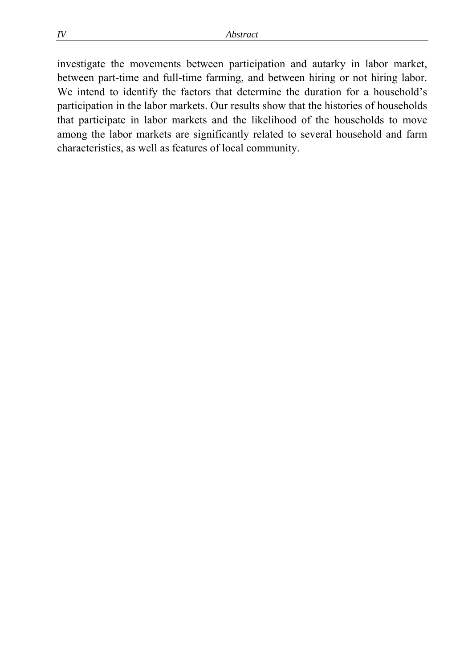investigate the movements between participation and autarky in labor market, between part-time and full-time farming, and between hiring or not hiring labor. We intend to identify the factors that determine the duration for a household's participation in the labor markets. Our results show that the histories of households that participate in labor markets and the likelihood of the households to move among the labor markets are significantly related to several household and farm characteristics, as well as features of local community.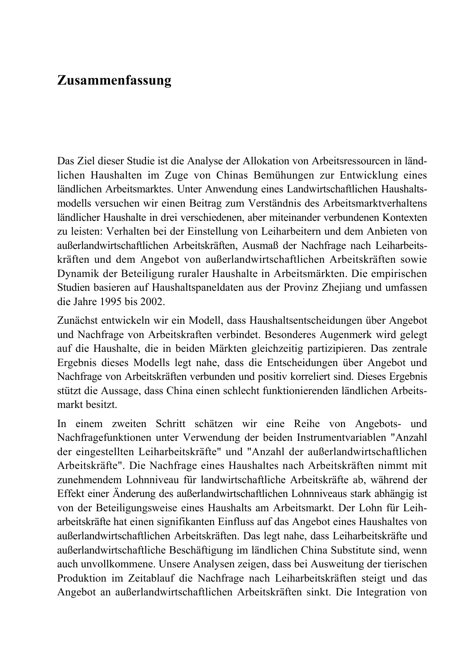# **Zusammenfassung**

Das Ziel dieser Studie ist die Analyse der Allokation von Arbeitsressourcen in ländlichen Haushalten im Zuge von Chinas Bemühungen zur Entwicklung eines ländlichen Arbeitsmarktes. Unter Anwendung eines Landwirtschaftlichen Haushaltsmodells versuchen wir einen Beitrag zum Verständnis des Arbeitsmarktverhaltens ländlicher Haushalte in drei verschiedenen, aber miteinander verbundenen Kontexten zu leisten: Verhalten bei der Einstellung von Leiharbeitern und dem Anbieten von außerlandwirtschaftlichen Arbeitskräften, Ausmaß der Nachfrage nach Leiharbeitskräften und dem Angebot von außerlandwirtschaftlichen Arbeitskräften sowie Dynamik der Beteiligung ruraler Haushalte in Arbeitsmärkten. Die empirischen Studien basieren auf Haushaltspaneldaten aus der Provinz Zhejiang und umfassen die Jahre 1995 bis 2002.

Zunächst entwickeln wir ein Modell, dass Haushaltsentscheidungen über Angebot und Nachfrage von Arbeitskraften verbindet. Besonderes Augenmerk wird gelegt auf die Haushalte, die in beiden Märkten gleichzeitig partizipieren. Das zentrale Ergebnis dieses Modells legt nahe, dass die Entscheidungen über Angebot und Nachfrage von Arbeitskräften verbunden und positiv korreliert sind. Dieses Ergebnis stützt die Aussage, dass China einen schlecht funktionierenden ländlichen Arbeitsmarkt besitzt.

In einem zweiten Schritt schätzen wir eine Reihe von Angebots- und Nachfragefunktionen unter Verwendung der beiden Instrumentvariablen "Anzahl der eingestellten Leiharbeitskräfte" und "Anzahl der außerlandwirtschaftlichen Arbeitskräfte". Die Nachfrage eines Haushaltes nach Arbeitskräften nimmt mit zunehmendem Lohnniveau für landwirtschaftliche Arbeitskräfte ab, während der Effekt einer Änderung des außerlandwirtschaftlichen Lohnniveaus stark abhängig ist von der Beteiligungsweise eines Haushalts am Arbeitsmarkt. Der Lohn für Leiharbeitskräfte hat einen signifikanten Einfluss auf das Angebot eines Haushaltes von außerlandwirtschaftlichen Arbeitskräften. Das legt nahe, dass Leiharbeitskräfte und außerlandwirtschaftliche Beschäftigung im ländlichen China Substitute sind, wenn auch unvollkommene. Unsere Analysen zeigen, dass bei Ausweitung der tierischen Produktion im Zeitablauf die Nachfrage nach Leiharbeitskräften steigt und das Angebot an außerlandwirtschaftlichen Arbeitskräften sinkt. Die Integration von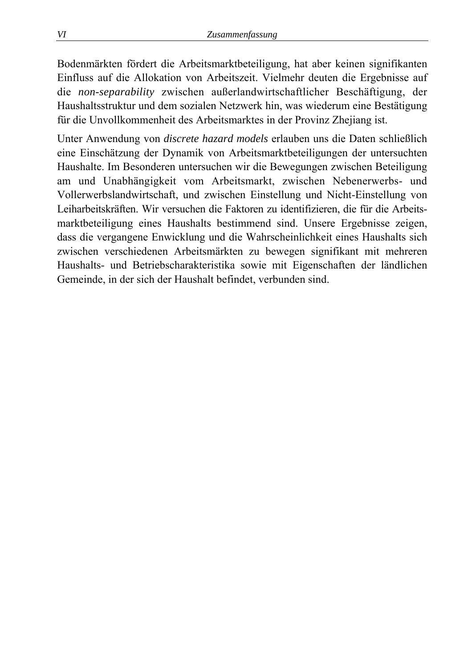Bodenmärkten fördert die Arbeitsmarktbeteiligung, hat aber keinen signifikanten Einfluss auf die Allokation von Arbeitszeit. Vielmehr deuten die Ergebnisse auf die *non-separability* zwischen außerlandwirtschaftlicher Beschäftigung, der Haushaltsstruktur und dem sozialen Netzwerk hin, was wiederum eine Bestätigung für die Unvollkommenheit des Arbeitsmarktes in der Provinz Zhejiang ist.

Unter Anwendung von *discrete hazard models* erlauben uns die Daten schließlich eine Einschätzung der Dynamik von Arbeitsmarktbeteiligungen der untersuchten Haushalte. Im Besonderen untersuchen wir die Bewegungen zwischen Beteiligung am und Unabhängigkeit vom Arbeitsmarkt, zwischen Nebenerwerbs- und Vollerwerbslandwirtschaft, und zwischen Einstellung und Nicht-Einstellung von Leiharbeitskräften. Wir versuchen die Faktoren zu identifizieren, die für die Arbeitsmarktbeteiligung eines Haushalts bestimmend sind. Unsere Ergebnisse zeigen, dass die vergangene Enwicklung und die Wahrscheinlichkeit eines Haushalts sich zwischen verschiedenen Arbeitsmärkten zu bewegen signifikant mit mehreren Haushalts- und Betriebscharakteristika sowie mit Eigenschaften der ländlichen Gemeinde, in der sich der Haushalt befindet, verbunden sind.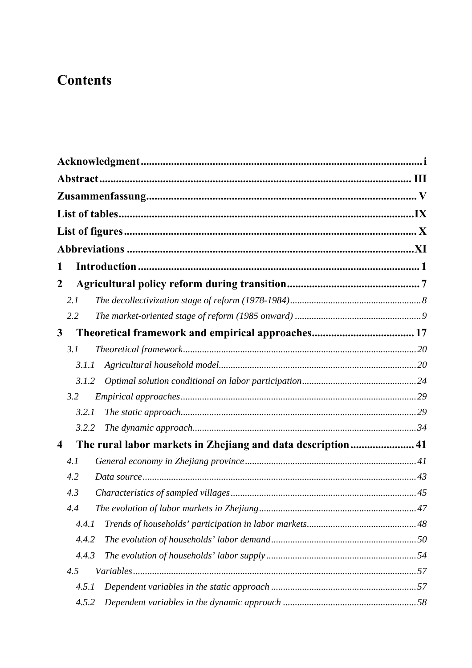# **Contents**

| 1                                                                |  |
|------------------------------------------------------------------|--|
| 2                                                                |  |
| 2.1                                                              |  |
| 2.2                                                              |  |
| 3                                                                |  |
| 3.1                                                              |  |
| 3.1.1                                                            |  |
| 3.1.2                                                            |  |
| 3.2                                                              |  |
| 3.2.1                                                            |  |
| 3.2.2                                                            |  |
| The rural labor markets in Zhejiang and data description 41<br>4 |  |
| 4.1                                                              |  |
| 4.2                                                              |  |
| 4.3                                                              |  |
| 4.4                                                              |  |
| 4.4.1                                                            |  |
| 4.4.2                                                            |  |
| 4.4.3                                                            |  |
| 4.5                                                              |  |
| 4.5.1                                                            |  |
| 4.5.2                                                            |  |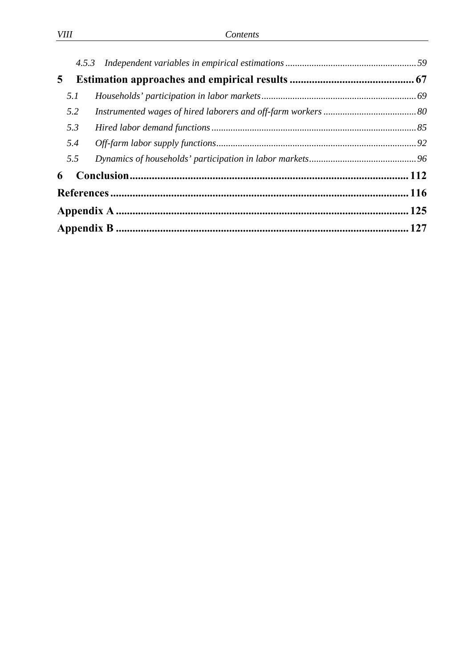| 5 <sup>1</sup> |     |  |
|----------------|-----|--|
|                | 5.1 |  |
|                | 5.2 |  |
|                | 5.3 |  |
|                | 5.4 |  |
|                | 5.5 |  |
| 6              |     |  |
|                |     |  |
|                |     |  |
|                |     |  |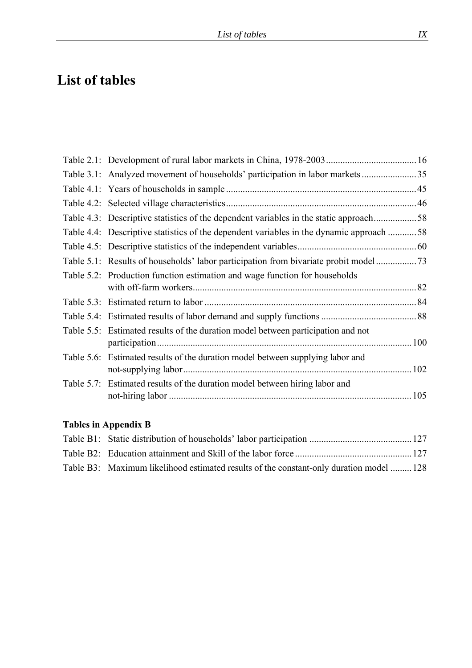# **List of tables**

| Table 4.3: Descriptive statistics of the dependent variables in the static approach58   |  |
|-----------------------------------------------------------------------------------------|--|
| Table 4.4: Descriptive statistics of the dependent variables in the dynamic approach 58 |  |
|                                                                                         |  |
| Table 5.1: Results of households' labor participation from bivariate probit model       |  |
| Table 5.2: Production function estimation and wage function for households              |  |
|                                                                                         |  |
|                                                                                         |  |
|                                                                                         |  |
| Table 5.5: Estimated results of the duration model between participation and not        |  |
|                                                                                         |  |
| Table 5.6: Estimated results of the duration model between supplying labor and          |  |
|                                                                                         |  |
| Table 5.7: Estimated results of the duration model between hiring labor and             |  |
|                                                                                         |  |

#### **Tables in Appendix B**

| Table B3: Maximum likelihood estimated results of the constant-only duration model  128 |  |
|-----------------------------------------------------------------------------------------|--|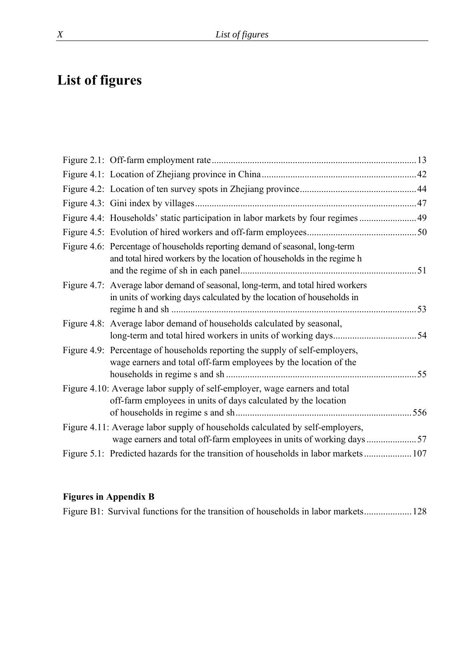# **List of figures**

| Figure 4.4: Households' static participation in labor markets by four regimes 49                                                                         |     |
|----------------------------------------------------------------------------------------------------------------------------------------------------------|-----|
|                                                                                                                                                          |     |
| Figure 4.6: Percentage of households reporting demand of seasonal, long-term<br>and total hired workers by the location of households in the regime h    | 51  |
| Figure 4.7: Average labor demand of seasonal, long-term, and total hired workers<br>in units of working days calculated by the location of households in | 53  |
| Figure 4.8: Average labor demand of households calculated by seasonal,                                                                                   | 54  |
| Figure 4.9: Percentage of households reporting the supply of self-employers,<br>wage earners and total off-farm employees by the location of the         | 55  |
| Figure 4.10: Average labor supply of self-employer, wage earners and total<br>off-farm employees in units of days calculated by the location             | 556 |
| Figure 4.11: Average labor supply of households calculated by self-employers,<br>wage earners and total off-farm employees in units of working days 57   |     |
| Figure 5.1: Predicted hazards for the transition of households in labor markets 107                                                                      |     |

# **Figures in Appendix B**

Figure B1: Survival functions for the transition of households in labor markets....................128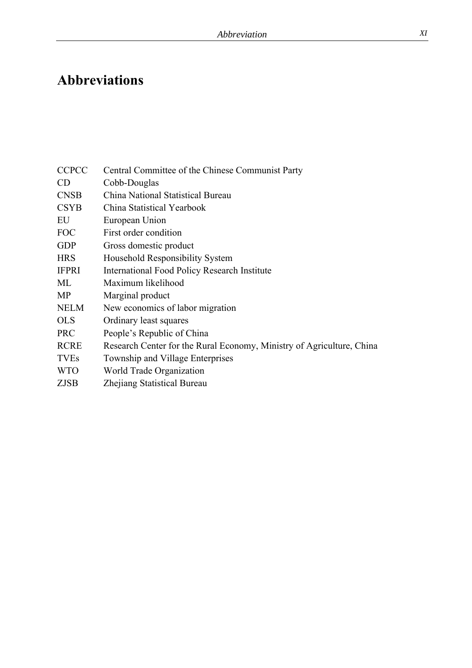# **Abbreviations**

| <b>CCPCC</b> | Central Committee of the Chinese Communist Party                      |
|--------------|-----------------------------------------------------------------------|
|              |                                                                       |
| CD           | Cobb-Douglas                                                          |
| <b>CNSB</b>  | China National Statistical Bureau                                     |
| <b>CSYB</b>  | China Statistical Yearbook                                            |
| EU           | European Union                                                        |
| <b>FOC</b>   | First order condition                                                 |
| <b>GDP</b>   | Gross domestic product                                                |
| <b>HRS</b>   | Household Responsibility System                                       |
| <b>IFPRI</b> | <b>International Food Policy Research Institute</b>                   |
| ML           | Maximum likelihood                                                    |
| MP           | Marginal product                                                      |
| <b>NELM</b>  | New economics of labor migration                                      |
| <b>OLS</b>   | Ordinary least squares                                                |
| <b>PRC</b>   | People's Republic of China                                            |
| <b>RCRE</b>  | Research Center for the Rural Economy, Ministry of Agriculture, China |
| <b>TVEs</b>  | Township and Village Enterprises                                      |
| <b>WTO</b>   | World Trade Organization                                              |
| <b>ZJSB</b>  | Zhejiang Statistical Bureau                                           |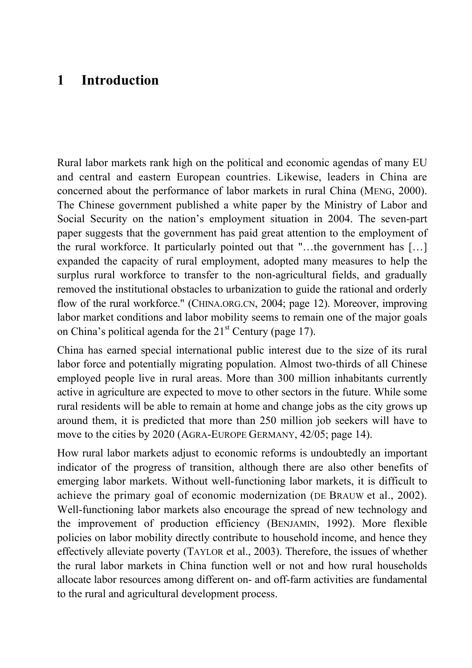# **1 Introduction**

Rural labor markets rank high on the political and economic agendas of many EU and central and eastern European countries. Likewise, leaders in China are concerned about the performance of labor markets in rural China (MENG, 2000). The Chinese government published a white paper by the Ministry of Labor and Social Security on the nation's employment situation in 2004. The seven-part paper suggests that the government has paid great attention to the employment of the rural workforce. It particularly pointed out that "…the government has […] expanded the capacity of rural employment, adopted many measures to help the surplus rural workforce to transfer to the non-agricultural fields, and gradually removed the institutional obstacles to urbanization to guide the rational and orderly flow of the rural workforce." (CHINA.ORG.CN, 2004; page 12). Moreover, improving labor market conditions and labor mobility seems to remain one of the major goals on China's political agenda for the  $21<sup>st</sup>$  Century (page 17).

China has earned special international public interest due to the size of its rural labor force and potentially migrating population. Almost two-thirds of all Chinese employed people live in rural areas. More than 300 million inhabitants currently active in agriculture are expected to move to other sectors in the future. While some rural residents will be able to remain at home and change jobs as the city grows up around them, it is predicted that more than 250 million job seekers will have to move to the cities by 2020 (AGRA-EUROPE GERMANY, 42/05; page 14).

How rural labor markets adjust to economic reforms is undoubtedly an important indicator of the progress of transition, although there are also other benefits of emerging labor markets. Without well-functioning labor markets, it is difficult to achieve the primary goal of economic modernization (DE BRAUW et al., 2002). Well-functioning labor markets also encourage the spread of new technology and the improvement of production efficiency (BENJAMIN, 1992). More flexible policies on labor mobility directly contribute to household income, and hence they effectively alleviate poverty (TAYLOR et al., 2003). Therefore, the issues of whether the rural labor markets in China function well or not and how rural households allocate labor resources among different on- and off-farm activities are fundamental to the rural and agricultural development process.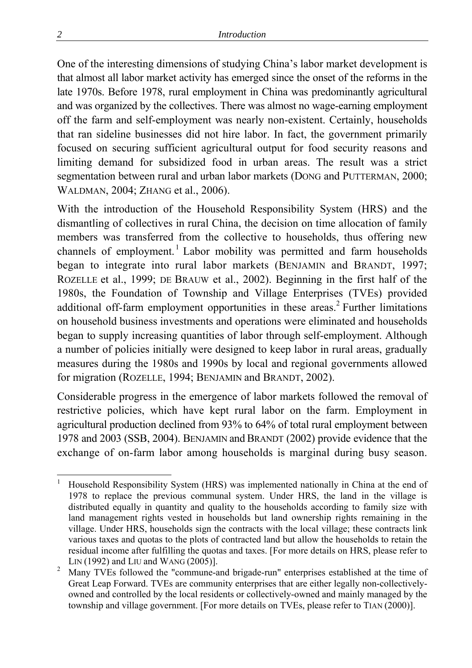One of the interesting dimensions of studying China's labor market development is that almost all labor market activity has emerged since the onset of the reforms in the late 1970s. Before 1978, rural employment in China was predominantly agricultural and was organized by the collectives. There was almost no wage-earning employment off the farm and self-employment was nearly non-existent. Certainly, households that ran sideline businesses did not hire labor. In fact, the government primarily focused on securing sufficient agricultural output for food security reasons and limiting demand for subsidized food in urban areas. The result was a strict segmentation between rural and urban labor markets (DONG and PUTTERMAN, 2000; WALDMAN, 2004; ZHANG et al., 2006).

With the introduction of the Household Responsibility System (HRS) and the dismantling of collectives in rural China, the decision on time allocation of family members was transferred from the collective to households, thus offering new channels of employment.<sup>1</sup> Labor mobility was permitted and farm households began to integrate into rural labor markets (BENJAMIN and BRANDT, 1997; ROZELLE et al., 1999; DE BRAUW et al., 2002). Beginning in the first half of the 1980s, the Foundation of Township and Village Enterprises (TVEs) provided additional off-farm employment opportunities in these areas.<sup>2</sup> Further limitations on household business investments and operations were eliminated and households began to supply increasing quantities of labor through self-employment. Although a number of policies initially were designed to keep labor in rural areas, gradually measures during the 1980s and 1990s by local and regional governments allowed for migration (ROZELLE, 1994; BENJAMIN and BRANDT, 2002).

Considerable progress in the emergence of labor markets followed the removal of restrictive policies, which have kept rural labor on the farm. Employment in agricultural production declined from 93% to 64% of total rural employment between 1978 and 2003 (SSB, 2004). BENJAMIN and BRANDT (2002) provide evidence that the exchange of on-farm labor among households is marginal during busy season.

 $\overline{a}$ 

<sup>1</sup> Household Responsibility System (HRS) was implemented nationally in China at the end of 1978 to replace the previous communal system. Under HRS, the land in the village is distributed equally in quantity and quality to the households according to family size with land management rights vested in households but land ownership rights remaining in the village. Under HRS, households sign the contracts with the local village; these contracts link various taxes and quotas to the plots of contracted land but allow the households to retain the residual income after fulfilling the quotas and taxes. [For more details on HRS, please refer to LIN (1992) and LIU and WANG (2005)].

<sup>2</sup> Many TVEs followed the "commune-and brigade-run" enterprises established at the time of Great Leap Forward. TVEs are community enterprises that are either legally non-collectivelyowned and controlled by the local residents or collectively-owned and mainly managed by the township and village government. [For more details on TVEs, please refer to TIAN (2000)].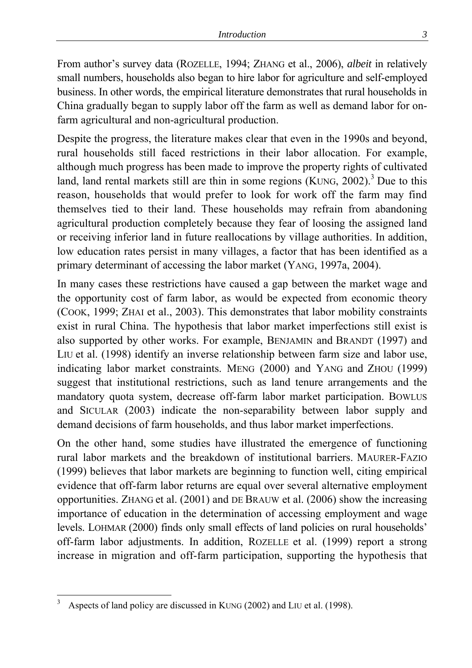From author's survey data (ROZELLE, 1994; ZHANG et al., 2006), *albeit* in relatively small numbers, households also began to hire labor for agriculture and self-employed business. In other words, the empirical literature demonstrates that rural households in China gradually began to supply labor off the farm as well as demand labor for onfarm agricultural and non-agricultural production.

Despite the progress, the literature makes clear that even in the 1990s and beyond, rural households still faced restrictions in their labor allocation. For example, although much progress has been made to improve the property rights of cultivated land, land rental markets still are thin in some regions (KUNG,  $2002$ ).<sup>3</sup> Due to this reason, households that would prefer to look for work off the farm may find themselves tied to their land. These households may refrain from abandoning agricultural production completely because they fear of loosing the assigned land or receiving inferior land in future reallocations by village authorities. In addition, low education rates persist in many villages, a factor that has been identified as a primary determinant of accessing the labor market (YANG, 1997a, 2004).

In many cases these restrictions have caused a gap between the market wage and the opportunity cost of farm labor, as would be expected from economic theory (COOK, 1999; ZHAI et al., 2003). This demonstrates that labor mobility constraints exist in rural China. The hypothesis that labor market imperfections still exist is also supported by other works. For example, BENJAMIN and BRANDT (1997) and LIU et al. (1998) identify an inverse relationship between farm size and labor use, indicating labor market constraints. MENG (2000) and YANG and ZHOU (1999) suggest that institutional restrictions, such as land tenure arrangements and the mandatory quota system, decrease off-farm labor market participation. BOWLUS and SICULAR (2003) indicate the non-separability between labor supply and demand decisions of farm households, and thus labor market imperfections.

On the other hand, some studies have illustrated the emergence of functioning rural labor markets and the breakdown of institutional barriers. MAURER-FAZIO (1999) believes that labor markets are beginning to function well, citing empirical evidence that off-farm labor returns are equal over several alternative employment opportunities. ZHANG et al. (2001) and DE BRAUW et al. (2006) show the increasing importance of education in the determination of accessing employment and wage levels. LOHMAR (2000) finds only small effects of land policies on rural households' off-farm labor adjustments. In addition, ROZELLE et al. (1999) report a strong increase in migration and off-farm participation, supporting the hypothesis that

 $\overline{a}$ 

<sup>3</sup> Aspects of land policy are discussed in KUNG (2002) and LIU et al. (1998).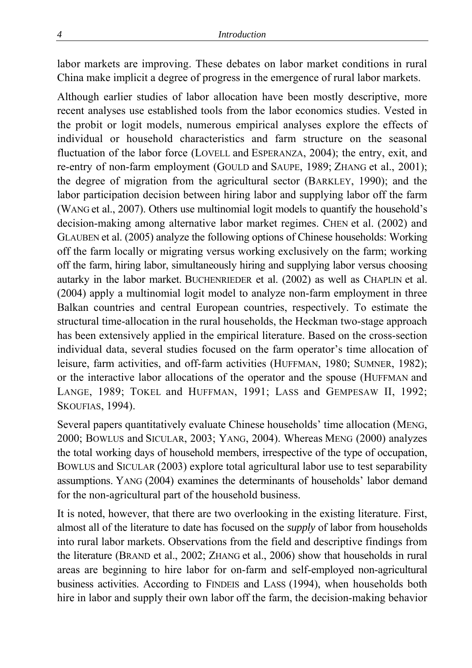labor markets are improving. These debates on labor market conditions in rural China make implicit a degree of progress in the emergence of rural labor markets.

Although earlier studies of labor allocation have been mostly descriptive, more recent analyses use established tools from the labor economics studies. Vested in the probit or logit models, numerous empirical analyses explore the effects of individual or household characteristics and farm structure on the seasonal fluctuation of the labor force (LOVELL and ESPERANZA, 2004); the entry, exit, and re-entry of non-farm employment (GOULD and SAUPE, 1989; ZHANG et al., 2001); the degree of migration from the agricultural sector (BARKLEY, 1990); and the labor participation decision between hiring labor and supplying labor off the farm (WANG et al., 2007). Others use multinomial logit models to quantify the household's decision-making among alternative labor market regimes. CHEN et al. (2002) and GLAUBEN et al. (2005) analyze the following options of Chinese households: Working off the farm locally or migrating versus working exclusively on the farm; working off the farm, hiring labor, simultaneously hiring and supplying labor versus choosing autarky in the labor market. BUCHENRIEDER et al. (2002) as well as CHAPLIN et al. (2004) apply a multinomial logit model to analyze non-farm employment in three Balkan countries and central European countries, respectively. To estimate the structural time-allocation in the rural households, the Heckman two-stage approach has been extensively applied in the empirical literature. Based on the cross-section individual data, several studies focused on the farm operator's time allocation of leisure, farm activities, and off-farm activities (HUFFMAN, 1980; SUMNER, 1982); or the interactive labor allocations of the operator and the spouse (HUFFMAN and LANGE, 1989; TOKEL and HUFFMAN, 1991; LASS and GEMPESAW II, 1992; SKOUFIAS, 1994).

Several papers quantitatively evaluate Chinese households' time allocation (MENG, 2000; BOWLUS and SICULAR, 2003; YANG, 2004). Whereas MENG (2000) analyzes the total working days of household members, irrespective of the type of occupation, BOWLUS and SICULAR (2003) explore total agricultural labor use to test separability assumptions. YANG (2004) examines the determinants of households' labor demand for the non-agricultural part of the household business.

It is noted, however, that there are two overlooking in the existing literature. First, almost all of the literature to date has focused on the *supply* of labor from households into rural labor markets. Observations from the field and descriptive findings from the literature (BRAND et al., 2002; ZHANG et al., 2006) show that households in rural areas are beginning to hire labor for on-farm and self-employed non-agricultural business activities. According to FINDEIS and LASS (1994), when households both hire in labor and supply their own labor off the farm, the decision-making behavior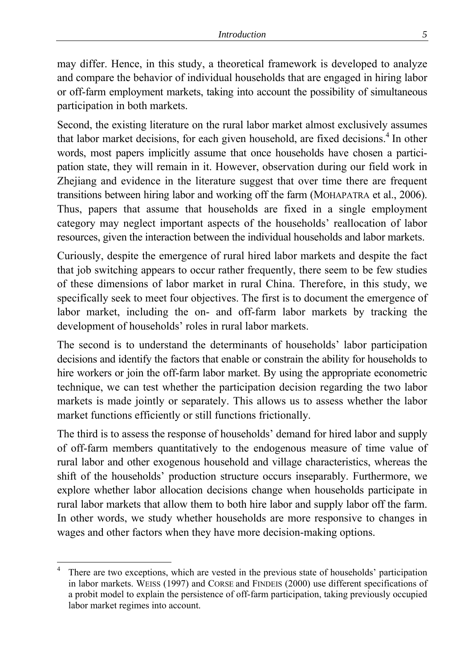may differ. Hence, in this study, a theoretical framework is developed to analyze and compare the behavior of individual households that are engaged in hiring labor or off-farm employment markets, taking into account the possibility of simultaneous participation in both markets.

Second, the existing literature on the rural labor market almost exclusively assumes that labor market decisions, for each given household, are fixed decisions. $4$  In other words, most papers implicitly assume that once households have chosen a participation state, they will remain in it. However, observation during our field work in Zhejiang and evidence in the literature suggest that over time there are frequent transitions between hiring labor and working off the farm (MOHAPATRA et al., 2006). Thus, papers that assume that households are fixed in a single employment category may neglect important aspects of the households' reallocation of labor resources, given the interaction between the individual households and labor markets.

Curiously, despite the emergence of rural hired labor markets and despite the fact that job switching appears to occur rather frequently, there seem to be few studies of these dimensions of labor market in rural China. Therefore, in this study, we specifically seek to meet four objectives. The first is to document the emergence of labor market, including the on- and off-farm labor markets by tracking the development of households' roles in rural labor markets.

The second is to understand the determinants of households' labor participation decisions and identify the factors that enable or constrain the ability for households to hire workers or join the off-farm labor market. By using the appropriate econometric technique, we can test whether the participation decision regarding the two labor markets is made jointly or separately. This allows us to assess whether the labor market functions efficiently or still functions frictionally.

The third is to assess the response of households' demand for hired labor and supply of off-farm members quantitatively to the endogenous measure of time value of rural labor and other exogenous household and village characteristics, whereas the shift of the households' production structure occurs inseparably. Furthermore, we explore whether labor allocation decisions change when households participate in rural labor markets that allow them to both hire labor and supply labor off the farm. In other words, we study whether households are more responsive to changes in wages and other factors when they have more decision-making options.

 $\overline{a}$ 

<sup>4</sup> There are two exceptions, which are vested in the previous state of households' participation in labor markets. WEISS (1997) and CORSE and FINDEIS (2000) use different specifications of a probit model to explain the persistence of off-farm participation, taking previously occupied labor market regimes into account.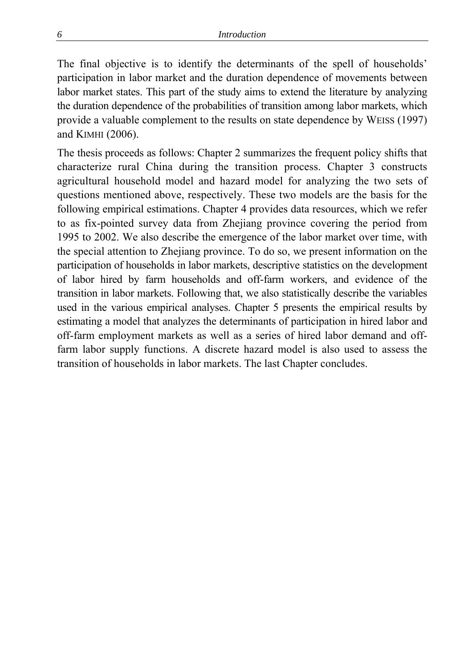The final objective is to identify the determinants of the spell of households' participation in labor market and the duration dependence of movements between labor market states. This part of the study aims to extend the literature by analyzing the duration dependence of the probabilities of transition among labor markets, which provide a valuable complement to the results on state dependence by WEISS (1997) and KIMHI (2006).

The thesis proceeds as follows: Chapter 2 summarizes the frequent policy shifts that characterize rural China during the transition process. Chapter 3 constructs agricultural household model and hazard model for analyzing the two sets of questions mentioned above, respectively. These two models are the basis for the following empirical estimations. Chapter 4 provides data resources, which we refer to as fix-pointed survey data from Zhejiang province covering the period from 1995 to 2002. We also describe the emergence of the labor market over time, with the special attention to Zhejiang province. To do so, we present information on the participation of households in labor markets, descriptive statistics on the development of labor hired by farm households and off-farm workers, and evidence of the transition in labor markets. Following that, we also statistically describe the variables used in the various empirical analyses. Chapter 5 presents the empirical results by estimating a model that analyzes the determinants of participation in hired labor and off-farm employment markets as well as a series of hired labor demand and offfarm labor supply functions. A discrete hazard model is also used to assess the transition of households in labor markets. The last Chapter concludes.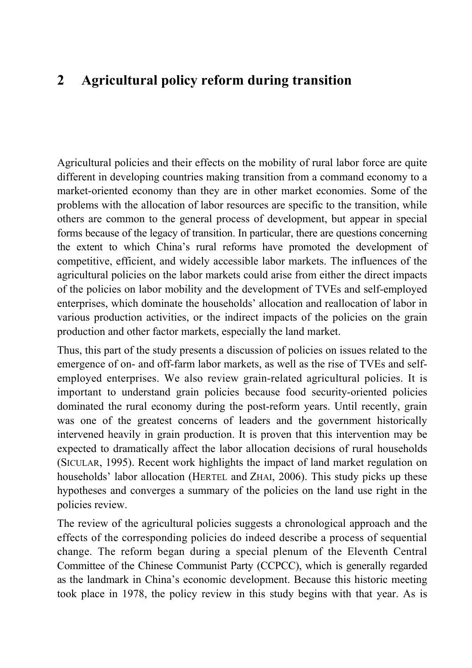# **2 Agricultural policy reform during transition**

Agricultural policies and their effects on the mobility of rural labor force are quite different in developing countries making transition from a command economy to a market-oriented economy than they are in other market economies. Some of the problems with the allocation of labor resources are specific to the transition, while others are common to the general process of development, but appear in special forms because of the legacy of transition. In particular, there are questions concerning the extent to which China's rural reforms have promoted the development of competitive, efficient, and widely accessible labor markets. The influences of the agricultural policies on the labor markets could arise from either the direct impacts of the policies on labor mobility and the development of TVEs and self-employed enterprises, which dominate the households' allocation and reallocation of labor in various production activities, or the indirect impacts of the policies on the grain production and other factor markets, especially the land market.

Thus, this part of the study presents a discussion of policies on issues related to the emergence of on- and off-farm labor markets, as well as the rise of TVEs and selfemployed enterprises. We also review grain-related agricultural policies. It is important to understand grain policies because food security-oriented policies dominated the rural economy during the post-reform years. Until recently, grain was one of the greatest concerns of leaders and the government historically intervened heavily in grain production. It is proven that this intervention may be expected to dramatically affect the labor allocation decisions of rural households (SICULAR, 1995). Recent work highlights the impact of land market regulation on households' labor allocation (HERTEL and ZHAI, 2006). This study picks up these hypotheses and converges a summary of the policies on the land use right in the policies review.

The review of the agricultural policies suggests a chronological approach and the effects of the corresponding policies do indeed describe a process of sequential change. The reform began during a special plenum of the Eleventh Central Committee of the Chinese Communist Party (CCPCC), which is generally regarded as the landmark in China's economic development. Because this historic meeting took place in 1978, the policy review in this study begins with that year. As is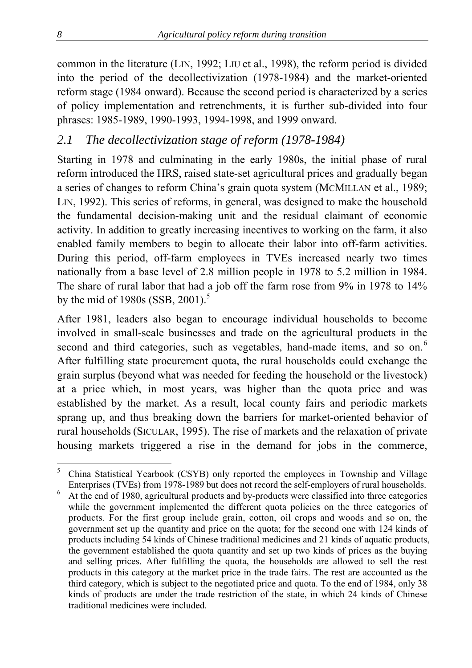common in the literature (LIN, 1992; LIU et al., 1998), the reform period is divided into the period of the decollectivization (1978-1984) and the market-oriented reform stage (1984 onward). Because the second period is characterized by a series of policy implementation and retrenchments, it is further sub-divided into four phrases: 1985-1989, 1990-1993, 1994-1998, and 1999 onward.

### *2.1 The decollectivization stage of reform (1978-1984)*

Starting in 1978 and culminating in the early 1980s, the initial phase of rural reform introduced the HRS, raised state-set agricultural prices and gradually began a series of changes to reform China's grain quota system (MCMILLAN et al., 1989; LIN, 1992). This series of reforms, in general, was designed to make the household the fundamental decision-making unit and the residual claimant of economic activity. In addition to greatly increasing incentives to working on the farm, it also enabled family members to begin to allocate their labor into off-farm activities. During this period, off-farm employees in TVEs increased nearly two times nationally from a base level of 2.8 million people in 1978 to 5.2 million in 1984. The share of rural labor that had a job off the farm rose from 9% in 1978 to 14% by the mid of 1980s (SSB, 2001).<sup>5</sup>

After 1981, leaders also began to encourage individual households to become involved in small-scale businesses and trade on the agricultural products in the second and third categories, such as vegetables, hand-made items, and so on.<sup>6</sup> After fulfilling state procurement quota, the rural households could exchange the grain surplus (beyond what was needed for feeding the household or the livestock) at a price which, in most years, was higher than the quota price and was established by the market. As a result, local county fairs and periodic markets sprang up, and thus breaking down the barriers for market-oriented behavior of rural households (SICULAR, 1995). The rise of markets and the relaxation of private housing markets triggered a rise in the demand for jobs in the commerce,

 $\overline{a}$ 5 China Statistical Yearbook (CSYB) only reported the employees in Township and Village Enterprises (TVEs) from 1978-1989 but does not record the self-employers of rural households.

<sup>6</sup> At the end of 1980, agricultural products and by-products were classified into three categories while the government implemented the different quota policies on the three categories of products. For the first group include grain, cotton, oil crops and woods and so on, the government set up the quantity and price on the quota; for the second one with 124 kinds of products including 54 kinds of Chinese traditional medicines and 21 kinds of aquatic products, the government established the quota quantity and set up two kinds of prices as the buying and selling prices. After fulfilling the quota, the households are allowed to sell the rest products in this category at the market price in the trade fairs. The rest are accounted as the third category, which is subject to the negotiated price and quota. To the end of 1984, only 38 kinds of products are under the trade restriction of the state, in which 24 kinds of Chinese traditional medicines were included.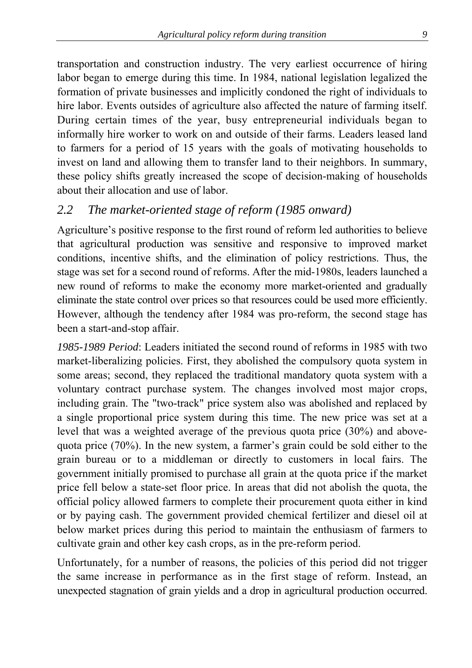transportation and construction industry. The very earliest occurrence of hiring labor began to emerge during this time. In 1984, national legislation legalized the formation of private businesses and implicitly condoned the right of individuals to hire labor. Events outsides of agriculture also affected the nature of farming itself. During certain times of the year, busy entrepreneurial individuals began to informally hire worker to work on and outside of their farms. Leaders leased land to farmers for a period of 15 years with the goals of motivating households to invest on land and allowing them to transfer land to their neighbors. In summary, these policy shifts greatly increased the scope of decision-making of households about their allocation and use of labor.

#### *2.2 The market-oriented stage of reform (1985 onward)*

Agriculture's positive response to the first round of reform led authorities to believe that agricultural production was sensitive and responsive to improved market conditions, incentive shifts, and the elimination of policy restrictions. Thus, the stage was set for a second round of reforms. After the mid-1980s, leaders launched a new round of reforms to make the economy more market-oriented and gradually eliminate the state control over prices so that resources could be used more efficiently. However, although the tendency after 1984 was pro-reform, the second stage has been a start-and-stop affair.

*1985-1989 Period*: Leaders initiated the second round of reforms in 1985 with two market-liberalizing policies. First, they abolished the compulsory quota system in some areas; second, they replaced the traditional mandatory quota system with a voluntary contract purchase system. The changes involved most major crops, including grain. The "two-track" price system also was abolished and replaced by a single proportional price system during this time. The new price was set at a level that was a weighted average of the previous quota price (30%) and abovequota price (70%). In the new system, a farmer's grain could be sold either to the grain bureau or to a middleman or directly to customers in local fairs. The government initially promised to purchase all grain at the quota price if the market price fell below a state-set floor price. In areas that did not abolish the quota, the official policy allowed farmers to complete their procurement quota either in kind or by paying cash. The government provided chemical fertilizer and diesel oil at below market prices during this period to maintain the enthusiasm of farmers to cultivate grain and other key cash crops, as in the pre-reform period.

Unfortunately, for a number of reasons, the policies of this period did not trigger the same increase in performance as in the first stage of reform. Instead, an unexpected stagnation of grain yields and a drop in agricultural production occurred.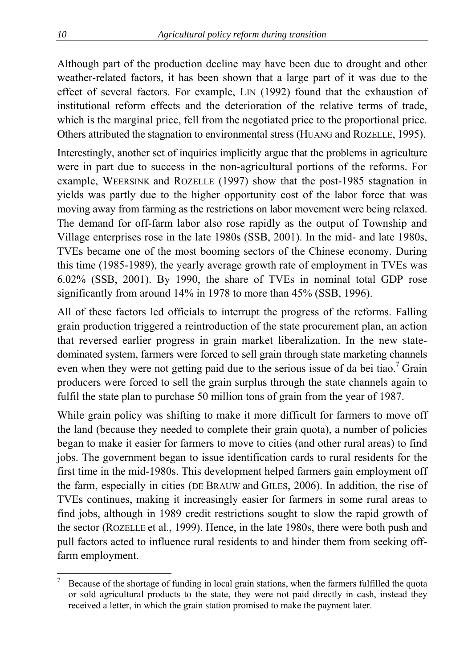Although part of the production decline may have been due to drought and other weather-related factors, it has been shown that a large part of it was due to the effect of several factors. For example, LIN (1992) found that the exhaustion of institutional reform effects and the deterioration of the relative terms of trade, which is the marginal price, fell from the negotiated price to the proportional price. Others attributed the stagnation to environmental stress (HUANG and ROZELLE, 1995).

Interestingly, another set of inquiries implicitly argue that the problems in agriculture were in part due to success in the non-agricultural portions of the reforms. For example, WEERSINK and ROZELLE (1997) show that the post-1985 stagnation in yields was partly due to the higher opportunity cost of the labor force that was moving away from farming as the restrictions on labor movement were being relaxed. The demand for off-farm labor also rose rapidly as the output of Township and Village enterprises rose in the late 1980s (SSB, 2001). In the mid- and late 1980s, TVEs became one of the most booming sectors of the Chinese economy. During this time (1985-1989), the yearly average growth rate of employment in TVEs was 6.02% (SSB, 2001). By 1990, the share of TVEs in nominal total GDP rose significantly from around 14% in 1978 to more than 45% (SSB, 1996).

All of these factors led officials to interrupt the progress of the reforms. Falling grain production triggered a reintroduction of the state procurement plan, an action that reversed earlier progress in grain market liberalization. In the new statedominated system, farmers were forced to sell grain through state marketing channels even when they were not getting paid due to the serious issue of da bei tiao.<sup>7</sup> Grain producers were forced to sell the grain surplus through the state channels again to fulfil the state plan to purchase 50 million tons of grain from the year of 1987.

While grain policy was shifting to make it more difficult for farmers to move off the land (because they needed to complete their grain quota), a number of policies began to make it easier for farmers to move to cities (and other rural areas) to find jobs. The government began to issue identification cards to rural residents for the first time in the mid-1980s. This development helped farmers gain employment off the farm, especially in cities (DE BRAUW and GILES, 2006). In addition, the rise of TVEs continues, making it increasingly easier for farmers in some rural areas to find jobs, although in 1989 credit restrictions sought to slow the rapid growth of the sector (ROZELLE et al., 1999). Hence, in the late 1980s, there were both push and pull factors acted to influence rural residents to and hinder them from seeking offfarm employment.

 $\overline{a}$ 7 Because of the shortage of funding in local grain stations, when the farmers fulfilled the quota or sold agricultural products to the state, they were not paid directly in cash, instead they received a letter, in which the grain station promised to make the payment later.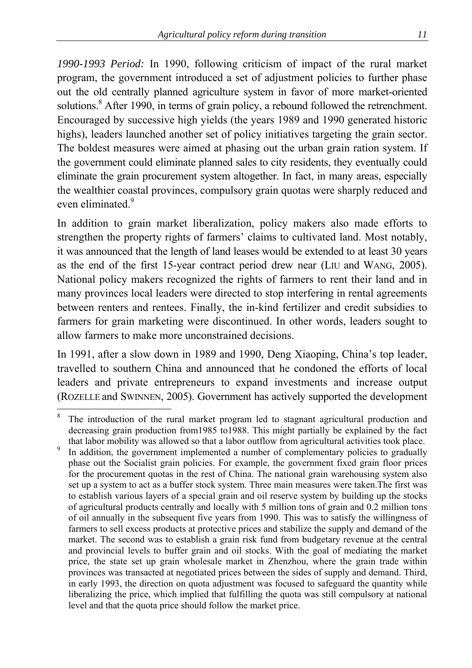*1990-1993 Period:* In 1990, following criticism of impact of the rural market program, the government introduced a set of adjustment policies to further phase out the old centrally planned agriculture system in favor of more market-oriented solutions.<sup>8</sup> After 1990, in terms of grain policy, a rebound followed the retrenchment. Encouraged by successive high yields (the years 1989 and 1990 generated historic highs), leaders launched another set of policy initiatives targeting the grain sector. The boldest measures were aimed at phasing out the urban grain ration system. If the government could eliminate planned sales to city residents, they eventually could eliminate the grain procurement system altogether. In fact, in many areas, especially the wealthier coastal provinces, compulsory grain quotas were sharply reduced and even eliminated.<sup>9</sup>

In addition to grain market liberalization, policy makers also made efforts to strengthen the property rights of farmers' claims to cultivated land. Most notably, it was announced that the length of land leases would be extended to at least 30 years as the end of the first 15-year contract period drew near (LIU and WANG, 2005). National policy makers recognized the rights of farmers to rent their land and in many provinces local leaders were directed to stop interfering in rental agreements between renters and rentees. Finally, the in-kind fertilizer and credit subsidies to farmers for grain marketing were discontinued. In other words, leaders sought to allow farmers to make more unconstrained decisions.

In 1991, after a slow down in 1989 and 1990, Deng Xiaoping, China's top leader, travelled to southern China and announced that he condoned the efforts of local leaders and private entrepreneurs to expand investments and increase output (ROZELLE and SWINNEN, 2005). Government has actively supported the development

 $\overline{a}$ 8 The introduction of the rural market program led to stagnant agricultural production and decreasing grain production from1985 to1988. This might partially be explained by the fact that labor mobility was allowed so that a labor outflow from agricultural activities took place.

<sup>9</sup> In addition, the government implemented a number of complementary policies to gradually phase out the Socialist grain policies. For example, the government fixed grain floor prices for the procurement quotas in the rest of China. The national grain warehousing system also set up a system to act as a buffer stock system. Three main measures were taken.The first was to establish various layers of a special grain and oil reserve system by building up the stocks of agricultural products centrally and locally with 5 million tons of grain and 0.2 million tons of oil annually in the subsequent five years from 1990. This was to satisfy the willingness of farmers to sell excess products at protective prices and stabilize the supply and demand of the market. The second was to establish a grain risk fund from budgetary revenue at the central and provincial levels to buffer grain and oil stocks. With the goal of mediating the market price, the state set up grain wholesale market in Zhenzhou, where the grain trade within provinces was transacted at negotiated prices between the sides of supply and demand. Third, in early 1993, the direction on quota adjustment was focused to safeguard the quantity while liberalizing the price, which implied that fulfilling the quota was still compulsory at national level and that the quota price should follow the market price.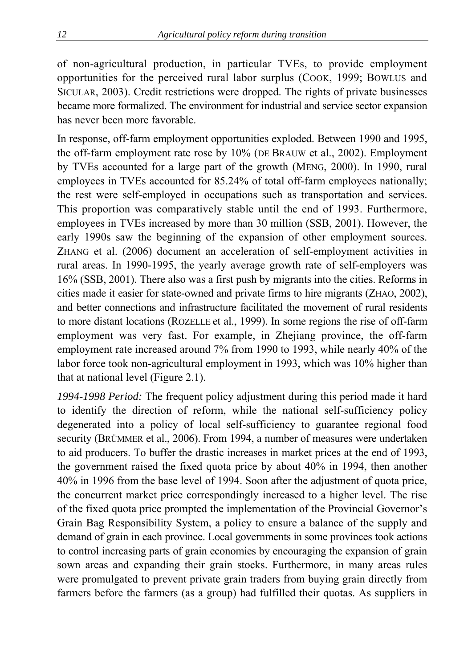of non-agricultural production, in particular TVEs, to provide employment opportunities for the perceived rural labor surplus (COOK, 1999; BOWLUS and SICULAR, 2003). Credit restrictions were dropped. The rights of private businesses became more formalized. The environment for industrial and service sector expansion has never been more favorable.

In response, off-farm employment opportunities exploded. Between 1990 and 1995, the off-farm employment rate rose by 10% (DE BRAUW et al., 2002). Employment by TVEs accounted for a large part of the growth (MENG, 2000). In 1990, rural employees in TVEs accounted for 85.24% of total off-farm employees nationally; the rest were self-employed in occupations such as transportation and services. This proportion was comparatively stable until the end of 1993. Furthermore, employees in TVEs increased by more than 30 million (SSB, 2001). However, the early 1990s saw the beginning of the expansion of other employment sources. ZHANG et al. (2006) document an acceleration of self-employment activities in rural areas. In 1990-1995, the yearly average growth rate of self-employers was 16% (SSB, 2001). There also was a first push by migrants into the cities. Reforms in cities made it easier for state-owned and private firms to hire migrants (ZHAO, 2002), and better connections and infrastructure facilitated the movement of rural residents to more distant locations (ROZELLE et al., 1999). In some regions the rise of off-farm employment was very fast. For example, in Zhejiang province, the off-farm employment rate increased around 7% from 1990 to 1993, while nearly 40% of the labor force took non-agricultural employment in 1993, which was 10% higher than that at national level (Figure 2.1).

*1994-1998 Period:* The frequent policy adjustment during this period made it hard to identify the direction of reform, while the national self-sufficiency policy degenerated into a policy of local self-sufficiency to guarantee regional food security (BRÜMMER et al., 2006). From 1994, a number of measures were undertaken to aid producers. To buffer the drastic increases in market prices at the end of 1993, the government raised the fixed quota price by about 40% in 1994, then another 40% in 1996 from the base level of 1994. Soon after the adjustment of quota price, the concurrent market price correspondingly increased to a higher level. The rise of the fixed quota price prompted the implementation of the Provincial Governor's Grain Bag Responsibility System, a policy to ensure a balance of the supply and demand of grain in each province. Local governments in some provinces took actions to control increasing parts of grain economies by encouraging the expansion of grain sown areas and expanding their grain stocks. Furthermore, in many areas rules were promulgated to prevent private grain traders from buying grain directly from farmers before the farmers (as a group) had fulfilled their quotas. As suppliers in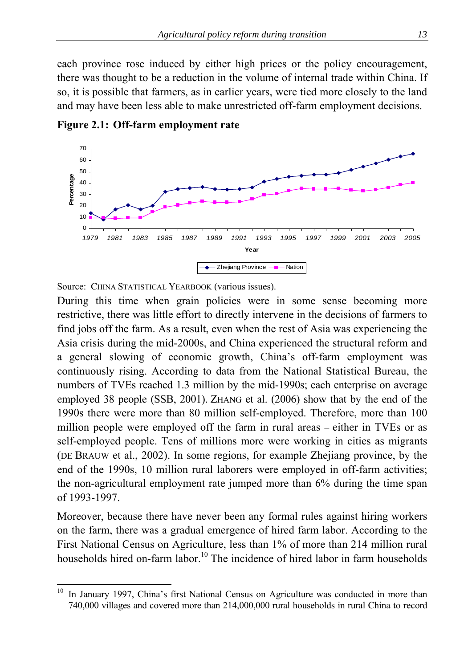each province rose induced by either high prices or the policy encouragement, there was thought to be a reduction in the volume of internal trade within China. If so, it is possible that farmers, as in earlier years, were tied more closely to the land and may have been less able to make unrestricted off-farm employment decisions.



**Figure 2.1: Off-farm employment rate** 

Source: CHINA STATISTICAL YEARBOOK (various issues).

During this time when grain policies were in some sense becoming more restrictive, there was little effort to directly intervene in the decisions of farmers to find jobs off the farm. As a result, even when the rest of Asia was experiencing the Asia crisis during the mid-2000s, and China experienced the structural reform and a general slowing of economic growth, China's off-farm employment was continuously rising. According to data from the National Statistical Bureau, the numbers of TVEs reached 1.3 million by the mid-1990s; each enterprise on average employed 38 people (SSB, 2001). ZHANG et al. (2006) show that by the end of the 1990s there were more than 80 million self-employed. Therefore, more than 100 million people were employed off the farm in rural areas – either in TVEs or as self-employed people. Tens of millions more were working in cities as migrants (DE BRAUW et al., 2002). In some regions, for example Zhejiang province, by the end of the 1990s, 10 million rural laborers were employed in off-farm activities; the non-agricultural employment rate jumped more than 6% during the time span of 1993-1997.

Moreover, because there have never been any formal rules against hiring workers on the farm, there was a gradual emergence of hired farm labor. According to the First National Census on Agriculture, less than 1% of more than 214 million rural households hired on-farm labor.<sup>10</sup> The incidence of hired labor in farm households

 $10\,$ 10 In January 1997, China's first National Census on Agriculture was conducted in more than 740,000 villages and covered more than 214,000,000 rural households in rural China to record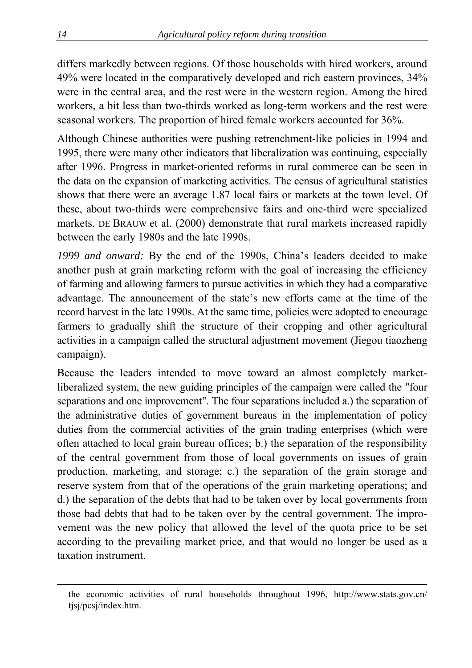differs markedly between regions. Of those households with hired workers, around 49% were located in the comparatively developed and rich eastern provinces, 34% were in the central area, and the rest were in the western region. Among the hired workers, a bit less than two-thirds worked as long-term workers and the rest were seasonal workers. The proportion of hired female workers accounted for 36%.

Although Chinese authorities were pushing retrenchment-like policies in 1994 and 1995, there were many other indicators that liberalization was continuing, especially after 1996. Progress in market-oriented reforms in rural commerce can be seen in the data on the expansion of marketing activities. The census of agricultural statistics shows that there were an average 1.87 local fairs or markets at the town level. Of these, about two-thirds were comprehensive fairs and one-third were specialized markets. DE BRAUW et al. (2000) demonstrate that rural markets increased rapidly between the early 1980s and the late 1990s.

*1999 and onward:* By the end of the 1990s, China's leaders decided to make another push at grain marketing reform with the goal of increasing the efficiency of farming and allowing farmers to pursue activities in which they had a comparative advantage. The announcement of the state's new efforts came at the time of the record harvest in the late 1990s. At the same time, policies were adopted to encourage farmers to gradually shift the structure of their cropping and other agricultural activities in a campaign called the structural adjustment movement (Jiegou tiaozheng campaign).

Because the leaders intended to move toward an almost completely marketliberalized system, the new guiding principles of the campaign were called the "four separations and one improvement". The four separations included a.) the separation of the administrative duties of government bureaus in the implementation of policy duties from the commercial activities of the grain trading enterprises (which were often attached to local grain bureau offices; b.) the separation of the responsibility of the central government from those of local governments on issues of grain production, marketing, and storage; c.) the separation of the grain storage and reserve system from that of the operations of the grain marketing operations; and d.) the separation of the debts that had to be taken over by local governments from those bad debts that had to be taken over by the central government. The improvement was the new policy that allowed the level of the quota price to be set according to the prevailing market price, and that would no longer be used as a taxation instrument.

 $\overline{a}$ 

the economic activities of rural households throughout 1996, http://www.stats.gov.cn/ tjsj/pcsj/index.htm.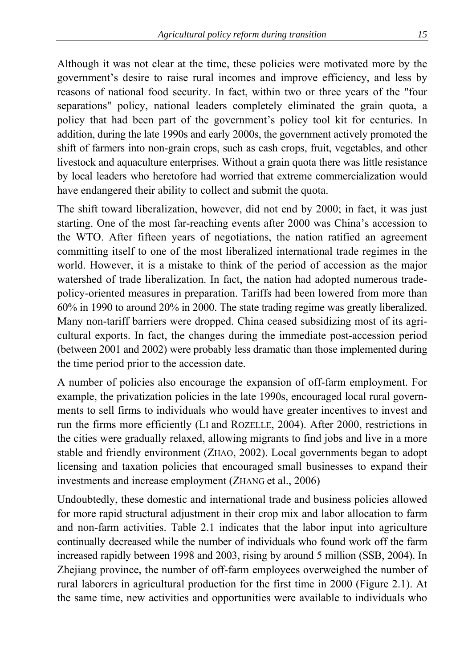Although it was not clear at the time, these policies were motivated more by the government's desire to raise rural incomes and improve efficiency, and less by reasons of national food security. In fact, within two or three years of the "four separations" policy, national leaders completely eliminated the grain quota, a policy that had been part of the government's policy tool kit for centuries. In addition, during the late 1990s and early 2000s, the government actively promoted the shift of farmers into non-grain crops, such as cash crops, fruit, vegetables, and other livestock and aquaculture enterprises. Without a grain quota there was little resistance by local leaders who heretofore had worried that extreme commercialization would have endangered their ability to collect and submit the quota.

The shift toward liberalization, however, did not end by 2000; in fact, it was just starting. One of the most far-reaching events after 2000 was China's accession to the WTO. After fifteen years of negotiations, the nation ratified an agreement committing itself to one of the most liberalized international trade regimes in the world. However, it is a mistake to think of the period of accession as the major watershed of trade liberalization. In fact, the nation had adopted numerous tradepolicy-oriented measures in preparation. Tariffs had been lowered from more than 60% in 1990 to around 20% in 2000. The state trading regime was greatly liberalized. Many non-tariff barriers were dropped. China ceased subsidizing most of its agricultural exports. In fact, the changes during the immediate post-accession period (between 2001 and 2002) were probably less dramatic than those implemented during the time period prior to the accession date.

A number of policies also encourage the expansion of off-farm employment. For example, the privatization policies in the late 1990s, encouraged local rural governments to sell firms to individuals who would have greater incentives to invest and run the firms more efficiently (LI and ROZELLE, 2004). After 2000, restrictions in the cities were gradually relaxed, allowing migrants to find jobs and live in a more stable and friendly environment (ZHAO, 2002). Local governments began to adopt licensing and taxation policies that encouraged small businesses to expand their investments and increase employment (ZHANG et al., 2006)

Undoubtedly, these domestic and international trade and business policies allowed for more rapid structural adjustment in their crop mix and labor allocation to farm and non-farm activities. Table 2.1 indicates that the labor input into agriculture continually decreased while the number of individuals who found work off the farm increased rapidly between 1998 and 2003, rising by around 5 million (SSB, 2004). In Zhejiang province, the number of off-farm employees overweighed the number of rural laborers in agricultural production for the first time in 2000 (Figure 2.1). At the same time, new activities and opportunities were available to individuals who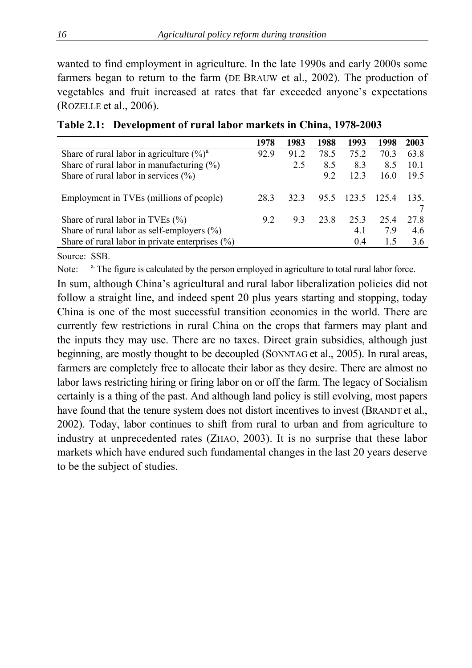wanted to find employment in agriculture. In the late 1990s and early 2000s some farmers began to return to the farm (DE BRAUW et al., 2002). The production of vegetables and fruit increased at rates that far exceeded anyone's expectations (ROZELLE et al., 2006).

|                                                     | 1978 | 1983 | 1988 | 1993  | 1998 | 2003 |
|-----------------------------------------------------|------|------|------|-------|------|------|
| Share of rural labor in agriculture $(\%)^a$        | 92.9 | 91.2 | 78.5 | 75.2  | 70.3 | 63.8 |
| Share of rural labor in manufacturing $(\%)$        |      | 2.5  | 8.5  | 8.3   | 8.5  | 10.1 |
| Share of rural labor in services $(\% )$            |      |      | 9.2  | 12.3  | 16.0 | 19.5 |
|                                                     |      |      |      |       |      |      |
| Employment in TVEs (millions of people)             | 283  | 323  | 95.5 | 123.5 | 1254 | 135  |
|                                                     |      |      |      |       |      |      |
| Share of rural labor in TVEs $(\% )$                | 92   | 9.3  | 23.8 | 253   | 25.4 | 27.8 |
| Share of rural labor as self-employers $(\%)$       |      |      |      | 4.1   | 7.9  | 4.6  |
| Share of rural labor in private enterprises $(\% )$ |      |      |      | 04    |      | 36   |

|  |  |  |  | Table 2.1: Development of rural labor markets in China, 1978-2003 |  |  |
|--|--|--|--|-------------------------------------------------------------------|--|--|
|--|--|--|--|-------------------------------------------------------------------|--|--|

Source: SSB.

Note: <sup>a.</sup> The figure is calculated by the person employed in agriculture to total rural labor force.

In sum, although China's agricultural and rural labor liberalization policies did not follow a straight line, and indeed spent 20 plus years starting and stopping, today China is one of the most successful transition economies in the world. There are currently few restrictions in rural China on the crops that farmers may plant and the inputs they may use. There are no taxes. Direct grain subsidies, although just beginning, are mostly thought to be decoupled (SONNTAG et al., 2005). In rural areas, farmers are completely free to allocate their labor as they desire. There are almost no labor laws restricting hiring or firing labor on or off the farm. The legacy of Socialism certainly is a thing of the past. And although land policy is still evolving, most papers have found that the tenure system does not distort incentives to invest (BRANDT et al., 2002). Today, labor continues to shift from rural to urban and from agriculture to industry at unprecedented rates (ZHAO, 2003). It is no surprise that these labor markets which have endured such fundamental changes in the last 20 years deserve to be the subject of studies.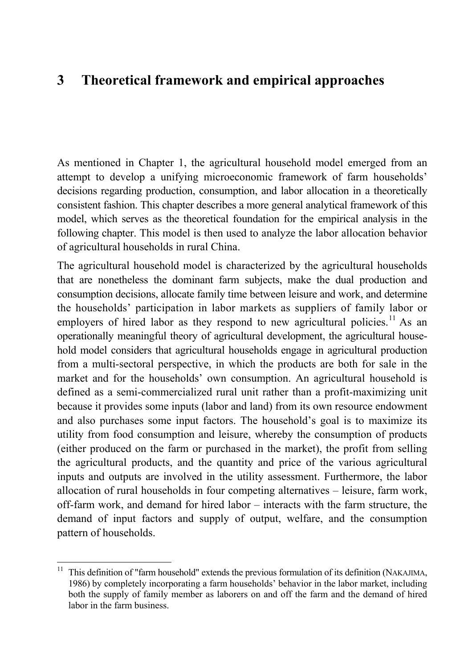# **3 Theoretical framework and empirical approaches**

As mentioned in Chapter 1, the agricultural household model emerged from an attempt to develop a unifying microeconomic framework of farm households' decisions regarding production, consumption, and labor allocation in a theoretically consistent fashion. This chapter describes a more general analytical framework of this model, which serves as the theoretical foundation for the empirical analysis in the following chapter. This model is then used to analyze the labor allocation behavior of agricultural households in rural China.

The agricultural household model is characterized by the agricultural households that are nonetheless the dominant farm subjects, make the dual production and consumption decisions, allocate family time between leisure and work, and determine the households' participation in labor markets as suppliers of family labor or employers of hired labor as they respond to new agricultural policies.<sup>11</sup> As an operationally meaningful theory of agricultural development, the agricultural household model considers that agricultural households engage in agricultural production from a multi-sectoral perspective, in which the products are both for sale in the market and for the households' own consumption. An agricultural household is defined as a semi-commercialized rural unit rather than a profit-maximizing unit because it provides some inputs (labor and land) from its own resource endowment and also purchases some input factors. The household's goal is to maximize its utility from food consumption and leisure, whereby the consumption of products (either produced on the farm or purchased in the market), the profit from selling the agricultural products, and the quantity and price of the various agricultural inputs and outputs are involved in the utility assessment. Furthermore, the labor allocation of rural households in four competing alternatives – leisure, farm work, off-farm work, and demand for hired labor – interacts with the farm structure, the demand of input factors and supply of output, welfare, and the consumption pattern of households.

 $\overline{a}$ 

<sup>11</sup> This definition of "farm household" extends the previous formulation of its definition (NAKAJIMA, 1986) by completely incorporating a farm households' behavior in the labor market, including both the supply of family member as laborers on and off the farm and the demand of hired labor in the farm business.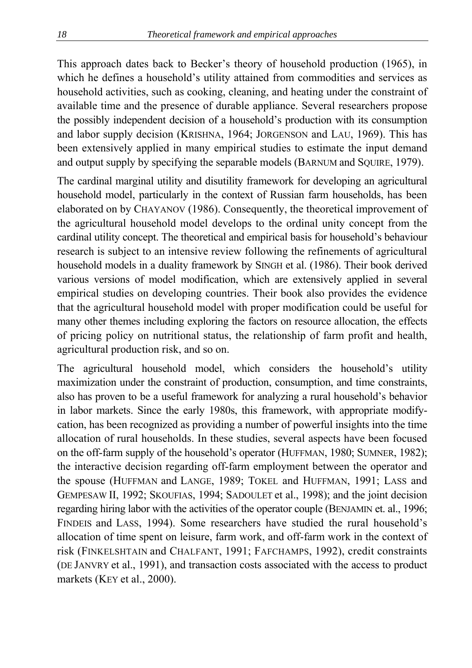This approach dates back to Becker's theory of household production (1965), in which he defines a household's utility attained from commodities and services as household activities, such as cooking, cleaning, and heating under the constraint of available time and the presence of durable appliance. Several researchers propose the possibly independent decision of a household's production with its consumption and labor supply decision (KRISHNA, 1964; JORGENSON and LAU, 1969). This has been extensively applied in many empirical studies to estimate the input demand and output supply by specifying the separable models (BARNUM and SQUIRE, 1979).

The cardinal marginal utility and disutility framework for developing an agricultural household model, particularly in the context of Russian farm households, has been elaborated on by CHAYANOV (1986). Consequently, the theoretical improvement of the agricultural household model develops to the ordinal unity concept from the cardinal utility concept. The theoretical and empirical basis for household's behaviour research is subject to an intensive review following the refinements of agricultural household models in a duality framework by SINGH et al. (1986). Their book derived various versions of model modification, which are extensively applied in several empirical studies on developing countries. Their book also provides the evidence that the agricultural household model with proper modification could be useful for many other themes including exploring the factors on resource allocation, the effects of pricing policy on nutritional status, the relationship of farm profit and health, agricultural production risk, and so on.

The agricultural household model, which considers the household's utility maximization under the constraint of production, consumption, and time constraints, also has proven to be a useful framework for analyzing a rural household's behavior in labor markets. Since the early 1980s, this framework, with appropriate modifycation, has been recognized as providing a number of powerful insights into the time allocation of rural households. In these studies, several aspects have been focused on the off-farm supply of the household's operator (HUFFMAN, 1980; SUMNER, 1982); the interactive decision regarding off-farm employment between the operator and the spouse (HUFFMAN and LANGE, 1989; TOKEL and HUFFMAN, 1991; LASS and GEMPESAW II, 1992; SKOUFIAS, 1994; SADOULET et al., 1998); and the joint decision regarding hiring labor with the activities of the operator couple (BENJAMIN et. al., 1996; FINDEIS and LASS, 1994). Some researchers have studied the rural household's allocation of time spent on leisure, farm work, and off-farm work in the context of risk (FINKELSHTAIN and CHALFANT, 1991; FAFCHAMPS, 1992), credit constraints (DE JANVRY et al., 1991), and transaction costs associated with the access to product markets (KEY et al., 2000).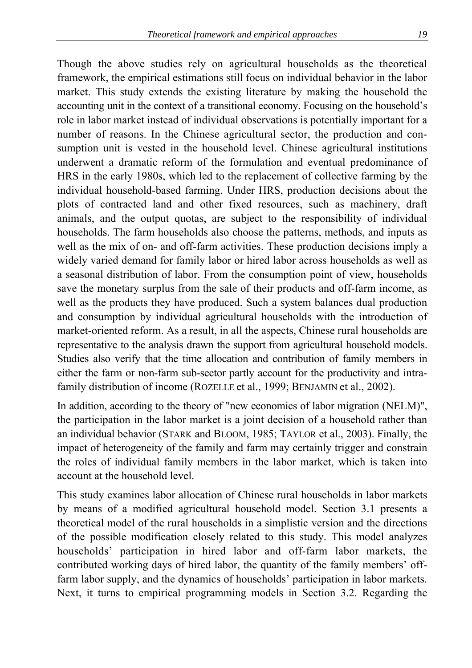Though the above studies rely on agricultural households as the theoretical framework, the empirical estimations still focus on individual behavior in the labor market. This study extends the existing literature by making the household the accounting unit in the context of a transitional economy. Focusing on the household's role in labor market instead of individual observations is potentially important for a number of reasons. In the Chinese agricultural sector, the production and consumption unit is vested in the household level. Chinese agricultural institutions underwent a dramatic reform of the formulation and eventual predominance of HRS in the early 1980s, which led to the replacement of collective farming by the individual household-based farming. Under HRS, production decisions about the plots of contracted land and other fixed resources, such as machinery, draft animals, and the output quotas, are subject to the responsibility of individual households. The farm households also choose the patterns, methods, and inputs as well as the mix of on- and off-farm activities. These production decisions imply a widely varied demand for family labor or hired labor across households as well as a seasonal distribution of labor. From the consumption point of view, households save the monetary surplus from the sale of their products and off-farm income, as well as the products they have produced. Such a system balances dual production and consumption by individual agricultural households with the introduction of market-oriented reform. As a result, in all the aspects, Chinese rural households are representative to the analysis drawn the support from agricultural household models. Studies also verify that the time allocation and contribution of family members in either the farm or non-farm sub-sector partly account for the productivity and intrafamily distribution of income (ROZELLE et al., 1999; BENJAMIN et al., 2002).

In addition, according to the theory of "new economics of labor migration (NELM)", the participation in the labor market is a joint decision of a household rather than an individual behavior (STARK and BLOOM, 1985; TAYLOR et al., 2003). Finally, the impact of heterogeneity of the family and farm may certainly trigger and constrain the roles of individual family members in the labor market, which is taken into account at the household level.

This study examines labor allocation of Chinese rural households in labor markets by means of a modified agricultural household model. Section 3.1 presents a theoretical model of the rural households in a simplistic version and the directions of the possible modification closely related to this study. This model analyzes households' participation in hired labor and off-farm labor markets, the contributed working days of hired labor, the quantity of the family members' offfarm labor supply, and the dynamics of households' participation in labor markets. Next, it turns to empirical programming models in Section 3.2. Regarding the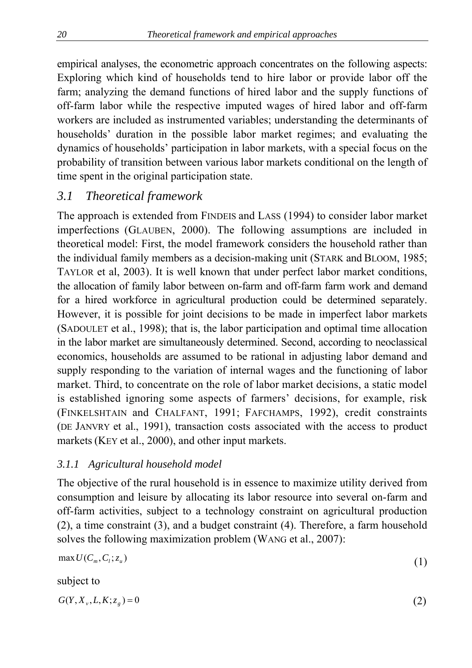empirical analyses, the econometric approach concentrates on the following aspects: Exploring which kind of households tend to hire labor or provide labor off the farm; analyzing the demand functions of hired labor and the supply functions of off-farm labor while the respective imputed wages of hired labor and off-farm workers are included as instrumented variables; understanding the determinants of households' duration in the possible labor market regimes; and evaluating the dynamics of households' participation in labor markets, with a special focus on the probability of transition between various labor markets conditional on the length of time spent in the original participation state.

# *3.1 Theoretical framework*

The approach is extended from FINDEIS and LASS (1994) to consider labor market imperfections (GLAUBEN, 2000). The following assumptions are included in theoretical model: First, the model framework considers the household rather than the individual family members as a decision-making unit (STARK and BLOOM, 1985; TAYLOR et al, 2003). It is well known that under perfect labor market conditions, the allocation of family labor between on-farm and off-farm farm work and demand for a hired workforce in agricultural production could be determined separately. However, it is possible for joint decisions to be made in imperfect labor markets (SADOULET et al., 1998); that is, the labor participation and optimal time allocation in the labor market are simultaneously determined. Second, according to neoclassical economics, households are assumed to be rational in adjusting labor demand and supply responding to the variation of internal wages and the functioning of labor market. Third, to concentrate on the role of labor market decisions, a static model is established ignoring some aspects of farmers' decisions, for example, risk (FINKELSHTAIN and CHALFANT, 1991; FAFCHAMPS, 1992), credit constraints (DE JANVRY et al., 1991), transaction costs associated with the access to product markets (KEY et al., 2000), and other input markets.

#### *3.1.1 Agricultural household model*

The objective of the rural household is in essence to maximize utility derived from consumption and leisure by allocating its labor resource into several on-farm and off-farm activities, subject to a technology constraint on agricultural production (2), a time constraint (3), and a budget constraint (4). Therefore, a farm household solves the following maximization problem (WANG et al., 2007):

$$
\max U(C_m, C_i; z_u) \tag{1}
$$

subject to

 $G(Y, X_{\nu}, L, K; z_{g}) = 0$  (2)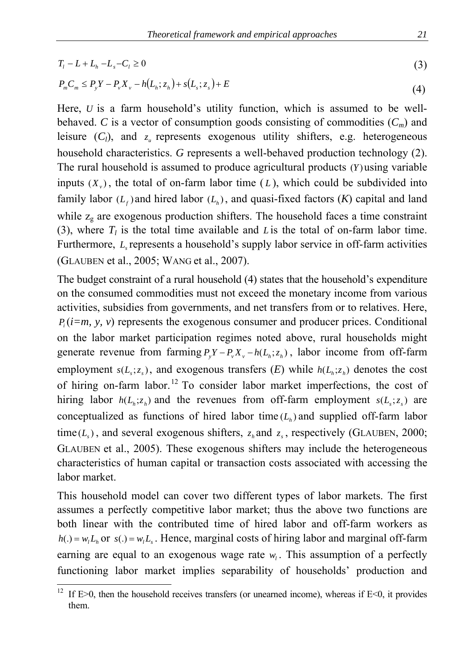$$
T_{l} - L + L_{h} - L_{s} - C_{l} \ge 0
$$
\n
$$
P_{m} C_{m} \le P_{y} Y - P_{v} X_{v} - h(L_{h}; z_{h}) + s(L_{s}; z_{s}) + E
$$
\n
$$
(4)
$$

Here, *U* is a farm household's utility function, which is assumed to be wellbehaved. *C* is a vector of consumption goods consisting of commodities  $(C_m)$  and leisure  $(C_l)$ , and  $z_u$  represents exogenous utility shifters, e.g. heterogeneous household characteristics. *G* represents a well-behaved production technology (2). The rural household is assumed to produce agricultural products (*Y*)using variable inputs  $(X_{\nu})$ , the total of on-farm labor time  $(L)$ , which could be subdivided into family labor  $(L_f)$  and hired labor  $(L_h)$ , and quasi-fixed factors  $(K)$  capital and land while  $z_g$  are exogenous production shifters. The household faces a time constraint (3), where  $T_l$  is the total time available and *L* is the total of on-farm labor time. Furthermore, *L*, represents a household's supply labor service in off-farm activities (GLAUBEN et al., 2005; WANG et al., 2007).

The budget constraint of a rural household (4) states that the household's expenditure on the consumed commodities must not exceed the monetary income from various activities, subsidies from governments, and net transfers from or to relatives. Here, *Pi*(*i=m, y, v*) represents the exogenous consumer and producer prices. Conditional on the labor market participation regimes noted above, rural households might generate revenue from farming  $P_y Y - P_y X_y - h(L_h; z_h)$ , labor income from off-farm employment  $s(L, z)$ , and exogenous transfers  $(E)$  while  $h(L, z)$  denotes the cost of hiring on-farm labor.12 To consider labor market imperfections, the cost of hiring labor  $h(L_h; z_h)$  and the revenues from off-farm employment  $s(L_h; z_h)$  are conceptualized as functions of hired labor time  $(L<sub>h</sub>)$  and supplied off-farm labor time  $(L_s)$ , and several exogenous shifters,  $z_h$  and  $z_s$ , respectively (GLAUBEN, 2000; GLAUBEN et al., 2005). These exogenous shifters may include the heterogeneous characteristics of human capital or transaction costs associated with accessing the labor market.

This household model can cover two different types of labor markets. The first assumes a perfectly competitive labor market; thus the above two functions are both linear with the contributed time of hired labor and off-farm workers as  $h(.) = w<sub>1</sub>L<sub>b</sub>$  or  $s(.) = w<sub>1</sub>L<sub>c</sub>$ . Hence, marginal costs of hiring labor and marginal off-farm earning are equal to an exogenous wage rate  $w_i$ . This assumption of a perfectly functioning labor market implies separability of households' production and

<sup>&</sup>lt;sup>12</sup> If E>0, then the household receives transfers (or unearned income), whereas if E<0, it provides them.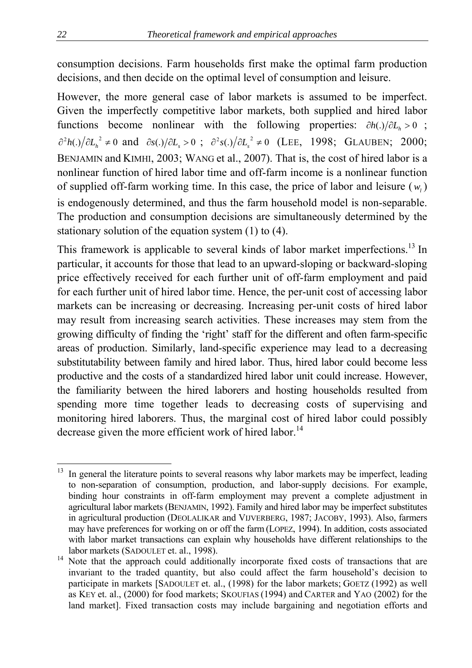consumption decisions. Farm households first make the optimal farm production decisions, and then decide on the optimal level of consumption and leisure.

However, the more general case of labor markets is assumed to be imperfect. Given the imperfectly competitive labor markets, both supplied and hired labor functions become nonlinear with the following properties:  $\partial h(.)/\partial L_h > 0$ ;  $\frac{\partial^2 h(.)}{\partial L_h}^2 \neq 0$  and  $\frac{\partial s(.)}{\partial L_s} > 0$ ;  $\frac{\partial^2 s(.)}{\partial L_s}^2 \neq 0$  (LEE, 1998; GLAUBEN; 2000; BENJAMIN and KIMHI, 2003; WANG et al., 2007). That is, the cost of hired labor is a nonlinear function of hired labor time and off-farm income is a nonlinear function of supplied off-farm working time. In this case, the price of labor and leisure  $(w_i)$ is endogenously determined, and thus the farm household model is non-separable. The production and consumption decisions are simultaneously determined by the stationary solution of the equation system (1) to (4).

This framework is applicable to several kinds of labor market imperfections.<sup>13</sup> In particular, it accounts for those that lead to an upward-sloping or backward-sloping price effectively received for each further unit of off-farm employment and paid for each further unit of hired labor time. Hence, the per-unit cost of accessing labor markets can be increasing or decreasing. Increasing per-unit costs of hired labor may result from increasing search activities. These increases may stem from the growing difficulty of finding the 'right' staff for the different and often farm-specific areas of production. Similarly, land-specific experience may lead to a decreasing substitutability between family and hired labor. Thus, hired labor could become less productive and the costs of a standardized hired labor unit could increase. However, the familiarity between the hired laborers and hosting households resulted from spending more time together leads to decreasing costs of supervising and monitoring hired laborers. Thus, the marginal cost of hired labor could possibly decrease given the more efficient work of hired labor.<sup>14</sup>

 $\overline{a}$  $13$  In general the literature points to several reasons why labor markets may be imperfect, leading to non-separation of consumption, production, and labor-supply decisions. For example, binding hour constraints in off-farm employment may prevent a complete adjustment in agricultural labor markets (BENJAMIN, 1992). Family and hired labor may be imperfect substitutes in agricultural production (DEOLALIKAR and VIJVERBERG, 1987; JACOBY, 1993). Also, farmers may have preferences for working on or off the farm (LOPEZ, 1994). In addition, costs associated with labor market transactions can explain why households have different relationships to the labor markets (SADOULET et. al., 1998).

Note that the approach could additionally incorporate fixed costs of transactions that are invariant to the traded quantity, but also could affect the farm household's decision to participate in markets [SADOULET et. al., (1998) for the labor markets; GOETZ (1992) as well as KEY et. al., (2000) for food markets; SKOUFIAS (1994) and CARTER and YAO (2002) for the land market]. Fixed transaction costs may include bargaining and negotiation efforts and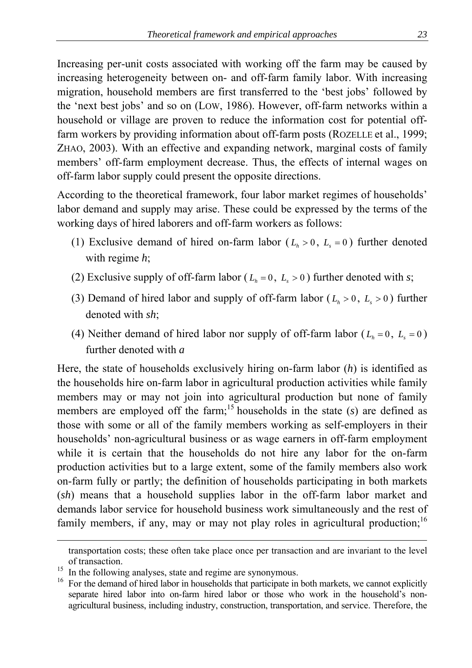Increasing per-unit costs associated with working off the farm may be caused by increasing heterogeneity between on- and off-farm family labor. With increasing migration, household members are first transferred to the 'best jobs' followed by the 'next best jobs' and so on (LOW, 1986). However, off-farm networks within a household or village are proven to reduce the information cost for potential offfarm workers by providing information about off-farm posts (ROZELLE et al., 1999; ZHAO, 2003). With an effective and expanding network, marginal costs of family members' off-farm employment decrease. Thus, the effects of internal wages on off-farm labor supply could present the opposite directions.

According to the theoretical framework, four labor market regimes of households' labor demand and supply may arise. These could be expressed by the terms of the working days of hired laborers and off-farm workers as follows:

- (1) Exclusive demand of hired on-farm labor  $(L_h > 0, L_s = 0)$  further denoted with regime *h*;
- (2) Exclusive supply of off-farm labor ( $L_h = 0$ ,  $L_s > 0$ ) further denoted with *s*;
- (3) Demand of hired labor and supply of off-farm labor ( $L_h > 0$ ,  $L_s > 0$ ) further denoted with *sh*;
- (4) Neither demand of hired labor nor supply of off-farm labor ( $L_h = 0$ ,  $L_s = 0$ ) further denoted with *a*

Here, the state of households exclusively hiring on-farm labor (*h*) is identified as the households hire on-farm labor in agricultural production activities while family members may or may not join into agricultural production but none of family members are employed off the farm;<sup>15</sup> households in the state  $(s)$  are defined as those with some or all of the family members working as self-employers in their households' non-agricultural business or as wage earners in off-farm employment while it is certain that the households do not hire any labor for the on-farm production activities but to a large extent, some of the family members also work on-farm fully or partly; the definition of households participating in both markets (*sh*) means that a household supplies labor in the off-farm labor market and demands labor service for household business work simultaneously and the rest of family members, if any, may or may not play roles in agricultural production;<sup>16</sup>

transportation costs; these often take place once per transaction and are invariant to the level of transaction.

<sup>&</sup>lt;sup>15</sup> In the following analyses, state and regime are synonymous.

<sup>&</sup>lt;sup>16</sup> For the demand of hired labor in households that participate in both markets, we cannot explicitly separate hired labor into on-farm hired labor or those who work in the household's nonagricultural business, including industry, construction, transportation, and service. Therefore, the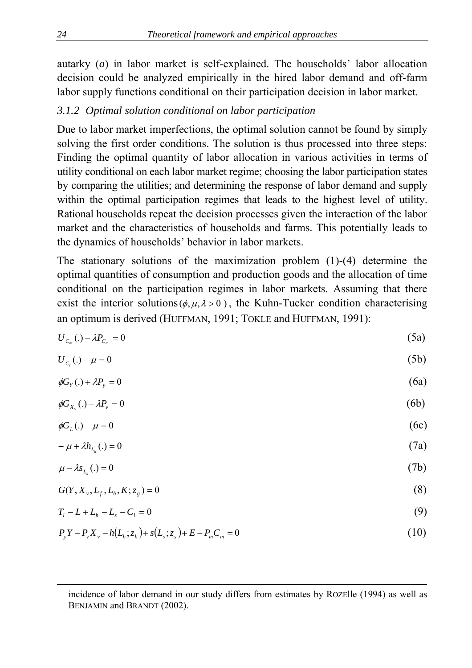autarky (*a*) in labor market is self-explained. The households' labor allocation decision could be analyzed empirically in the hired labor demand and off-farm labor supply functions conditional on their participation decision in labor market.

#### *3.1.2 Optimal solution conditional on labor participation*

Due to labor market imperfections, the optimal solution cannot be found by simply solving the first order conditions. The solution is thus processed into three steps: Finding the optimal quantity of labor allocation in various activities in terms of utility conditional on each labor market regime; choosing the labor participation states by comparing the utilities; and determining the response of labor demand and supply within the optimal participation regimes that leads to the highest level of utility. Rational households repeat the decision processes given the interaction of the labor market and the characteristics of households and farms. This potentially leads to the dynamics of households' behavior in labor markets.

The stationary solutions of the maximization problem (1)-(4) determine the optimal quantities of consumption and production goods and the allocation of time conditional on the participation regimes in labor markets. Assuming that there exist the interior solutions( $\phi$ ,  $\mu$ ,  $\lambda$  > 0), the Kuhn-Tucker condition characterising an optimum is derived (HUFFMAN, 1991; TOKLE and HUFFMAN, 1991):

$$
U_{c_m}(.) - \lambda P_{c_m} = 0 \tag{5a}
$$

$$
U_{c_i}(.) - \mu = 0 \tag{5b}
$$

$$
\phi G_Y(.) + \lambda P_y = 0 \tag{6a}
$$

$$
\phi G_{X_v}(\cdot) - \lambda P_v = 0 \tag{6b}
$$

$$
\phi G_L(.) - \mu = 0 \tag{6c}
$$

$$
-\mu + \lambda h_{L_h}(.) = 0 \tag{7a}
$$

$$
\mu - \lambda s_{L_s}(.) = 0 \tag{7b}
$$

$$
G(Y, X_{\nu}, L_{f}, L_{h}, K; z_{g}) = 0
$$
\n(8)

$$
T_l - L + L_h - L_s - C_l = 0 \tag{9}
$$

$$
P_{y}Y - P_{y}X_{y} - h(L_{h}; z_{h}) + s(L_{s}; z_{s}) + E - P_{m}C_{m} = 0
$$
\n(10)

incidence of labor demand in our study differs from estimates by ROZElle (1994) as well as BENJAMIN and BRANDT (2002).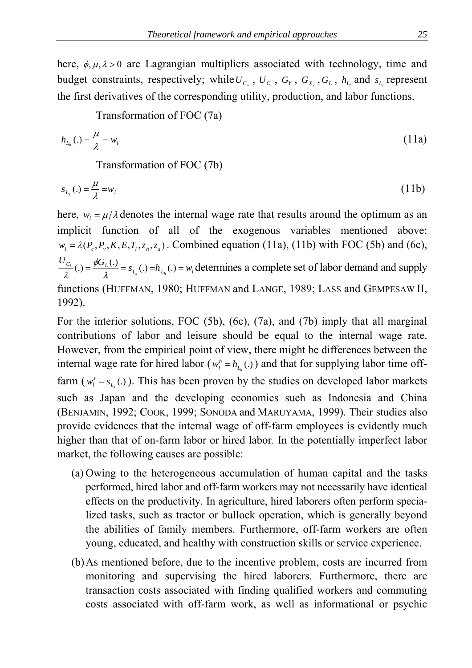here,  $\phi, \mu, \lambda > 0$  are Lagrangian multipliers associated with technology, time and budget constraints, respectively; while  $U_{C_m}$ ,  $U_{C_l}$ ,  $G_Y$ ,  $G_{X_Y}$ ,  $G_L$ ,  $h_{L_h}$  and  $s_{L_s}$  represent the first derivatives of the corresponding utility, production, and labor functions.

Transformation of FOC (7a)

$$
h_{L_h}(.) = \frac{\mu}{\lambda} = w_l \tag{11a}
$$

Transformation of FOC (7b)

$$
s_{L_s}(.) = \frac{\mu}{\lambda} = w_l \tag{11b}
$$

here,  $w_l = \mu/\lambda$  denotes the internal wage rate that results around the optimum as an implicit function of all of the exogenous variables mentioned above:  $w_i = \lambda(P_c, P_v, K, E, T_i, z_h, z_s)$ . Combined equation (11a), (11b) with FOC (5b) and (6c),  $\frac{U_{C_i}}{1}$  (.) =  $\frac{\phi G_L(.)}{1}$  =  $s_{L_s}(.)$  =  $h_{L_h}(.)$  =  $w_l$  $\frac{dV_{C_i}}{\lambda}$  (.) =  $\frac{\phi G_L(.)}{\lambda}$  =  $s_{L_s}(.) = h_{L_h}(.) = w_i$  determines a complete set of labor demand and supply functions (HUFFMAN, 1980; HUFFMAN and LANGE, 1989; LASS and GEMPESAW II, 1992).

For the interior solutions, FOC (5b), (6c), (7a), and (7b) imply that all marginal contributions of labor and leisure should be equal to the internal wage rate. However, from the empirical point of view, there might be differences between the internal wage rate for hired labor ( $w_l^h = h_{L_h}(.)$ ) and that for supplying labor time offfarm ( $w_i^s = s_{L_s}(.)$ ). This has been proven by the studies on developed labor markets such as Japan and the developing economies such as Indonesia and China (BENJAMIN, 1992; COOK, 1999; SONODA and MARUYAMA, 1999). Their studies also provide evidences that the internal wage of off-farm employees is evidently much higher than that of on-farm labor or hired labor. In the potentially imperfect labor market, the following causes are possible:

- (a) Owing to the heterogeneous accumulation of human capital and the tasks performed, hired labor and off-farm workers may not necessarily have identical effects on the productivity. In agriculture, hired laborers often perform specialized tasks, such as tractor or bullock operation, which is generally beyond the abilities of family members. Furthermore, off-farm workers are often young, educated, and healthy with construction skills or service experience.
- (b) As mentioned before, due to the incentive problem, costs are incurred from monitoring and supervising the hired laborers. Furthermore, there are transaction costs associated with finding qualified workers and commuting costs associated with off-farm work, as well as informational or psychic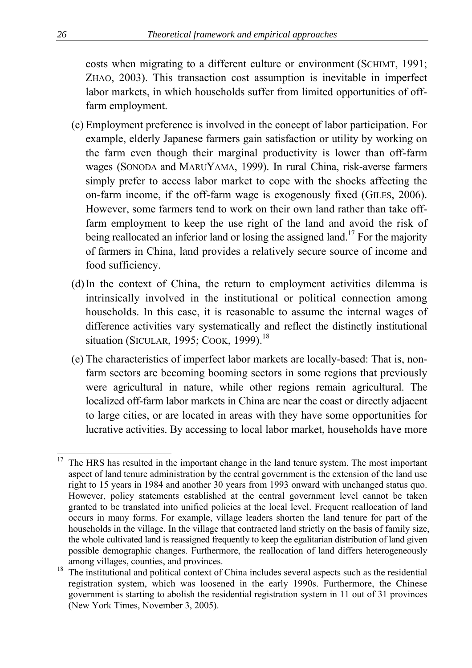costs when migrating to a different culture or environment (SCHIMT, 1991; ZHAO, 2003). This transaction cost assumption is inevitable in imperfect labor markets, in which households suffer from limited opportunities of offfarm employment.

- (c) Employment preference is involved in the concept of labor participation. For example, elderly Japanese farmers gain satisfaction or utility by working on the farm even though their marginal productivity is lower than off-farm wages (SONODA and MARUYAMA, 1999). In rural China, risk-averse farmers simply prefer to access labor market to cope with the shocks affecting the on-farm income, if the off-farm wage is exogenously fixed (GILES, 2006). However, some farmers tend to work on their own land rather than take offfarm employment to keep the use right of the land and avoid the risk of being reallocated an inferior land or losing the assigned land.<sup>17</sup> For the majority of farmers in China, land provides a relatively secure source of income and food sufficiency.
- (d) In the context of China, the return to employment activities dilemma is intrinsically involved in the institutional or political connection among households. In this case, it is reasonable to assume the internal wages of difference activities vary systematically and reflect the distinctly institutional situation (SICULAR, 1995; COOK, 1999).<sup>18</sup>
- (e) The characteristics of imperfect labor markets are locally-based: That is, nonfarm sectors are becoming booming sectors in some regions that previously were agricultural in nature, while other regions remain agricultural. The localized off-farm labor markets in China are near the coast or directly adjacent to large cities, or are located in areas with they have some opportunities for lucrative activities. By accessing to local labor market, households have more

 $\overline{a}$  $17$  The HRS has resulted in the important change in the land tenure system. The most important aspect of land tenure administration by the central government is the extension of the land use right to 15 years in 1984 and another 30 years from 1993 onward with unchanged status quo. However, policy statements established at the central government level cannot be taken granted to be translated into unified policies at the local level. Frequent reallocation of land occurs in many forms. For example, village leaders shorten the land tenure for part of the households in the village. In the village that contracted land strictly on the basis of family size, the whole cultivated land is reassigned frequently to keep the egalitarian distribution of land given possible demographic changes. Furthermore, the reallocation of land differs heterogeneously among villages, counties, and provinces.

<sup>&</sup>lt;sup>18</sup> The institutional and political context of China includes several aspects such as the residential registration system, which was loosened in the early 1990s. Furthermore, the Chinese government is starting to abolish the residential registration system in 11 out of 31 provinces (New York Times, November 3, 2005).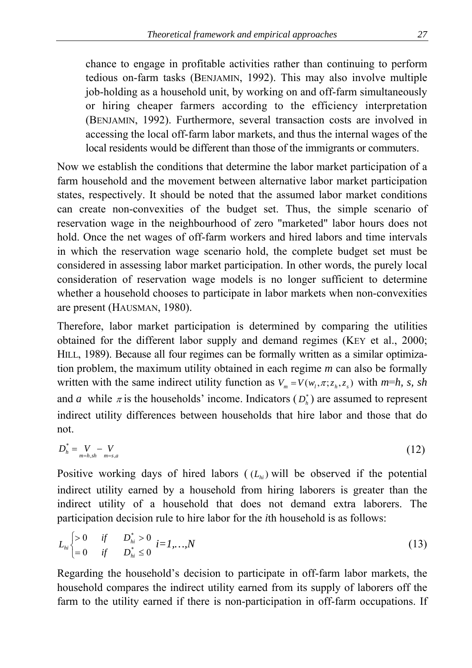chance to engage in profitable activities rather than continuing to perform tedious on-farm tasks (BENJAMIN, 1992). This may also involve multiple job-holding as a household unit, by working on and off-farm simultaneously or hiring cheaper farmers according to the efficiency interpretation (BENJAMIN, 1992). Furthermore, several transaction costs are involved in accessing the local off-farm labor markets, and thus the internal wages of the local residents would be different than those of the immigrants or commuters.

Now we establish the conditions that determine the labor market participation of a farm household and the movement between alternative labor market participation states, respectively. It should be noted that the assumed labor market conditions can create non-convexities of the budget set. Thus, the simple scenario of reservation wage in the neighbourhood of zero "marketed" labor hours does not hold. Once the net wages of off-farm workers and hired labors and time intervals in which the reservation wage scenario hold, the complete budget set must be considered in assessing labor market participation. In other words, the purely local consideration of reservation wage models is no longer sufficient to determine whether a household chooses to participate in labor markets when non-convexities are present (HAUSMAN, 1980).

Therefore, labor market participation is determined by comparing the utilities obtained for the different labor supply and demand regimes (KEY et al., 2000; HILL, 1989). Because all four regimes can be formally written as a similar optimization problem, the maximum utility obtained in each regime *m* can also be formally written with the same indirect utility function as  $V_m = V(w_l, \pi; z_h, z_s)$  with  $m=h$ , s, sh and *a* while  $\pi$  is the households' income. Indicators  $(D_h^*)$  are assumed to represent indirect utility differences between households that hire labor and those that do not.

$$
D_h^* = \underset{m=h,sh}{V} - \underset{m=s,a}{V} \tag{12}
$$

Positive working days of hired labors  $((L<sub>hi</sub>)$  will be observed if the potential indirect utility earned by a household from hiring laborers is greater than the indirect utility of a household that does not demand extra laborers. The participation decision rule to hire labor for the *i*th household is as follows:

$$
L_{hi} \begin{cases} > 0 & if & D_{hi}^* > 0 \\ = 0 & if & D_{hi}^* \le 0 \end{cases} i = 1,...,N
$$
 (13)

Regarding the household's decision to participate in off-farm labor markets, the household compares the indirect utility earned from its supply of laborers off the farm to the utility earned if there is non-participation in off-farm occupations. If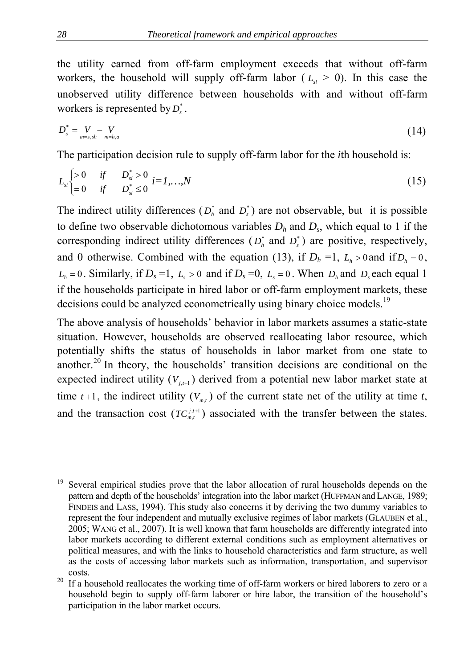the utility earned from off-farm employment exceeds that without off-farm workers, the household will supply off-farm labor ( $L<sub>si</sub> > 0$ ). In this case the unobserved utility difference between households with and without off-farm workers is represented by  $D^*$ .

$$
D_s^* = \underset{m=s, sh}{V} - \underset{m=h, a}{V} \tag{14}
$$

The participation decision rule to supply off-farm labor for the *i*th household is:

$$
L_{si}\begin{cases} > 0 & if & D_{si}^* > 0 \\ = 0 & if & D_{si}^* \le 0 \end{cases} i=1,...,N
$$
\n(15)

The indirect utility differences  $(D_h^*$  and  $D_s^*$ ) are not observable, but it is possible to define two observable dichotomous variables  $D_h$  and  $D_s$ , which equal to 1 if the corresponding indirect utility differences  $(D_h^*$  and  $D_s^*$ ) are positive, respectively, and 0 otherwise. Combined with the equation (13), if  $D_h = 1$ ,  $L_h > 0$  and if  $D_h = 0$ ,  $L_h = 0$ . Similarly, if  $D_s = 1$ ,  $L_s > 0$  and if  $D_s = 0$ ,  $L_s = 0$ . When  $D_h$  and  $D_s$  each equal 1 if the households participate in hired labor or off-farm employment markets, these decisions could be analyzed econometrically using binary choice models.<sup>19</sup>

The above analysis of households' behavior in labor markets assumes a static-state situation. However, households are observed reallocating labor resource, which potentially shifts the status of households in labor market from one state to another.<sup>20</sup> In theory, the households' transition decisions are conditional on the expected indirect utility  $(V_{i,t+1})$  derived from a potential new labor market state at time  $t+1$ , the indirect utility  $(V_{m,t})$  of the current state net of the utility at time  $t$ , and the transaction cost  $(TC_{m,t}^{j,t+1})$  associated with the transfer between the states.

 $\overline{a}$ <sup>19</sup> Several empirical studies prove that the labor allocation of rural households depends on the pattern and depth of the households' integration into the labor market (HUFFMAN and LANGE, 1989; FINDEIS and LASS, 1994). This study also concerns it by deriving the two dummy variables to represent the four independent and mutually exclusive regimes of labor markets (GLAUBEN et al., 2005; WANG et al., 2007). It is well known that farm households are differently integrated into labor markets according to different external conditions such as employment alternatives or political measures, and with the links to household characteristics and farm structure, as well as the costs of accessing labor markets such as information, transportation, and supervisor costs.

 $20$  If a household reallocates the working time of off-farm workers or hired laborers to zero or a household begin to supply off-farm laborer or hire labor, the transition of the household's participation in the labor market occurs.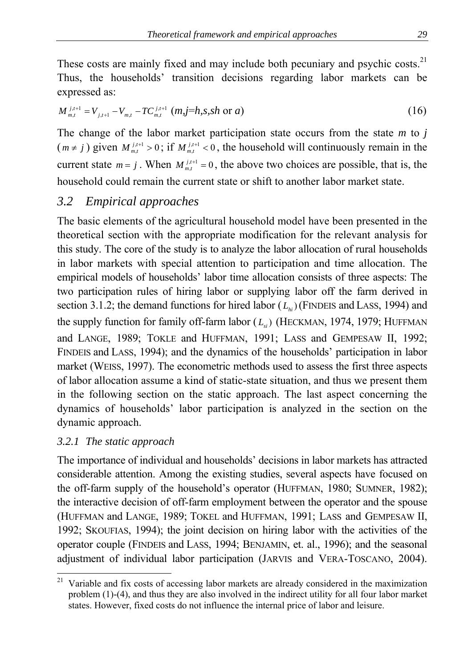These costs are mainly fixed and may include both pecuniary and psychic costs.<sup>21</sup> Thus, the households' transition decisions regarding labor markets can be expressed as:

$$
M_{m,t}^{j,t+1} = V_{j,t+1} - V_{m,t} - TC_{m,t}^{j,t+1} \quad (m,j=h,s,sh \text{ or } a)
$$
 (16)

The change of the labor market participation state occurs from the state *m* to *j*  $(m \neq j)$  given  $M_{m,t}^{j,t+1} > 0$ ; if  $M_{m,t}^{j,t+1} < 0$ , the household will continuously remain in the current state  $m = j$ . When  $M_{m,t}^{j,t+1} = 0$ , the above two choices are possible, that is, the household could remain the current state or shift to another labor market state.

## *3.2 Empirical approaches*

The basic elements of the agricultural household model have been presented in the theoretical section with the appropriate modification for the relevant analysis for this study. The core of the study is to analyze the labor allocation of rural households in labor markets with special attention to participation and time allocation. The empirical models of households' labor time allocation consists of three aspects: The two participation rules of hiring labor or supplying labor off the farm derived in section 3.1.2; the demand functions for hired labor  $(L<sub>hi</sub>)$  (FINDEIS and LASS, 1994) and the supply function for family off-farm labor  $(L_{si})$  (HECKMAN, 1974, 1979; HUFFMAN and LANGE, 1989; TOKLE and HUFFMAN, 1991; LASS and GEMPESAW II, 1992; FINDEIS and LASS, 1994); and the dynamics of the households' participation in labor market (WEISS, 1997). The econometric methods used to assess the first three aspects of labor allocation assume a kind of static-state situation, and thus we present them in the following section on the static approach. The last aspect concerning the dynamics of households' labor participation is analyzed in the section on the dynamic approach.

#### *3.2.1 The static approach*

The importance of individual and households' decisions in labor markets has attracted considerable attention. Among the existing studies, several aspects have focused on the off-farm supply of the household's operator (HUFFMAN, 1980; SUMNER, 1982); the interactive decision of off-farm employment between the operator and the spouse (HUFFMAN and LANGE, 1989; TOKEL and HUFFMAN, 1991; LASS and GEMPESAW II, 1992; SKOUFIAS, 1994); the joint decision on hiring labor with the activities of the operator couple (FINDEIS and LASS, 1994; BENJAMIN, et. al., 1996); and the seasonal adjustment of individual labor participation (JARVIS and VERA-TOSCANO, 2004).

 $\overline{a}$  $21$  Variable and fix costs of accessing labor markets are already considered in the maximization problem (1)-(4), and thus they are also involved in the indirect utility for all four labor market states. However, fixed costs do not influence the internal price of labor and leisure.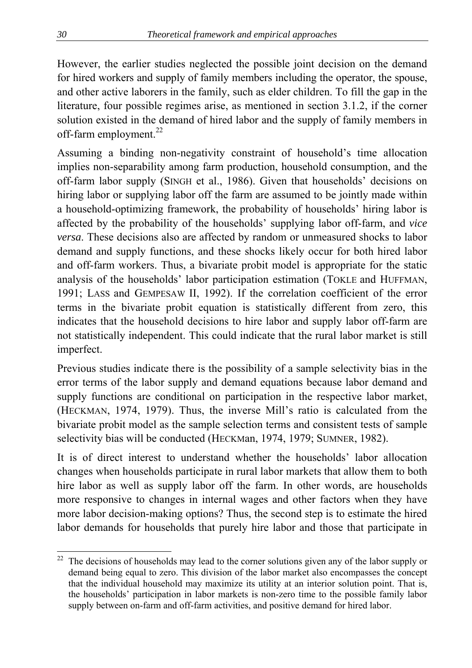However, the earlier studies neglected the possible joint decision on the demand for hired workers and supply of family members including the operator, the spouse, and other active laborers in the family, such as elder children. To fill the gap in the literature, four possible regimes arise, as mentioned in section 3.1.2, if the corner solution existed in the demand of hired labor and the supply of family members in off-farm employment. $^{22}$ 

Assuming a binding non-negativity constraint of household's time allocation implies non-separability among farm production, household consumption, and the off-farm labor supply (SINGH et al., 1986). Given that households' decisions on hiring labor or supplying labor off the farm are assumed to be jointly made within a household-optimizing framework, the probability of households' hiring labor is affected by the probability of the households' supplying labor off-farm, and *vice versa*. These decisions also are affected by random or unmeasured shocks to labor demand and supply functions, and these shocks likely occur for both hired labor and off-farm workers. Thus, a bivariate probit model is appropriate for the static analysis of the households' labor participation estimation (TOKLE and HUFFMAN, 1991; LASS and GEMPESAW II, 1992). If the correlation coefficient of the error terms in the bivariate probit equation is statistically different from zero, this indicates that the household decisions to hire labor and supply labor off-farm are not statistically independent. This could indicate that the rural labor market is still imperfect.

Previous studies indicate there is the possibility of a sample selectivity bias in the error terms of the labor supply and demand equations because labor demand and supply functions are conditional on participation in the respective labor market, (HECKMAN, 1974, 1979). Thus, the inverse Mill's ratio is calculated from the bivariate probit model as the sample selection terms and consistent tests of sample selectivity bias will be conducted (HECKMan, 1974, 1979; SUMNER, 1982).

It is of direct interest to understand whether the households' labor allocation changes when households participate in rural labor markets that allow them to both hire labor as well as supply labor off the farm. In other words, are households more responsive to changes in internal wages and other factors when they have more labor decision-making options? Thus, the second step is to estimate the hired labor demands for households that purely hire labor and those that participate in

 $22\,$ The decisions of households may lead to the corner solutions given any of the labor supply or demand being equal to zero. This division of the labor market also encompasses the concept that the individual household may maximize its utility at an interior solution point. That is, the households' participation in labor markets is non-zero time to the possible family labor supply between on-farm and off-farm activities, and positive demand for hired labor.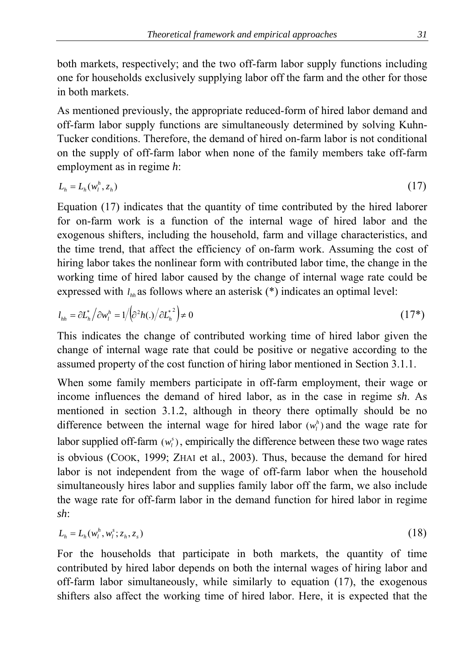both markets, respectively; and the two off-farm labor supply functions including one for households exclusively supplying labor off the farm and the other for those in both markets.

As mentioned previously, the appropriate reduced-form of hired labor demand and off-farm labor supply functions are simultaneously determined by solving Kuhn-Tucker conditions. Therefore, the demand of hired on-farm labor is not conditional on the supply of off-farm labor when none of the family members take off-farm employment as in regime *h*:

$$
L_h = L_h(w_l^h, z_h) \tag{17}
$$

Equation (17) indicates that the quantity of time contributed by the hired laborer for on-farm work is a function of the internal wage of hired labor and the exogenous shifters, including the household, farm and village characteristics, and the time trend, that affect the efficiency of on-farm work. Assuming the cost of hiring labor takes the nonlinear form with contributed labor time, the change in the working time of hired labor caused by the change of internal wage rate could be expressed with  $l_{hh}$  as follows where an asterisk (\*) indicates an optimal level:

$$
l_{hh} = \partial L_h^* / \partial w_l^h = 1 / \left(\partial^2 h(.) / \partial L_h^{*2}\right) \neq 0
$$
\n(17\*)

This indicates the change of contributed working time of hired labor given the change of internal wage rate that could be positive or negative according to the assumed property of the cost function of hiring labor mentioned in Section 3.1.1.

When some family members participate in off-farm employment, their wage or income influences the demand of hired labor, as in the case in regime *sh*. As mentioned in section 3.1.2, although in theory there optimally should be no difference between the internal wage for hired labor  $(w_i^h)$  and the wage rate for labor supplied off-farm  $(w_i^s)$ , empirically the difference between these two wage rates is obvious (COOK, 1999; ZHAI et al., 2003). Thus, because the demand for hired labor is not independent from the wage of off-farm labor when the household simultaneously hires labor and supplies family labor off the farm, we also include the wage rate for off-farm labor in the demand function for hired labor in regime *sh*:

$$
L_h = L_h(w_l^h, w_l^s; z_h, z_s)
$$
\n(18)

For the households that participate in both markets, the quantity of time contributed by hired labor depends on both the internal wages of hiring labor and off-farm labor simultaneously, while similarly to equation (17), the exogenous shifters also affect the working time of hired labor. Here, it is expected that the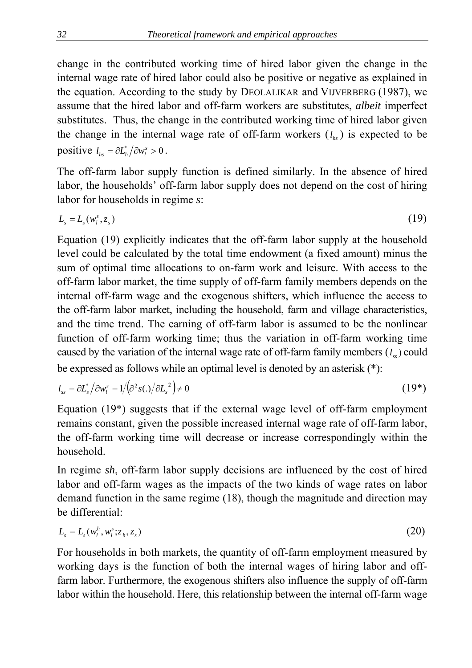change in the contributed working time of hired labor given the change in the internal wage rate of hired labor could also be positive or negative as explained in the equation. According to the study by DEOLALIKAR and VIJVERBERG (1987), we assume that the hired labor and off-farm workers are substitutes, *albeit* imperfect substitutes. Thus, the change in the contributed working time of hired labor given the change in the internal wage rate of off-farm workers  $(l_{i_{\kappa}})$  is expected to be positive  $l_{hs} = \partial L_h^* / \partial w_l^s > 0$ .

The off-farm labor supply function is defined similarly. In the absence of hired labor, the households' off-farm labor supply does not depend on the cost of hiring labor for households in regime *s*:

$$
L_s = L_s(w_i^s, z_s) \tag{19}
$$

Equation (19) explicitly indicates that the off-farm labor supply at the household level could be calculated by the total time endowment (a fixed amount) minus the sum of optimal time allocations to on-farm work and leisure. With access to the off-farm labor market, the time supply of off-farm family members depends on the internal off-farm wage and the exogenous shifters, which influence the access to the off-farm labor market, including the household, farm and village characteristics, and the time trend. The earning of off-farm labor is assumed to be the nonlinear function of off-farm working time; thus the variation in off-farm working time caused by the variation of the internal wage rate of off-farm family members  $(l_{\rm s})$  could be expressed as follows while an optimal level is denoted by an asterisk (\*):

$$
l_{ss} = \partial L_s^* / \partial w_l^s = 1 / (\partial^2 s(.) / \partial L_s^2) \neq 0
$$
\n(19\*)

Equation (19\*) suggests that if the external wage level of off-farm employment remains constant, given the possible increased internal wage rate of off-farm labor, the off-farm working time will decrease or increase correspondingly within the household.

In regime *sh*, off-farm labor supply decisions are influenced by the cost of hired labor and off-farm wages as the impacts of the two kinds of wage rates on labor demand function in the same regime (18), though the magnitude and direction may be differential:

$$
L_s = L_s(w_l^h, w_l^s; z_h, z_s) \tag{20}
$$

For households in both markets, the quantity of off-farm employment measured by working days is the function of both the internal wages of hiring labor and offfarm labor. Furthermore, the exogenous shifters also influence the supply of off-farm labor within the household. Here, this relationship between the internal off-farm wage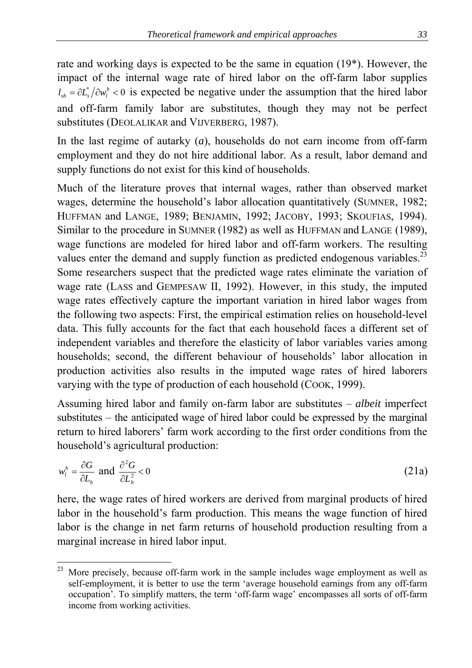rate and working days is expected to be the same in equation (19\*). However, the impact of the internal wage rate of hired labor on the off-farm labor supplies  $l_{sh} = \partial L_s^* / \partial w_l^h < 0$  is expected be negative under the assumption that the hired labor and off-farm family labor are substitutes, though they may not be perfect substitutes (DEOLALIKAR and VIJVERBERG, 1987).

In the last regime of autarky (*a*), households do not earn income from off-farm employment and they do not hire additional labor. As a result, labor demand and supply functions do not exist for this kind of households.

Much of the literature proves that internal wages, rather than observed market wages, determine the household's labor allocation quantitatively (SUMNER, 1982; HUFFMAN and LANGE, 1989; BENJAMIN, 1992; JACOBY, 1993; SKOUFIAS, 1994). Similar to the procedure in SUMNER (1982) as well as HUFFMAN and LANGE (1989), wage functions are modeled for hired labor and off-farm workers. The resulting values enter the demand and supply function as predicted endogenous variables.<sup>23</sup> Some researchers suspect that the predicted wage rates eliminate the variation of wage rate (LASS and GEMPESAW II, 1992). However, in this study, the imputed wage rates effectively capture the important variation in hired labor wages from the following two aspects: First, the empirical estimation relies on household-level data. This fully accounts for the fact that each household faces a different set of independent variables and therefore the elasticity of labor variables varies among households; second, the different behaviour of households' labor allocation in production activities also results in the imputed wage rates of hired laborers varying with the type of production of each household (COOK, 1999).

Assuming hired labor and family on-farm labor are substitutes – *albeit* imperfect substitutes – the anticipated wage of hired labor could be expressed by the marginal return to hired laborers' farm work according to the first order conditions from the household's agricultural production:

$$
w_l^h = \frac{\partial G}{\partial L_h} \text{ and } \frac{\partial^2 G}{\partial L_h^2} < 0 \tag{21a}
$$

here, the wage rates of hired workers are derived from marginal products of hired labor in the household's farm production. This means the wage function of hired labor is the change in net farm returns of household production resulting from a marginal increase in hired labor input.

More precisely, because off-farm work in the sample includes wage employment as well as self-employment, it is better to use the term 'average household earnings from any off-farm occupation'. To simplify matters, the term 'off-farm wage' encompasses all sorts of off-farm income from working activities.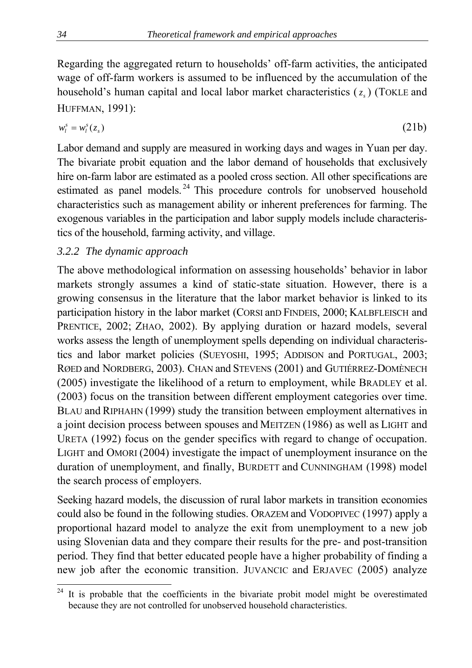Regarding the aggregated return to households' off-farm activities, the anticipated wage of off-farm workers is assumed to be influenced by the accumulation of the household's human capital and local labor market characteristics  $(z)$  (TOKLE and HUFFMAN, 1991):

$$
w_i^s = w_i^s(z_s) \tag{21b}
$$

Labor demand and supply are measured in working days and wages in Yuan per day. The bivariate probit equation and the labor demand of households that exclusively hire on-farm labor are estimated as a pooled cross section. All other specifications are estimated as panel models. 24 This procedure controls for unobserved household characteristics such as management ability or inherent preferences for farming. The exogenous variables in the participation and labor supply models include characteristics of the household, farming activity, and village.

## *3.2.2 The dynamic approach*

The above methodological information on assessing households' behavior in labor markets strongly assumes a kind of static-state situation. However, there is a growing consensus in the literature that the labor market behavior is linked to its participation history in the labor market (CORSI anD FINDEIS, 2000; KALBFLEISCH and PRENTICE, 2002; ZHAO, 2002). By applying duration or hazard models, several works assess the length of unemployment spells depending on individual characteristics and labor market policies (SUEYOSHI, 1995; ADDISON and PORTUGAL, 2003; RØED and NORDBERG, 2003). CHAN and STEVENS (2001) and GUTIÉRREZ-DOMÈNECH (2005) investigate the likelihood of a return to employment, while BRADLEY et al. (2003) focus on the transition between different employment categories over time. BLAU and RIPHAHN (1999) study the transition between employment alternatives in a joint decision process between spouses and MEITZEN (1986) as well as LIGHT and URETA (1992) focus on the gender specifics with regard to change of occupation. LIGHT and OMORI (2004) investigate the impact of unemployment insurance on the duration of unemployment, and finally, BURDETT and CUNNINGHAM (1998) model the search process of employers.

Seeking hazard models, the discussion of rural labor markets in transition economies could also be found in the following studies. ORAZEM and VODOPIVEC (1997) apply a proportional hazard model to analyze the exit from unemployment to a new job using Slovenian data and they compare their results for the pre- and post-transition period. They find that better educated people have a higher probability of finding a new job after the economic transition. JUVANCIC and ERJAVEC (2005) analyze

<sup>24</sup> It is probable that the coefficients in the bivariate probit model might be overestimated because they are not controlled for unobserved household characteristics.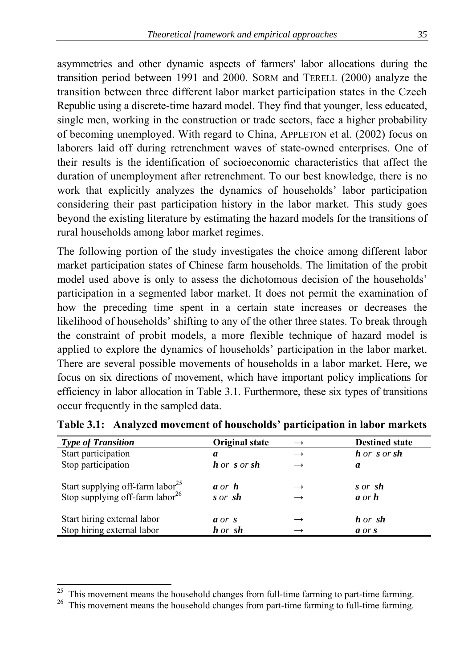asymmetries and other dynamic aspects of farmers' labor allocations during the transition period between 1991 and 2000. SORM and TERELL (2000) analyze the transition between three different labor market participation states in the Czech Republic using a discrete-time hazard model. They find that younger, less educated, single men, working in the construction or trade sectors, face a higher probability of becoming unemployed. With regard to China, APPLETON et al. (2002) focus on laborers laid off during retrenchment waves of state-owned enterprises. One of their results is the identification of socioeconomic characteristics that affect the duration of unemployment after retrenchment. To our best knowledge, there is no work that explicitly analyzes the dynamics of households' labor participation considering their past participation history in the labor market. This study goes beyond the existing literature by estimating the hazard models for the transitions of rural households among labor market regimes.

The following portion of the study investigates the choice among different labor market participation states of Chinese farm households. The limitation of the probit model used above is only to assess the dichotomous decision of the households' participation in a segmented labor market. It does not permit the examination of how the preceding time spent in a certain state increases or decreases the likelihood of households' shifting to any of the other three states. To break through the constraint of probit models, a more flexible technique of hazard model is applied to explore the dynamics of households' participation in the labor market. There are several possible movements of households in a labor market. Here, we focus on six directions of movement, which have important policy implications for efficiency in labor allocation in Table 3.1. Furthermore, these six types of transitions occur frequently in the sampled data.

| <b>Type of Transition</b>                   | <b>Original state</b> | $\rightarrow$ | <b>Destined state</b> |
|---------------------------------------------|-----------------------|---------------|-----------------------|
| Start participation                         | a                     | $\rightarrow$ | h or s or sh          |
| Stop participation                          | h or s or sh          | $\rightarrow$ | a                     |
| Start supplying off-farm $labor^{25}$       | $a$ or $h$            | $\rightarrow$ | s or sh               |
| Stop supplying off-farm labor <sup>26</sup> | s or sh               | $\rightarrow$ | $a$ or $h$            |
| Start hiring external labor                 | a or s                | $\rightarrow$ | h or sh               |
| Stop hiring external labor                  | h or sh               | $\rightarrow$ | a or s                |

**Table 3.1: Analyzed movement of households' participation in labor markets** 

 $25$  This movement means the household changes from full-time farming to part-time farming.

<sup>&</sup>lt;sup>26</sup> This movement means the household changes from part-time farming to full-time farming.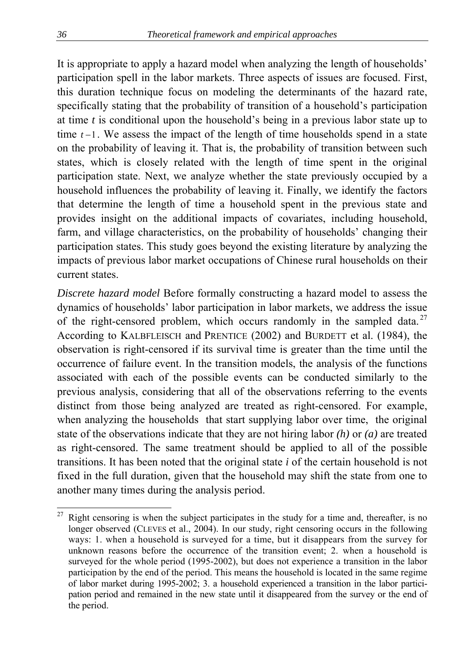It is appropriate to apply a hazard model when analyzing the length of households' participation spell in the labor markets. Three aspects of issues are focused. First, this duration technique focus on modeling the determinants of the hazard rate, specifically stating that the probability of transition of a household's participation at time *t* is conditional upon the household's being in a previous labor state up to time *t* −1. We assess the impact of the length of time households spend in a state on the probability of leaving it. That is, the probability of transition between such states, which is closely related with the length of time spent in the original participation state. Next, we analyze whether the state previously occupied by a household influences the probability of leaving it. Finally, we identify the factors that determine the length of time a household spent in the previous state and provides insight on the additional impacts of covariates, including household, farm, and village characteristics, on the probability of households' changing their participation states. This study goes beyond the existing literature by analyzing the impacts of previous labor market occupations of Chinese rural households on their current states.

*Discrete hazard model* Before formally constructing a hazard model to assess the dynamics of households' labor participation in labor markets, we address the issue of the right-censored problem, which occurs randomly in the sampled data.  $27$ According to KALBFLEISCH and PRENTICE (2002) and BURDETT et al. (1984), the observation is right-censored if its survival time is greater than the time until the occurrence of failure event. In the transition models, the analysis of the functions associated with each of the possible events can be conducted similarly to the previous analysis, considering that all of the observations referring to the events distinct from those being analyzed are treated as right-censored. For example, when analyzing the households that start supplying labor over time, the original state of the observations indicate that they are not hiring labor *(h)* or *(a)* are treated as right-censored. The same treatment should be applied to all of the possible transitions. It has been noted that the original state *i* of the certain household is not fixed in the full duration, given that the household may shift the state from one to another many times during the analysis period.

 $27\,$ Right censoring is when the subject participates in the study for a time and, thereafter, is no longer observed (CLEVES et al., 2004). In our study, right censoring occurs in the following ways: 1. when a household is surveyed for a time, but it disappears from the survey for unknown reasons before the occurrence of the transition event; 2. when a household is surveyed for the whole period (1995-2002), but does not experience a transition in the labor participation by the end of the period. This means the household is located in the same regime of labor market during 1995-2002; 3. a household experienced a transition in the labor participation period and remained in the new state until it disappeared from the survey or the end of the period.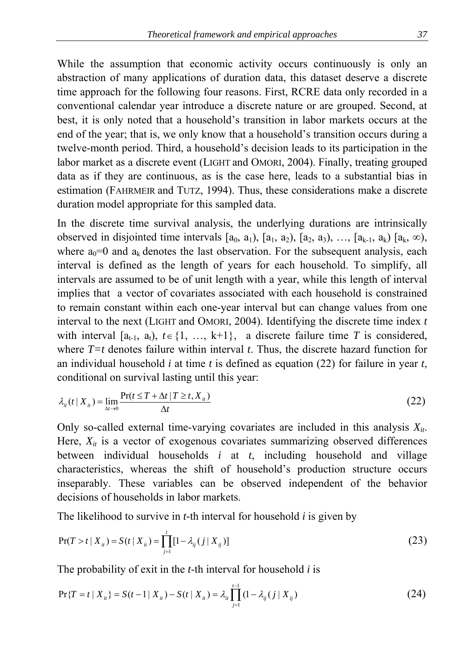While the assumption that economic activity occurs continuously is only an abstraction of many applications of duration data, this dataset deserve a discrete time approach for the following four reasons. First, RCRE data only recorded in a conventional calendar year introduce a discrete nature or are grouped. Second, at best, it is only noted that a household's transition in labor markets occurs at the end of the year; that is, we only know that a household's transition occurs during a twelve-month period. Third, a household's decision leads to its participation in the labor market as a discrete event (LIGHT and OMORI, 2004). Finally, treating grouped data as if they are continuous, as is the case here, leads to a substantial bias in estimation (FAHRMEIR and TUTZ, 1994). Thus, these considerations make a discrete duration model appropriate for this sampled data.

In the discrete time survival analysis, the underlying durations are intrinsically observed in disjointed time intervals  $[a_0, a_1)$ ,  $[a_1, a_2)$ ,  $[a_2, a_3)$ , …,  $[a_{k-1}, a_k)$   $[a_k, \infty)$ , where  $a_0=0$  and  $a_k$  denotes the last observation. For the subsequent analysis, each interval is defined as the length of years for each household. To simplify, all intervals are assumed to be of unit length with a year, while this length of interval implies that a vector of covariates associated with each household is constrained to remain constant within each one-year interval but can change values from one interval to the next (LIGHT and OMORI, 2004). Identifying the discrete time index *t* with interval  $[a_{t-1}, a_t), t \in \{1, ..., k+1\}$ , a discrete failure time *T* is considered, where *T=t* denotes failure within interval *t*. Thus, the discrete hazard function for an individual household *i* at time *t* is defined as equation (22) for failure in year *t*, conditional on survival lasting until this year:

$$
\lambda_{it}(t \mid X_{it}) = \lim_{\Delta t \to 0} \frac{\Pr(t \le T + \Delta t \mid T \ge t, X_{it})}{\Delta t}
$$
\n
$$
(22)
$$

Only so-called external time-varying covariates are included in this analysis  $X_{it}$ . Here,  $X_{it}$  is a vector of exogenous covariates summarizing observed differences between individual households *i* at *t*, including household and village characteristics, whereas the shift of household's production structure occurs inseparably. These variables can be observed independent of the behavior decisions of households in labor markets.

The likelihood to survive in *t-*th interval for household *i* is given by

$$
Pr(T > t | X_{it}) = S(t | X_{it}) = \prod_{j=1}^{t} [1 - \lambda_{ij} (j | X_{ij})]
$$
\n(23)

The probability of exit in the *t*-th interval for household *i* is

$$
\Pr\{T = t \mid X_{ii}\} = S(t-1 \mid X_{ii}) - S(t \mid X_{ii}) = \lambda_{ii} \prod_{j=1}^{t-1} (1 - \lambda_{ij} (j \mid X_{ij})) \tag{24}
$$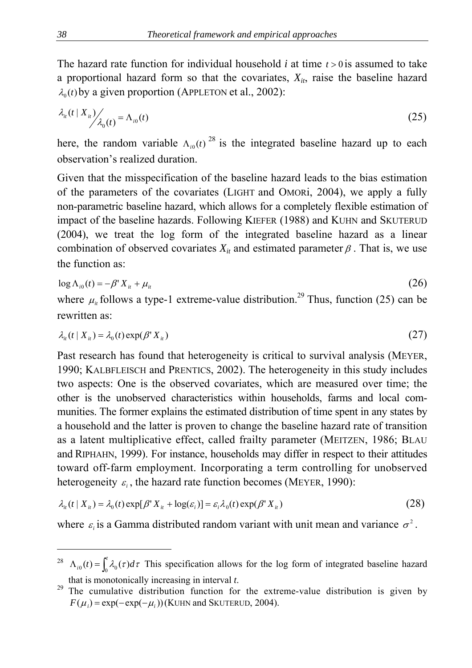The hazard rate function for individual household *i* at time *t* > 0 is assumed to take a proportional hazard form so that the covariates,  $X_{it}$ , raise the baseline hazard  $\lambda_0(t)$  by a given proportion (APPLETON et al., 2002):

$$
\lambda_{it}(t \mid X_{it}) / \lambda_{0}(t) = \Lambda_{i0}(t) \tag{25}
$$

here, the random variable  $\Lambda_{i0}(t)$ <sup>28</sup> is the integrated baseline hazard up to each observation's realized duration.

Given that the misspecification of the baseline hazard leads to the bias estimation of the parameters of the covariates (LIGHT and OMORi, 2004), we apply a fully non-parametric baseline hazard, which allows for a completely flexible estimation of impact of the baseline hazards. Following KIEFER (1988) and KUHN and SKUTERUD (2004), we treat the log form of the integrated baseline hazard as a linear combination of observed covariates  $X_{it}$  and estimated parameter  $\beta$ . That is, we use the function as:

$$
\log \Lambda_{i0}(t) = -\beta' X_{it} + \mu_{it} \tag{26}
$$

where  $\mu_{ii}$  follows a type-1 extreme-value distribution.<sup>29</sup> Thus, function (25) can be rewritten as:

$$
\lambda_{it}(t \mid X_{it}) = \lambda_0(t) \exp(\beta^t X_{it})
$$
\n(27)

Past research has found that heterogeneity is critical to survival analysis (MEYER, 1990; KALBFLEISCH and PRENTICS, 2002). The heterogeneity in this study includes two aspects: One is the observed covariates, which are measured over time; the other is the unobserved characteristics within households, farms and local communities. The former explains the estimated distribution of time spent in any states by a household and the latter is proven to change the baseline hazard rate of transition as a latent multiplicative effect, called frailty parameter (MEITZEN, 1986; BLAU and RIPHAHN, 1999). For instance, households may differ in respect to their attitudes toward off-farm employment. Incorporating a term controlling for unobserved heterogeneity  $\varepsilon$ , the hazard rate function becomes (MEYER, 1990):

$$
\lambda_{it}(t \mid X_{it}) = \lambda_0(t) \exp[\beta' X_{it} + \log(\varepsilon_i)] = \varepsilon_i \lambda_0(t) \exp(\beta' X_{it})
$$
\n(28)

where  $\varepsilon$  is a Gamma distributed random variant with unit mean and variance  $\sigma^2$ .

<sup>&</sup>lt;sup>28</sup>  $\Lambda_{i0}(t) = \int_0^t \lambda_0(\tau) d\tau$  This specification allows for the log form of integrated baseline hazard

that is monotonically increasing in interval  $t$ .<br><sup>29</sup> The cumulative distribution function for the extreme-value distribution is given by  $F(\mu_i) = \exp(-\exp(-\mu_i))$  (KUHN and SKUTERUD, 2004).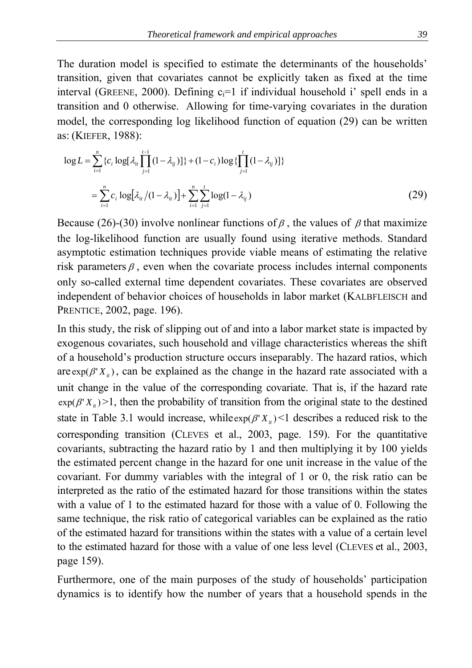The duration model is specified to estimate the determinants of the households' transition, given that covariates cannot be explicitly taken as fixed at the time interval (GREENE, 2000). Defining  $c_i=1$  if individual household i' spell ends in a transition and 0 otherwise. Allowing for time-varying covariates in the duration model, the corresponding log likelihood function of equation (29) can be written as: (KIEFER, 1988):

$$
\log L = \sum_{i=1}^{n} \{c_i \log[\lambda_{it} \prod_{j=1}^{t-1} (1 - \lambda_{ij})]\} + (1 - c_i) \log \{\prod_{j=1}^{t} (1 - \lambda_{ij})]\}
$$
  
= 
$$
\sum_{i=1}^{n} c_i \log[\lambda_{it} / (1 - \lambda_{it})] + \sum_{i=1}^{n} \sum_{j=1}^{t} \log(1 - \lambda_{ij})
$$
 (29)

Because (26)-(30) involve nonlinear functions of  $\beta$ , the values of  $\beta$  that maximize the log-likelihood function are usually found using iterative methods. Standard asymptotic estimation techniques provide viable means of estimating the relative risk parameters  $\beta$ , even when the covariate process includes internal components only so-called external time dependent covariates. These covariates are observed independent of behavior choices of households in labor market (KALBFLEISCH and PRENTICE, 2002, page. 196).

In this study, the risk of slipping out of and into a labor market state is impacted by exogenous covariates, such household and village characteristics whereas the shift of a household's production structure occurs inseparably. The hazard ratios, which are  $\exp(\beta' X_i)$ , can be explained as the change in the hazard rate associated with a unit change in the value of the corresponding covariate. That is, if the hazard rate  $\exp(\beta' X_i)$  >1, then the probability of transition from the original state to the destined state in Table 3.1 would increase, while  $\exp(\beta' X_i)$  <1 describes a reduced risk to the corresponding transition (CLEVES et al., 2003, page. 159). For the quantitative covariants, subtracting the hazard ratio by 1 and then multiplying it by 100 yields the estimated percent change in the hazard for one unit increase in the value of the covariant. For dummy variables with the integral of 1 or 0, the risk ratio can be interpreted as the ratio of the estimated hazard for those transitions within the states with a value of 1 to the estimated hazard for those with a value of 0. Following the same technique, the risk ratio of categorical variables can be explained as the ratio of the estimated hazard for transitions within the states with a value of a certain level to the estimated hazard for those with a value of one less level (CLEVES et al., 2003, page 159).

Furthermore, one of the main purposes of the study of households' participation dynamics is to identify how the number of years that a household spends in the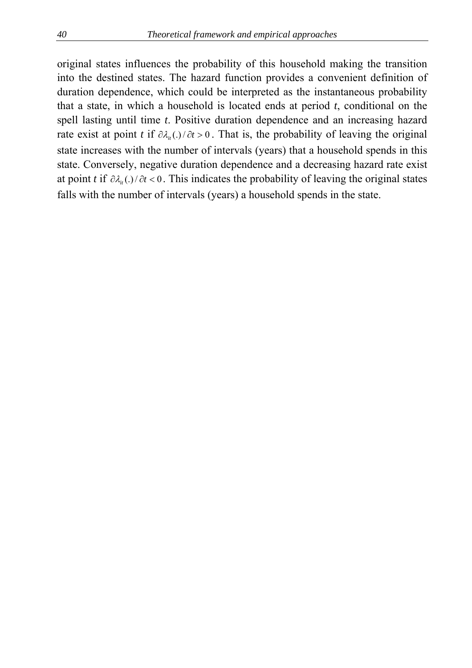original states influences the probability of this household making the transition into the destined states. The hazard function provides a convenient definition of duration dependence, which could be interpreted as the instantaneous probability that a state, in which a household is located ends at period *t*, conditional on the spell lasting until time *t*. Positive duration dependence and an increasing hazard rate exist at point *t* if  $\partial \lambda_i(t) / \partial t > 0$ . That is, the probability of leaving the original state increases with the number of intervals (years) that a household spends in this state. Conversely, negative duration dependence and a decreasing hazard rate exist at point *t* if  $\partial \lambda_i(t) / \partial t < 0$ . This indicates the probability of leaving the original states falls with the number of intervals (years) a household spends in the state.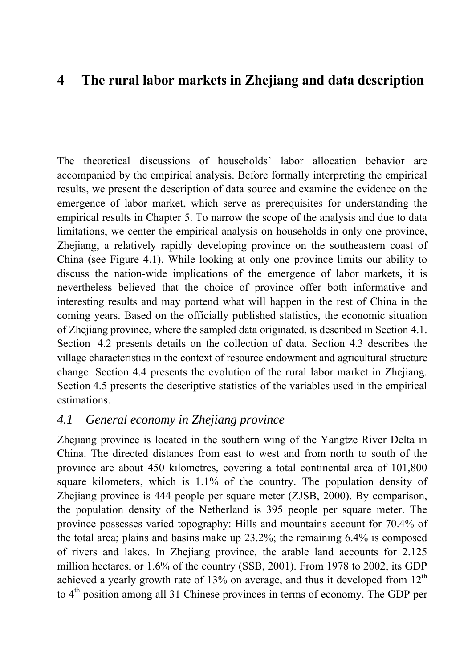# **4 The rural labor markets in Zhejiang and data description**

The theoretical discussions of households' labor allocation behavior are accompanied by the empirical analysis. Before formally interpreting the empirical results, we present the description of data source and examine the evidence on the emergence of labor market, which serve as prerequisites for understanding the empirical results in Chapter 5. To narrow the scope of the analysis and due to data limitations, we center the empirical analysis on households in only one province, Zhejiang, a relatively rapidly developing province on the southeastern coast of China (see Figure 4.1). While looking at only one province limits our ability to discuss the nation-wide implications of the emergence of labor markets, it is nevertheless believed that the choice of province offer both informative and interesting results and may portend what will happen in the rest of China in the coming years. Based on the officially published statistics, the economic situation of Zhejiang province, where the sampled data originated, is described in Section 4.1. Section 4.2 presents details on the collection of data. Section 4.3 describes the village characteristics in the context of resource endowment and agricultural structure change. Section 4.4 presents the evolution of the rural labor market in Zhejiang. Section 4.5 presents the descriptive statistics of the variables used in the empirical estimations.

## *4.1 General economy in Zhejiang province*

Zhejiang province is located in the southern wing of the Yangtze River Delta in China. The directed distances from east to west and from north to south of the province are about 450 kilometres, covering a total continental area of 101,800 square kilometers, which is 1.1% of the country. The population density of Zhejiang province is 444 people per square meter (ZJSB, 2000). By comparison, the population density of the Netherland is 395 people per square meter. The province possesses varied topography: Hills and mountains account for 70.4% of the total area; plains and basins make up 23.2%; the remaining 6.4% is composed of rivers and lakes. In Zhejiang province, the arable land accounts for 2.125 million hectares, or 1.6% of the country (SSB, 2001). From 1978 to 2002, its GDP achieved a yearly growth rate of 13% on average, and thus it developed from  $12<sup>th</sup>$ to 4<sup>th</sup> position among all 31 Chinese provinces in terms of economy. The GDP per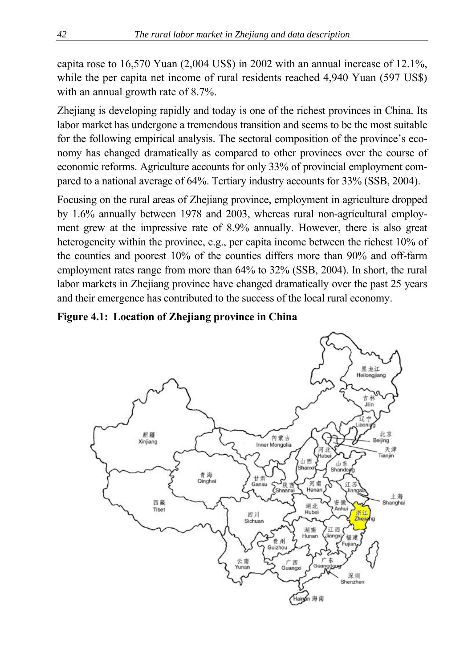capita rose to 16,570 Yuan (2,004 US\$) in 2002 with an annual increase of 12.1%, while the per capita net income of rural residents reached 4,940 Yuan (597 US\$) with an annual growth rate of 8.7%.

Zhejiang is developing rapidly and today is one of the richest provinces in China. Its labor market has undergone a tremendous transition and seems to be the most suitable for the following empirical analysis. The sectoral composition of the province's economy has changed dramatically as compared to other provinces over the course of economic reforms. Agriculture accounts for only 33% of provincial employment compared to a national average of 64%. Tertiary industry accounts for 33% (SSB, 2004).

Focusing on the rural areas of Zhejiang province, employment in agriculture dropped by 1.6% annually between 1978 and 2003, whereas rural non-agricultural employment grew at the impressive rate of 8.9% annually. However, there is also great heterogeneity within the province, e.g., per capita income between the richest 10% of the counties and poorest 10% of the counties differs more than 90% and off-farm employment rates range from more than 64% to 32% (SSB, 2004). In short, the rural labor markets in Zhejiang province have changed dramatically over the past 25 years and their emergence has contributed to the success of the local rural economy.



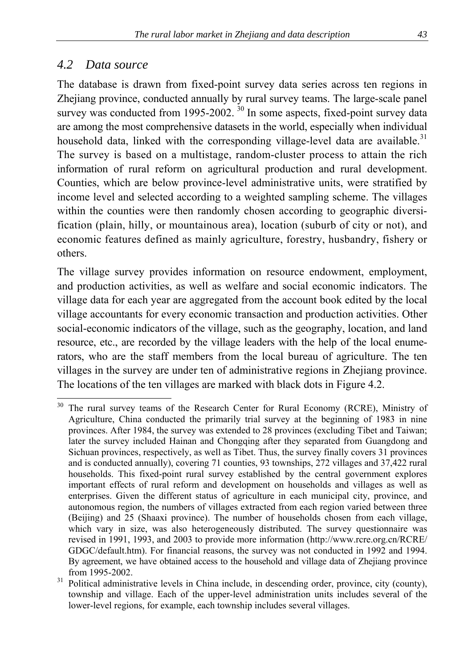#### *4.2 Data source*

The database is drawn from fixed-point survey data series across ten regions in Zhejiang province, conducted annually by rural survey teams. The large-scale panel survey was conducted from 1995-2002.  $30$  In some aspects, fixed-point survey data are among the most comprehensive datasets in the world, especially when individual household data, linked with the corresponding village-level data are available.<sup>31</sup> The survey is based on a multistage, random-cluster process to attain the rich information of rural reform on agricultural production and rural development. Counties, which are below province-level administrative units, were stratified by income level and selected according to a weighted sampling scheme. The villages within the counties were then randomly chosen according to geographic diversification (plain, hilly, or mountainous area), location (suburb of city or not), and economic features defined as mainly agriculture, forestry, husbandry, fishery or others.

The village survey provides information on resource endowment, employment, and production activities, as well as welfare and social economic indicators. The village data for each year are aggregated from the account book edited by the local village accountants for every economic transaction and production activities. Other social-economic indicators of the village, such as the geography, location, and land resource, etc., are recorded by the village leaders with the help of the local enumerators, who are the staff members from the local bureau of agriculture. The ten villages in the survey are under ten of administrative regions in Zhejiang province. The locations of the ten villages are marked with black dots in Figure 4.2.

 $\overline{a}$ <sup>30</sup> The rural survey teams of the Research Center for Rural Economy (RCRE), Ministry of Agriculture, China conducted the primarily trial survey at the beginning of 1983 in nine provinces. After 1984, the survey was extended to 28 provinces (excluding Tibet and Taiwan; later the survey included Hainan and Chongqing after they separated from Guangdong and Sichuan provinces, respectively, as well as Tibet. Thus, the survey finally covers 31 provinces and is conducted annually), covering 71 counties, 93 townships, 272 villages and 37,422 rural households. This fixed-point rural survey established by the central government explores important effects of rural reform and development on households and villages as well as enterprises. Given the different status of agriculture in each municipal city, province, and autonomous region, the numbers of villages extracted from each region varied between three (Beijing) and 25 (Shaaxi province). The number of households chosen from each village, which vary in size, was also heterogeneously distributed. The survey questionnaire was revised in 1991, 1993, and 2003 to provide more information (http://www.rcre.org.cn/RCRE/ GDGC/default.htm). For financial reasons, the survey was not conducted in 1992 and 1994. By agreement, we have obtained access to the household and village data of Zhejiang province from 1995-2002.

<sup>&</sup>lt;sup>31</sup> Political administrative levels in China include, in descending order, province, city (county), township and village. Each of the upper-level administration units includes several of the lower-level regions, for example, each township includes several villages.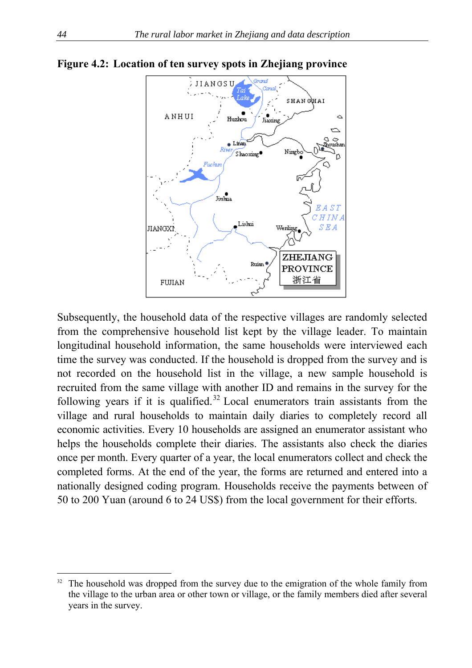

**Figure 4.2: Location of ten survey spots in Zhejiang province**

Subsequently, the household data of the respective villages are randomly selected from the comprehensive household list kept by the village leader. To maintain longitudinal household information, the same households were interviewed each time the survey was conducted. If the household is dropped from the survey and is not recorded on the household list in the village, a new sample household is recruited from the same village with another ID and remains in the survey for the following years if it is qualified.<sup>32</sup> Local enumerators train assistants from the village and rural households to maintain daily diaries to completely record all economic activities. Every 10 households are assigned an enumerator assistant who helps the households complete their diaries. The assistants also check the diaries once per month. Every quarter of a year, the local enumerators collect and check the completed forms. At the end of the year, the forms are returned and entered into a nationally designed coding program. Households receive the payments between of 50 to 200 Yuan (around 6 to 24 US\$) from the local government for their efforts.

<sup>&</sup>lt;sup>32</sup> The household was dropped from the survey due to the emigration of the whole family from the village to the urban area or other town or village, or the family members died after several years in the survey.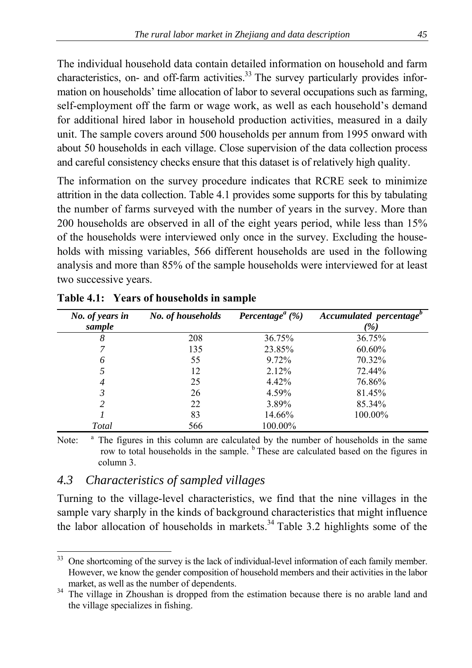The individual household data contain detailed information on household and farm characteristics, on- and off-farm activities.<sup>33</sup> The survey particularly provides information on households' time allocation of labor to several occupations such as farming, self-employment off the farm or wage work, as well as each household's demand for additional hired labor in household production activities, measured in a daily unit. The sample covers around 500 households per annum from 1995 onward with about 50 households in each village. Close supervision of the data collection process and careful consistency checks ensure that this dataset is of relatively high quality.

The information on the survey procedure indicates that RCRE seek to minimize attrition in the data collection. Table 4.1 provides some supports for this by tabulating the number of farms surveyed with the number of years in the survey. More than 200 households are observed in all of the eight years period, while less than 15% of the households were interviewed only once in the survey. Excluding the households with missing variables, 566 different households are used in the following analysis and more than 85% of the sample households were interviewed for at least two successive years.

| No. of years in<br>sample | No. of households | Percentage <sup><math>a</math></sup> (%) | Accumulated percentage <sup>b</sup><br>$\left( \frac{o}{o} \right)$ |
|---------------------------|-------------------|------------------------------------------|---------------------------------------------------------------------|
| 8                         | 208               | 36.75%                                   | 36.75%                                                              |
|                           | 135               | 23.85%                                   | 60.60%                                                              |
| Ô                         | 55                | 9.72%                                    | 70.32%                                                              |
|                           | 12                | 2.12%                                    | 72.44%                                                              |
| 4                         | 25                | 4.42%                                    | 76.86%                                                              |
|                           | 26                | 4.59%                                    | 81.45%                                                              |
|                           | 22                | 3.89%                                    | 85.34%                                                              |
|                           | 83                | 14.66%                                   | 100.00%                                                             |
| Total                     | 566               | 100.00%                                  |                                                                     |

| Table 4.1: Years of households in sample |  |
|------------------------------------------|--|
|------------------------------------------|--|

Note: <sup>a</sup> The figures in this column are calculated by the number of households in the same row to total households in the sample. <sup>b</sup> These are calculated based on the figures in column 3.

# *4.3 Characteristics of sampled villages*

Turning to the village-level characteristics, we find that the nine villages in the sample vary sharply in the kinds of background characteristics that might influence the labor allocation of households in markets.<sup>34</sup> Table 3.2 highlights some of the

<sup>33</sup> 33 One shortcoming of the survey is the lack of individual-level information of each family member. However, we know the gender composition of household members and their activities in the labor market, as well as the number of dependents.

<sup>&</sup>lt;sup>34</sup> The village in Zhoushan is dropped from the estimation because there is no arable land and the village specializes in fishing.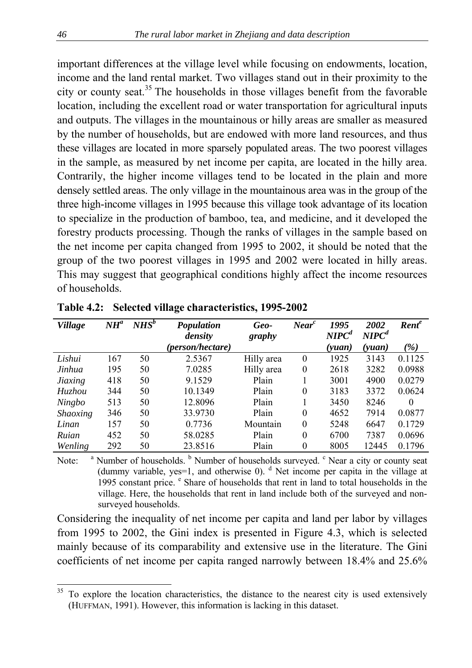important differences at the village level while focusing on endowments, location, income and the land rental market. Two villages stand out in their proximity to the city or county seat.<sup>35</sup> The households in those villages benefit from the favorable location, including the excellent road or water transportation for agricultural inputs and outputs. The villages in the mountainous or hilly areas are smaller as measured by the number of households, but are endowed with more land resources, and thus these villages are located in more sparsely populated areas. The two poorest villages in the sample, as measured by net income per capita, are located in the hilly area. Contrarily, the higher income villages tend to be located in the plain and more densely settled areas. The only village in the mountainous area was in the group of the three high-income villages in 1995 because this village took advantage of its location to specialize in the production of bamboo, tea, and medicine, and it developed the forestry products processing. Though the ranks of villages in the sample based on the net income per capita changed from 1995 to 2002, it should be noted that the group of the two poorest villages in 1995 and 2002 were located in hilly areas. This may suggest that geographical conditions highly affect the income resources of households.

| <b>Village</b>  | NH <sup>a</sup> | $NHS^b$ | Population<br>density | Geo-<br>graphy | $Near^c$         | 1995<br>$NIPC^d$ | 2002<br>$NIPC^d$ | $\textbf{R}$ <i>ent</i> $\textbf{f}^e$ |
|-----------------|-----------------|---------|-----------------------|----------------|------------------|------------------|------------------|----------------------------------------|
|                 |                 |         | (person/hectare)      |                |                  | (yuan)           | (vuan)           | ( %)                                   |
| Lishui          | 167             | 50      | 2.5367                | Hilly area     | $\boldsymbol{0}$ | 1925             | 3143             | 0.1125                                 |
| Jinhua          | 195             | 50      | 7.0285                | Hilly area     | $\theta$         | 2618             | 3282             | 0.0988                                 |
| Jiaxing         | 418             | 50      | 9.1529                | Plain          |                  | 3001             | 4900             | 0.0279                                 |
| <i>Huzhou</i>   | 344             | 50      | 10.1349               | Plain          | $\theta$         | 3183             | 3372             | 0.0624                                 |
| Ningbo          | 513             | 50      | 12.8096               | Plain          |                  | 3450             | 8246             | $\Omega$                               |
| <b>Shaoxing</b> | 346             | 50      | 33.9730               | Plain          | $\theta$         | 4652             | 7914             | 0.0877                                 |
| Linan           | 157             | 50      | 0.7736                | Mountain       | $\theta$         | 5248             | 6647             | 0.1729                                 |
| Ruian           | 452             | 50      | 58.0285               | Plain          | $\theta$         | 6700             | 7387             | 0.0696                                 |
| Wenling         | 292             | 50      | 23.8516               | Plain          | $\theta$         | 8005             | 12445            | 0.1796                                 |

**Table 4.2: Selected village characteristics, 1995-2002** 

Note: Number of households. <sup>b</sup> Number of households surveyed. <sup>c</sup> Near a city or county seat (dummy variable, yes=1, and otherwise 0).  $<sup>d</sup>$  Net income per capita in the village at</sup> 1995 constant price. <sup>e</sup> Share of households that rent in land to total households in the village. Here, the households that rent in land include both of the surveyed and non surveyed households.

Considering the inequality of net income per capita and land per labor by villages from 1995 to 2002, the Gini index is presented in Figure 4.3, which is selected mainly because of its comparability and extensive use in the literature. The Gini coefficients of net income per capita ranged narrowly between 18.4% and 25.6%

<sup>35</sup> 35 To explore the location characteristics, the distance to the nearest city is used extensively (HUFFMAN, 1991). However, this information is lacking in this dataset.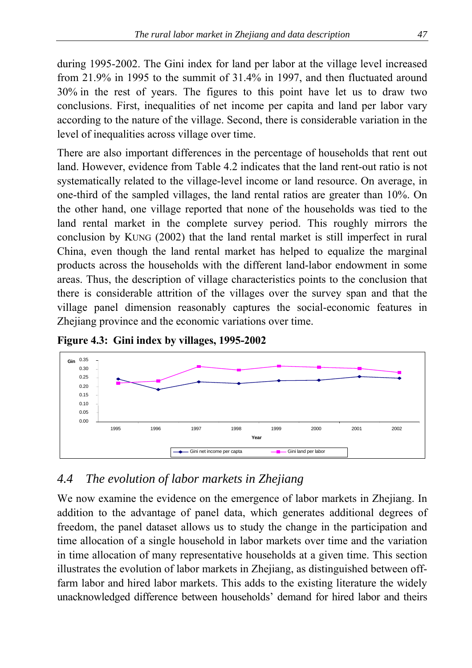during 1995-2002. The Gini index for land per labor at the village level increased from 21.9% in 1995 to the summit of 31.4% in 1997, and then fluctuated around 30% in the rest of years. The figures to this point have let us to draw two conclusions. First, inequalities of net income per capita and land per labor vary according to the nature of the village. Second, there is considerable variation in the level of inequalities across village over time.

There are also important differences in the percentage of households that rent out land. However, evidence from Table 4.2 indicates that the land rent-out ratio is not systematically related to the village-level income or land resource. On average, in one-third of the sampled villages, the land rental ratios are greater than 10%. On the other hand, one village reported that none of the households was tied to the land rental market in the complete survey period. This roughly mirrors the conclusion by KUNG (2002) that the land rental market is still imperfect in rural China, even though the land rental market has helped to equalize the marginal products across the households with the different land-labor endowment in some areas. Thus, the description of village characteristics points to the conclusion that there is considerable attrition of the villages over the survey span and that the village panel dimension reasonably captures the social-economic features in Zhejiang province and the economic variations over time.





# *4.4 The evolution of labor markets in Zhejiang*

We now examine the evidence on the emergence of labor markets in Zheijang. In addition to the advantage of panel data, which generates additional degrees of freedom, the panel dataset allows us to study the change in the participation and time allocation of a single household in labor markets over time and the variation in time allocation of many representative households at a given time. This section illustrates the evolution of labor markets in Zhejiang, as distinguished between offfarm labor and hired labor markets. This adds to the existing literature the widely unacknowledged difference between households' demand for hired labor and theirs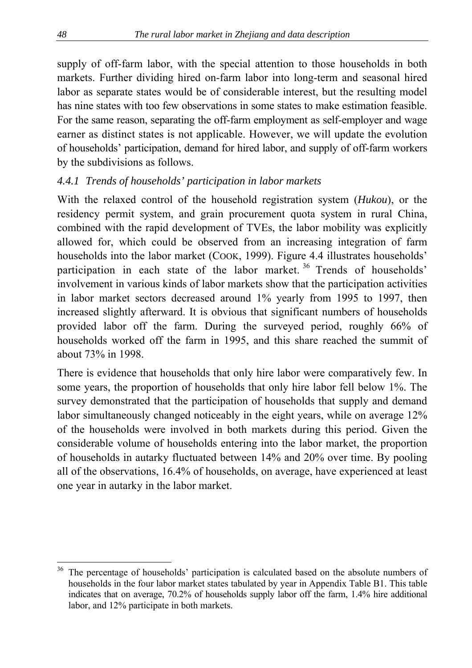supply of off-farm labor, with the special attention to those households in both markets. Further dividing hired on-farm labor into long-term and seasonal hired labor as separate states would be of considerable interest, but the resulting model has nine states with too few observations in some states to make estimation feasible. For the same reason, separating the off-farm employment as self-employer and wage earner as distinct states is not applicable. However, we will update the evolution of households' participation, demand for hired labor, and supply of off-farm workers by the subdivisions as follows.

### *4.4.1 Trends of households' participation in labor markets*

With the relaxed control of the household registration system (*Hukou*), or the residency permit system, and grain procurement quota system in rural China, combined with the rapid development of TVEs, the labor mobility was explicitly allowed for, which could be observed from an increasing integration of farm households into the labor market (COOK, 1999). Figure 4.4 illustrates households' participation in each state of the labor market. 36 Trends of households' involvement in various kinds of labor markets show that the participation activities in labor market sectors decreased around 1% yearly from 1995 to 1997, then increased slightly afterward. It is obvious that significant numbers of households provided labor off the farm. During the surveyed period, roughly 66% of households worked off the farm in 1995, and this share reached the summit of about 73% in 1998.

There is evidence that households that only hire labor were comparatively few. In some years, the proportion of households that only hire labor fell below 1%. The survey demonstrated that the participation of households that supply and demand labor simultaneously changed noticeably in the eight years, while on average 12% of the households were involved in both markets during this period. Given the considerable volume of households entering into the labor market, the proportion of households in autarky fluctuated between 14% and 20% over time. By pooling all of the observations, 16.4% of households, on average, have experienced at least one year in autarky in the labor market.

 $\overline{a}$ The percentage of households' participation is calculated based on the absolute numbers of households in the four labor market states tabulated by year in Appendix Table B1. This table indicates that on average, 70.2% of households supply labor off the farm, 1.4% hire additional labor, and 12% participate in both markets.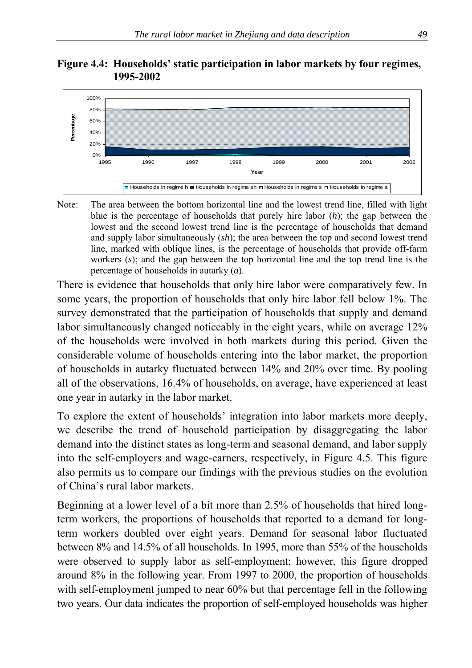



Note: The area between the bottom horizontal line and the lowest trend line, filled with light blue is the percentage of households that purely hire labor (*h*); the gap between the lowest and the second lowest trend line is the percentage of households that demand and supply labor simultaneously (*sh*); the area between the top and second lowest trend line, marked with oblique lines, is the percentage of households that provide off-farm workers (*s*); and the gap between the top horizontal line and the top trend line is the percentage of households in autarky (*a*).

There is evidence that households that only hire labor were comparatively few. In some years, the proportion of households that only hire labor fell below 1%. The survey demonstrated that the participation of households that supply and demand labor simultaneously changed noticeably in the eight years, while on average 12% of the households were involved in both markets during this period. Given the considerable volume of households entering into the labor market, the proportion of households in autarky fluctuated between 14% and 20% over time. By pooling all of the observations, 16.4% of households, on average, have experienced at least one year in autarky in the labor market.

To explore the extent of households' integration into labor markets more deeply, we describe the trend of household participation by disaggregating the labor demand into the distinct states as long-term and seasonal demand, and labor supply into the self-employers and wage-earners, respectively, in Figure 4.5. This figure also permits us to compare our findings with the previous studies on the evolution of China's rural labor markets.

Beginning at a lower level of a bit more than 2.5% of households that hired longterm workers, the proportions of households that reported to a demand for longterm workers doubled over eight years. Demand for seasonal labor fluctuated between 8% and 14.5% of all households. In 1995, more than 55% of the households were observed to supply labor as self-employment; however, this figure dropped around 8% in the following year. From 1997 to 2000, the proportion of households with self-employment jumped to near 60% but that percentage fell in the following two years. Our data indicates the proportion of self-employed households was higher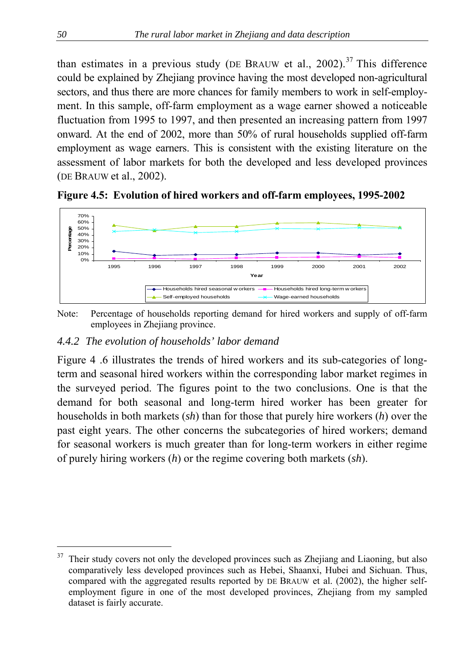than estimates in a previous study (DE BRAUW et al., 2002).<sup>37</sup> This difference could be explained by Zhejiang province having the most developed non-agricultural sectors, and thus there are more chances for family members to work in self-employment. In this sample, off-farm employment as a wage earner showed a noticeable fluctuation from 1995 to 1997, and then presented an increasing pattern from 1997 onward. At the end of 2002, more than 50% of rural households supplied off-farm employment as wage earners. This is consistent with the existing literature on the assessment of labor markets for both the developed and less developed provinces (DE BRAUW et al., 2002).





Note: Percentage of households reporting demand for hired workers and supply of off-farm employees in Zhejiang province.

## *4.4.2 The evolution of households' labor demand*

Figure 4 .6 illustrates the trends of hired workers and its sub-categories of longterm and seasonal hired workers within the corresponding labor market regimes in the surveyed period. The figures point to the two conclusions. One is that the demand for both seasonal and long-term hired worker has been greater for households in both markets (*sh*) than for those that purely hire workers (*h*) over the past eight years. The other concerns the subcategories of hired workers; demand for seasonal workers is much greater than for long-term workers in either regime of purely hiring workers (*h*) or the regime covering both markets (*sh*).

 $37$  Their study covers not only the developed provinces such as Zhejiang and Liaoning, but also comparatively less developed provinces such as Hebei, Shaanxi, Hubei and Sichuan. Thus, compared with the aggregated results reported by DE BRAUW et al. (2002), the higher selfemployment figure in one of the most developed provinces, Zhejiang from my sampled dataset is fairly accurate.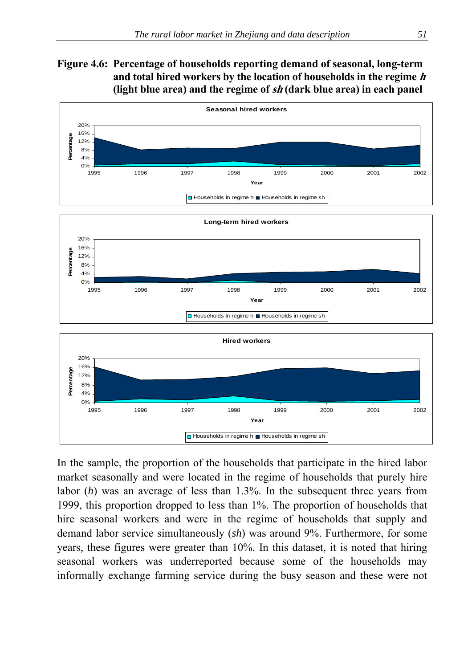#### **Figure 4.6: Percentage of households reporting demand of seasonal, long-term and total hired workers by the location of households in the regime<sup>h</sup> (light blue area) and the regime of sh (dark blue area) in each panel**



In the sample, the proportion of the households that participate in the hired labor market seasonally and were located in the regime of households that purely hire labor (*h*) was an average of less than 1.3%. In the subsequent three years from 1999, this proportion dropped to less than 1%. The proportion of households that hire seasonal workers and were in the regime of households that supply and demand labor service simultaneously (*sh*) was around 9%. Furthermore, for some years, these figures were greater than 10%. In this dataset, it is noted that hiring seasonal workers was underreported because some of the households may informally exchange farming service during the busy season and these were not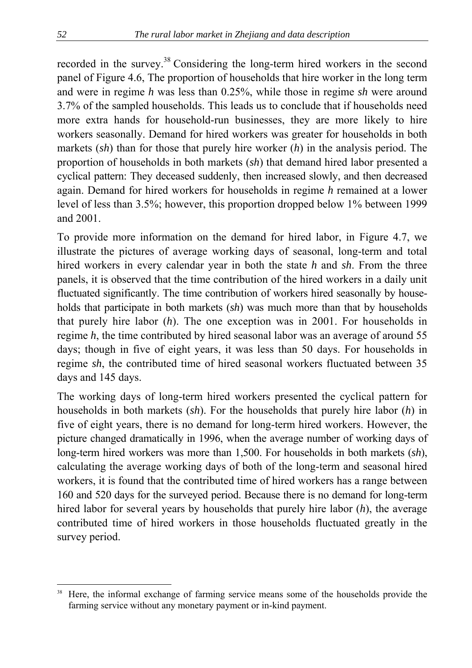recorded in the survey.<sup>38</sup> Considering the long-term hired workers in the second panel of Figure 4.6, The proportion of households that hire worker in the long term and were in regime *h* was less than 0.25%, while those in regime *sh* were around 3.7% of the sampled households. This leads us to conclude that if households need more extra hands for household-run businesses, they are more likely to hire workers seasonally. Demand for hired workers was greater for households in both markets (*sh*) than for those that purely hire worker (*h*) in the analysis period. The proportion of households in both markets (*sh*) that demand hired labor presented a cyclical pattern: They deceased suddenly, then increased slowly, and then decreased again. Demand for hired workers for households in regime *h* remained at a lower level of less than 3.5%; however, this proportion dropped below 1% between 1999 and 2001.

To provide more information on the demand for hired labor, in Figure 4.7, we illustrate the pictures of average working days of seasonal, long-term and total hired workers in every calendar year in both the state *h* and *sh*. From the three panels, it is observed that the time contribution of the hired workers in a daily unit fluctuated significantly. The time contribution of workers hired seasonally by households that participate in both markets (*sh*) was much more than that by households that purely hire labor (*h*). The one exception was in 2001. For households in regime *h*, the time contributed by hired seasonal labor was an average of around 55 days; though in five of eight years, it was less than 50 days. For households in regime *sh*, the contributed time of hired seasonal workers fluctuated between 35 days and 145 days.

The working days of long-term hired workers presented the cyclical pattern for households in both markets (*sh*). For the households that purely hire labor (*h*) in five of eight years, there is no demand for long-term hired workers. However, the picture changed dramatically in 1996, when the average number of working days of long-term hired workers was more than 1,500. For households in both markets (*sh*), calculating the average working days of both of the long-term and seasonal hired workers, it is found that the contributed time of hired workers has a range between 160 and 520 days for the surveyed period. Because there is no demand for long-term hired labor for several years by households that purely hire labor (*h*), the average contributed time of hired workers in those households fluctuated greatly in the survey period.

<sup>38</sup> Here, the informal exchange of farming service means some of the households provide the farming service without any monetary payment or in-kind payment.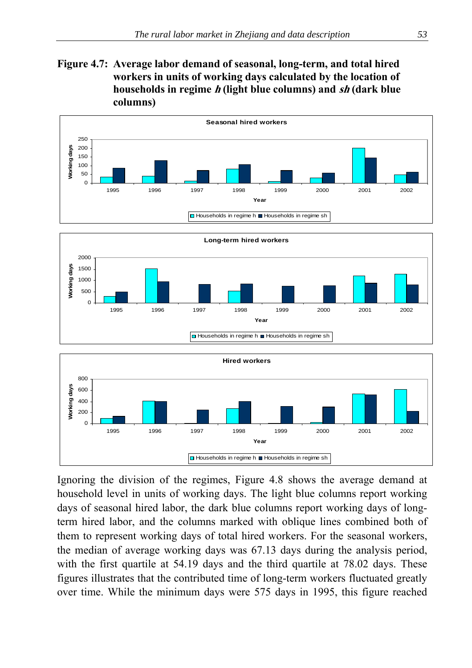**Figure 4.7: Average labor demand of seasonal, long-term, and total hired workers in units of working days calculated by the location of households in regime h (light blue columns) and sh (dark blue columns)** 



Ignoring the division of the regimes, Figure 4.8 shows the average demand at household level in units of working days. The light blue columns report working days of seasonal hired labor, the dark blue columns report working days of longterm hired labor, and the columns marked with oblique lines combined both of them to represent working days of total hired workers. For the seasonal workers, the median of average working days was 67.13 days during the analysis period, with the first quartile at 54.19 days and the third quartile at 78.02 days. These figures illustrates that the contributed time of long-term workers fluctuated greatly over time. While the minimum days were 575 days in 1995, this figure reached

 $\Box$  Households in regime h  $\Box$  Households in regime sh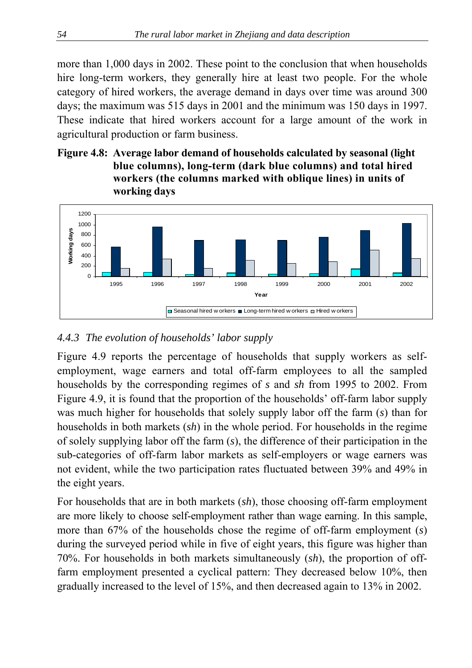more than 1,000 days in 2002. These point to the conclusion that when households hire long-term workers, they generally hire at least two people. For the whole category of hired workers, the average demand in days over time was around 300 days; the maximum was 515 days in 2001 and the minimum was 150 days in 1997. These indicate that hired workers account for a large amount of the work in agricultural production or farm business.

#### **Figure 4.8: Average labor demand of households calculated by seasonal (light blue columns), long-term (dark blue columns) and total hired workers (the columns marked with oblique lines) in units of working days**



# *4.4.3 The evolution of households' labor supply*

Figure 4.9 reports the percentage of households that supply workers as selfemployment, wage earners and total off-farm employees to all the sampled households by the corresponding regimes of *s* and *sh* from 1995 to 2002. From Figure 4.9, it is found that the proportion of the households' off-farm labor supply was much higher for households that solely supply labor off the farm (*s*) than for households in both markets (*sh*) in the whole period. For households in the regime of solely supplying labor off the farm (*s*), the difference of their participation in the sub-categories of off-farm labor markets as self-employers or wage earners was not evident, while the two participation rates fluctuated between 39% and 49% in the eight years.

For households that are in both markets (*sh*), those choosing off-farm employment are more likely to choose self-employment rather than wage earning. In this sample, more than 67% of the households chose the regime of off-farm employment (*s*) during the surveyed period while in five of eight years, this figure was higher than 70%. For households in both markets simultaneously (*sh*), the proportion of offfarm employment presented a cyclical pattern: They decreased below 10%, then gradually increased to the level of 15%, and then decreased again to 13% in 2002.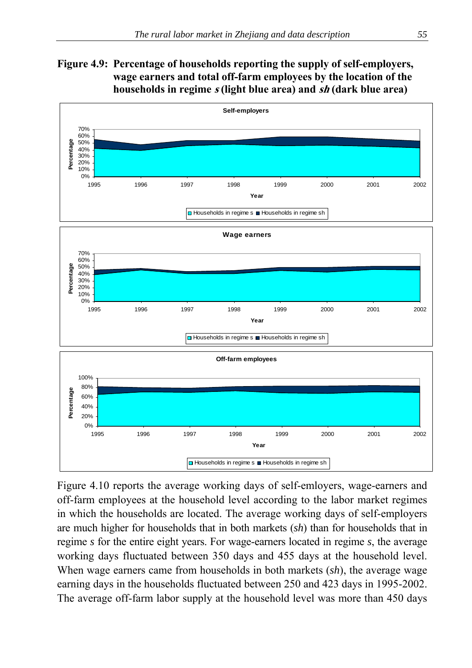



Figure 4.10 reports the average working days of self-emloyers, wage-earners and off-farm employees at the household level according to the labor market regimes in which the households are located. The average working days of self-employers are much higher for households that in both markets (*sh*) than for households that in regime *s* for the entire eight years. For wage-earners located in regime *s*, the average working days fluctuated between 350 days and 455 days at the household level. When wage earners came from households in both markets (*sh*), the average wage earning days in the households fluctuated between 250 and 423 days in 1995-2002. The average off-farm labor supply at the household level was more than 450 days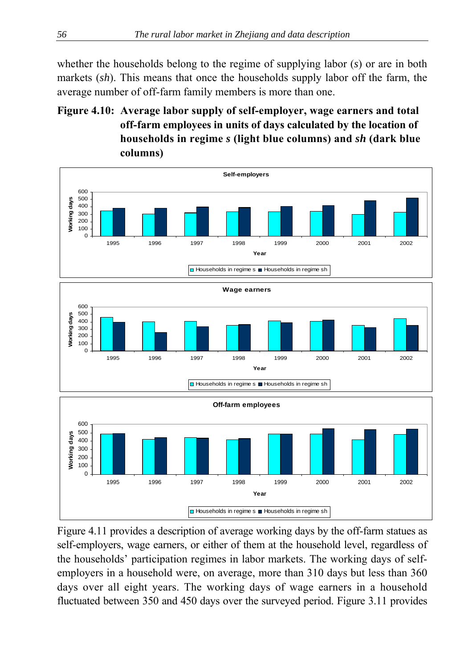whether the households belong to the regime of supplying labor (*s*) or are in both markets (*sh*). This means that once the households supply labor off the farm, the average number of off-farm family members is more than one.

### **Figure 4.10: Average labor supply of self-employer, wage earners and total off-farm employees in units of days calculated by the location of households in regime** *s* **(light blue columns) and** *sh* **(dark blue columns)**



Figure 4.11 provides a description of average working days by the off-farm statues as self-employers, wage earners, or either of them at the household level, regardless of the households' participation regimes in labor markets. The working days of selfemployers in a household were, on average, more than 310 days but less than 360 days over all eight years. The working days of wage earners in a household fluctuated between 350 and 450 days over the surveyed period. Figure 3.11 provides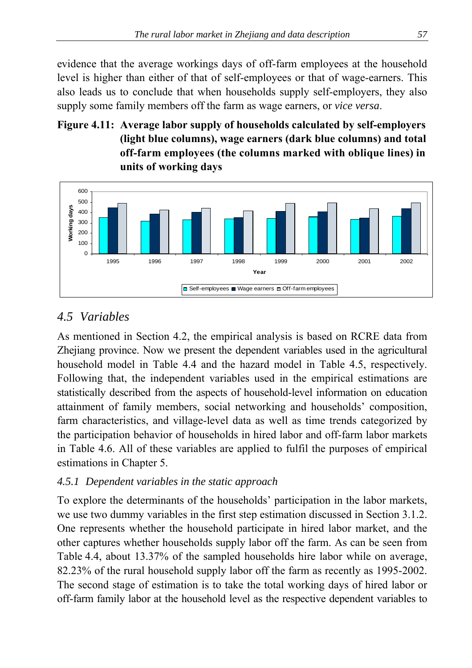evidence that the average workings days of off-farm employees at the household level is higher than either of that of self-employees or that of wage-earners. This also leads us to conclude that when households supply self-employers, they also supply some family members off the farm as wage earners, or *vice versa*.

## **Figure 4.11: Average labor supply of households calculated by self-employers (light blue columns), wage earners (dark blue columns) and total off-farm employees (the columns marked with oblique lines) in units of working days**



# *4.5 Variables*

As mentioned in Section 4.2, the empirical analysis is based on RCRE data from Zhejiang province. Now we present the dependent variables used in the agricultural household model in Table 4.4 and the hazard model in Table 4.5, respectively. Following that, the independent variables used in the empirical estimations are statistically described from the aspects of household-level information on education attainment of family members, social networking and households' composition, farm characteristics, and village-level data as well as time trends categorized by the participation behavior of households in hired labor and off-farm labor markets in Table 4.6. All of these variables are applied to fulfil the purposes of empirical estimations in Chapter 5.

### *4.5.1 Dependent variables in the static approach*

To explore the determinants of the households' participation in the labor markets, we use two dummy variables in the first step estimation discussed in Section 3.1.2. One represents whether the household participate in hired labor market, and the other captures whether households supply labor off the farm. As can be seen from Table 4.4, about 13.37% of the sampled households hire labor while on average, 82.23% of the rural household supply labor off the farm as recently as 1995-2002. The second stage of estimation is to take the total working days of hired labor or off-farm family labor at the household level as the respective dependent variables to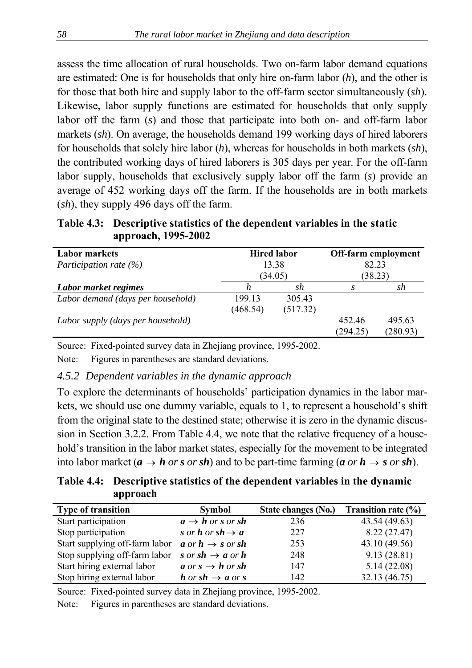assess the time allocation of rural households. Two on-farm labor demand equations are estimated: One is for households that only hire on-farm labor (*h*), and the other is for those that both hire and supply labor to the off-farm sector simultaneously (*sh*). Likewise, labor supply functions are estimated for households that only supply labor off the farm (*s*) and those that participate into both on- and off-farm labor markets (*sh*). On average, the households demand 199 working days of hired laborers for households that solely hire labor (*h*), whereas for households in both markets (*sh*), the contributed working days of hired laborers is 305 days per year. For the off-farm labor supply, households that exclusively supply labor off the farm (*s*) provide an average of 452 working days off the farm. If the households are in both markets (*sh*), they supply 496 days off the farm.

**Table 4.3: Descriptive statistics of the dependent variables in the static approach, 1995-2002** 

| <b>Labor markets</b>              | <b>Hired labor</b> |          | <b>Off-farm employment</b> |          |         |  |
|-----------------------------------|--------------------|----------|----------------------------|----------|---------|--|
| Participation rate $(\%)$         | 13.38              |          | 82.23                      |          |         |  |
|                                   | (34.05)            |          |                            |          | (38.23) |  |
| Labor market regimes              |                    | sh       | S                          | sh       |         |  |
| Labor demand (days per household) | 199.13             | 305.43   |                            |          |         |  |
|                                   | (468.54)           | (517.32) |                            |          |         |  |
| Labor supply (days per household) |                    |          | 452.46                     | 495.63   |         |  |
|                                   |                    |          | (294.25)                   | (280.93) |         |  |

Source: Fixed-pointed survey data in Zhejiang province, 1995-2002.

Note: Figures in parentheses are standard deviations.

#### *4.5.2 Dependent variables in the dynamic approach*

To explore the determinants of households' participation dynamics in the labor markets, we should use one dummy variable, equals to 1, to represent a household's shift from the original state to the destined state; otherwise it is zero in the dynamic discussion in Section 3.2.2. From Table 4.4, we note that the relative frequency of a household's transition in the labor market states, especially for the movement to be integrated into labor market ( $a \rightarrow h$  *or s or sh*) and to be part-time farming ( $a$  *or*  $h \rightarrow s$  *or sh*).

**Table 4.4: Descriptive statistics of the dependent variables in the dynamic approach** 

| <b>Type of transition</b>      | <b>Symbol</b>                       | State changes (No.) | Transition rate $(\% )$ |
|--------------------------------|-------------------------------------|---------------------|-------------------------|
| Start participation            | $a \rightarrow h$ or s or sh        | 236                 | 43.54 (49.63)           |
| Stop participation             | s or h or sh $\rightarrow$ a        | 227                 | 8.22(27.47)             |
| Start supplying off-farm labor | a or $h \rightarrow s$ or sh        | 253                 | 43.10 (49.56)           |
| Stop supplying off-farm labor  | s or sh $\rightarrow$ a or h        | 248                 | 9.13(28.81)             |
| Start hiring external labor    | a or $s \rightarrow h$ or sh        | 147                 | 5.14(22.08)             |
| Stop hiring external labor     | <b>h</b> or sh $\rightarrow$ a or s | 142                 | 32.13 (46.75)           |

Source: Fixed-pointed survey data in Zhejiang province, 1995-2002.

Note: Figures in parentheses are standard deviations.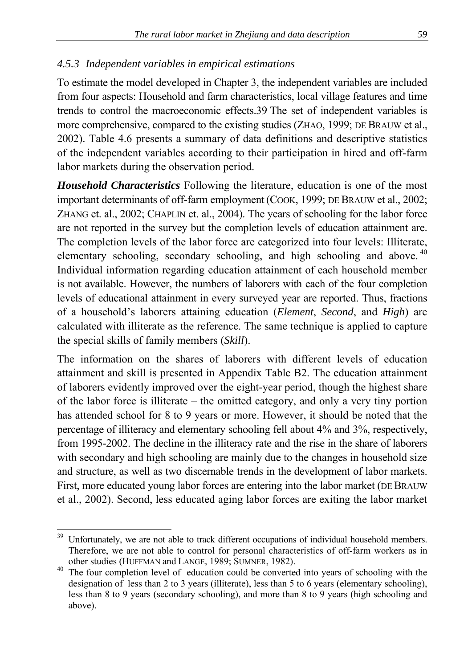### *4.5.3 Independent variables in empirical estimations*

To estimate the model developed in Chapter 3, the independent variables are included from four aspects: Household and farm characteristics, local village features and time trends to control the macroeconomic effects.39 The set of independent variables is more comprehensive, compared to the existing studies (ZHAO, 1999; DE BRAUW et al., 2002). Table 4.6 presents a summary of data definitions and descriptive statistics of the independent variables according to their participation in hired and off-farm labor markets during the observation period.

*Household Characteristics* Following the literature, education is one of the most important determinants of off-farm employment (COOK, 1999; DE BRAUW et al., 2002; ZHANG et. al., 2002; CHAPLIN et. al., 2004). The years of schooling for the labor force are not reported in the survey but the completion levels of education attainment are. The completion levels of the labor force are categorized into four levels: Illiterate, elementary schooling, secondary schooling, and high schooling and above.<sup>40</sup> Individual information regarding education attainment of each household member is not available. However, the numbers of laborers with each of the four completion levels of educational attainment in every surveyed year are reported. Thus, fractions of a household's laborers attaining education (*Element*, *Second*, and *High*) are calculated with illiterate as the reference. The same technique is applied to capture the special skills of family members (*Skill*).

The information on the shares of laborers with different levels of education attainment and skill is presented in Appendix Table B2. The education attainment of laborers evidently improved over the eight-year period, though the highest share of the labor force is illiterate – the omitted category, and only a very tiny portion has attended school for 8 to 9 years or more. However, it should be noted that the percentage of illiteracy and elementary schooling fell about 4% and 3%, respectively, from 1995-2002. The decline in the illiteracy rate and the rise in the share of laborers with secondary and high schooling are mainly due to the changes in household size and structure, as well as two discernable trends in the development of labor markets. First, more educated young labor forces are entering into the labor market (DE BRAUW et al., 2002). Second, less educated aging labor forces are exiting the labor market

 $\overline{a}$ <sup>39</sup> Unfortunately, we are not able to track different occupations of individual household members. Therefore, we are not able to control for personal characteristics of off-farm workers as in other studies (HUFFMAN and LANGE, 1989; SUMNER, 1982).

<sup>&</sup>lt;sup>40</sup> The four completion level of education could be converted into years of schooling with the designation of less than 2 to 3 years (illiterate), less than 5 to 6 years (elementary schooling), less than 8 to 9 years (secondary schooling), and more than 8 to 9 years (high schooling and above).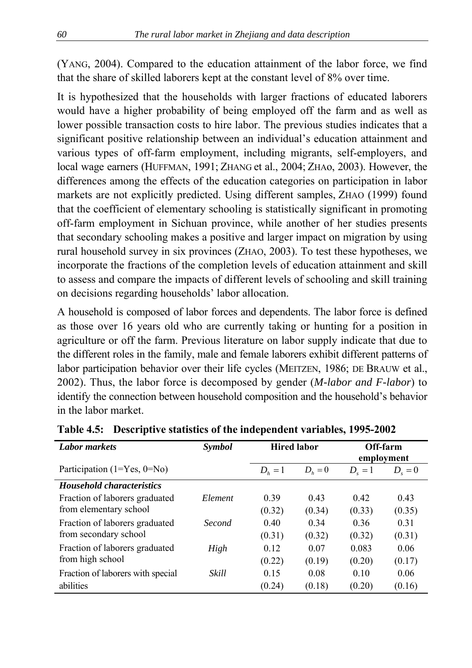(YANG, 2004). Compared to the education attainment of the labor force, we find that the share of skilled laborers kept at the constant level of 8% over time.

It is hypothesized that the households with larger fractions of educated laborers would have a higher probability of being employed off the farm and as well as lower possible transaction costs to hire labor. The previous studies indicates that a significant positive relationship between an individual's education attainment and various types of off-farm employment, including migrants, self-employers, and local wage earners (HUFFMAN, 1991; ZHANG et al., 2004; ZHAo, 2003). However, the differences among the effects of the education categories on participation in labor markets are not explicitly predicted. Using different samples, ZHAO (1999) found that the coefficient of elementary schooling is statistically significant in promoting off-farm employment in Sichuan province, while another of her studies presents that secondary schooling makes a positive and larger impact on migration by using rural household survey in six provinces (ZHAO, 2003). To test these hypotheses, we incorporate the fractions of the completion levels of education attainment and skill to assess and compare the impacts of different levels of schooling and skill training on decisions regarding households' labor allocation.

A household is composed of labor forces and dependents. The labor force is defined as those over 16 years old who are currently taking or hunting for a position in agriculture or off the farm. Previous literature on labor supply indicate that due to the different roles in the family, male and female laborers exhibit different patterns of labor participation behavior over their life cycles (MEITZEN, 1986; DE BRAUW et al., 2002). Thus, the labor force is decomposed by gender (*M-labor and F-labor*) to identify the connection between household composition and the household's behavior in the labor market.

| <b>Labor markets</b>              | Symbol  |             | <b>Hired labor</b> |             | Off-farm<br>employment |
|-----------------------------------|---------|-------------|--------------------|-------------|------------------------|
| Participation $(1=Yes, 0=No)$     |         | $D_{h} = 1$ | $D_{h} = 0$        | $D_{s} = 1$ | $D_{\rm s}=0$          |
| <b>Household characteristics</b>  |         |             |                    |             |                        |
| Fraction of laborers graduated    | Element | 0.39        | 0.43               | 0.42        | 0.43                   |
| from elementary school            |         | (0.32)      | (0.34)             | (0.33)      | (0.35)                 |
| Fraction of laborers graduated    | Second  | 0.40        | 0.34               | 0.36        | 0.31                   |
| from secondary school             |         | (0.31)      | (0.32)             | (0.32)      | (0.31)                 |
| Fraction of laborers graduated    | High    | 0.12        | 0.07               | 0.083       | 0.06                   |
| from high school                  |         | (0.22)      | (0.19)             | (0.20)      | (0.17)                 |
| Fraction of laborers with special | Skill   | 0.15        | 0.08               | 0.10        | 0.06                   |
| abilities                         |         | (0.24)      | (0.18)             | (0.20)      | (0.16)                 |

**Table 4.5: Descriptive statistics of the independent variables, 1995-2002**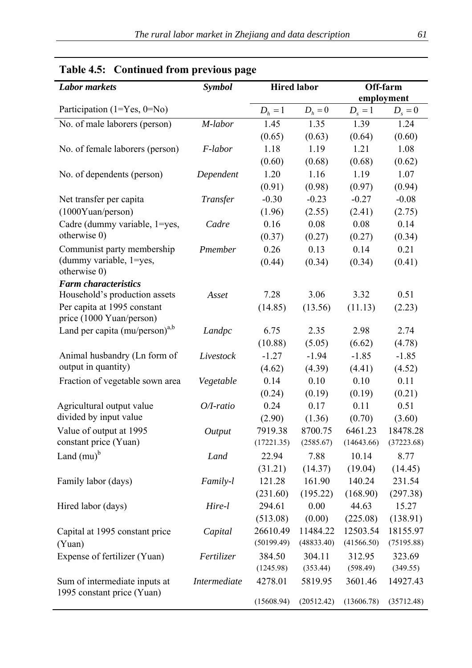| <b>Labor</b> markets                        | <b>Symbol</b>       | <b>Hired labor</b> |            | Off-farm   |            |
|---------------------------------------------|---------------------|--------------------|------------|------------|------------|
|                                             |                     |                    |            |            | employment |
| Participation $(1=Yes, 0=No)$               |                     | $D_h = 1$          | $D_h=0$    | $D_s = 1$  | $D_s = 0$  |
| No. of male laborers (person)               | M-labor             | 1.45               | 1.35       | 1.39       | 1.24       |
|                                             |                     | (0.65)             | (0.63)     | (0.64)     | (0.60)     |
| No. of female laborers (person)             | F-labor             | 1.18               | 1.19       | 1.21       | 1.08       |
|                                             |                     | (0.60)             | (0.68)     | (0.68)     | (0.62)     |
| No. of dependents (person)                  | Dependent           | 1.20               | 1.16       | 1.19       | 1.07       |
|                                             |                     | (0.91)             | (0.98)     | (0.97)     | (0.94)     |
| Net transfer per capita                     | Transfer            | $-0.30$            | $-0.23$    | $-0.27$    | $-0.08$    |
| $(1000$ Yuan/person)                        |                     | (1.96)             | (2.55)     | (2.41)     | (2.75)     |
| Cadre (dummy variable, 1=yes,               | Cadre               | 0.16               | 0.08       | 0.08       | 0.14       |
| otherwise 0)                                |                     | (0.37)             | (0.27)     | (0.27)     | (0.34)     |
| Communist party membership                  | Pmember             | 0.26               | 0.13       | 0.14       | 0.21       |
| (dummy variable, 1=yes,                     |                     | (0.44)             | (0.34)     | (0.34)     | (0.41)     |
| otherwise 0)<br><b>Farm characteristics</b> |                     |                    |            |            |            |
| Household's production assets               | Asset               | 7.28               | 3.06       | 3.32       | 0.51       |
| Per capita at 1995 constant                 |                     | (14.85)            | (13.56)    | (11.13)    | (2.23)     |
| price (1000 Yuan/person)                    |                     |                    |            |            |            |
| Land per capita $(mu/person)^{a,b}$         | Landpc              | 6.75               | 2.35       | 2.98       | 2.74       |
|                                             |                     | (10.88)            | (5.05)     | (6.62)     | (4.78)     |
| Animal husbandry (Ln form of                | Livestock           | $-1.27$            | $-1.94$    | $-1.85$    | $-1.85$    |
| output in quantity)                         |                     | (4.62)             | (4.39)     | (4.41)     | (4.52)     |
| Fraction of vegetable sown area             | Vegetable           | 0.14               | 0.10       | 0.10       | 0.11       |
|                                             |                     | (0.24)             | (0.19)     | (0.19)     | (0.21)     |
| Agricultural output value                   | $O/I$ -ratio        | 0.24               | 0.17       | 0.11       | 0.51       |
| divided by input value                      |                     | (2.90)             | (1.36)     | (0.70)     | (3.60)     |
| Value of output at 1995                     | Output              | 7919.38            | 8700.75    | 6461.23    | 18478.28   |
| constant price (Yuan)                       |                     | (17221.35)         | (2585.67)  | (14643.66) | (37223.68) |
| Land $(mu)^b$                               | Land                | 22.94              | 7.88       | 10.14      | 8.77       |
|                                             |                     | (31.21)            | (14.37)    | (19.04)    | (14.45)    |
| Family labor (days)                         | Family-l            | 121.28             | 161.90     | 140.24     | 231.54     |
|                                             |                     | (231.60)           | (195.22)   | (168.90)   | (297.38)   |
| Hired labor (days)                          | Hire-l              | 294.61             | 0.00       | 44.63      | 15.27      |
|                                             |                     | (513.08)           | (0.00)     | (225.08)   | (138.91)   |
| Capital at 1995 constant price              | Capital             | 26610.49           | 11484.22   | 12503.54   | 18155.97   |
| (Yuan)                                      |                     | (50199.49)         | (48833.40) | (41566.50) | (75195.88) |
| Expense of fertilizer (Yuan)                | Fertilizer          | 384.50             | 304.11     | 312.95     | 323.69     |
|                                             |                     | (1245.98)          | (353.44)   | (598.49)   | (349.55)   |
| Sum of intermediate inputs at               | <i>Intermediate</i> | 4278.01            | 5819.95    | 3601.46    | 14927.43   |
| 1995 constant price (Yuan)                  |                     | (15608.94)         | (20512.42) | (13606.78) | (35712.48) |

# **Table 4.5: Continued from previous page**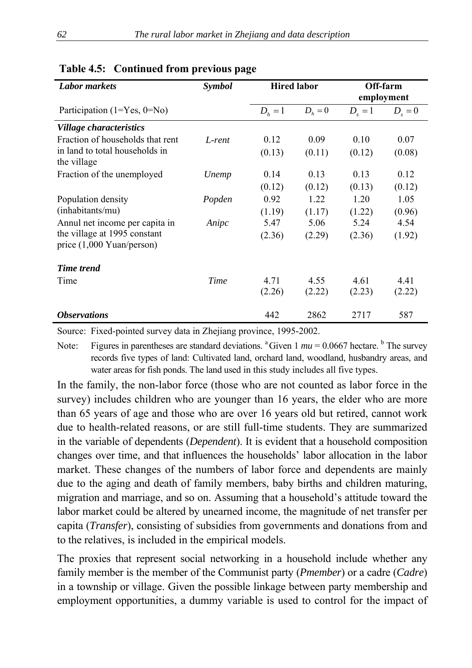| <b>Labor markets</b>                                                | <b>Symbol</b> | <b>Hired labor</b> |           | Off-farm      |            |
|---------------------------------------------------------------------|---------------|--------------------|-----------|---------------|------------|
|                                                                     |               |                    |           |               | employment |
| Participation $(1 = Yes, 0 = No)$                                   |               | $D_h = 1$          | $D_{h}=0$ | $D_{\rm s}=1$ | $D_{s}=0$  |
| Village characteristics                                             |               |                    |           |               |            |
| Fraction of households that rent                                    | L-rent        | 0.12               | 0.09      | 0.10          | 0.07       |
| in land to total households in<br>the village                       |               | (0.13)             | (0.11)    | (0.12)        | (0.08)     |
| Fraction of the unemployed                                          | Unemp         | 0.14               | 0.13      | 0.13          | 0.12       |
|                                                                     |               | (0.12)             | (0.12)    | (0.13)        | (0.12)     |
| Population density                                                  | Popden        | 0.92               | 1.22      | 1.20          | 1.05       |
| (inhabitants/mu)                                                    |               | (1.19)             | (1.17)    | (1.22)        | (0.96)     |
| Annul net income per capita in                                      | Anipc         | 5.47               | 5.06      | 5.24          | 4.54       |
| the village at 1995 constant<br>price $(1,000 \text{ Yuan/person})$ |               | (2.36)             | (2.29)    | (2.36)        | (1.92)     |
| <b>Time trend</b>                                                   |               |                    |           |               |            |
| Time                                                                | Time          | 4.71               | 4.55      | 4.61          | 4.41       |
|                                                                     |               | (2.26)             | (2.22)    | (2.23)        | (2.22)     |
| <b>Observations</b>                                                 |               | 442                | 2862      | 2717          | 587        |

#### **Table 4.5: Continued from previous page**

Source: Fixed-pointed survey data in Zhejiang province, 1995-2002.

Note: Figures in parentheses are standard deviations.  $^{\text{a}}$  Given 1  $mu = 0.0667$  hectare. <sup>b</sup> The survey records five types of land: Cultivated land, orchard land, woodland, husbandry areas, and water areas for fish ponds. The land used in this study includes all five types.

In the family, the non-labor force (those who are not counted as labor force in the survey) includes children who are younger than 16 years, the elder who are more than 65 years of age and those who are over 16 years old but retired, cannot work due to health-related reasons, or are still full-time students. They are summarized in the variable of dependents (*Dependent*). It is evident that a household composition changes over time, and that influences the households' labor allocation in the labor market. These changes of the numbers of labor force and dependents are mainly due to the aging and death of family members, baby births and children maturing, migration and marriage, and so on. Assuming that a household's attitude toward the labor market could be altered by unearned income, the magnitude of net transfer per capita (*Transfer*), consisting of subsidies from governments and donations from and to the relatives, is included in the empirical models.

The proxies that represent social networking in a household include whether any family member is the member of the Communist party (*Pmember*) or a cadre (*Cadre*) in a township or village. Given the possible linkage between party membership and employment opportunities, a dummy variable is used to control for the impact of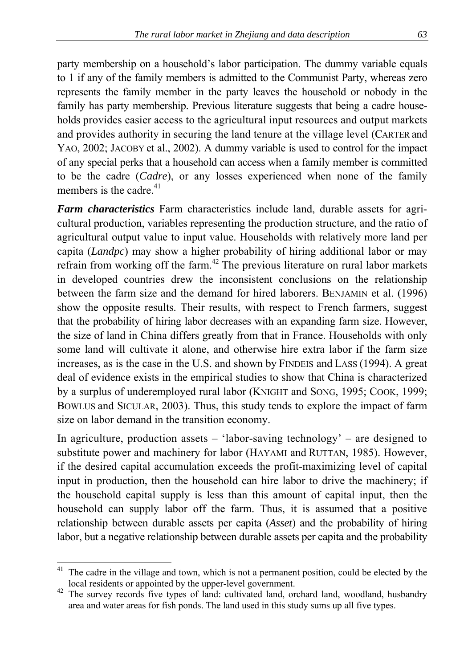party membership on a household's labor participation. The dummy variable equals to 1 if any of the family members is admitted to the Communist Party, whereas zero represents the family member in the party leaves the household or nobody in the family has party membership. Previous literature suggests that being a cadre households provides easier access to the agricultural input resources and output markets and provides authority in securing the land tenure at the village level (CARTER and YAO, 2002; JACOBY et al., 2002). A dummy variable is used to control for the impact of any special perks that a household can access when a family member is committed to be the cadre (*Cadre*), or any losses experienced when none of the family members is the cadre. $41$ 

*Farm characteristics* Farm characteristics include land, durable assets for agricultural production, variables representing the production structure, and the ratio of agricultural output value to input value. Households with relatively more land per capita (*Landpc*) may show a higher probability of hiring additional labor or may refrain from working off the farm.<sup>42</sup> The previous literature on rural labor markets in developed countries drew the inconsistent conclusions on the relationship between the farm size and the demand for hired laborers. BENJAMIN et al. (1996) show the opposite results. Their results, with respect to French farmers, suggest that the probability of hiring labor decreases with an expanding farm size. However, the size of land in China differs greatly from that in France. Households with only some land will cultivate it alone, and otherwise hire extra labor if the farm size increases, as is the case in the U.S. and shown by FINDEIS and LASS (1994). A great deal of evidence exists in the empirical studies to show that China is characterized by a surplus of underemployed rural labor (KNIGHT and SONG, 1995; COOK, 1999; BOWLUS and SICULAR, 2003). Thus, this study tends to explore the impact of farm size on labor demand in the transition economy.

In agriculture, production assets – 'labor-saving technology' – are designed to substitute power and machinery for labor (HAYAMI and RUTTAN, 1985). However, if the desired capital accumulation exceeds the profit-maximizing level of capital input in production, then the household can hire labor to drive the machinery; if the household capital supply is less than this amount of capital input, then the household can supply labor off the farm. Thus, it is assumed that a positive relationship between durable assets per capita (*Asset*) and the probability of hiring labor, but a negative relationship between durable assets per capita and the probability

The cadre in the village and town, which is not a permanent position, could be elected by the local residents or appointed by the upper-level government.

<sup>&</sup>lt;sup>42</sup> The survey records five types of land: cultivated land, orchard land, woodland, husbandry area and water areas for fish ponds. The land used in this study sums up all five types.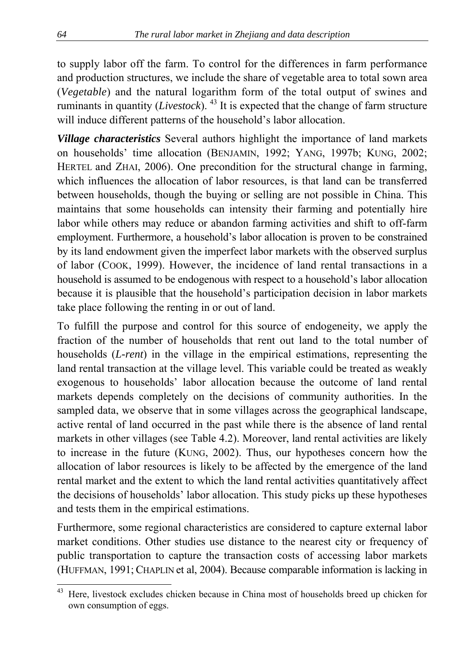to supply labor off the farm. To control for the differences in farm performance and production structures, we include the share of vegetable area to total sown area (*Vegetable*) and the natural logarithm form of the total output of swines and ruminants in quantity (*Livestock*). 43 It is expected that the change of farm structure will induce different patterns of the household's labor allocation.

*Village characteristics* Several authors highlight the importance of land markets on households' time allocation (BENJAMIN, 1992; YANG, 1997b; KUNG, 2002; HERTEL and ZHAI, 2006). One precondition for the structural change in farming, which influences the allocation of labor resources, is that land can be transferred between households, though the buying or selling are not possible in China. This maintains that some households can intensity their farming and potentially hire labor while others may reduce or abandon farming activities and shift to off-farm employment. Furthermore, a household's labor allocation is proven to be constrained by its land endowment given the imperfect labor markets with the observed surplus of labor (COOK, 1999). However, the incidence of land rental transactions in a household is assumed to be endogenous with respect to a household's labor allocation because it is plausible that the household's participation decision in labor markets take place following the renting in or out of land.

To fulfill the purpose and control for this source of endogeneity, we apply the fraction of the number of households that rent out land to the total number of households (*L-rent*) in the village in the empirical estimations, representing the land rental transaction at the village level. This variable could be treated as weakly exogenous to households' labor allocation because the outcome of land rental markets depends completely on the decisions of community authorities. In the sampled data, we observe that in some villages across the geographical landscape, active rental of land occurred in the past while there is the absence of land rental markets in other villages (see Table 4.2). Moreover, land rental activities are likely to increase in the future (KUNG, 2002). Thus, our hypotheses concern how the allocation of labor resources is likely to be affected by the emergence of the land rental market and the extent to which the land rental activities quantitatively affect the decisions of households' labor allocation. This study picks up these hypotheses and tests them in the empirical estimations.

Furthermore, some regional characteristics are considered to capture external labor market conditions. Other studies use distance to the nearest city or frequency of public transportation to capture the transaction costs of accessing labor markets (HUFFMAN, 1991; CHAPLIN et al, 2004). Because comparable information is lacking in

<sup>43</sup> 43 Here, livestock excludes chicken because in China most of households breed up chicken for own consumption of eggs.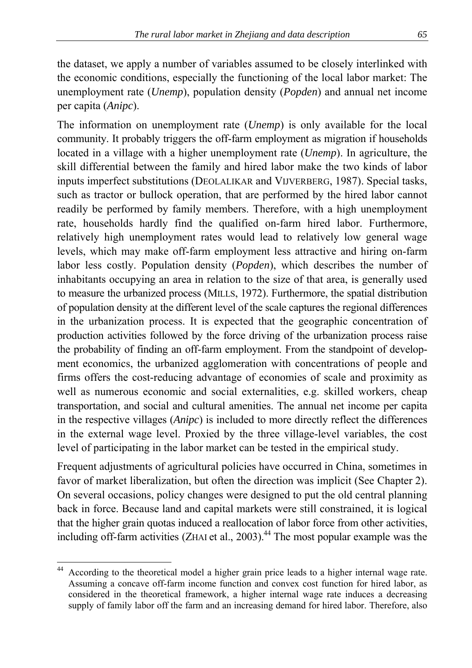the dataset, we apply a number of variables assumed to be closely interlinked with the economic conditions, especially the functioning of the local labor market: The unemployment rate (*Unemp*), population density (*Popden*) and annual net income per capita (*Anipc*).

The information on unemployment rate (*Unemp*) is only available for the local community. It probably triggers the off-farm employment as migration if households located in a village with a higher unemployment rate (*Unemp*). In agriculture, the skill differential between the family and hired labor make the two kinds of labor inputs imperfect substitutions (DEOLALIKAR and VIJVERBERG, 1987). Special tasks, such as tractor or bullock operation, that are performed by the hired labor cannot readily be performed by family members. Therefore, with a high unemployment rate, households hardly find the qualified on-farm hired labor. Furthermore, relatively high unemployment rates would lead to relatively low general wage levels, which may make off-farm employment less attractive and hiring on-farm labor less costly. Population density (*Popden*), which describes the number of inhabitants occupying an area in relation to the size of that area, is generally used to measure the urbanized process (MILLS, 1972). Furthermore, the spatial distribution of population density at the different level of the scale captures the regional differences in the urbanization process. It is expected that the geographic concentration of production activities followed by the force driving of the urbanization process raise the probability of finding an off-farm employment. From the standpoint of development economics, the urbanized agglomeration with concentrations of people and firms offers the cost-reducing advantage of economies of scale and proximity as well as numerous economic and social externalities, e.g. skilled workers, cheap transportation, and social and cultural amenities. The annual net income per capita in the respective villages (*Anipc*) is included to more directly reflect the differences in the external wage level. Proxied by the three village-level variables, the cost level of participating in the labor market can be tested in the empirical study.

Frequent adjustments of agricultural policies have occurred in China, sometimes in favor of market liberalization, but often the direction was implicit (See Chapter 2). On several occasions, policy changes were designed to put the old central planning back in force. Because land and capital markets were still constrained, it is logical that the higher grain quotas induced a reallocation of labor force from other activities, including off-farm activities  $(Z_{HAI}$  et al., 2003).<sup>44</sup> The most popular example was the

According to the theoretical model a higher grain price leads to a higher internal wage rate. Assuming a concave off-farm income function and convex cost function for hired labor, as considered in the theoretical framework, a higher internal wage rate induces a decreasing supply of family labor off the farm and an increasing demand for hired labor. Therefore, also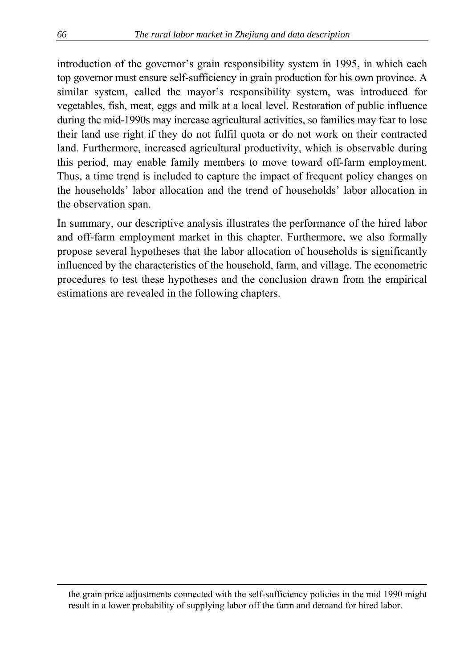introduction of the governor's grain responsibility system in 1995, in which each top governor must ensure self-sufficiency in grain production for his own province. A similar system, called the mayor's responsibility system, was introduced for vegetables, fish, meat, eggs and milk at a local level. Restoration of public influence during the mid-1990s may increase agricultural activities, so families may fear to lose their land use right if they do not fulfil quota or do not work on their contracted land. Furthermore, increased agricultural productivity, which is observable during this period, may enable family members to move toward off-farm employment. Thus, a time trend is included to capture the impact of frequent policy changes on the households' labor allocation and the trend of households' labor allocation in the observation span.

In summary, our descriptive analysis illustrates the performance of the hired labor and off-farm employment market in this chapter. Furthermore, we also formally propose several hypotheses that the labor allocation of households is significantly influenced by the characteristics of the household, farm, and village. The econometric procedures to test these hypotheses and the conclusion drawn from the empirical estimations are revealed in the following chapters.

the grain price adjustments connected with the self-sufficiency policies in the mid 1990 might result in a lower probability of supplying labor off the farm and demand for hired labor.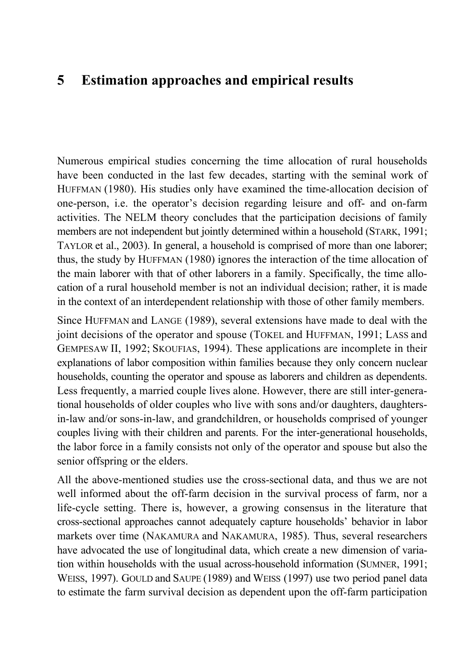# **5 Estimation approaches and empirical results**

Numerous empirical studies concerning the time allocation of rural households have been conducted in the last few decades, starting with the seminal work of HUFFMAN (1980). His studies only have examined the time-allocation decision of one-person, i.e. the operator's decision regarding leisure and off- and on-farm activities. The NELM theory concludes that the participation decisions of family members are not independent but jointly determined within a household (STARK, 1991; TAYLOR et al., 2003). In general, a household is comprised of more than one laborer; thus, the study by HUFFMAN (1980) ignores the interaction of the time allocation of the main laborer with that of other laborers in a family. Specifically, the time allocation of a rural household member is not an individual decision; rather, it is made in the context of an interdependent relationship with those of other family members.

Since HUFFMAN and LANGE (1989), several extensions have made to deal with the joint decisions of the operator and spouse (TOKEL and HUFFMAN, 1991; LASS and GEMPESAW II, 1992; SKOUFIAS, 1994). These applications are incomplete in their explanations of labor composition within families because they only concern nuclear households, counting the operator and spouse as laborers and children as dependents. Less frequently, a married couple lives alone. However, there are still inter-generational households of older couples who live with sons and/or daughters, daughtersin-law and/or sons-in-law, and grandchildren, or households comprised of younger couples living with their children and parents. For the inter-generational households, the labor force in a family consists not only of the operator and spouse but also the senior offspring or the elders.

All the above-mentioned studies use the cross-sectional data, and thus we are not well informed about the off-farm decision in the survival process of farm, nor a life-cycle setting. There is, however, a growing consensus in the literature that cross-sectional approaches cannot adequately capture households' behavior in labor markets over time (NAKAMURA and NAKAMURA, 1985). Thus, several researchers have advocated the use of longitudinal data, which create a new dimension of variation within households with the usual across-household information (SUMNER, 1991; WEISS, 1997). GOULD and SAUPE (1989) and WEISS (1997) use two period panel data to estimate the farm survival decision as dependent upon the off-farm participation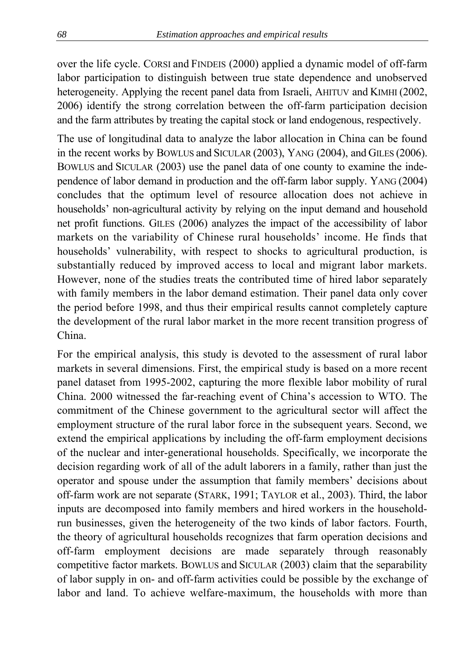over the life cycle. CORSI and FINDEIS (2000) applied a dynamic model of off-farm labor participation to distinguish between true state dependence and unobserved heterogeneity. Applying the recent panel data from Israeli, AHITUV and KIMHI (2002, 2006) identify the strong correlation between the off-farm participation decision and the farm attributes by treating the capital stock or land endogenous, respectively.

The use of longitudinal data to analyze the labor allocation in China can be found in the recent works by BOWLUS and SICULAR (2003), YANG (2004), and GILES (2006). BOWLUS and SICULAR (2003) use the panel data of one county to examine the independence of labor demand in production and the off-farm labor supply. YANG (2004) concludes that the optimum level of resource allocation does not achieve in households' non-agricultural activity by relying on the input demand and household net profit functions. GILES (2006) analyzes the impact of the accessibility of labor markets on the variability of Chinese rural households' income. He finds that households' vulnerability, with respect to shocks to agricultural production, is substantially reduced by improved access to local and migrant labor markets. However, none of the studies treats the contributed time of hired labor separately with family members in the labor demand estimation. Their panel data only cover the period before 1998, and thus their empirical results cannot completely capture the development of the rural labor market in the more recent transition progress of China.

For the empirical analysis, this study is devoted to the assessment of rural labor markets in several dimensions. First, the empirical study is based on a more recent panel dataset from 1995-2002, capturing the more flexible labor mobility of rural China. 2000 witnessed the far-reaching event of China's accession to WTO. The commitment of the Chinese government to the agricultural sector will affect the employment structure of the rural labor force in the subsequent years. Second, we extend the empirical applications by including the off-farm employment decisions of the nuclear and inter-generational households. Specifically, we incorporate the decision regarding work of all of the adult laborers in a family, rather than just the operator and spouse under the assumption that family members' decisions about off-farm work are not separate (STARK, 1991; TAYLOR et al., 2003). Third, the labor inputs are decomposed into family members and hired workers in the householdrun businesses, given the heterogeneity of the two kinds of labor factors. Fourth, the theory of agricultural households recognizes that farm operation decisions and off-farm employment decisions are made separately through reasonably competitive factor markets. BOWLUS and SICULAR (2003) claim that the separability of labor supply in on- and off-farm activities could be possible by the exchange of labor and land. To achieve welfare-maximum, the households with more than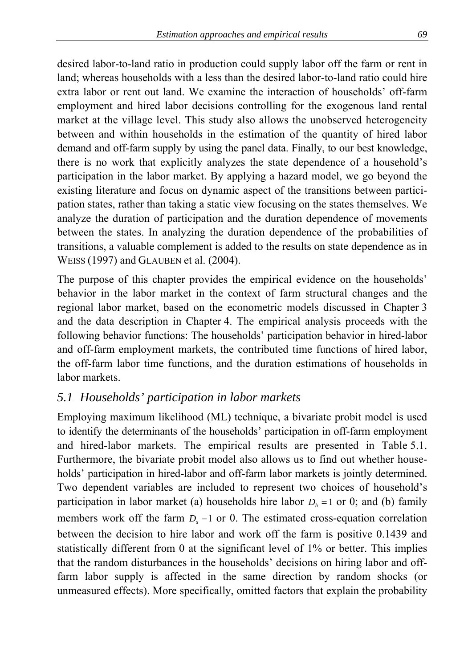desired labor-to-land ratio in production could supply labor off the farm or rent in land; whereas households with a less than the desired labor-to-land ratio could hire extra labor or rent out land. We examine the interaction of households' off-farm employment and hired labor decisions controlling for the exogenous land rental market at the village level. This study also allows the unobserved heterogeneity between and within households in the estimation of the quantity of hired labor demand and off-farm supply by using the panel data. Finally, to our best knowledge, there is no work that explicitly analyzes the state dependence of a household's participation in the labor market. By applying a hazard model, we go beyond the existing literature and focus on dynamic aspect of the transitions between participation states, rather than taking a static view focusing on the states themselves. We analyze the duration of participation and the duration dependence of movements between the states. In analyzing the duration dependence of the probabilities of transitions, a valuable complement is added to the results on state dependence as in WEISS (1997) and GLAUBEN et al. (2004).

The purpose of this chapter provides the empirical evidence on the households' behavior in the labor market in the context of farm structural changes and the regional labor market, based on the econometric models discussed in Chapter 3 and the data description in Chapter 4. The empirical analysis proceeds with the following behavior functions: The households' participation behavior in hired-labor and off-farm employment markets, the contributed time functions of hired labor, the off-farm labor time functions, and the duration estimations of households in labor markets.

### *5.1 Households' participation in labor markets*

Employing maximum likelihood (ML) technique, a bivariate probit model is used to identify the determinants of the households' participation in off-farm employment and hired-labor markets. The empirical results are presented in Table 5.1. Furthermore, the bivariate probit model also allows us to find out whether households' participation in hired-labor and off-farm labor markets is jointly determined. Two dependent variables are included to represent two choices of household's participation in labor market (a) households hire labor  $D<sub>h</sub> = 1$  or 0; and (b) family members work off the farm  $D<sub>s</sub> = 1$  or 0. The estimated cross-equation correlation between the decision to hire labor and work off the farm is positive 0.1439 and statistically different from 0 at the significant level of 1% or better. This implies that the random disturbances in the households' decisions on hiring labor and offfarm labor supply is affected in the same direction by random shocks (or unmeasured effects). More specifically, omitted factors that explain the probability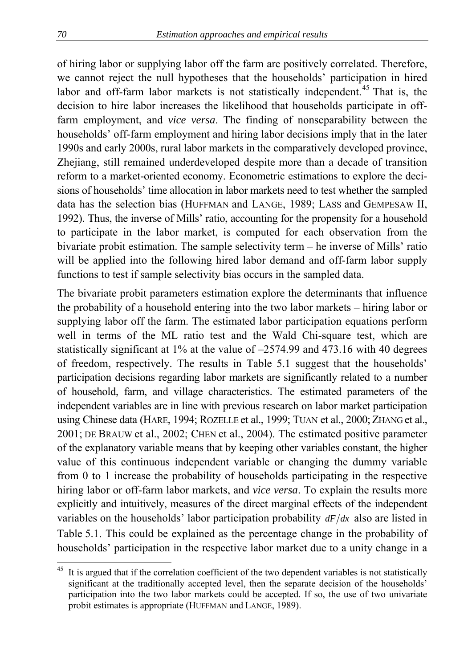of hiring labor or supplying labor off the farm are positively correlated. Therefore, we cannot reject the null hypotheses that the households' participation in hired labor and off-farm labor markets is not statistically independent.<sup>45</sup> That is, the decision to hire labor increases the likelihood that households participate in offfarm employment, and *vice versa*. The finding of nonseparability between the households' off-farm employment and hiring labor decisions imply that in the later 1990s and early 2000s, rural labor markets in the comparatively developed province, Zhejiang, still remained underdeveloped despite more than a decade of transition reform to a market-oriented economy. Econometric estimations to explore the decisions of households' time allocation in labor markets need to test whether the sampled data has the selection bias (HUFFMAN and LANGE, 1989; LASS and GEMPESAW II, 1992). Thus, the inverse of Mills' ratio, accounting for the propensity for a household to participate in the labor market, is computed for each observation from the bivariate probit estimation. The sample selectivity term – he inverse of Mills' ratio will be applied into the following hired labor demand and off-farm labor supply functions to test if sample selectivity bias occurs in the sampled data.

The bivariate probit parameters estimation explore the determinants that influence the probability of a household entering into the two labor markets – hiring labor or supplying labor off the farm. The estimated labor participation equations perform well in terms of the ML ratio test and the Wald Chi-square test, which are statistically significant at 1% at the value of –2574.99 and 473.16 with 40 degrees of freedom, respectively. The results in Table 5.1 suggest that the households' participation decisions regarding labor markets are significantly related to a number of household, farm, and village characteristics. The estimated parameters of the independent variables are in line with previous research on labor market participation using Chinese data (HARE, 1994; ROZELLE et al., 1999; TUAN et al., 2000; ZHANG et al., 2001; DE BRAUW et al., 2002; CHEN et al., 2004). The estimated positive parameter of the explanatory variable means that by keeping other variables constant, the higher value of this continuous independent variable or changing the dummy variable from 0 to 1 increase the probability of households participating in the respective hiring labor or off-farm labor markets, and *vice versa*. To explain the results more explicitly and intuitively, measures of the direct marginal effects of the independent variables on the households' labor participation probability *dF dx* also are listed in Table 5.1. This could be explained as the percentage change in the probability of households' participation in the respective labor market due to a unity change in a

It is argued that if the correlation coefficient of the two dependent variables is not statistically significant at the traditionally accepted level, then the separate decision of the households' participation into the two labor markets could be accepted. If so, the use of two univariate probit estimates is appropriate (HUFFMAN and LANGE, 1989).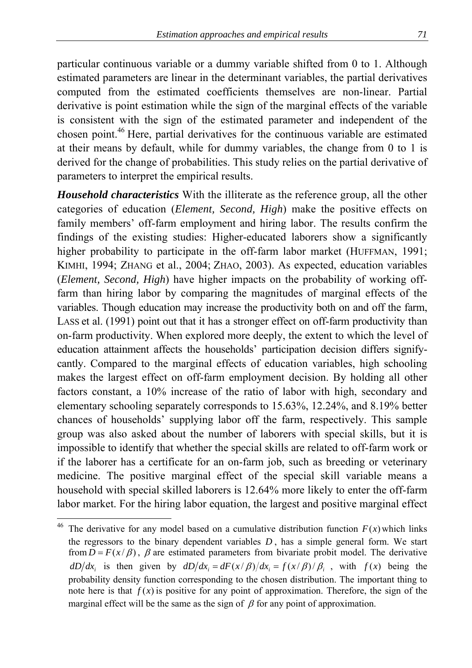particular continuous variable or a dummy variable shifted from 0 to 1. Although estimated parameters are linear in the determinant variables, the partial derivatives computed from the estimated coefficients themselves are non-linear. Partial derivative is point estimation while the sign of the marginal effects of the variable is consistent with the sign of the estimated parameter and independent of the chosen point.46 Here, partial derivatives for the continuous variable are estimated at their means by default, while for dummy variables, the change from 0 to 1 is derived for the change of probabilities. This study relies on the partial derivative of parameters to interpret the empirical results.

*Household characteristics* With the illiterate as the reference group, all the other categories of education (*Element, Second, High*) make the positive effects on family members' off-farm employment and hiring labor. The results confirm the findings of the existing studies: Higher-educated laborers show a significantly higher probability to participate in the off-farm labor market (HUFFMAN, 1991; KIMHI, 1994; ZHANG et al., 2004; ZHAO, 2003). As expected, education variables (*Element, Second, High*) have higher impacts on the probability of working offfarm than hiring labor by comparing the magnitudes of marginal effects of the variables. Though education may increase the productivity both on and off the farm, LASS et al. (1991) point out that it has a stronger effect on off-farm productivity than on-farm productivity. When explored more deeply, the extent to which the level of education attainment affects the households' participation decision differs signifycantly. Compared to the marginal effects of education variables, high schooling makes the largest effect on off-farm employment decision. By holding all other factors constant, a 10% increase of the ratio of labor with high, secondary and elementary schooling separately corresponds to 15.63%, 12.24%, and 8.19% better chances of households' supplying labor off the farm, respectively. This sample group was also asked about the number of laborers with special skills, but it is impossible to identify that whether the special skills are related to off-farm work or if the laborer has a certificate for an on-farm job, such as breeding or veterinary medicine. The positive marginal effect of the special skill variable means a household with special skilled laborers is 12.64% more likely to enter the off-farm labor market. For the hiring labor equation, the largest and positive marginal effect

<sup>&</sup>lt;sup>46</sup> The derivative for any model based on a cumulative distribution function  $F(x)$  which links the regressors to the binary dependent variables  $D$ , has a simple general form. We start from  $D = F(x/\beta)$ ,  $\beta$  are estimated parameters from bivariate probit model. The derivative  $dD/dx_i$  is then given by  $dD/dx_i = dF(x/\beta)/dx_i = f(x/\beta)/\beta_i$ , with  $f(x)$  being the probability density function corresponding to the chosen distribution. The important thing to note here is that  $f(x)$  is positive for any point of approximation. Therefore, the sign of the marginal effect will be the same as the sign of  $\beta$  for any point of approximation.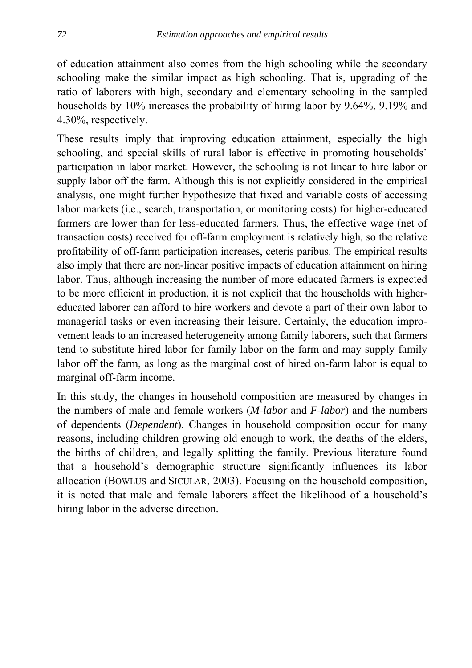of education attainment also comes from the high schooling while the secondary schooling make the similar impact as high schooling. That is, upgrading of the ratio of laborers with high, secondary and elementary schooling in the sampled households by 10% increases the probability of hiring labor by 9.64%, 9.19% and 4.30%, respectively.

These results imply that improving education attainment, especially the high schooling, and special skills of rural labor is effective in promoting households' participation in labor market. However, the schooling is not linear to hire labor or supply labor off the farm. Although this is not explicitly considered in the empirical analysis, one might further hypothesize that fixed and variable costs of accessing labor markets (i.e., search, transportation, or monitoring costs) for higher-educated farmers are lower than for less-educated farmers. Thus, the effective wage (net of transaction costs) received for off-farm employment is relatively high, so the relative profitability of off-farm participation increases, ceteris paribus. The empirical results also imply that there are non-linear positive impacts of education attainment on hiring labor. Thus, although increasing the number of more educated farmers is expected to be more efficient in production, it is not explicit that the households with highereducated laborer can afford to hire workers and devote a part of their own labor to managerial tasks or even increasing their leisure. Certainly, the education improvement leads to an increased heterogeneity among family laborers, such that farmers tend to substitute hired labor for family labor on the farm and may supply family labor off the farm, as long as the marginal cost of hired on-farm labor is equal to marginal off-farm income.

In this study, the changes in household composition are measured by changes in the numbers of male and female workers (*M-labor* and *F-labor*) and the numbers of dependents (*Dependent*). Changes in household composition occur for many reasons, including children growing old enough to work, the deaths of the elders, the births of children, and legally splitting the family. Previous literature found that a household's demographic structure significantly influences its labor allocation (BOWLUS and SICULAR, 2003). Focusing on the household composition, it is noted that male and female laborers affect the likelihood of a household's hiring labor in the adverse direction.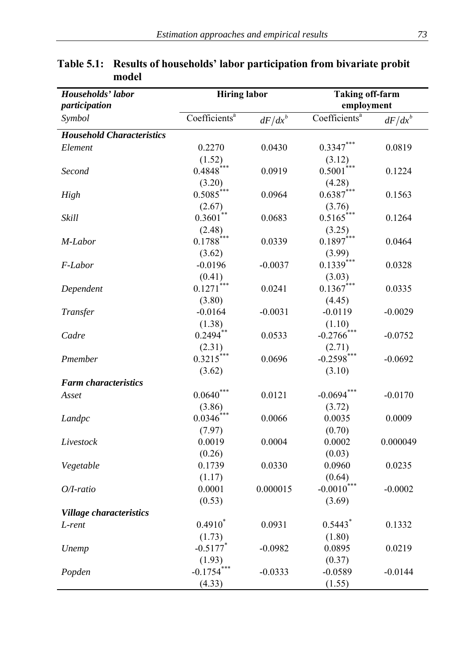| Households' labor                | <b>Hiring labor</b>           |           | <b>Taking off-farm</b>    |           |
|----------------------------------|-------------------------------|-----------|---------------------------|-----------|
| participation                    |                               |           | employment                |           |
| Symbol                           | Coefficients <sup>a</sup>     | $dF/dx^b$ | Coefficients <sup>a</sup> | $dF/dx^b$ |
| <b>Household Characteristics</b> |                               |           |                           |           |
| Element                          | 0.2270                        | 0.0430    | $0.3347***$               | 0.0819    |
|                                  | (1.52)                        |           | (3.12)                    |           |
| Second                           | $0.4848$ <sup>***</sup>       | 0.0919    | ***<br>0.5001             | 0.1224    |
|                                  | (3.20)                        |           | (4.28)                    |           |
| High                             | $0.5085***$                   | 0.0964    | $0.6387$ ***              | 0.1563    |
|                                  | (2.67)                        |           | (3.76)                    |           |
| Skill                            | $0.3601^{**}$                 | 0.0683    | $0.5165$ ***              | 0.1264    |
|                                  | (2.48)                        |           | (3.25)                    |           |
| M-Labor                          | $0.1788^{\atop \ast\ast\ast}$ | 0.0339    | $0.1897$ ***              | 0.0464    |
|                                  | (3.62)                        |           | (3.99)                    |           |
| F-Labor                          | $-0.0196$                     | $-0.0037$ | $0.1339***$               | 0.0328    |
|                                  | (0.41)                        |           | (3.03)                    |           |
| Dependent                        | $0.1271$ <sup>***</sup>       | 0.0241    | $0.1367$ ***              | 0.0335    |
|                                  | (3.80)                        |           | (4.45)                    |           |
| Transfer                         | $-0.0164$                     | $-0.0031$ | $-0.0119$                 | $-0.0029$ |
|                                  | (1.38)                        |           | (1.10)                    |           |
| Cadre                            | $0.2494^{**}$                 | 0.0533    | $-0.2766$ ***             | $-0.0752$ |
|                                  | (2.31)                        |           | (2.71)                    |           |
| Pmember                          | $0.3215***$                   | 0.0696    | $-0.2598$ ***             | $-0.0692$ |
|                                  | (3.62)                        |           | (3.10)                    |           |
| <b>Farm characteristics</b>      |                               |           |                           |           |
| Asset                            | $0.0640***$                   | 0.0121    | $-0.0694***$              | $-0.0170$ |
|                                  | (3.86)                        |           | (3.72)                    |           |
| Landpc                           | $0.0346^{***}$                | 0.0066    | 0.0035                    | 0.0009    |
|                                  | (7.97)                        |           | (0.70)                    |           |
| Livestock                        | 0.0019                        | 0.0004    | 0.0002                    | 0.000049  |
|                                  | (0.26)                        |           | (0.03)                    |           |
| Vegetable                        | 0.1739                        | 0.0330    | 0.0960                    | 0.0235    |
|                                  | (1.17)                        |           | (0.64)                    |           |
| $O/I$ -ratio                     | 0.0001                        | 0.000015  | $-0.0010^{***}$           | $-0.0002$ |
|                                  | (0.53)                        |           | (3.69)                    |           |
| <b>Village characteristics</b>   |                               |           |                           |           |
| L-rent                           | $0.4910^*$                    | 0.0931    | $0.5443$ <sup>*</sup>     | 0.1332    |
|                                  | (1.73)                        |           | (1.80)                    |           |
| Unemp                            | $-0.5177$ <sup>*</sup>        | $-0.0982$ | 0.0895                    | 0.0219    |
|                                  | (1.93)                        |           | (0.37)                    |           |
| Popden                           | $-0.1754$ ***                 | $-0.0333$ | $-0.0589$                 | $-0.0144$ |
|                                  | (4.33)                        |           | (1.55)                    |           |

**Table 5.1: Results of households' labor participation from bivariate probit model**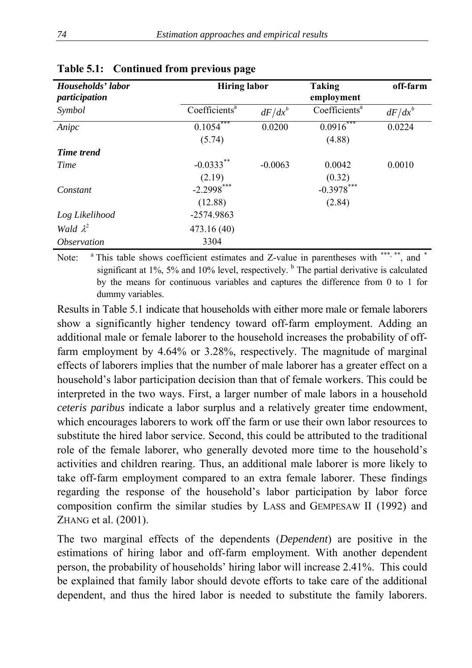| Households' labor<br>participation |                           | <b>Hiring labor</b> |                           | off-farm  |
|------------------------------------|---------------------------|---------------------|---------------------------|-----------|
| Symbol                             | Coefficients <sup>a</sup> | $dF/dx^b$           | Coefficients <sup>a</sup> | $dF/dx^b$ |
| Anipc                              | $0.1054***$               | 0.0200              | $0.09\overline{16}^{***}$ | 0.0224    |
|                                    | (5.74)                    |                     | (4.88)                    |           |
| <b>Time trend</b>                  |                           |                     |                           |           |
| Time                               | $-0.0333$ <sup>**</sup>   | $-0.0063$           | 0.0042                    | 0.0010    |
|                                    | (2.19)                    |                     | (0.32)                    |           |
| Constant                           | $-2.2998***$              |                     | $-0.3978***$              |           |
|                                    | (12.88)                   |                     | (2.84)                    |           |
| Log Likelihood                     | $-2574.9863$              |                     |                           |           |
| Wald $\lambda^2$                   | 473.16 (40)               |                     |                           |           |
| <i><b>Observation</b></i>          | 3304                      |                     |                           |           |

**Table 5.1: Continued from previous page** 

Note: <sup>a</sup> This table shows coefficient estimates and Z-value in parentheses with \*\*\*, \*\*, and \* significant at 1%, 5% and 10% level, respectively.  $<sup>b</sup>$  The partial derivative is calculated</sup> by the means for continuous variables and captures the difference from 0 to 1 for dummy variables.

Results in Table 5.1 indicate that households with either more male or female laborers show a significantly higher tendency toward off-farm employment. Adding an additional male or female laborer to the household increases the probability of offfarm employment by 4.64% or 3.28%, respectively. The magnitude of marginal effects of laborers implies that the number of male laborer has a greater effect on a household's labor participation decision than that of female workers. This could be interpreted in the two ways. First, a larger number of male labors in a household *ceteris paribus* indicate a labor surplus and a relatively greater time endowment, which encourages laborers to work off the farm or use their own labor resources to substitute the hired labor service. Second, this could be attributed to the traditional role of the female laborer, who generally devoted more time to the household's activities and children rearing. Thus, an additional male laborer is more likely to take off-farm employment compared to an extra female laborer. These findings regarding the response of the household's labor participation by labor force composition confirm the similar studies by LASS and GEMPESAW II (1992) and ZHANG et al. (2001).

The two marginal effects of the dependents (*Dependent*) are positive in the estimations of hiring labor and off-farm employment. With another dependent person, the probability of households' hiring labor will increase 2.41%. This could be explained that family labor should devote efforts to take care of the additional dependent, and thus the hired labor is needed to substitute the family laborers.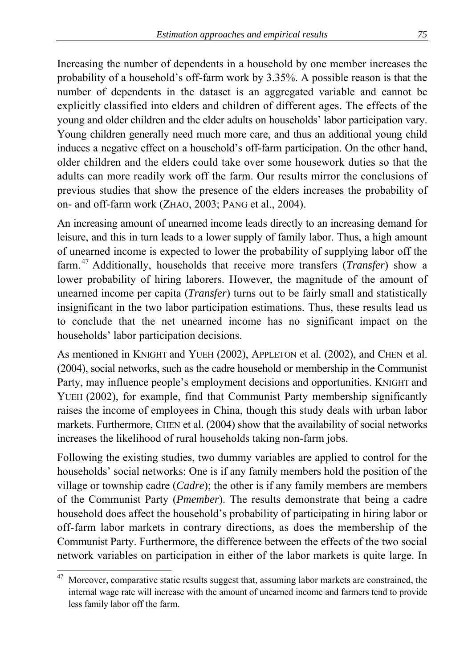Increasing the number of dependents in a household by one member increases the probability of a household's off-farm work by 3.35%. A possible reason is that the number of dependents in the dataset is an aggregated variable and cannot be explicitly classified into elders and children of different ages. The effects of the young and older children and the elder adults on households' labor participation vary. Young children generally need much more care, and thus an additional young child induces a negative effect on a household's off-farm participation. On the other hand, older children and the elders could take over some housework duties so that the adults can more readily work off the farm. Our results mirror the conclusions of previous studies that show the presence of the elders increases the probability of on- and off-farm work (ZHAO, 2003; PANG et al., 2004).

An increasing amount of unearned income leads directly to an increasing demand for leisure, and this in turn leads to a lower supply of family labor. Thus, a high amount of unearned income is expected to lower the probability of supplying labor off the farm.47 Additionally, households that receive more transfers (*Transfer*) show a lower probability of hiring laborers. However, the magnitude of the amount of unearned income per capita (*Transfer*) turns out to be fairly small and statistically insignificant in the two labor participation estimations. Thus, these results lead us to conclude that the net unearned income has no significant impact on the households' labor participation decisions.

As mentioned in KNIGHT and YUEH (2002), APPLETON et al. (2002), and CHEN et al. (2004), social networks, such as the cadre household or membership in the Communist Party, may influence people's employment decisions and opportunities. KNIGHT and YUEH (2002), for example, find that Communist Party membership significantly raises the income of employees in China, though this study deals with urban labor markets. Furthermore, CHEN et al. (2004) show that the availability of social networks increases the likelihood of rural households taking non-farm jobs.

Following the existing studies, two dummy variables are applied to control for the households' social networks: One is if any family members hold the position of the village or township cadre (*Cadre*); the other is if any family members are members of the Communist Party (*Pmember*). The results demonstrate that being a cadre household does affect the household's probability of participating in hiring labor or off-farm labor markets in contrary directions, as does the membership of the Communist Party. Furthermore, the difference between the effects of the two social network variables on participation in either of the labor markets is quite large. In

 $47\,$ Moreover, comparative static results suggest that, assuming labor markets are constrained, the internal wage rate will increase with the amount of unearned income and farmers tend to provide less family labor off the farm.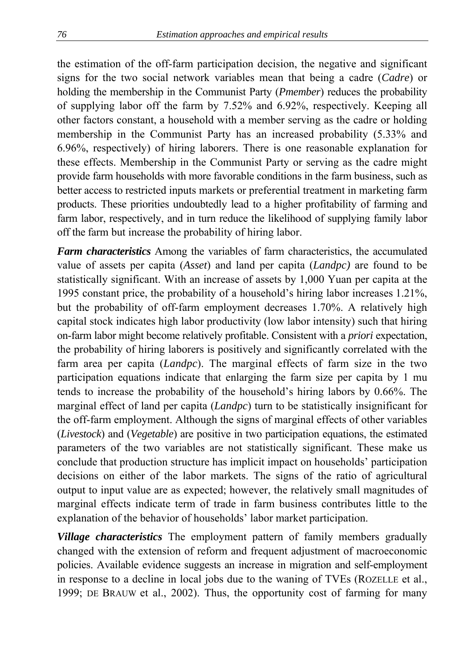the estimation of the off-farm participation decision, the negative and significant signs for the two social network variables mean that being a cadre (*Cadre*) or holding the membership in the Communist Party (*Pmember*) reduces the probability of supplying labor off the farm by 7.52% and 6.92%, respectively. Keeping all other factors constant, a household with a member serving as the cadre or holding membership in the Communist Party has an increased probability (5.33% and 6.96%, respectively) of hiring laborers. There is one reasonable explanation for these effects. Membership in the Communist Party or serving as the cadre might provide farm households with more favorable conditions in the farm business, such as better access to restricted inputs markets or preferential treatment in marketing farm products. These priorities undoubtedly lead to a higher profitability of farming and farm labor, respectively, and in turn reduce the likelihood of supplying family labor off the farm but increase the probability of hiring labor.

*Farm characteristics* Among the variables of farm characteristics, the accumulated value of assets per capita (*Asset*) and land per capita (*Landpc)* are found to be statistically significant. With an increase of assets by 1,000 Yuan per capita at the 1995 constant price, the probability of a household's hiring labor increases 1.21%, but the probability of off-farm employment decreases 1.70%. A relatively high capital stock indicates high labor productivity (low labor intensity) such that hiring on-farm labor might become relatively profitable. Consistent with a *priori* expectation, the probability of hiring laborers is positively and significantly correlated with the farm area per capita (*Landpc*). The marginal effects of farm size in the two participation equations indicate that enlarging the farm size per capita by 1 mu tends to increase the probability of the household's hiring labors by 0.66%. The marginal effect of land per capita (*Landpc*) turn to be statistically insignificant for the off-farm employment. Although the signs of marginal effects of other variables (*Livestock*) and (*Vegetable*) are positive in two participation equations, the estimated parameters of the two variables are not statistically significant. These make us conclude that production structure has implicit impact on households' participation decisions on either of the labor markets. The signs of the ratio of agricultural output to input value are as expected; however, the relatively small magnitudes of marginal effects indicate term of trade in farm business contributes little to the explanation of the behavior of households' labor market participation.

*Village characteristics* The employment pattern of family members gradually changed with the extension of reform and frequent adjustment of macroeconomic policies. Available evidence suggests an increase in migration and self-employment in response to a decline in local jobs due to the waning of TVEs (ROZELLE et al., 1999; DE BRAUW et al., 2002). Thus, the opportunity cost of farming for many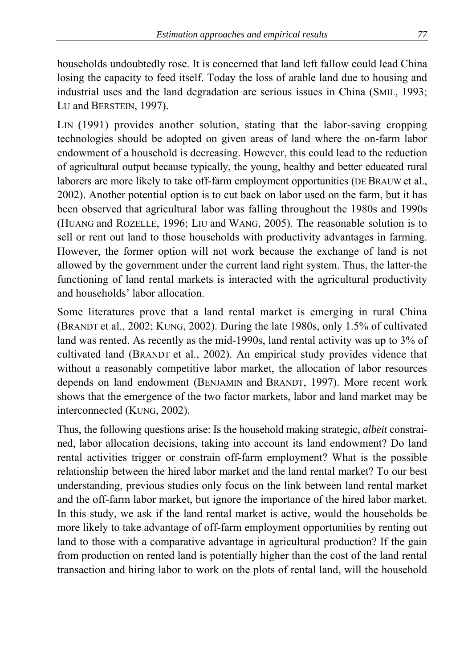households undoubtedly rose. It is concerned that land left fallow could lead China losing the capacity to feed itself. Today the loss of arable land due to housing and industrial uses and the land degradation are serious issues in China (SMIL, 1993; LU and BERSTEIN, 1997).

LIN (1991) provides another solution, stating that the labor-saving cropping technologies should be adopted on given areas of land where the on-farm labor endowment of a household is decreasing. However, this could lead to the reduction of agricultural output because typically, the young, healthy and better educated rural laborers are more likely to take off-farm employment opportunities (DE BRAUW et al., 2002). Another potential option is to cut back on labor used on the farm, but it has been observed that agricultural labor was falling throughout the 1980s and 1990s (HUANG and ROZELLE, 1996; LIU and WANG, 2005). The reasonable solution is to sell or rent out land to those households with productivity advantages in farming. However, the former option will not work because the exchange of land is not allowed by the government under the current land right system. Thus, the latter-the functioning of land rental markets is interacted with the agricultural productivity and households' labor allocation.

Some literatures prove that a land rental market is emerging in rural China (BRANDT et al., 2002; KUNG, 2002). During the late 1980s, only 1.5% of cultivated land was rented. As recently as the mid-1990s, land rental activity was up to 3% of cultivated land (BRANDT et al., 2002). An empirical study provides vidence that without a reasonably competitive labor market, the allocation of labor resources depends on land endowment (BENJAMIN and BRANDT, 1997). More recent work shows that the emergence of the two factor markets, labor and land market may be interconnected (KUNG, 2002).

Thus, the following questions arise: Is the household making strategic, *albeit* constrained, labor allocation decisions, taking into account its land endowment? Do land rental activities trigger or constrain off-farm employment? What is the possible relationship between the hired labor market and the land rental market? To our best understanding, previous studies only focus on the link between land rental market and the off-farm labor market, but ignore the importance of the hired labor market. In this study, we ask if the land rental market is active, would the households be more likely to take advantage of off-farm employment opportunities by renting out land to those with a comparative advantage in agricultural production? If the gain from production on rented land is potentially higher than the cost of the land rental transaction and hiring labor to work on the plots of rental land, will the household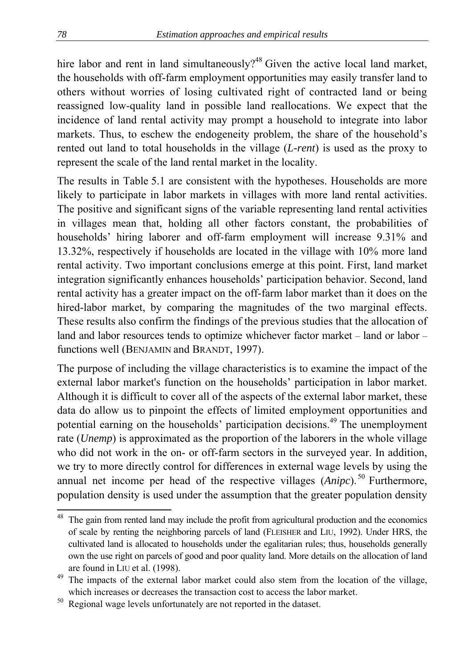hire labor and rent in land simultaneously?<sup>48</sup> Given the active local land market, the households with off-farm employment opportunities may easily transfer land to others without worries of losing cultivated right of contracted land or being reassigned low-quality land in possible land reallocations. We expect that the incidence of land rental activity may prompt a household to integrate into labor markets. Thus, to eschew the endogeneity problem, the share of the household's rented out land to total households in the village (*L-rent*) is used as the proxy to represent the scale of the land rental market in the locality.

The results in Table 5.1 are consistent with the hypotheses. Households are more likely to participate in labor markets in villages with more land rental activities. The positive and significant signs of the variable representing land rental activities in villages mean that, holding all other factors constant, the probabilities of households' hiring laborer and off-farm employment will increase 9.31% and 13.32%, respectively if households are located in the village with 10% more land rental activity. Two important conclusions emerge at this point. First, land market integration significantly enhances households' participation behavior. Second, land rental activity has a greater impact on the off-farm labor market than it does on the hired-labor market, by comparing the magnitudes of the two marginal effects. These results also confirm the findings of the previous studies that the allocation of land and labor resources tends to optimize whichever factor market – land or labor – functions well (BENJAMIN and BRANDT, 1997).

The purpose of including the village characteristics is to examine the impact of the external labor market's function on the households' participation in labor market. Although it is difficult to cover all of the aspects of the external labor market, these data do allow us to pinpoint the effects of limited employment opportunities and potential earning on the households' participation decisions.<sup>49</sup> The unemployment rate (*Unemp*) is approximated as the proportion of the laborers in the whole village who did not work in the on- or off-farm sectors in the surveyed year. In addition, we try to more directly control for differences in external wage levels by using the annual net income per head of the respective villages (*Anipc*). 50 Furthermore, population density is used under the assumption that the greater population density

 $\overline{a}$ <sup>48</sup> The gain from rented land may include the profit from agricultural production and the economics of scale by renting the neighboring parcels of land (FLEISHER and LIU, 1992). Under HRS, the cultivated land is allocated to households under the egalitarian rules; thus, households generally own the use right on parcels of good and poor quality land. More details on the allocation of land are found in LIU et al. (1998).

 $49$  The impacts of the external labor market could also stem from the location of the village, which increases or decreases the transaction cost to access the labor market.

<sup>&</sup>lt;sup>50</sup> Regional wage levels unfortunately are not reported in the dataset.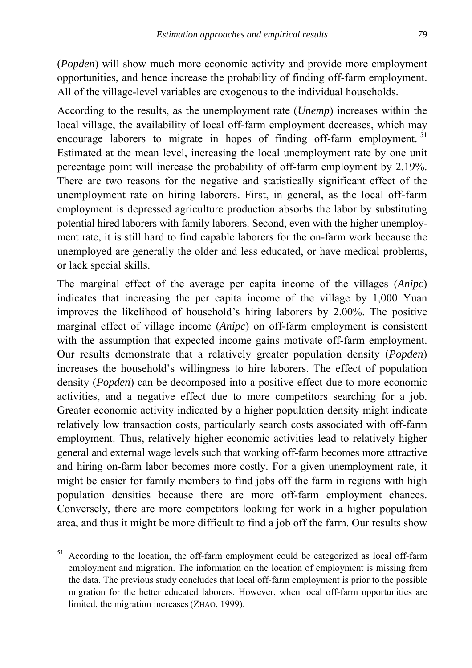(*Popden*) will show much more economic activity and provide more employment opportunities, and hence increase the probability of finding off-farm employment. All of the village-level variables are exogenous to the individual households.

According to the results, as the unemployment rate (*Unemp*) increases within the local village, the availability of local off-farm employment decreases, which may encourage laborers to migrate in hopes of finding off-farm employment.<sup>51</sup> Estimated at the mean level, increasing the local unemployment rate by one unit percentage point will increase the probability of off-farm employment by 2.19%. There are two reasons for the negative and statistically significant effect of the unemployment rate on hiring laborers. First, in general, as the local off-farm employment is depressed agriculture production absorbs the labor by substituting potential hired laborers with family laborers. Second, even with the higher unemployment rate, it is still hard to find capable laborers for the on-farm work because the unemployed are generally the older and less educated, or have medical problems, or lack special skills.

The marginal effect of the average per capita income of the villages (*Anipc*) indicates that increasing the per capita income of the village by 1,000 Yuan improves the likelihood of household's hiring laborers by 2.00%. The positive marginal effect of village income (*Anipc*) on off-farm employment is consistent with the assumption that expected income gains motivate off-farm employment. Our results demonstrate that a relatively greater population density (*Popden*) increases the household's willingness to hire laborers. The effect of population density (*Popden*) can be decomposed into a positive effect due to more economic activities, and a negative effect due to more competitors searching for a job. Greater economic activity indicated by a higher population density might indicate relatively low transaction costs, particularly search costs associated with off-farm employment. Thus, relatively higher economic activities lead to relatively higher general and external wage levels such that working off-farm becomes more attractive and hiring on-farm labor becomes more costly. For a given unemployment rate, it might be easier for family members to find jobs off the farm in regions with high population densities because there are more off-farm employment chances. Conversely, there are more competitors looking for work in a higher population area, and thus it might be more difficult to find a job off the farm. Our results show

 $51$  According to the location, the off-farm employment could be categorized as local off-farm employment and migration. The information on the location of employment is missing from the data. The previous study concludes that local off-farm employment is prior to the possible migration for the better educated laborers. However, when local off-farm opportunities are limited, the migration increases (ZHAO, 1999).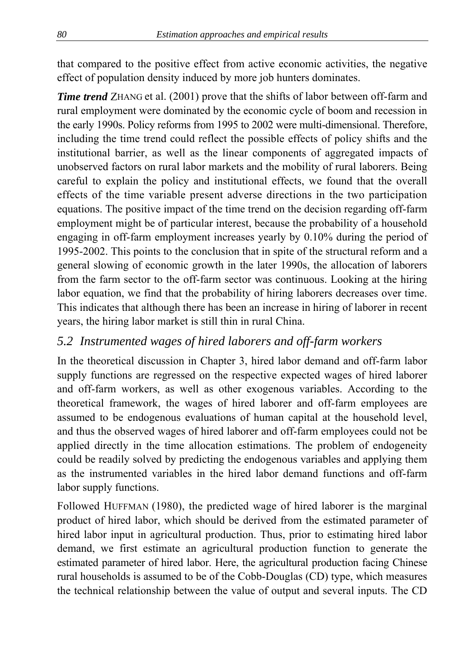that compared to the positive effect from active economic activities, the negative effect of population density induced by more job hunters dominates.

*Time trend* ZHANG et al. (2001) prove that the shifts of labor between off-farm and rural employment were dominated by the economic cycle of boom and recession in the early 1990s. Policy reforms from 1995 to 2002 were multi-dimensional. Therefore, including the time trend could reflect the possible effects of policy shifts and the institutional barrier, as well as the linear components of aggregated impacts of unobserved factors on rural labor markets and the mobility of rural laborers. Being careful to explain the policy and institutional effects, we found that the overall effects of the time variable present adverse directions in the two participation equations. The positive impact of the time trend on the decision regarding off-farm employment might be of particular interest, because the probability of a household engaging in off-farm employment increases yearly by 0.10% during the period of 1995-2002. This points to the conclusion that in spite of the structural reform and a general slowing of economic growth in the later 1990s, the allocation of laborers from the farm sector to the off-farm sector was continuous. Looking at the hiring labor equation, we find that the probability of hiring laborers decreases over time. This indicates that although there has been an increase in hiring of laborer in recent years, the hiring labor market is still thin in rural China.

# *5.2 Instrumented wages of hired laborers and off-farm workers*

In the theoretical discussion in Chapter 3, hired labor demand and off-farm labor supply functions are regressed on the respective expected wages of hired laborer and off-farm workers, as well as other exogenous variables. According to the theoretical framework, the wages of hired laborer and off-farm employees are assumed to be endogenous evaluations of human capital at the household level, and thus the observed wages of hired laborer and off-farm employees could not be applied directly in the time allocation estimations. The problem of endogeneity could be readily solved by predicting the endogenous variables and applying them as the instrumented variables in the hired labor demand functions and off-farm labor supply functions.

Followed HUFFMAN (1980), the predicted wage of hired laborer is the marginal product of hired labor, which should be derived from the estimated parameter of hired labor input in agricultural production. Thus, prior to estimating hired labor demand, we first estimate an agricultural production function to generate the estimated parameter of hired labor. Here, the agricultural production facing Chinese rural households is assumed to be of the Cobb-Douglas (CD) type, which measures the technical relationship between the value of output and several inputs. The CD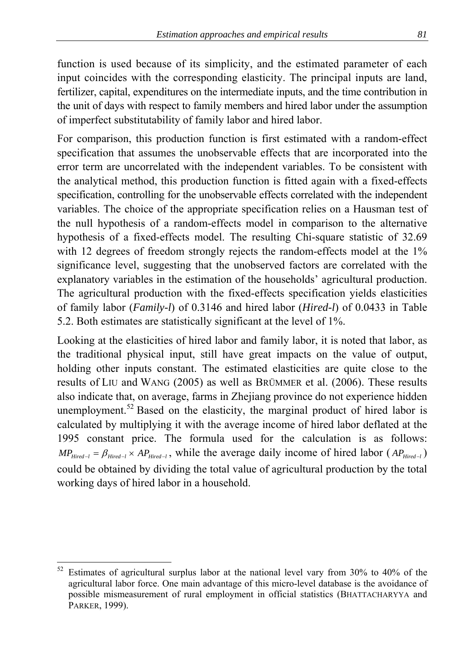function is used because of its simplicity, and the estimated parameter of each input coincides with the corresponding elasticity. The principal inputs are land, fertilizer, capital, expenditures on the intermediate inputs, and the time contribution in the unit of days with respect to family members and hired labor under the assumption of imperfect substitutability of family labor and hired labor.

For comparison, this production function is first estimated with a random-effect specification that assumes the unobservable effects that are incorporated into the error term are uncorrelated with the independent variables. To be consistent with the analytical method, this production function is fitted again with a fixed-effects specification, controlling for the unobservable effects correlated with the independent variables. The choice of the appropriate specification relies on a Hausman test of the null hypothesis of a random-effects model in comparison to the alternative hypothesis of a fixed-effects model. The resulting Chi-square statistic of 32.69 with 12 degrees of freedom strongly rejects the random-effects model at the 1% significance level, suggesting that the unobserved factors are correlated with the explanatory variables in the estimation of the households' agricultural production. The agricultural production with the fixed-effects specification yields elasticities of family labor (*Family-l*) of 0.3146 and hired labor (*Hired-l*) of 0.0433 in Table 5.2. Both estimates are statistically significant at the level of 1%.

Looking at the elasticities of hired labor and family labor, it is noted that labor, as the traditional physical input, still have great impacts on the value of output, holding other inputs constant. The estimated elasticities are quite close to the results of LIU and WANG (2005) as well as BRÜMMER et al. (2006). These results also indicate that, on average, farms in Zhejiang province do not experience hidden unemployment.<sup>52</sup> Based on the elasticity, the marginal product of hired labor is calculated by multiplying it with the average income of hired labor deflated at the 1995 constant price. The formula used for the calculation is as follows:  $MP_{Hired-I} = \beta_{Hired-I} \times AP_{Hired-I}$ , while the average daily income of hired labor ( $AP_{Hired-I}$ ) could be obtained by dividing the total value of agricultural production by the total working days of hired labor in a household.

 $\overline{a}$ 52 Estimates of agricultural surplus labor at the national level vary from 30% to 40% of the agricultural labor force. One main advantage of this micro-level database is the avoidance of possible mismeasurement of rural employment in official statistics (BHATTACHARYYA and PARKER, 1999).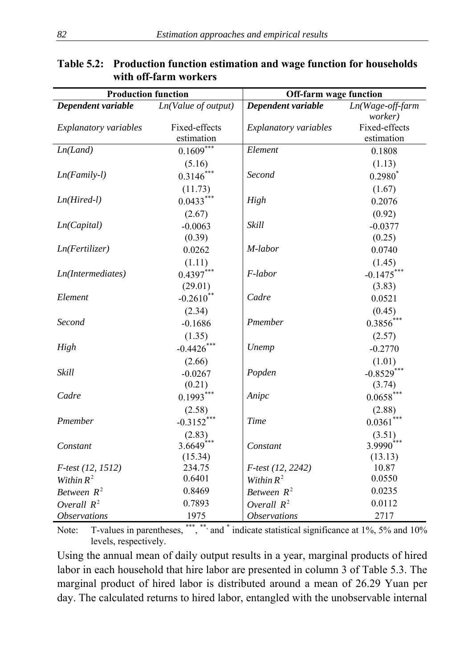| <b>Production function</b>         |                     | <b>Off-farm wage function</b> |                                   |  |
|------------------------------------|---------------------|-------------------------------|-----------------------------------|--|
| Dependent variable                 | Ln(Value of output) | Dependent variable            | Ln(Wage-off-farm                  |  |
|                                    |                     |                               | worker)                           |  |
| <b>Explanatory variables</b>       | Fixed-effects       | Explanatory variables         | Fixed-effects                     |  |
|                                    | estimation          |                               | estimation                        |  |
| Ln(Land)                           | $0.1609***$         | Element                       | 0.1808                            |  |
|                                    | (5.16)              |                               | (1.13)                            |  |
| $Ln(Family-1)$                     | $0.3146***$         | Second                        | $0.2980^*$                        |  |
|                                    | (11.73)             |                               | (1.67)                            |  |
| $Ln(Hired-l)$                      | $0.0433***$         | High                          | 0.2076                            |  |
|                                    | (2.67)              |                               | (0.92)                            |  |
| Ln(Capital)                        | $-0.0063$           | Skill                         | $-0.0377$                         |  |
|                                    | (0.39)              |                               | (0.25)                            |  |
| Ln(Fertilizer)                     | 0.0262              | M-labor                       | 0.0740                            |  |
|                                    | (1.11)              |                               | (1.45)                            |  |
| <i>Ln</i> ( <i>Intermediates</i> ) | $0.4397***$         | F-labor                       | $-0.1475***$                      |  |
|                                    | (29.01)             |                               | (3.83)                            |  |
| Element                            | $-0.2610$ **        | Cadre                         | 0.0521                            |  |
|                                    | (2.34)              |                               | (0.45)                            |  |
| Second                             | $-0.1686$           | Pmember                       | $0.3856***$                       |  |
|                                    | (1.35)              |                               | (2.57)                            |  |
| High                               | $-0.4426$ ***       | Unemp                         | $-0.2770$                         |  |
|                                    | (2.66)              |                               | (1.01)                            |  |
| Skill                              | $-0.0267$           | Popden                        | $-0.8529***$                      |  |
|                                    | (0.21)              |                               | (3.74)                            |  |
| Cadre                              | $0.1993***$         | Anipc                         | $0.0658***$                       |  |
|                                    | (2.58)              |                               | (2.88)                            |  |
| Pmember                            | $-0.3152***$        | <b>Time</b>                   | $0.0361^{***}$                    |  |
|                                    | (2.83)              |                               |                                   |  |
| Constant                           | 3.6649              | Constant                      | $(3.51)$<br>3.9990 <sup>***</sup> |  |
|                                    | (15.34)             |                               | (13.13)                           |  |
| $F-test (12, 1512)$                | 234.75              | $F-test (12, 2242)$           | 10.87                             |  |
| Within $R^2$                       | 0.6401              | Within $R^2$                  | 0.0550                            |  |
| Between $R^2$                      | 0.8469              | Between $R^2$                 | 0.0235                            |  |
| Overall $R^2$                      | 0.7893              | Overall $R^2$                 | 0.0112                            |  |
| <i><b>Observations</b></i>         | 1975                | <i><b>Observations</b></i>    | 2717                              |  |

**Table 5.2: Production function estimation and wage function for households with off-farm workers** 

Note: T-values in parentheses,  $***$ ,  $**$ , and  $*$  indicate statistical significance at 1%, 5% and 10% levels, respectively.

Using the annual mean of daily output results in a year, marginal products of hired labor in each household that hire labor are presented in column 3 of Table 5.3. The marginal product of hired labor is distributed around a mean of 26.29 Yuan per day. The calculated returns to hired labor, entangled with the unobservable internal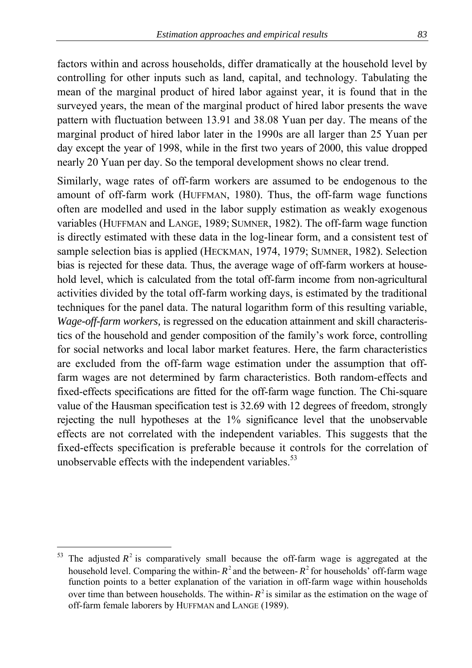factors within and across households, differ dramatically at the household level by controlling for other inputs such as land, capital, and technology. Tabulating the mean of the marginal product of hired labor against year, it is found that in the surveyed years, the mean of the marginal product of hired labor presents the wave pattern with fluctuation between 13.91 and 38.08 Yuan per day. The means of the marginal product of hired labor later in the 1990s are all larger than 25 Yuan per day except the year of 1998, while in the first two years of 2000, this value dropped nearly 20 Yuan per day. So the temporal development shows no clear trend.

Similarly, wage rates of off-farm workers are assumed to be endogenous to the amount of off-farm work (HUFFMAN, 1980). Thus, the off-farm wage functions often are modelled and used in the labor supply estimation as weakly exogenous variables (HUFFMAN and LANGE, 1989; SUMNER, 1982). The off-farm wage function is directly estimated with these data in the log-linear form, and a consistent test of sample selection bias is applied (HECKMAN, 1974, 1979; SUMNER, 1982). Selection bias is rejected for these data. Thus, the average wage of off-farm workers at household level, which is calculated from the total off-farm income from non-agricultural activities divided by the total off-farm working days, is estimated by the traditional techniques for the panel data. The natural logarithm form of this resulting variable, *Wage-off-farm workers,* is regressed on the education attainment and skill characteristics of the household and gender composition of the family's work force, controlling for social networks and local labor market features. Here, the farm characteristics are excluded from the off-farm wage estimation under the assumption that offfarm wages are not determined by farm characteristics. Both random-effects and fixed-effects specifications are fitted for the off-farm wage function. The Chi-square value of the Hausman specification test is 32.69 with 12 degrees of freedom, strongly rejecting the null hypotheses at the 1% significance level that the unobservable effects are not correlated with the independent variables. This suggests that the fixed-effects specification is preferable because it controls for the correlation of unobservable effects with the independent variables.<sup>53</sup>

The adjusted  $R^2$  is comparatively small because the off-farm wage is aggregated at the household level. Comparing the within- $R^2$  and the between- $R^2$  for households' off-farm wage function points to a better explanation of the variation in off-farm wage within households over time than between households. The within- $R^2$  is similar as the estimation on the wage of off-farm female laborers by HUFFMAN and LANGE (1989).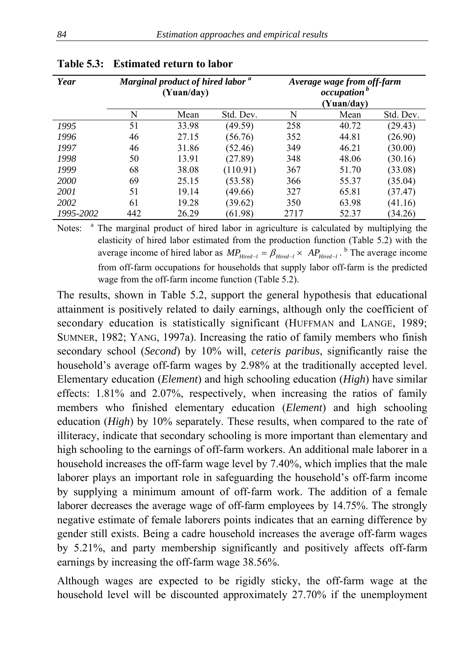| Year      | Marginal product of hired labor <sup>a</sup><br>(Yuan/day) |       |           | Average wage from off-farm<br>occupation<br>(Yuan/day) |       |           |
|-----------|------------------------------------------------------------|-------|-----------|--------------------------------------------------------|-------|-----------|
|           | N                                                          | Mean  | Std. Dev. | N                                                      | Mean  | Std. Dev. |
| 1995      | 51                                                         | 33.98 | (49.59)   | 258                                                    | 40.72 | (29.43)   |
| 1996      | 46                                                         | 27.15 | (56.76)   | 352                                                    | 44.81 | (26.90)   |
| 1997      | 46                                                         | 31.86 | (52.46)   | 349                                                    | 46.21 | (30.00)   |
| 1998      | 50                                                         | 13.91 | (27.89)   | 348                                                    | 48.06 | (30.16)   |
| 1999      | 68                                                         | 38.08 | (110.91)  | 367                                                    | 51.70 | (33.08)   |
| 2000      | 69                                                         | 25.15 | (53.58)   | 366                                                    | 55.37 | (35.04)   |
| 2001      | 51                                                         | 19.14 | (49.66)   | 327                                                    | 65.81 | (37.47)   |
| 2002      | 61                                                         | 19.28 | (39.62)   | 350                                                    | 63.98 | (41.16)   |
| 1995-2002 | 442                                                        | 26.29 | (61.98)   | 2717                                                   | 52.37 | (34.26)   |

| Table 5.3: Estimated return to labor |  |
|--------------------------------------|--|
|                                      |  |

Notes: <sup>a</sup> The marginal product of hired labor in agriculture is calculated by multiplying the elasticity of hired labor estimated from the production function (Table 5.2) with the average income of hired labor as  $MP_{Hired-I} = \beta_{Hired-I} \times AP_{Hired-I}$ . <sup>b</sup> The average income from off-farm occupations for households that supply labor off-farm is the predicted wage from the off-farm income function (Table 5.2).

The results, shown in Table 5.2, support the general hypothesis that educational attainment is positively related to daily earnings, although only the coefficient of secondary education is statistically significant (HUFFMAN and LANGE, 1989; SUMNER, 1982; YANG, 1997a). Increasing the ratio of family members who finish secondary school (*Second*) by 10% will, *ceteris paribus*, significantly raise the household's average off-farm wages by 2.98% at the traditionally accepted level. Elementary education (*Element*) and high schooling education (*High*) have similar effects: 1.81% and 2.07%, respectively, when increasing the ratios of family members who finished elementary education (*Element*) and high schooling education (*High*) by 10% separately. These results, when compared to the rate of illiteracy, indicate that secondary schooling is more important than elementary and high schooling to the earnings of off-farm workers. An additional male laborer in a household increases the off-farm wage level by 7.40%, which implies that the male laborer plays an important role in safeguarding the household's off-farm income by supplying a minimum amount of off-farm work. The addition of a female laborer decreases the average wage of off-farm employees by 14.75%. The strongly negative estimate of female laborers points indicates that an earning difference by gender still exists. Being a cadre household increases the average off-farm wages by 5.21%, and party membership significantly and positively affects off-farm earnings by increasing the off-farm wage 38.56%.

Although wages are expected to be rigidly sticky, the off-farm wage at the household level will be discounted approximately 27.70% if the unemployment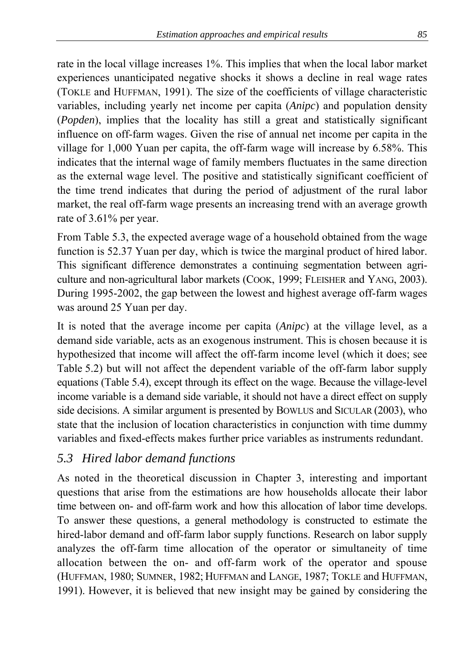rate in the local village increases 1%. This implies that when the local labor market experiences unanticipated negative shocks it shows a decline in real wage rates (TOKLE and HUFFMAN, 1991). The size of the coefficients of village characteristic variables, including yearly net income per capita (*Anipc*) and population density (*Popden*), implies that the locality has still a great and statistically significant influence on off-farm wages. Given the rise of annual net income per capita in the village for 1,000 Yuan per capita, the off-farm wage will increase by 6.58%. This indicates that the internal wage of family members fluctuates in the same direction as the external wage level. The positive and statistically significant coefficient of the time trend indicates that during the period of adjustment of the rural labor market, the real off-farm wage presents an increasing trend with an average growth rate of 3.61% per year.

From Table 5.3, the expected average wage of a household obtained from the wage function is 52.37 Yuan per day, which is twice the marginal product of hired labor. This significant difference demonstrates a continuing segmentation between agriculture and non-agricultural labor markets (COOK, 1999; FLEISHER and YANG, 2003). During 1995-2002, the gap between the lowest and highest average off-farm wages was around 25 Yuan per day.

It is noted that the average income per capita (*Anipc*) at the village level, as a demand side variable, acts as an exogenous instrument. This is chosen because it is hypothesized that income will affect the off-farm income level (which it does; see Table 5.2) but will not affect the dependent variable of the off-farm labor supply equations (Table 5.4), except through its effect on the wage. Because the village-level income variable is a demand side variable, it should not have a direct effect on supply side decisions. A similar argument is presented by BOWLUS and SICULAR (2003), who state that the inclusion of location characteristics in conjunction with time dummy variables and fixed-effects makes further price variables as instruments redundant.

### *5.3 Hired labor demand functions*

As noted in the theoretical discussion in Chapter 3, interesting and important questions that arise from the estimations are how households allocate their labor time between on- and off-farm work and how this allocation of labor time develops. To answer these questions, a general methodology is constructed to estimate the hired-labor demand and off-farm labor supply functions. Research on labor supply analyzes the off-farm time allocation of the operator or simultaneity of time allocation between the on- and off-farm work of the operator and spouse (HUFFMAN, 1980; SUMNER, 1982; HUFFMAN and LANGE, 1987; TOKLE and HUFFMAN, 1991). However, it is believed that new insight may be gained by considering the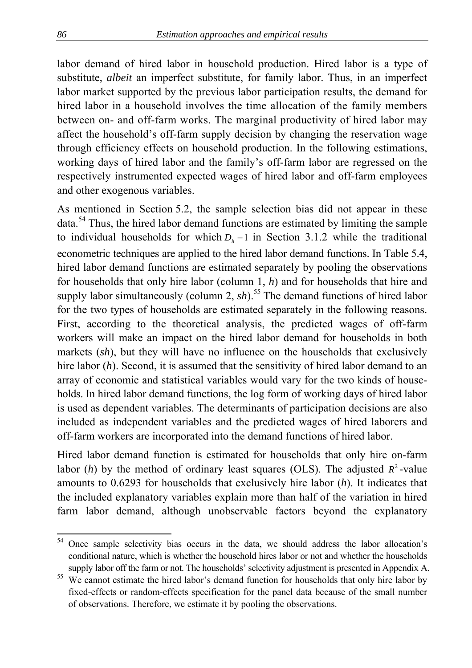labor demand of hired labor in household production. Hired labor is a type of substitute, *albeit* an imperfect substitute, for family labor. Thus, in an imperfect labor market supported by the previous labor participation results, the demand for hired labor in a household involves the time allocation of the family members between on- and off-farm works. The marginal productivity of hired labor may affect the household's off-farm supply decision by changing the reservation wage through efficiency effects on household production. In the following estimations, working days of hired labor and the family's off-farm labor are regressed on the respectively instrumented expected wages of hired labor and off-farm employees and other exogenous variables.

As mentioned in Section 5.2, the sample selection bias did not appear in these data.54 Thus, the hired labor demand functions are estimated by limiting the sample to individual households for which  $D<sub>h</sub> = 1$  in Section 3.1.2 while the traditional econometric techniques are applied to the hired labor demand functions. In Table 5.4, hired labor demand functions are estimated separately by pooling the observations for households that only hire labor (column 1, *h*) and for households that hire and supply labor simultaneously (column 2, sh).<sup>55</sup> The demand functions of hired labor for the two types of households are estimated separately in the following reasons. First, according to the theoretical analysis, the predicted wages of off-farm workers will make an impact on the hired labor demand for households in both markets (*sh*), but they will have no influence on the households that exclusively hire labor (*h*). Second, it is assumed that the sensitivity of hired labor demand to an array of economic and statistical variables would vary for the two kinds of households. In hired labor demand functions, the log form of working days of hired labor is used as dependent variables. The determinants of participation decisions are also included as independent variables and the predicted wages of hired laborers and off-farm workers are incorporated into the demand functions of hired labor.

Hired labor demand function is estimated for households that only hire on-farm labor (*h*) by the method of ordinary least squares (OLS). The adjusted  $R^2$ -value amounts to 0.6293 for households that exclusively hire labor (*h*). It indicates that the included explanatory variables explain more than half of the variation in hired farm labor demand, although unobservable factors beyond the explanatory

<sup>&</sup>lt;sup>54</sup> Once sample selectivity bias occurs in the data, we should address the labor allocation's conditional nature, which is whether the household hires labor or not and whether the households supply labor off the farm or not. The households' selectivity adjustment is presented in Appendix A.

<sup>&</sup>lt;sup>55</sup> We cannot estimate the hired labor's demand function for households that only hire labor by fixed-effects or random-effects specification for the panel data because of the small number of observations. Therefore, we estimate it by pooling the observations.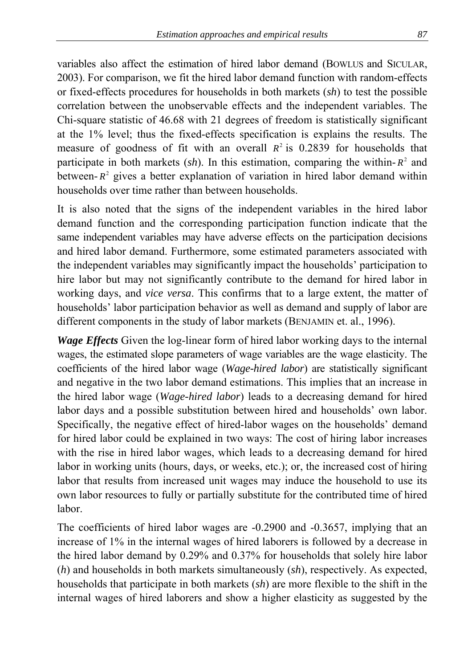variables also affect the estimation of hired labor demand (BOWLUS and SICULAR, 2003). For comparison, we fit the hired labor demand function with random-effects or fixed-effects procedures for households in both markets (*sh*) to test the possible correlation between the unobservable effects and the independent variables. The Chi-square statistic of 46.68 with 21 degrees of freedom is statistically significant at the 1% level; thus the fixed-effects specification is explains the results. The measure of goodness of fit with an overall  $R^2$  is 0.2839 for households that participate in both markets  $(sh)$ . In this estimation, comparing the within- $R^2$  and between- $R^2$  gives a better explanation of variation in hired labor demand within households over time rather than between households.

It is also noted that the signs of the independent variables in the hired labor demand function and the corresponding participation function indicate that the same independent variables may have adverse effects on the participation decisions and hired labor demand. Furthermore, some estimated parameters associated with the independent variables may significantly impact the households' participation to hire labor but may not significantly contribute to the demand for hired labor in working days, and *vice versa*. This confirms that to a large extent, the matter of households' labor participation behavior as well as demand and supply of labor are different components in the study of labor markets (BENJAMIN et. al., 1996).

*Wage Effects* Given the log-linear form of hired labor working days to the internal wages, the estimated slope parameters of wage variables are the wage elasticity. The coefficients of the hired labor wage (*Wage-hired labor*) are statistically significant and negative in the two labor demand estimations. This implies that an increase in the hired labor wage (*Wage-hired labor*) leads to a decreasing demand for hired labor days and a possible substitution between hired and households' own labor. Specifically, the negative effect of hired-labor wages on the households' demand for hired labor could be explained in two ways: The cost of hiring labor increases with the rise in hired labor wages, which leads to a decreasing demand for hired labor in working units (hours, days, or weeks, etc.); or, the increased cost of hiring labor that results from increased unit wages may induce the household to use its own labor resources to fully or partially substitute for the contributed time of hired labor.

The coefficients of hired labor wages are -0.2900 and -0.3657, implying that an increase of 1% in the internal wages of hired laborers is followed by a decrease in the hired labor demand by 0.29% and 0.37% for households that solely hire labor (*h*) and households in both markets simultaneously (*sh*), respectively. As expected, households that participate in both markets (*sh*) are more flexible to the shift in the internal wages of hired laborers and show a higher elasticity as suggested by the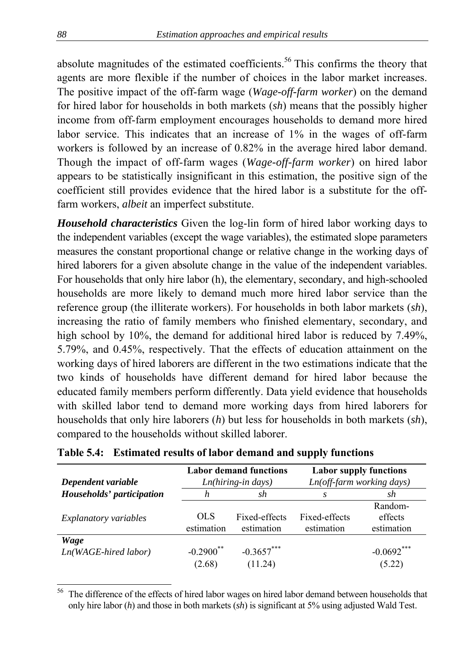absolute magnitudes of the estimated coefficients.<sup>56</sup> This confirms the theory that agents are more flexible if the number of choices in the labor market increases. The positive impact of the off-farm wage (*Wage-off-farm worker*) on the demand for hired labor for households in both markets (*sh*) means that the possibly higher income from off-farm employment encourages households to demand more hired labor service. This indicates that an increase of 1% in the wages of off-farm workers is followed by an increase of 0.82% in the average hired labor demand. Though the impact of off-farm wages (*Wage-off-farm worker*) on hired labor appears to be statistically insignificant in this estimation, the positive sign of the coefficient still provides evidence that the hired labor is a substitute for the offfarm workers, *albeit* an imperfect substitute.

*Household characteristics* Given the log-lin form of hired labor working days to the independent variables (except the wage variables), the estimated slope parameters measures the constant proportional change or relative change in the working days of hired laborers for a given absolute change in the value of the independent variables. For households that only hire labor (h), the elementary, secondary, and high-schooled households are more likely to demand much more hired labor service than the reference group (the illiterate workers). For households in both labor markets (*sh*), increasing the ratio of family members who finished elementary, secondary, and high school by 10%, the demand for additional hired labor is reduced by 7.49%, 5.79%, and 0.45%, respectively. That the effects of education attainment on the working days of hired laborers are different in the two estimations indicate that the two kinds of households have different demand for hired labor because the educated family members perform differently. Data yield evidence that households with skilled labor tend to demand more working days from hired laborers for households that only hire laborers (*h*) but less for households in both markets (*sh*), compared to the households without skilled laborer.

| Dependent variable                            | <b>Labor demand functions</b><br>$Ln(hiring-in days)$ |                             | <b>Labor supply functions</b><br>Ln(off-farm working days) |                                  |
|-----------------------------------------------|-------------------------------------------------------|-----------------------------|------------------------------------------------------------|----------------------------------|
| Households' participation                     | h                                                     | sh                          |                                                            | sh                               |
| Explanatory variables                         | <b>OLS</b><br>estimation                              | Fixed-effects<br>estimation | Fixed-effects<br>estimation                                | Random-<br>effects<br>estimation |
| <b>Wage</b><br>$Ln(WAGE\text{-} hired labor)$ | $-0.2900$ <sup>**</sup><br>(2.68)                     | $-0.3657***$<br>(11.24)     |                                                            | $-0.0692$ ***<br>(5.22)          |

| Table 5.4: Estimated results of labor demand and supply functions |  |  |
|-------------------------------------------------------------------|--|--|
|                                                                   |  |  |

<sup>56</sup> The difference of the effects of hired labor wages on hired labor demand between households that only hire labor (*h*) and those in both markets (*sh*) is significant at 5% using adjusted Wald Test.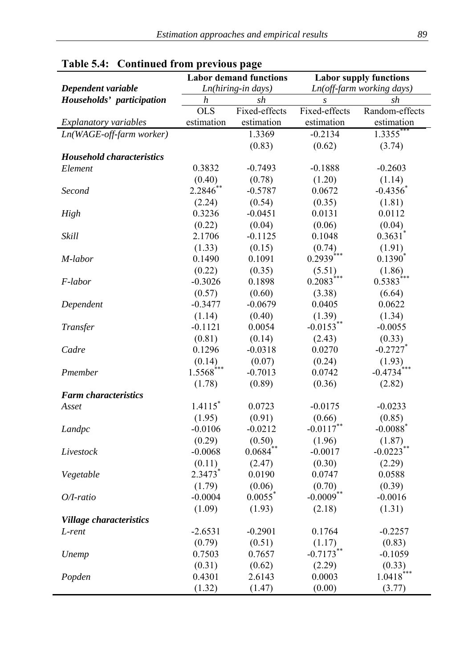|                                  | <b>Labor demand functions</b> |                       | <b>Labor supply functions</b> |                              |  |
|----------------------------------|-------------------------------|-----------------------|-------------------------------|------------------------------|--|
| Dependent variable               |                               | $Ln(hiring-in days)$  |                               | $Ln($ off-farm working days) |  |
| Households' participation        | $\boldsymbol{h}$              | sh                    | S                             | sh                           |  |
|                                  | <b>OLS</b>                    | Fixed-effects         | Fixed-effects                 | Random-effects               |  |
| Explanatory variables            | estimation                    | estimation            | estimation                    | estimation                   |  |
| Ln(WAGE-off-farm worker)         |                               | 1.3369                | $-0.2134$                     | $1.3355$ **                  |  |
|                                  |                               | (0.83)                | (0.62)                        | (3.74)                       |  |
| <b>Household characteristics</b> |                               |                       |                               |                              |  |
| Element                          | 0.3832                        | $-0.7493$             | $-0.1888$                     | $-0.2603$                    |  |
|                                  | (0.40)                        | (0.78)                | (1.20)                        | (1.14)                       |  |
| Second                           | $2.2846^{**}$                 | $-0.5787$             | 0.0672                        | $-0.4356^*$                  |  |
|                                  | (2.24)                        | (0.54)                | (0.35)                        | (1.81)                       |  |
| High                             | 0.3236                        | $-0.0451$             | 0.0131                        | 0.0112                       |  |
|                                  | (0.22)                        | (0.04)                | (0.06)                        | (0.04)                       |  |
| Skill                            | 2.1706                        | $-0.1125$             | 0.1048                        | $0.3631^*$                   |  |
|                                  | (1.33)                        | (0.15)                | (0.74)                        | (1.91)                       |  |
| M-labor                          | 0.1490                        | 0.1091                | $0.2939$ <sup>***</sup>       | $0.1390^*$                   |  |
|                                  | (0.22)                        | (0.35)                | (5.51)                        | (1.86)                       |  |
| F-labor                          | $-0.3026$                     | 0.1898                | $0.2083$ <sup>***</sup>       | $0.5383$ <sup>***</sup>      |  |
|                                  | (0.57)                        | (0.60)                | (3.38)                        | (6.64)                       |  |
| Dependent                        | $-0.3477$                     | $-0.0679$             | 0.0405                        | 0.0622                       |  |
|                                  | (1.14)                        | (0.40)                | (1.39)                        | (1.34)                       |  |
| Transfer                         | $-0.1121$                     | 0.0054                | $-0.0153**$                   | $-0.0055$                    |  |
|                                  | (0.81)                        | (0.14)                | (2.43)                        | (0.33)                       |  |
| Cadre                            | 0.1296                        | $-0.0318$             | 0.0270                        | $-0.2727$ <sup>*</sup>       |  |
|                                  | (0.14)                        | (0.07)                | (0.24)                        | (1.93)                       |  |
| Pmember                          | $1.5568$ <sup>***</sup>       | $-0.7013$             | 0.0742                        | $-0.4734$ <sup>***</sup>     |  |
|                                  | (1.78)                        | (0.89)                | (0.36)                        | (2.82)                       |  |
| <b>Farm characteristics</b>      |                               |                       |                               |                              |  |
| Asset                            | $1.4115*$                     | 0.0723                | $-0.0175$                     | $-0.0233$                    |  |
|                                  | (1.95)                        | (0.91)                | (0.66)                        | (0.85)                       |  |
| Landpc                           | $-0.0106$                     | $-0.0212$             | $-0.0117$ **                  | $\textbf{-0.0088}^{\ast}$    |  |
|                                  | (0.29)                        | (0.50)                | (1.96)                        | (1.87)                       |  |
| Livestock                        | $-0.0068$                     | $0.0684^{**}$         | $-0.0017$                     | $-0.0223$ **                 |  |
|                                  | (0.11)                        | (2.47)                | (0.30)                        | (2.29)                       |  |
| Vegetable                        | 2.3473*                       | 0.0190                | 0.0747                        | 0.0588                       |  |
|                                  | (1.79)                        | (0.06)                | (0.70)                        | (0.39)                       |  |
| $O/I$ -ratio                     | $-0.0004$                     | $0.0055$ <sup>*</sup> | $-0.0009**$                   | $-0.0016$                    |  |
|                                  | (1.09)                        | (1.93)                | (2.18)                        | (1.31)                       |  |
| <b>Village characteristics</b>   |                               |                       |                               |                              |  |
| L-rent                           | $-2.6531$                     | $-0.2901$             | 0.1764                        | $-0.2257$                    |  |
|                                  | (0.79)                        | (0.51)                | (1.17)                        | (0.83)                       |  |
| Unemp                            | 0.7503                        | 0.7657                | $-0.7173**$                   | $-0.1059$                    |  |
|                                  | (0.31)                        | (0.62)                | (2.29)                        | (0.33)                       |  |
| Popden                           | 0.4301                        | 2.6143                | 0.0003                        | $1.0418$ <sup>***</sup>      |  |
|                                  | (1.32)                        | (1.47)                | (0.00)                        | (3.77)                       |  |

# **Table 5.4: Continued from previous page**

Ē,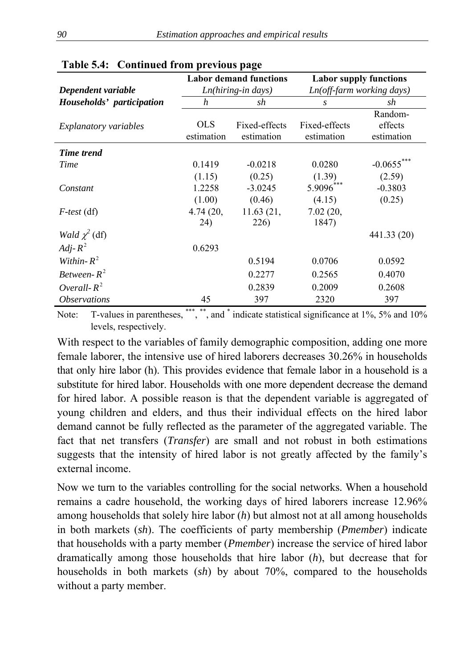|                              | <b>Labor demand functions</b><br>$Ln(hiring-in days)$ |                             | <b>Labor supply functions</b><br>$Ln(off-farm working days)$ |                                  |
|------------------------------|-------------------------------------------------------|-----------------------------|--------------------------------------------------------------|----------------------------------|
| Dependent variable           |                                                       |                             |                                                              |                                  |
| Households' participation    | h                                                     | sh                          | $\mathcal{S}$                                                | sh                               |
| <b>Explanatory variables</b> | <b>OLS</b><br>estimation                              | Fixed-effects<br>estimation | Fixed-effects<br>estimation                                  | Random-<br>effects<br>estimation |
| Time trend                   |                                                       |                             |                                                              |                                  |
| Time                         | 0.1419                                                | $-0.0218$                   | 0.0280                                                       | $-0.0655***$                     |
|                              | (1.15)                                                | (0.25)                      | (1.39)                                                       | (2.59)                           |
| Constant                     | 1.2258                                                | $-3.0245$                   | 5.9096***                                                    | $-0.3803$                        |
|                              | (1.00)                                                | (0.46)                      | (4.15)                                                       | (0.25)                           |
| $F-test$ (df)                | 4.74(20,                                              | 11.63(21,                   | 7.02(20,                                                     |                                  |
|                              | 24)                                                   | 226)                        | 1847)                                                        |                                  |
| <i>Wald</i> $\chi^2$ (df)    |                                                       |                             |                                                              | 441.33 (20)                      |
| Adj- $R^2$                   | 0.6293                                                |                             |                                                              |                                  |
| Within- $R^2$                |                                                       | 0.5194                      | 0.0706                                                       | 0.0592                           |
| Between- $R^2$               |                                                       | 0.2277                      | 0.2565                                                       | 0.4070                           |
| Overall- $R^2$               |                                                       | 0.2839                      | 0.2009                                                       | 0.2608                           |
| <i><b>Observations</b></i>   | 45                                                    | 397                         | 2320                                                         | 397                              |

|  | Table 5.4: Continued from previous page |  |
|--|-----------------------------------------|--|
|--|-----------------------------------------|--|

Note: T-values in parentheses, \*\*\*, \*\*, and \* indicate statistical significance at 1%, 5% and 10% levels, respectively.

With respect to the variables of family demographic composition, adding one more female laborer, the intensive use of hired laborers decreases 30.26% in households that only hire labor (h). This provides evidence that female labor in a household is a substitute for hired labor. Households with one more dependent decrease the demand for hired labor. A possible reason is that the dependent variable is aggregated of young children and elders, and thus their individual effects on the hired labor demand cannot be fully reflected as the parameter of the aggregated variable. The fact that net transfers (*Transfer*) are small and not robust in both estimations suggests that the intensity of hired labor is not greatly affected by the family's external income.

Now we turn to the variables controlling for the social networks. When a household remains a cadre household, the working days of hired laborers increase 12.96% among households that solely hire labor (*h*) but almost not at all among households in both markets (*sh*). The coefficients of party membership (*Pmember*) indicate that households with a party member (*Pmember*) increase the service of hired labor dramatically among those households that hire labor (*h*), but decrease that for households in both markets (*sh*) by about 70%, compared to the households without a party member.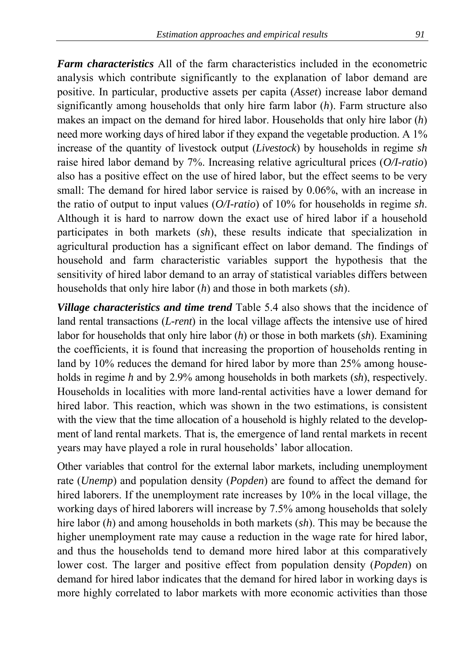*Farm characteristics* All of the farm characteristics included in the econometric analysis which contribute significantly to the explanation of labor demand are positive. In particular, productive assets per capita (*Asset*) increase labor demand significantly among households that only hire farm labor (*h*). Farm structure also makes an impact on the demand for hired labor. Households that only hire labor (*h*) need more working days of hired labor if they expand the vegetable production. A 1% increase of the quantity of livestock output (*Livestock*) by households in regime *sh* raise hired labor demand by 7%. Increasing relative agricultural prices (*O/I-ratio*) also has a positive effect on the use of hired labor, but the effect seems to be very small: The demand for hired labor service is raised by 0.06%, with an increase in the ratio of output to input values (*O/I-ratio*) of 10% for households in regime *sh*. Although it is hard to narrow down the exact use of hired labor if a household participates in both markets (*sh*), these results indicate that specialization in agricultural production has a significant effect on labor demand. The findings of household and farm characteristic variables support the hypothesis that the sensitivity of hired labor demand to an array of statistical variables differs between households that only hire labor (*h*) and those in both markets (*sh*).

*Village characteristics and time trend* Table 5.4 also shows that the incidence of land rental transactions (*L-rent*) in the local village affects the intensive use of hired labor for households that only hire labor (*h*) or those in both markets (*sh*). Examining the coefficients, it is found that increasing the proportion of households renting in land by 10% reduces the demand for hired labor by more than 25% among households in regime *h* and by 2.9% among households in both markets (*sh*), respectively. Households in localities with more land-rental activities have a lower demand for hired labor. This reaction, which was shown in the two estimations, is consistent with the view that the time allocation of a household is highly related to the development of land rental markets. That is, the emergence of land rental markets in recent years may have played a role in rural households' labor allocation.

Other variables that control for the external labor markets, including unemployment rate (*Unemp*) and population density (*Popden*) are found to affect the demand for hired laborers. If the unemployment rate increases by 10% in the local village, the working days of hired laborers will increase by 7.5% among households that solely hire labor (*h*) and among households in both markets (*sh*). This may be because the higher unemployment rate may cause a reduction in the wage rate for hired labor, and thus the households tend to demand more hired labor at this comparatively lower cost. The larger and positive effect from population density (*Popden*) on demand for hired labor indicates that the demand for hired labor in working days is more highly correlated to labor markets with more economic activities than those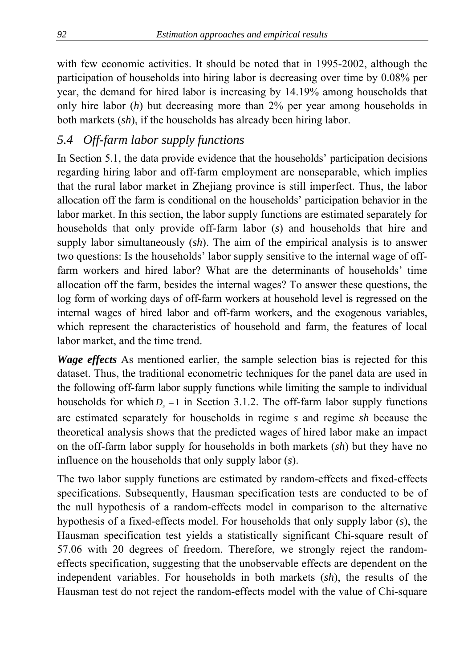with few economic activities. It should be noted that in 1995-2002, although the participation of households into hiring labor is decreasing over time by 0.08% per year, the demand for hired labor is increasing by 14.19% among households that only hire labor (*h*) but decreasing more than 2% per year among households in both markets (*sh*), if the households has already been hiring labor.

# *5.4 Off-farm labor supply functions*

In Section 5.1, the data provide evidence that the households' participation decisions regarding hiring labor and off-farm employment are nonseparable, which implies that the rural labor market in Zhejiang province is still imperfect. Thus, the labor allocation off the farm is conditional on the households' participation behavior in the labor market. In this section, the labor supply functions are estimated separately for households that only provide off-farm labor (*s*) and households that hire and supply labor simultaneously (*sh*). The aim of the empirical analysis is to answer two questions: Is the households' labor supply sensitive to the internal wage of offfarm workers and hired labor? What are the determinants of households' time allocation off the farm, besides the internal wages? To answer these questions, the log form of working days of off-farm workers at household level is regressed on the internal wages of hired labor and off-farm workers, and the exogenous variables, which represent the characteristics of household and farm, the features of local labor market, and the time trend.

*Wage effects* As mentioned earlier, the sample selection bias is rejected for this dataset. Thus, the traditional econometric techniques for the panel data are used in the following off-farm labor supply functions while limiting the sample to individual households for which  $D<sub>s</sub> = 1$  in Section 3.1.2. The off-farm labor supply functions are estimated separately for households in regime *s* and regime *sh* because the theoretical analysis shows that the predicted wages of hired labor make an impact on the off-farm labor supply for households in both markets (*sh*) but they have no influence on the households that only supply labor (*s*).

The two labor supply functions are estimated by random-effects and fixed-effects specifications. Subsequently, Hausman specification tests are conducted to be of the null hypothesis of a random-effects model in comparison to the alternative hypothesis of a fixed-effects model. For households that only supply labor (*s*), the Hausman specification test yields a statistically significant Chi-square result of 57.06 with 20 degrees of freedom. Therefore, we strongly reject the randomeffects specification, suggesting that the unobservable effects are dependent on the independent variables. For households in both markets (*sh*), the results of the Hausman test do not reject the random-effects model with the value of Chi-square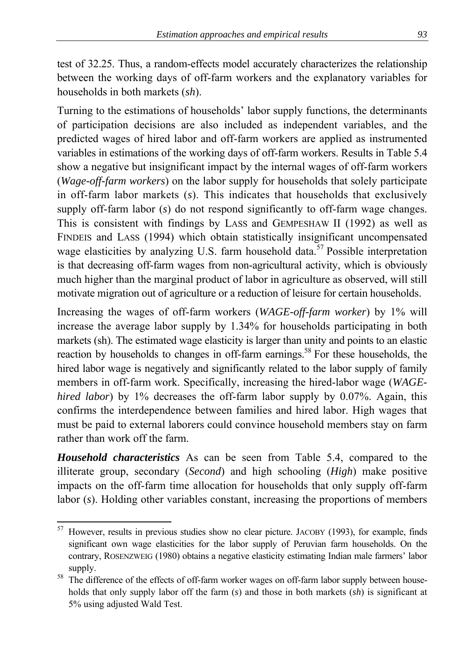test of 32.25. Thus, a random-effects model accurately characterizes the relationship between the working days of off-farm workers and the explanatory variables for households in both markets (*sh*).

Turning to the estimations of households' labor supply functions, the determinants of participation decisions are also included as independent variables, and the predicted wages of hired labor and off-farm workers are applied as instrumented variables in estimations of the working days of off-farm workers. Results in Table 5.4 show a negative but insignificant impact by the internal wages of off-farm workers (*Wage-off-farm workers*) on the labor supply for households that solely participate in off-farm labor markets (*s*). This indicates that households that exclusively supply off-farm labor (*s*) do not respond significantly to off-farm wage changes. This is consistent with findings by LASS and GEMPESHAW II (1992) as well as FINDEIS and LASS (1994) which obtain statistically insignificant uncompensated wage elasticities by analyzing U.S. farm household data.<sup>57</sup> Possible interpretation is that decreasing off-farm wages from non-agricultural activity, which is obviously much higher than the marginal product of labor in agriculture as observed, will still motivate migration out of agriculture or a reduction of leisure for certain households.

Increasing the wages of off-farm workers (*WAGE-off-farm worker*) by 1% will increase the average labor supply by 1.34% for households participating in both markets (sh). The estimated wage elasticity is larger than unity and points to an elastic reaction by households to changes in off-farm earnings.<sup>58</sup> For these households, the hired labor wage is negatively and significantly related to the labor supply of family members in off-farm work. Specifically, increasing the hired-labor wage (*WAGEhired labor*) by 1% decreases the off-farm labor supply by 0.07%. Again, this confirms the interdependence between families and hired labor. High wages that must be paid to external laborers could convince household members stay on farm rather than work off the farm.

*Household characteristics* As can be seen from Table 5.4, compared to the illiterate group, secondary (*Second*) and high schooling (*High*) make positive impacts on the off-farm time allocation for households that only supply off-farm labor (*s*). Holding other variables constant, increasing the proportions of members

 $\overline{a}$ 

 $57$  However, results in previous studies show no clear picture. JACOBY (1993), for example, finds significant own wage elasticities for the labor supply of Peruvian farm households. On the contrary, ROSENZWEIG (1980) obtains a negative elasticity estimating Indian male farmers' labor supply.

<sup>&</sup>lt;sup>58</sup> The difference of the effects of off-farm worker wages on off-farm labor supply between households that only supply labor off the farm (*s*) and those in both markets (*sh*) is significant at 5% using adjusted Wald Test.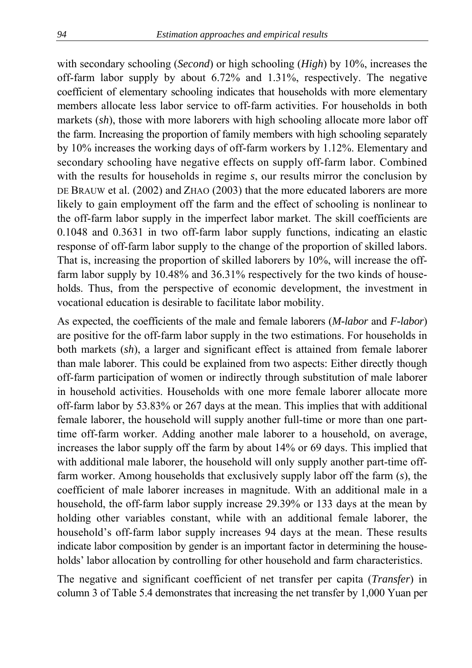with secondary schooling (*Second*) or high schooling (*High*) by 10%, increases the off-farm labor supply by about 6.72% and 1.31%, respectively. The negative coefficient of elementary schooling indicates that households with more elementary members allocate less labor service to off-farm activities. For households in both markets (*sh*), those with more laborers with high schooling allocate more labor off the farm. Increasing the proportion of family members with high schooling separately by 10% increases the working days of off-farm workers by 1.12%. Elementary and secondary schooling have negative effects on supply off-farm labor. Combined with the results for households in regime *s*, our results mirror the conclusion by DE BRAUW et al. (2002) and ZHAO (2003) that the more educated laborers are more likely to gain employment off the farm and the effect of schooling is nonlinear to the off-farm labor supply in the imperfect labor market. The skill coefficients are 0.1048 and 0.3631 in two off-farm labor supply functions, indicating an elastic response of off-farm labor supply to the change of the proportion of skilled labors. That is, increasing the proportion of skilled laborers by 10%, will increase the offfarm labor supply by 10.48% and 36.31% respectively for the two kinds of households. Thus, from the perspective of economic development, the investment in vocational education is desirable to facilitate labor mobility.

As expected, the coefficients of the male and female laborers (*M-labor* and *F-labor*) are positive for the off-farm labor supply in the two estimations. For households in both markets (*sh*), a larger and significant effect is attained from female laborer than male laborer. This could be explained from two aspects: Either directly though off-farm participation of women or indirectly through substitution of male laborer in household activities. Households with one more female laborer allocate more off-farm labor by 53.83% or 267 days at the mean. This implies that with additional female laborer, the household will supply another full-time or more than one parttime off-farm worker. Adding another male laborer to a household, on average, increases the labor supply off the farm by about 14% or 69 days. This implied that with additional male laborer, the household will only supply another part-time offfarm worker. Among households that exclusively supply labor off the farm (*s*), the coefficient of male laborer increases in magnitude. With an additional male in a household, the off-farm labor supply increase 29.39% or 133 days at the mean by holding other variables constant, while with an additional female laborer, the household's off-farm labor supply increases 94 days at the mean. These results indicate labor composition by gender is an important factor in determining the households' labor allocation by controlling for other household and farm characteristics.

The negative and significant coefficient of net transfer per capita (*Transfer*) in column 3 of Table 5.4 demonstrates that increasing the net transfer by 1,000 Yuan per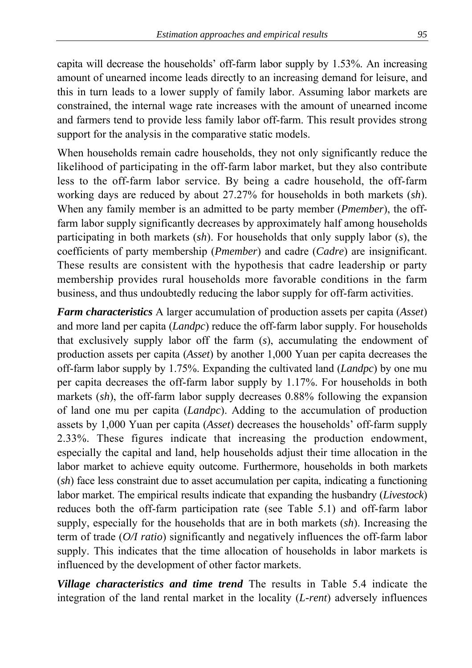capita will decrease the households' off-farm labor supply by 1.53%. An increasing amount of unearned income leads directly to an increasing demand for leisure, and this in turn leads to a lower supply of family labor. Assuming labor markets are constrained, the internal wage rate increases with the amount of unearned income and farmers tend to provide less family labor off-farm. This result provides strong support for the analysis in the comparative static models.

When households remain cadre households, they not only significantly reduce the likelihood of participating in the off-farm labor market, but they also contribute less to the off-farm labor service. By being a cadre household, the off-farm working days are reduced by about 27.27% for households in both markets (*sh*). When any family member is an admitted to be party member (*Pmember*), the offfarm labor supply significantly decreases by approximately half among households participating in both markets (*sh*). For households that only supply labor (*s*), the coefficients of party membership (*Pmember*) and cadre (*Cadre*) are insignificant. These results are consistent with the hypothesis that cadre leadership or party membership provides rural households more favorable conditions in the farm business, and thus undoubtedly reducing the labor supply for off-farm activities.

*Farm characteristics* A larger accumulation of production assets per capita (*Asset*) and more land per capita (*Landpc*) reduce the off-farm labor supply. For households that exclusively supply labor off the farm (*s*), accumulating the endowment of production assets per capita (*Asset*) by another 1,000 Yuan per capita decreases the off-farm labor supply by 1.75%. Expanding the cultivated land (*Landpc*) by one mu per capita decreases the off-farm labor supply by 1.17%. For households in both markets (*sh*), the off-farm labor supply decreases 0.88% following the expansion of land one mu per capita (*Landpc*). Adding to the accumulation of production assets by 1,000 Yuan per capita (*Asset*) decreases the households' off-farm supply 2.33%. These figures indicate that increasing the production endowment, especially the capital and land, help households adjust their time allocation in the labor market to achieve equity outcome. Furthermore, households in both markets (*sh*) face less constraint due to asset accumulation per capita, indicating a functioning labor market. The empirical results indicate that expanding the husbandry (*Livestock*) reduces both the off-farm participation rate (see Table 5.1) and off-farm labor supply, especially for the households that are in both markets (*sh*). Increasing the term of trade (*O/I ratio*) significantly and negatively influences the off-farm labor supply. This indicates that the time allocation of households in labor markets is influenced by the development of other factor markets.

*Village characteristics and time trend* The results in Table 5.4 indicate the integration of the land rental market in the locality (*L-rent*) adversely influences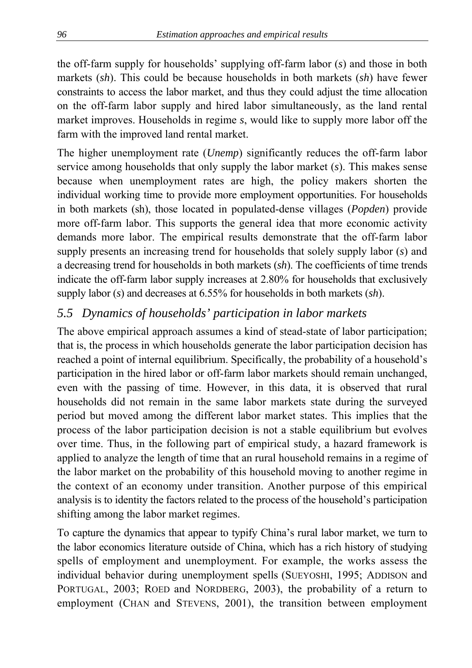the off-farm supply for households' supplying off-farm labor (*s*) and those in both markets (*sh*). This could be because households in both markets (*sh*) have fewer constraints to access the labor market, and thus they could adjust the time allocation on the off-farm labor supply and hired labor simultaneously, as the land rental market improves. Households in regime *s*, would like to supply more labor off the farm with the improved land rental market.

The higher unemployment rate (*Unemp*) significantly reduces the off-farm labor service among households that only supply the labor market (*s*). This makes sense because when unemployment rates are high, the policy makers shorten the individual working time to provide more employment opportunities. For households in both markets (sh), those located in populated-dense villages (*Popden*) provide more off-farm labor. This supports the general idea that more economic activity demands more labor. The empirical results demonstrate that the off-farm labor supply presents an increasing trend for households that solely supply labor (*s*) and a decreasing trend for households in both markets (*sh*). The coefficients of time trends indicate the off-farm labor supply increases at 2.80% for households that exclusively supply labor (*s*) and decreases at 6.55% for households in both markets (*sh*).

#### *5.5 Dynamics of households' participation in labor markets*

The above empirical approach assumes a kind of stead-state of labor participation; that is, the process in which households generate the labor participation decision has reached a point of internal equilibrium. Specifically, the probability of a household's participation in the hired labor or off-farm labor markets should remain unchanged, even with the passing of time. However, in this data, it is observed that rural households did not remain in the same labor markets state during the surveyed period but moved among the different labor market states. This implies that the process of the labor participation decision is not a stable equilibrium but evolves over time. Thus, in the following part of empirical study, a hazard framework is applied to analyze the length of time that an rural household remains in a regime of the labor market on the probability of this household moving to another regime in the context of an economy under transition. Another purpose of this empirical analysis is to identity the factors related to the process of the household's participation shifting among the labor market regimes.

To capture the dynamics that appear to typify China's rural labor market, we turn to the labor economics literature outside of China, which has a rich history of studying spells of employment and unemployment. For example, the works assess the individual behavior during unemployment spells (SUEYOSHI, 1995; ADDISON and PORTUGAL, 2003; ROED and NORDBERG, 2003), the probability of a return to employment (CHAN and STEVENS, 2001), the transition between employment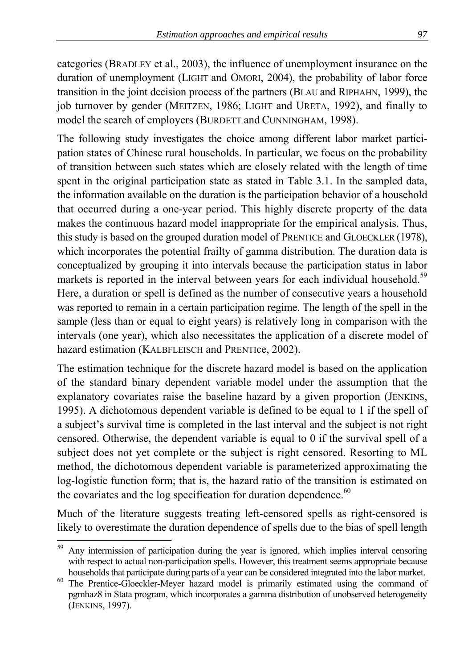categories (BRADLEY et al., 2003), the influence of unemployment insurance on the duration of unemployment (LIGHT and OMORI, 2004), the probability of labor force transition in the joint decision process of the partners (BLAU and RIPHAHN, 1999), the job turnover by gender (MEITZEN, 1986; LIGHT and URETA, 1992), and finally to model the search of employers (BURDETT and CUNNINGHAM, 1998).

The following study investigates the choice among different labor market participation states of Chinese rural households. In particular, we focus on the probability of transition between such states which are closely related with the length of time spent in the original participation state as stated in Table 3.1. In the sampled data, the information available on the duration is the participation behavior of a household that occurred during a one-year period. This highly discrete property of the data makes the continuous hazard model inappropriate for the empirical analysis. Thus, this study is based on the grouped duration model of PRENTICE and GLOECKLER (1978), which incorporates the potential frailty of gamma distribution. The duration data is conceptualized by grouping it into intervals because the participation status in labor markets is reported in the interval between years for each individual household.<sup>59</sup> Here, a duration or spell is defined as the number of consecutive years a household was reported to remain in a certain participation regime. The length of the spell in the sample (less than or equal to eight years) is relatively long in comparison with the intervals (one year), which also necessitates the application of a discrete model of hazard estimation (KALBFLEISCH and PRENTIce, 2002).

The estimation technique for the discrete hazard model is based on the application of the standard binary dependent variable model under the assumption that the explanatory covariates raise the baseline hazard by a given proportion (JENKINS, 1995). A dichotomous dependent variable is defined to be equal to 1 if the spell of a subject's survival time is completed in the last interval and the subject is not right censored. Otherwise, the dependent variable is equal to 0 if the survival spell of a subject does not yet complete or the subject is right censored. Resorting to ML method, the dichotomous dependent variable is parameterized approximating the log-logistic function form; that is, the hazard ratio of the transition is estimated on the covariates and the log specification for duration dependence. $60$ 

Much of the literature suggests treating left-censored spells as right-censored is likely to overestimate the duration dependence of spells due to the bias of spell length

 $\overline{a}$ 

Any intermission of participation during the year is ignored, which implies interval censoring with respect to actual non-participation spells. However, this treatment seems appropriate because households that participate during parts of a year can be considered integrated into the labor market.

The Prentice-Gloeckler-Meyer hazard model is primarily estimated using the command of pgmhaz8 in Stata program, which incorporates a gamma distribution of unobserved heterogeneity (JENKINS, 1997).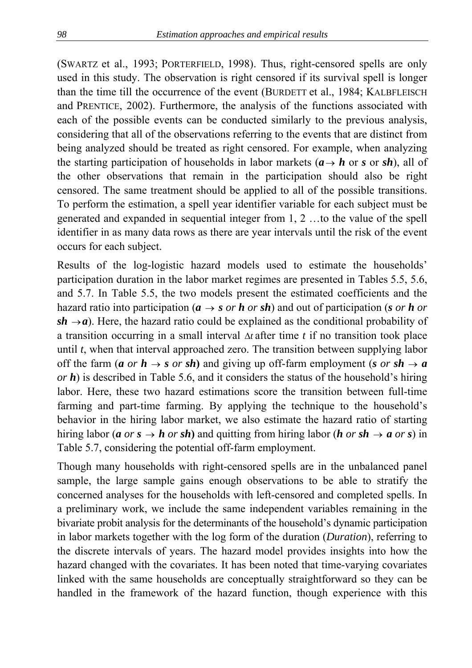(SWARTZ et al., 1993; PORTERFIELD, 1998). Thus, right-censored spells are only used in this study. The observation is right censored if its survival spell is longer than the time till the occurrence of the event (BURDETT et al., 1984; KALBFLEISCH and PRENTICE, 2002). Furthermore, the analysis of the functions associated with each of the possible events can be conducted similarly to the previous analysis, considering that all of the observations referring to the events that are distinct from being analyzed should be treated as right censored. For example, when analyzing the starting participation of households in labor markets  $(a \rightarrow h$  or *s* or *sh*), all of the other observations that remain in the participation should also be right censored. The same treatment should be applied to all of the possible transitions. To perform the estimation, a spell year identifier variable for each subject must be generated and expanded in sequential integer from 1, 2 …to the value of the spell identifier in as many data rows as there are year intervals until the risk of the event occurs for each subject.

Results of the log-logistic hazard models used to estimate the households' participation duration in the labor market regimes are presented in Tables 5.5, 5.6, and 5.7. In Table 5.5, the two models present the estimated coefficients and the hazard ratio into participation ( $a \rightarrow s$  *or*  $h$  *or sh*) and out of participation (*s or*  $h$  *or*  $s\hbar \rightarrow a$ ). Here, the hazard ratio could be explained as the conditional probability of a transition occurring in a small interval Δ*t* after time *t* if no transition took place until *t*, when that interval approached zero. The transition between supplying labor off the farm  $(a \text{ or } h \rightarrow s \text{ or } sh)$  and giving up off-farm employment  $(s \text{ or } sh \rightarrow a$ *or h*) is described in Table 5.6, and it considers the status of the household's hiring labor. Here, these two hazard estimations score the transition between full-time farming and part-time farming. By applying the technique to the household's behavior in the hiring labor market, we also estimate the hazard ratio of starting hiring labor (*a or s*  $\rightarrow$  *h or sh*) and quitting from hiring labor (*h or sh*  $\rightarrow$  *a or s*) in Table 5.7, considering the potential off-farm employment.

Though many households with right-censored spells are in the unbalanced panel sample, the large sample gains enough observations to be able to stratify the concerned analyses for the households with left-censored and completed spells. In a preliminary work, we include the same independent variables remaining in the bivariate probit analysis for the determinants of the household's dynamic participation in labor markets together with the log form of the duration (*Duration*), referring to the discrete intervals of years. The hazard model provides insights into how the hazard changed with the covariates. It has been noted that time-varying covariates linked with the same households are conceptually straightforward so they can be handled in the framework of the hazard function, though experience with this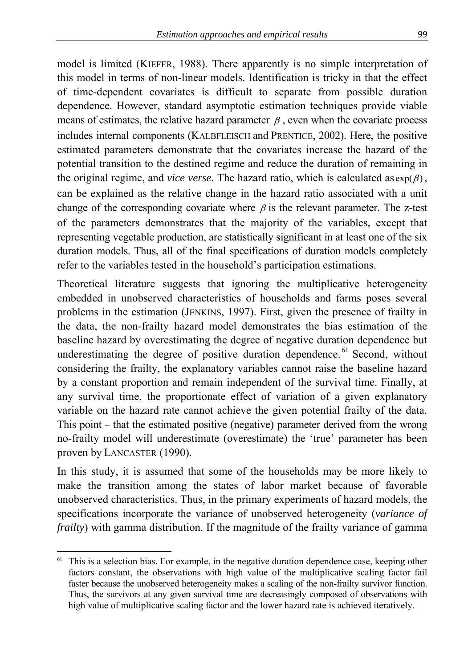model is limited (KIEFER, 1988). There apparently is no simple interpretation of this model in terms of non-linear models. Identification is tricky in that the effect of time-dependent covariates is difficult to separate from possible duration dependence. However, standard asymptotic estimation techniques provide viable means of estimates, the relative hazard parameter  $\beta$ , even when the covariate process includes internal components (KALBFLEISCH and PRENTICE, 2002). Here, the positive estimated parameters demonstrate that the covariates increase the hazard of the potential transition to the destined regime and reduce the duration of remaining in the original regime, and *vice verse*. The hazard ratio, which is calculated as  $exp(\beta)$ , can be explained as the relative change in the hazard ratio associated with a unit change of the corresponding covariate where  $\beta$  is the relevant parameter. The z-test of the parameters demonstrates that the majority of the variables, except that representing vegetable production, are statistically significant in at least one of the six duration models. Thus, all of the final specifications of duration models completely refer to the variables tested in the household's participation estimations.

Theoretical literature suggests that ignoring the multiplicative heterogeneity embedded in unobserved characteristics of households and farms poses several problems in the estimation (JENKINS, 1997). First, given the presence of frailty in the data, the non-frailty hazard model demonstrates the bias estimation of the baseline hazard by overestimating the degree of negative duration dependence but underestimating the degree of positive duration dependence.<sup>61</sup> Second, without considering the frailty, the explanatory variables cannot raise the baseline hazard by a constant proportion and remain independent of the survival time. Finally, at any survival time, the proportionate effect of variation of a given explanatory variable on the hazard rate cannot achieve the given potential frailty of the data. This point – that the estimated positive (negative) parameter derived from the wrong no-frailty model will underestimate (overestimate) the 'true' parameter has been proven by LANCASTER (1990).

In this study, it is assumed that some of the households may be more likely to make the transition among the states of labor market because of favorable unobserved characteristics. Thus, in the primary experiments of hazard models, the specifications incorporate the variance of unobserved heterogeneity (*variance of frailty*) with gamma distribution. If the magnitude of the frailty variance of gamma

 $\overline{a}$  $61$  This is a selection bias. For example, in the negative duration dependence case, keeping other factors constant, the observations with high value of the multiplicative scaling factor fail faster because the unobserved heterogeneity makes a scaling of the non-frailty survivor function. Thus, the survivors at any given survival time are decreasingly composed of observations with high value of multiplicative scaling factor and the lower hazard rate is achieved iteratively.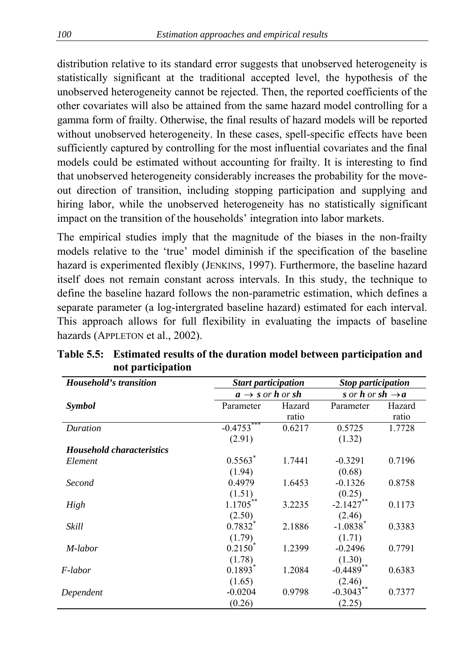distribution relative to its standard error suggests that unobserved heterogeneity is statistically significant at the traditional accepted level, the hypothesis of the unobserved heterogeneity cannot be rejected. Then, the reported coefficients of the other covariates will also be attained from the same hazard model controlling for a gamma form of frailty. Otherwise, the final results of hazard models will be reported without unobserved heterogeneity. In these cases, spell-specific effects have been sufficiently captured by controlling for the most influential covariates and the final models could be estimated without accounting for frailty. It is interesting to find that unobserved heterogeneity considerably increases the probability for the moveout direction of transition, including stopping participation and supplying and hiring labor, while the unobserved heterogeneity has no statistically significant impact on the transition of the households' integration into labor markets.

The empirical studies imply that the magnitude of the biases in the non-frailty models relative to the 'true' model diminish if the specification of the baseline hazard is experimented flexibly (JENKINS, 1997). Furthermore, the baseline hazard itself does not remain constant across intervals. In this study, the technique to define the baseline hazard follows the non-parametric estimation, which defines a separate parameter (a log-intergrated baseline hazard) estimated for each interval. This approach allows for full flexibility in evaluating the impacts of baseline hazards (APPLETON et al., 2002).

| Household's transition           | <b>Start participation</b>   |        | <b>Stop participation</b>    |        |
|----------------------------------|------------------------------|--------|------------------------------|--------|
|                                  | $a \rightarrow s$ or h or sh |        | s or h or sh $\rightarrow a$ |        |
| <b>Symbol</b>                    | Parameter                    | Hazard | Parameter                    | Hazard |
|                                  |                              | ratio  |                              | ratio  |
| Duration                         | $-0.4753***$                 | 0.6217 | 0.5725                       | 1.7728 |
|                                  | (2.91)                       |        | (1.32)                       |        |
| <b>Household characteristics</b> |                              |        |                              |        |
| Element                          | $0.5563$ <sup>*</sup>        | 1.7441 | $-0.3291$                    | 0.7196 |
|                                  | (1.94)                       |        | (0.68)                       |        |
| Second                           | 0.4979                       | 1.6453 | $-0.1326$                    | 0.8758 |
|                                  | (1.51)                       |        | (0.25)                       |        |
| High                             | $1.1705^{**}$                | 3.2235 | $-2.1427$ **                 | 0.1173 |
|                                  | (2.50)                       |        | (2.46)                       |        |
| Skill                            | 0.7832*                      | 2.1886 | $-1.0838$ <sup>*</sup>       | 0.3383 |
|                                  | (1.79)                       |        | (1.71)                       |        |
| M-labor                          | $0.2150^*$                   | 1.2399 | $-0.2496$                    | 0.7791 |
|                                  | (1.78)                       |        | (1.30)                       |        |
| F-labor                          | $0.1893*$                    | 1.2084 | $-0.4489**$                  | 0.6383 |
|                                  | (1.65)                       |        | (2.46)                       |        |
| Dependent                        | $-0.0204$                    | 0.9798 | $-0.3043$                    | 0.7377 |
|                                  | (0.26)                       |        | (2.25)                       |        |

**Table 5.5: Estimated results of the duration model between participation and not participation**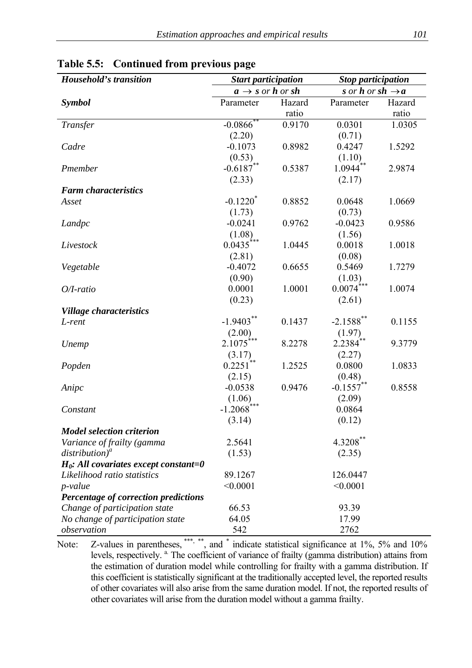| Household's transition                   | <b>Start participation</b>   |        | <b>Stop participation</b>    |        |
|------------------------------------------|------------------------------|--------|------------------------------|--------|
|                                          | $a \rightarrow s$ or h or sh |        | s or h or sh $\rightarrow$ a |        |
| <b>Symbol</b>                            | Parameter                    | Hazard | Parameter                    | Hazard |
|                                          |                              | ratio  |                              | ratio  |
| Transfer                                 | $-0.0866$                    | 0.9170 | 0.0301                       | 1.0305 |
|                                          | (2.20)                       |        | (0.71)                       |        |
| Cadre                                    | $-0.1073$                    | 0.8982 | 0.4247                       | 1.5292 |
|                                          | (0.53)                       |        | (1.10)                       |        |
| Pmember                                  | $-0.6187**$                  | 0.5387 | $1.0944^{4*}$                | 2.9874 |
|                                          | (2.33)                       |        | (2.17)                       |        |
| <b>Farm characteristics</b>              |                              |        |                              |        |
| Asset                                    | $-0.1220$ <sup>*</sup>       | 0.8852 | 0.0648                       | 1.0669 |
|                                          | (1.73)                       |        | (0.73)                       |        |
| Landpc                                   | $-0.0241$                    | 0.9762 | $-0.0423$                    | 0.9586 |
|                                          | (1.08)                       |        | (1.56)                       |        |
| Livestock                                | $0.0435$ <sup>***</sup>      | 1.0445 | 0.0018                       | 1.0018 |
|                                          | (2.81)                       |        | (0.08)                       |        |
| Vegetable                                | $-0.4072$                    | 0.6655 | 0.5469                       | 1.7279 |
|                                          | (0.90)                       |        | (1.03)                       |        |
| $O/I$ -ratio                             | 0.0001                       | 1.0001 | $0.0074$ <sup>***</sup>      | 1.0074 |
|                                          | (0.23)                       |        | (2.61)                       |        |
| <b>Village characteristics</b>           |                              |        |                              |        |
| L-rent                                   | $-1.9403**$                  | 0.1437 | $-2.1588$ **                 | 0.1155 |
|                                          | (2.00)                       |        | (1.97)                       |        |
| Unemp                                    | $2.1075***$                  | 8.2278 | $2.2384^{**}$                | 9.3779 |
|                                          | (3.17)                       |        | (2.27)                       |        |
| Popden                                   | $0.2251^{4*}$                | 1.2525 | 0.0800                       | 1.0833 |
|                                          | (2.15)                       |        | (0.48)                       |        |
| Anipc                                    | $-0.0538$                    | 0.9476 | $-0.1557$ **                 | 0.8558 |
|                                          | (1.06)                       |        | (2.09)                       |        |
| Constant                                 | $-1.2068^{***}$              |        | 0.0864                       |        |
|                                          | (3.14)                       |        | (0.12)                       |        |
| <b>Model selection criterion</b>         |                              |        |                              |        |
| Variance of frailty (gamma               | 2.5641                       |        | 4.3208**                     |        |
| distribution) <sup><i>a</i></sup>        | (1.53)                       |        | (2.35)                       |        |
| $H_0$ : All covariates except constant=0 |                              |        |                              |        |
| Likelihood ratio statistics              | 89.1267                      |        | 126.0447                     |        |
| p-value                                  | < 0.0001                     |        | < 0.0001                     |        |
| Percentage of correction predictions     |                              |        |                              |        |
| Change of participation state            | 66.53                        |        | 93.39                        |        |
| No change of participation state         | 64.05                        |        | 17.99                        |        |
| observation                              | 542                          |        | 2762                         |        |

**Table 5.5: Continued from previous page** 

Note: Z-values in parentheses,  $***$ ,  $**$ , and  $*$  indicate statistical significance at 1%, 5% and 10% levels, respectively. <sup>a</sup>. The coefficient of variance of frailty (gamma distribution) attains from the estimation of duration model while controlling for frailty with a gamma distribution. If this coefficient is statistically significant at the traditionally accepted level, the reported results of other covariates will also arise from the same duration model. If not, the reported results of other covariates will arise from the duration model without a gamma frailty.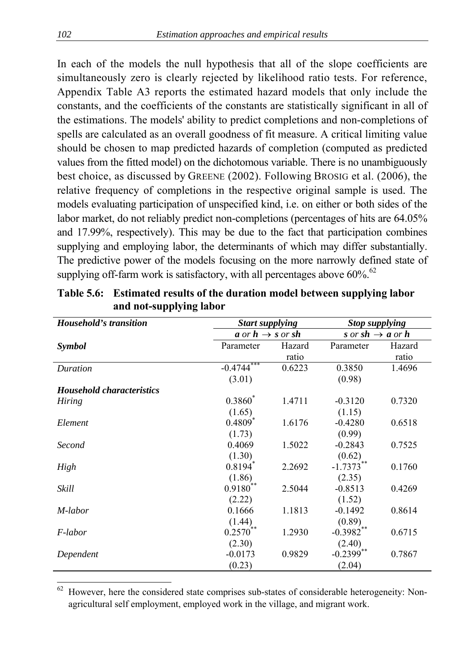In each of the models the null hypothesis that all of the slope coefficients are simultaneously zero is clearly rejected by likelihood ratio tests. For reference, Appendix Table A3 reports the estimated hazard models that only include the constants, and the coefficients of the constants are statistically significant in all of the estimations. The models' ability to predict completions and non-completions of spells are calculated as an overall goodness of fit measure. A critical limiting value should be chosen to map predicted hazards of completion (computed as predicted values from the fitted model) on the dichotomous variable. There is no unambiguously best choice, as discussed by GREENE (2002). Following BROSIG et al. (2006), the relative frequency of completions in the respective original sample is used. The models evaluating participation of unspecified kind, i.e. on either or both sides of the labor market, do not reliably predict non-completions (percentages of hits are 64.05% and 17.99%, respectively). This may be due to the fact that participation combines supplying and employing labor, the determinants of which may differ substantially. The predictive power of the models focusing on the more narrowly defined state of supplying off-farm work is satisfactory, with all percentages above  $60\%$ <sup>62</sup>

| Household's transition           | <b>Start supplying</b>       |        | <b>Stop supplying</b>        |        |
|----------------------------------|------------------------------|--------|------------------------------|--------|
|                                  | a or $h \rightarrow s$ or sh |        | s or sh $\rightarrow$ a or h |        |
| <b>Symbol</b>                    | Parameter                    | Hazard | Parameter                    | Hazard |
|                                  |                              | ratio  |                              | ratio  |
| Duration                         | $-0.4744$                    | 0.6223 | 0.3850                       | 1.4696 |
|                                  | (3.01)                       |        | (0.98)                       |        |
| <b>Household characteristics</b> |                              |        |                              |        |
| <b>Hiring</b>                    | $0.3860^*$                   | 1.4711 | $-0.3120$                    | 0.7320 |
|                                  | (1.65)                       |        | (1.15)                       |        |
| Element                          | $0.4809^{*}$                 | 1.6176 | $-0.4280$                    | 0.6518 |
|                                  | (1.73)                       |        | (0.99)                       |        |
| Second                           | 0.4069                       | 1.5022 | $-0.2843$                    | 0.7525 |
|                                  | (1.30)                       |        | (0.62)                       |        |
| High                             | $0.8194$ <sup>*</sup>        | 2.2692 | $-1.7373**$                  | 0.1760 |
|                                  | (1.86)                       |        | (2.35)                       |        |
| Skill                            | $0.9180^{4*}$                | 2.5044 | $-0.8513$                    | 0.4269 |
|                                  | (2.22)                       |        | (1.52)                       |        |
| M-labor                          | 0.1666                       | 1.1813 | $-0.1492$                    | 0.8614 |
|                                  | (1.44)                       |        | (0.89)                       |        |
| F-labor                          | 0.2570                       | 1.2930 | $-0.3982$ <sup>**</sup>      | 0.6715 |
|                                  | (2.30)                       |        | (2.40)                       |        |
| Dependent                        | $-0.0173$                    | 0.9829 | $-0.2399$ <sup>**</sup>      | 0.7867 |
|                                  | (0.23)                       |        | (2.04)                       |        |

**Table 5.6: Estimated results of the duration model between supplying labor and not-supplying labor** 

However, here the considered state comprises sub-states of considerable heterogeneity: Nonagricultural self employment, employed work in the village, and migrant work.

 $\overline{a}$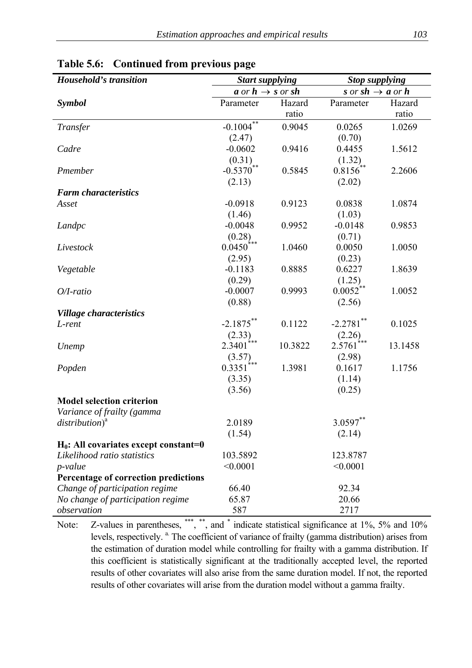| Household's transition                   | <b>Start supplying</b>       |         | <b>Stop supplying</b>        |         |
|------------------------------------------|------------------------------|---------|------------------------------|---------|
|                                          | a or $h \rightarrow s$ or sh |         | s or sh $\rightarrow$ a or h |         |
| <b>Symbol</b>                            | Parameter                    | Hazard  | Parameter                    | Hazard  |
|                                          |                              | ratio   |                              | ratio   |
| Transfer                                 | $-0.1004$ **                 | 0.9045  | 0.0265                       | 1.0269  |
|                                          | (2.47)                       |         | (0.70)                       |         |
| Cadre                                    | $-0.0602$                    | 0.9416  | 0.4455                       | 1.5612  |
|                                          | (0.31)                       |         | (1.32)                       |         |
| Pmember                                  | $-0.5370^{4*}$               | 0.5845  | $0.8156^{4*}$                | 2.2606  |
|                                          | (2.13)                       |         | (2.02)                       |         |
| <b>Farm characteristics</b>              |                              |         |                              |         |
| Asset                                    | $-0.0918$                    | 0.9123  | 0.0838                       | 1.0874  |
|                                          | (1.46)                       |         | (1.03)                       |         |
| Landpc                                   | $-0.0048$                    | 0.9952  | $-0.0148$                    | 0.9853  |
|                                          |                              |         | (0.71)                       |         |
| Livestock                                | $(0.28)$<br>0.0450***        | 1.0460  | 0.0050                       | 1.0050  |
|                                          | (2.95)                       |         | (0.23)                       |         |
| Vegetable                                | $-0.1183$                    | 0.8885  | 0.6227                       | 1.8639  |
|                                          | (0.29)                       |         | (1.25)                       |         |
| $O/I$ -ratio                             | $-0.0007$                    | 0.9993  | $0.0052^{4*}$                | 1.0052  |
|                                          | (0.88)                       |         | (2.56)                       |         |
| <b>Village characteristics</b>           |                              |         |                              |         |
| L-rent                                   | $-2.1875***$                 | 0.1122  | $-2.2781$ **                 | 0.1025  |
|                                          | (2.33)                       |         | (2.26)                       |         |
| Unemp                                    | ***<br>2.3401                | 10.3822 | ,<br>***<br>2.5761           | 13.1458 |
|                                          | (3.57)                       |         | (2.98)                       |         |
| Popden                                   | $0.3351$ <sup>***</sup>      | 1.3981  | 0.1617                       | 1.1756  |
|                                          | (3.35)                       |         | (1.14)                       |         |
|                                          | (3.56)                       |         | (0.25)                       |         |
| <b>Model selection criterion</b>         |                              |         |                              |         |
| Variance of frailty (gamma               |                              |         |                              |         |
| $distribution$ <sup>a</sup>              | 2.0189                       |         | $3.0597**$                   |         |
|                                          | (1.54)                       |         | (2.14)                       |         |
| $H_0$ : All covariates except constant=0 |                              |         |                              |         |
| Likelihood ratio statistics              | 103.5892                     |         | 123.8787                     |         |
| p-value                                  | < 0.0001                     |         | < 0.0001                     |         |
| Percentage of correction predictions     |                              |         |                              |         |
| Change of participation regime           | 66.40                        |         | 92.34                        |         |
| No change of participation regime        | 65.87                        |         | 20.66                        |         |
| observation                              | 587                          |         | 2717                         |         |

**Table 5.6: Continued from previous page** 

Note: Z-values in parentheses, \*\*\*, \*\*, and \* indicate statistical significance at 1%, 5% and 10% levels, respectively. <sup>a.</sup> The coefficient of variance of frailty (gamma distribution) arises from the estimation of duration model while controlling for frailty with a gamma distribution. If this coefficient is statistically significant at the traditionally accepted level, the reported results of other covariates will also arise from the same duration model. If not, the reported results of other covariates will arise from the duration model without a gamma frailty.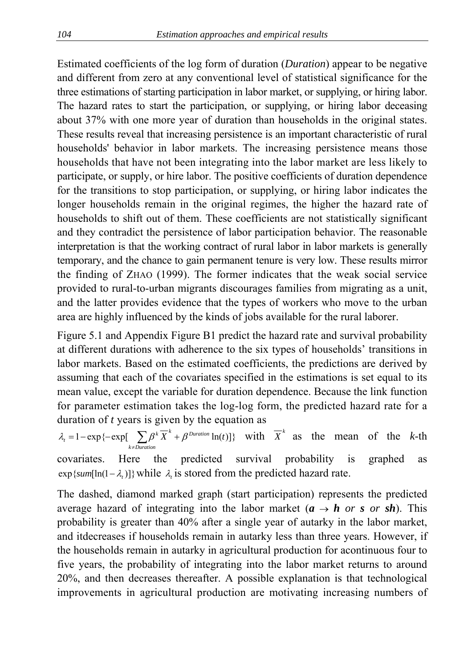Estimated coefficients of the log form of duration (*Duration*) appear to be negative and different from zero at any conventional level of statistical significance for the three estimations of starting participation in labor market, or supplying, or hiring labor. The hazard rates to start the participation, or supplying, or hiring labor deceasing about 37% with one more year of duration than households in the original states. These results reveal that increasing persistence is an important characteristic of rural households' behavior in labor markets. The increasing persistence means those households that have not been integrating into the labor market are less likely to participate, or supply, or hire labor. The positive coefficients of duration dependence for the transitions to stop participation, or supplying, or hiring labor indicates the longer households remain in the original regimes, the higher the hazard rate of households to shift out of them. These coefficients are not statistically significant and they contradict the persistence of labor participation behavior. The reasonable interpretation is that the working contract of rural labor in labor markets is generally temporary, and the chance to gain permanent tenure is very low. These results mirror the finding of ZHAO (1999). The former indicates that the weak social service provided to rural-to-urban migrants discourages families from migrating as a unit, and the latter provides evidence that the types of workers who move to the urban area are highly influenced by the kinds of jobs available for the rural laborer.

Figure 5.1 and Appendix Figure B1 predict the hazard rate and survival probability at different durations with adherence to the six types of households' transitions in labor markets. Based on the estimated coefficients, the predictions are derived by assuming that each of the covariates specified in the estimations is set equal to its mean value, except the variable for duration dependence. Because the link function for parameter estimation takes the log-log form, the predicted hazard rate for a duration of *t* years is given by the equation as

 $1 - \exp\{-\exp[-\sum \beta^k \overline{X}^k + \beta^{Duration} \ln(t)]\}$  $\lambda_t = 1 - \exp\{-\exp\left[\sum_{k \neq \text{Duration}} \beta^k \overline{X}^k + \beta^{\text{Duration}} \ln(t)\right]\}$  with  $\overline{X}^k$  as the mean of the *k*-th covariates. Here the predicted survival probability is graphed as  $\exp{\{\text{sum} \ln(1 - \lambda_i)\}\}\$  while  $\lambda_i$  is stored from the predicted hazard rate.

The dashed, diamond marked graph (start participation) represents the predicted average hazard of integrating into the labor market  $(a \rightarrow h$  or *s* or *sh*). This probability is greater than 40% after a single year of autarky in the labor market, and itdecreases if households remain in autarky less than three years. However, if the households remain in autarky in agricultural production for acontinuous four to five years, the probability of integrating into the labor market returns to around 20%, and then decreases thereafter. A possible explanation is that technological improvements in agricultural production are motivating increasing numbers of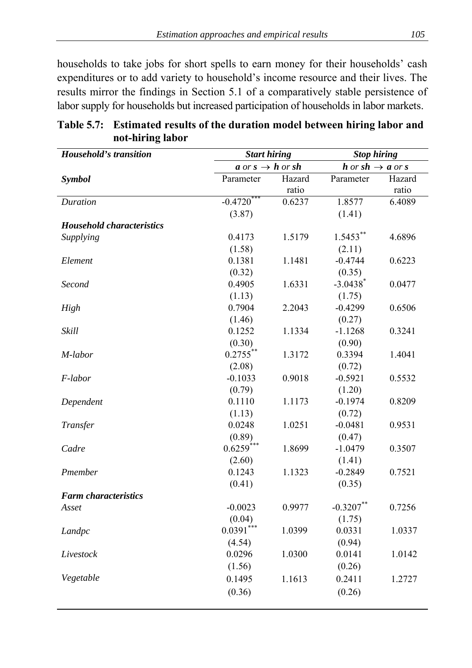households to take jobs for short spells to earn money for their households' cash expenditures or to add variety to household's income resource and their lives. The results mirror the findings in Section 5.1 of a comparatively stable persistence of labor supply for households but increased participation of households in labor markets.

| Household's transition           | <b>Start hiring</b> |                                  | <b>Stop hiring</b>     |                                |  |
|----------------------------------|---------------------|----------------------------------|------------------------|--------------------------------|--|
|                                  |                     | $a$ or $s \rightarrow h$ or $sh$ |                        | $h$ or sh $\rightarrow$ a or s |  |
| <b>Symbol</b>                    | Parameter           | Hazard                           | Parameter              | Hazard                         |  |
|                                  |                     | ratio                            |                        | ratio                          |  |
| <b>Duration</b>                  | $-0.4720$           | 0.6237                           | 1.8577                 | 6.4089                         |  |
|                                  | (3.87)              |                                  | (1.41)                 |                                |  |
| <b>Household characteristics</b> |                     |                                  |                        |                                |  |
| Supplying                        | 0.4173              | 1.5179                           | $1.5453***$            | 4.6896                         |  |
|                                  | (1.58)              |                                  | (2.11)                 |                                |  |
| Element                          | 0.1381              | 1.1481                           | $-0.4744$              | 0.6223                         |  |
|                                  | (0.32)              |                                  | (0.35)                 |                                |  |
| Second                           | 0.4905              | 1.6331                           | $-3.0438$ <sup>*</sup> | 0.0477                         |  |
|                                  | (1.13)              |                                  | (1.75)                 |                                |  |
| High                             | 0.7904              | 2.2043                           | $-0.4299$              | 0.6506                         |  |
|                                  | (1.46)              |                                  | (0.27)                 |                                |  |
| Skill                            | 0.1252              | 1.1334                           | $-1.1268$              | 0.3241                         |  |
|                                  | (0.30)              |                                  | (0.90)                 |                                |  |
| M-labor                          | $0.2755***$         | 1.3172                           | 0.3394                 | 1.4041                         |  |
|                                  | (2.08)              |                                  | (0.72)                 |                                |  |
| F-labor                          | $-0.1033$           | 0.9018                           | $-0.5921$              | 0.5532                         |  |
|                                  | (0.79)              |                                  | (1.20)                 |                                |  |
| Dependent                        | 0.1110              | 1.1173                           | $-0.1974$              | 0.8209                         |  |
|                                  | (1.13)              |                                  | (0.72)                 |                                |  |
| Transfer                         | 0.0248              | 1.0251                           | $-0.0481$              | 0.9531                         |  |
|                                  | (0.89)              |                                  | (0.47)                 |                                |  |
| Cadre                            | $0.6259***$         | 1.8699                           | $-1.0479$              | 0.3507                         |  |
|                                  | (2.60)              |                                  | (1.41)                 |                                |  |
| Pmember                          | 0.1243              | 1.1323                           | $-0.2849$              | 0.7521                         |  |
|                                  | (0.41)              |                                  | (0.35)                 |                                |  |
| <b>Farm characteristics</b>      |                     |                                  |                        |                                |  |
| Asset                            | $-0.0023$           | 0.9977                           | $-0.3207**$            | 0.7256                         |  |
|                                  | (0.04)              |                                  | (1.75)                 |                                |  |
| Landpc                           | $0.0391$ ***        | 1.0399                           | 0.0331                 | 1.0337                         |  |
|                                  | (4.54)              |                                  | (0.94)                 |                                |  |
| Livestock                        | 0.0296              | 1.0300                           | 0.0141                 | 1.0142                         |  |
|                                  | (1.56)              |                                  | (0.26)                 |                                |  |
| Vegetable                        | 0.1495              | 1.1613                           | 0.2411                 | 1.2727                         |  |
|                                  | (0.36)              |                                  | (0.26)                 |                                |  |
|                                  |                     |                                  |                        |                                |  |

**Table 5.7: Estimated results of the duration model between hiring labor and not-hiring labor**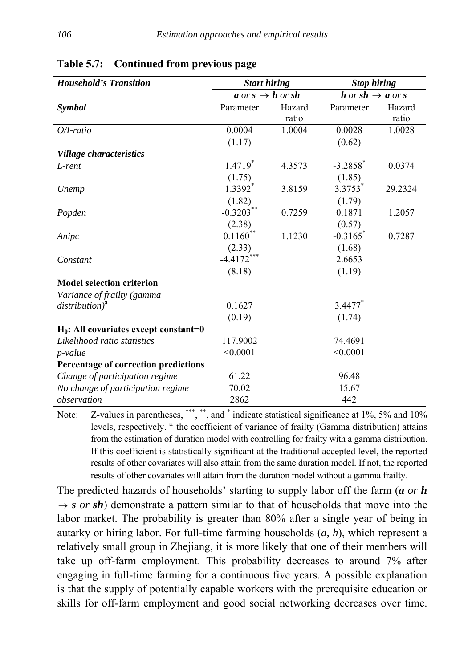| <b>Household's Transition</b>            | <b>Start hiring</b>                                            |        | <b>Stop hiring</b>     |         |
|------------------------------------------|----------------------------------------------------------------|--------|------------------------|---------|
|                                          | a or $s \rightarrow h$ or sh<br>$h$ or sh $\rightarrow$ a or s |        |                        |         |
| <i><b>Symbol</b></i>                     | Parameter                                                      | Hazard | Parameter              | Hazard  |
|                                          |                                                                | ratio  |                        | ratio   |
| $O/I$ -ratio                             | 0.0004                                                         | 1.0004 | 0.0028                 | 1.0028  |
|                                          | (1.17)                                                         |        | (0.62)                 |         |
| <b>Village characteristics</b>           |                                                                |        |                        |         |
| L-rent                                   | $1.4719*$                                                      | 4.3573 | $-3.2858$ <sup>*</sup> | 0.0374  |
|                                          | (1.75)                                                         |        | (1.85)                 |         |
| Unemp                                    | 1.3392*                                                        | 3.8159 | 3.3753*                | 29.2324 |
|                                          | (1.82)                                                         |        | (1.79)                 |         |
| Popden                                   | $-0.3203**$                                                    | 0.7259 | 0.1871                 | 1.2057  |
|                                          | (2.38)                                                         |        | (0.57)                 |         |
| Anipc                                    | $0.1160**$                                                     | 1.1230 | $-0.3165$ <sup>*</sup> | 0.7287  |
|                                          | (2.33)                                                         |        | (1.68)                 |         |
| Constant                                 | $-4.4172***$                                                   |        | 2.6653                 |         |
|                                          | (8.18)                                                         |        | (1.19)                 |         |
| <b>Model selection criterion</b>         |                                                                |        |                        |         |
| Variance of frailty (gamma               |                                                                |        |                        |         |
| $distribution)^a$                        | 0.1627                                                         |        | 3.4477*                |         |
|                                          | (0.19)                                                         |        | (1.74)                 |         |
| $H_0$ : All covariates except constant=0 |                                                                |        |                        |         |
| Likelihood ratio statistics              | 117.9002                                                       |        | 74.4691                |         |
| <i>p</i> -value                          | < 0.0001                                                       |        | < 0.0001               |         |
| Percentage of correction predictions     |                                                                |        |                        |         |
| Change of participation regime           | 61.22                                                          |        | 96.48                  |         |
| No change of participation regime        | 70.02                                                          |        | 15.67                  |         |
| observation                              | 2862                                                           |        | 442                    |         |

| Table 5.7: Continued from previous page |  |
|-----------------------------------------|--|
|-----------------------------------------|--|

Note: Z-values in parentheses,  $\overset{***}{\phantom{0}}$ ,  $\overset{**}{\phantom{0}}$ , and  $\overset{*}{\phantom{0}}$  indicate statistical significance at 1%, 5% and 10% levels, respectively. <sup>a.</sup> the coefficient of variance of frailty (Gamma distribution) attains from the estimation of duration model with controlling for frailty with a gamma distribution. If this coefficient is statistically significant at the traditional accepted level, the reported results of other covariates will also attain from the same duration model. If not, the reported results of other covariates will attain from the duration model without a gamma frailty.

The predicted hazards of households' starting to supply labor off the farm (*a or h*  $\rightarrow$  *s* or *sh*) demonstrate a pattern similar to that of households that move into the labor market. The probability is greater than 80% after a single year of being in autarky or hiring labor. For full-time farming households (*a, h*), which represent a relatively small group in Zhejiang, it is more likely that one of their members will take up off-farm employment. This probability decreases to around 7% after engaging in full-time farming for a continuous five years. A possible explanation is that the supply of potentially capable workers with the prerequisite education or skills for off-farm employment and good social networking decreases over time.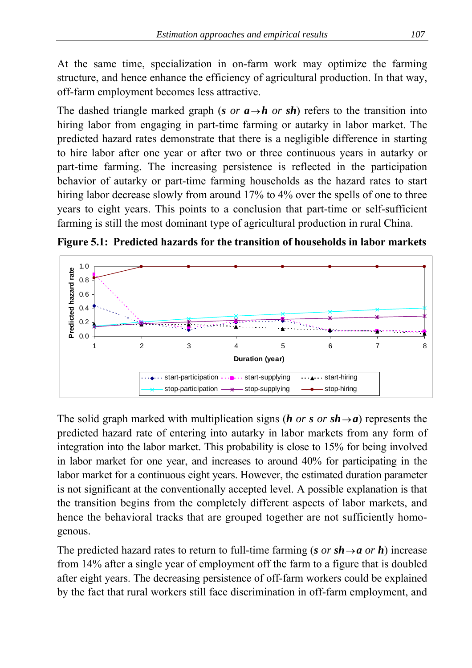At the same time, specialization in on-farm work may optimize the farming structure, and hence enhance the efficiency of agricultural production. In that way, off-farm employment becomes less attractive.

The dashed triangle marked graph (*s or*  $a \rightarrow h$  *or sh*) refers to the transition into hiring labor from engaging in part-time farming or autarky in labor market. The predicted hazard rates demonstrate that there is a negligible difference in starting to hire labor after one year or after two or three continuous years in autarky or part-time farming. The increasing persistence is reflected in the participation behavior of autarky or part-time farming households as the hazard rates to start hiring labor decrease slowly from around 17% to 4% over the spells of one to three years to eight years. This points to a conclusion that part-time or self-sufficient farming is still the most dominant type of agricultural production in rural China.



**Figure 5.1: Predicted hazards for the transition of households in labor markets** 

The solid graph marked with multiplication signs (*h or s or sh* $\rightarrow a$ ) represents the predicted hazard rate of entering into autarky in labor markets from any form of integration into the labor market. This probability is close to 15% for being involved in labor market for one year, and increases to around 40% for participating in the labor market for a continuous eight years. However, the estimated duration parameter is not significant at the conventionally accepted level. A possible explanation is that the transition begins from the completely different aspects of labor markets, and hence the behavioral tracks that are grouped together are not sufficiently homogenous.

The predicted hazard rates to return to full-time farming (*s or sh*  $\rightarrow$  *a or h*) increase from 14% after a single year of employment off the farm to a figure that is doubled after eight years. The decreasing persistence of off-farm workers could be explained by the fact that rural workers still face discrimination in off-farm employment, and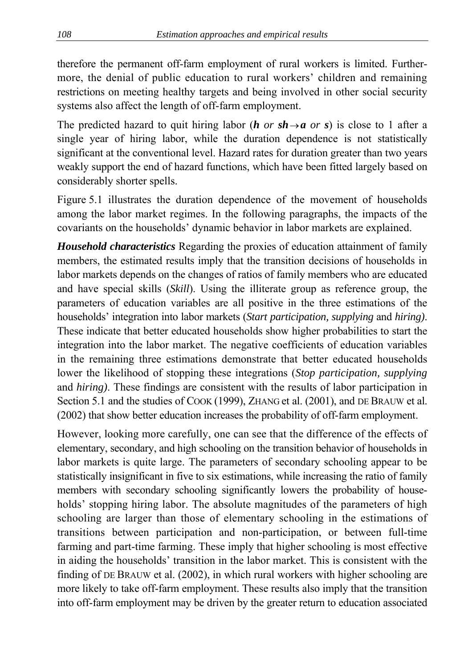therefore the permanent off-farm employment of rural workers is limited. Furthermore, the denial of public education to rural workers' children and remaining restrictions on meeting healthy targets and being involved in other social security systems also affect the length of off-farm employment.

The predicted hazard to quit hiring labor (*h or sh* $\rightarrow a$  *or s*) is close to 1 after a single year of hiring labor, while the duration dependence is not statistically significant at the conventional level. Hazard rates for duration greater than two years weakly support the end of hazard functions, which have been fitted largely based on considerably shorter spells.

Figure 5.1 illustrates the duration dependence of the movement of households among the labor market regimes. In the following paragraphs, the impacts of the covariants on the households' dynamic behavior in labor markets are explained.

*Household characteristics* Regarding the proxies of education attainment of family members, the estimated results imply that the transition decisions of households in labor markets depends on the changes of ratios of family members who are educated and have special skills (*Skill*). Using the illiterate group as reference group, the parameters of education variables are all positive in the three estimations of the households' integration into labor markets (*Start participation, supplying* and *hiring)*. These indicate that better educated households show higher probabilities to start the integration into the labor market. The negative coefficients of education variables in the remaining three estimations demonstrate that better educated households lower the likelihood of stopping these integrations (*Stop participation, supplying* and *hiring)*. These findings are consistent with the results of labor participation in Section 5.1 and the studies of COOK (1999), ZHANG et al. (2001), and DE BRAUW et al. (2002) that show better education increases the probability of off-farm employment.

However, looking more carefully, one can see that the difference of the effects of elementary, secondary, and high schooling on the transition behavior of households in labor markets is quite large. The parameters of secondary schooling appear to be statistically insignificant in five to six estimations, while increasing the ratio of family members with secondary schooling significantly lowers the probability of households' stopping hiring labor. The absolute magnitudes of the parameters of high schooling are larger than those of elementary schooling in the estimations of transitions between participation and non-participation, or between full-time farming and part-time farming. These imply that higher schooling is most effective in aiding the households' transition in the labor market. This is consistent with the finding of DE BRAUW et al. (2002), in which rural workers with higher schooling are more likely to take off-farm employment. These results also imply that the transition into off-farm employment may be driven by the greater return to education associated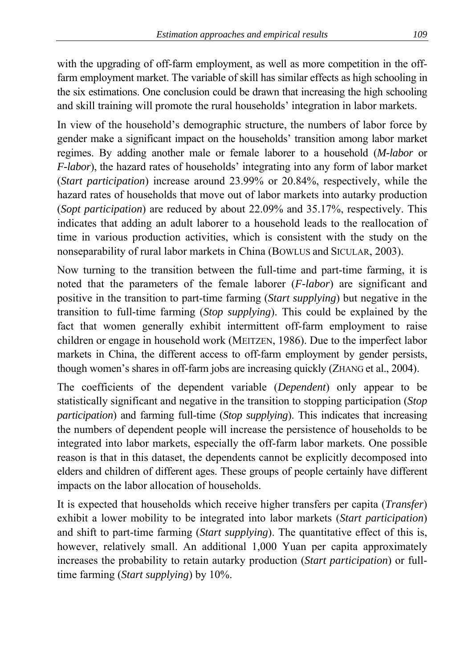with the upgrading of off-farm employment, as well as more competition in the offfarm employment market. The variable of skill has similar effects as high schooling in the six estimations. One conclusion could be drawn that increasing the high schooling and skill training will promote the rural households' integration in labor markets.

In view of the household's demographic structure, the numbers of labor force by gender make a significant impact on the households' transition among labor market regimes. By adding another male or female laborer to a household (*M-labor* or *F-labor*), the hazard rates of households' integrating into any form of labor market (*Start participation*) increase around 23.99% or 20.84%, respectively, while the hazard rates of households that move out of labor markets into autarky production (*Sopt participation*) are reduced by about 22.09% and 35.17%, respectively. This indicates that adding an adult laborer to a household leads to the reallocation of time in various production activities, which is consistent with the study on the nonseparability of rural labor markets in China (BOWLUS and SICULAR, 2003).

Now turning to the transition between the full-time and part-time farming, it is noted that the parameters of the female laborer (*F-labor*) are significant and positive in the transition to part-time farming (*Start supplying*) but negative in the transition to full-time farming (*Stop supplying*). This could be explained by the fact that women generally exhibit intermittent off-farm employment to raise children or engage in household work (MEITZEN, 1986). Due to the imperfect labor markets in China, the different access to off-farm employment by gender persists, though women's shares in off-farm jobs are increasing quickly (ZHANG et al., 2004).

The coefficients of the dependent variable (*Dependent*) only appear to be statistically significant and negative in the transition to stopping participation (*Stop participation*) and farming full-time (*Stop supplying*). This indicates that increasing the numbers of dependent people will increase the persistence of households to be integrated into labor markets, especially the off-farm labor markets. One possible reason is that in this dataset, the dependents cannot be explicitly decomposed into elders and children of different ages. These groups of people certainly have different impacts on the labor allocation of households.

It is expected that households which receive higher transfers per capita (*Transfer*) exhibit a lower mobility to be integrated into labor markets (*Start participation*) and shift to part-time farming (*Start supplying*). The quantitative effect of this is, however, relatively small. An additional 1,000 Yuan per capita approximately increases the probability to retain autarky production (*Start participation*) or fulltime farming (*Start supplying*) by 10%.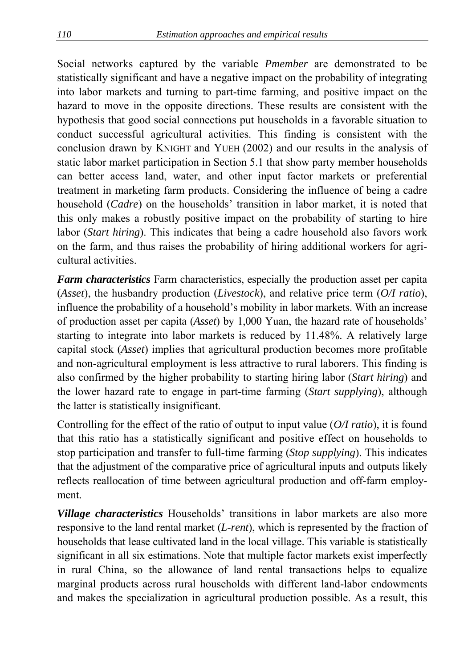Social networks captured by the variable *Pmember* are demonstrated to be statistically significant and have a negative impact on the probability of integrating into labor markets and turning to part-time farming, and positive impact on the hazard to move in the opposite directions. These results are consistent with the hypothesis that good social connections put households in a favorable situation to conduct successful agricultural activities. This finding is consistent with the conclusion drawn by KNIGHT and YUEH (2002) and our results in the analysis of static labor market participation in Section 5.1 that show party member households can better access land, water, and other input factor markets or preferential treatment in marketing farm products. Considering the influence of being a cadre household (*Cadre*) on the households' transition in labor market, it is noted that this only makes a robustly positive impact on the probability of starting to hire labor (*Start hiring*). This indicates that being a cadre household also favors work on the farm, and thus raises the probability of hiring additional workers for agricultural activities.

*Farm characteristics* Farm characteristics, especially the production asset per capita (*Asset*), the husbandry production (*Livestock*), and relative price term (*O/I ratio*), influence the probability of a household's mobility in labor markets. With an increase of production asset per capita (*Asset*) by 1,000 Yuan, the hazard rate of households' starting to integrate into labor markets is reduced by 11.48%. A relatively large capital stock (*Asset*) implies that agricultural production becomes more profitable and non-agricultural employment is less attractive to rural laborers. This finding is also confirmed by the higher probability to starting hiring labor (*Start hiring*) and the lower hazard rate to engage in part-time farming (*Start supplying*), although the latter is statistically insignificant.

Controlling for the effect of the ratio of output to input value (*O/I ratio*), it is found that this ratio has a statistically significant and positive effect on households to stop participation and transfer to full-time farming (*Stop supplying*). This indicates that the adjustment of the comparative price of agricultural inputs and outputs likely reflects reallocation of time between agricultural production and off-farm employment*.*

*Village characteristics* Households' transitions in labor markets are also more responsive to the land rental market (*L-rent*), which is represented by the fraction of households that lease cultivated land in the local village. This variable is statistically significant in all six estimations. Note that multiple factor markets exist imperfectly in rural China, so the allowance of land rental transactions helps to equalize marginal products across rural households with different land-labor endowments and makes the specialization in agricultural production possible. As a result, this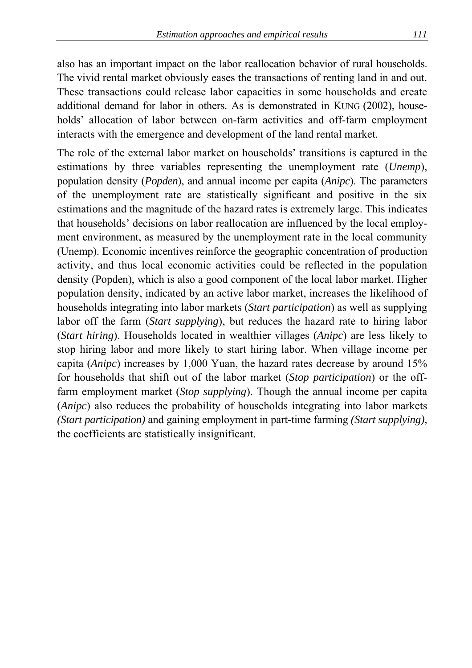also has an important impact on the labor reallocation behavior of rural households. The vivid rental market obviously eases the transactions of renting land in and out. These transactions could release labor capacities in some households and create additional demand for labor in others. As is demonstrated in KUNG (2002), households' allocation of labor between on-farm activities and off-farm employment interacts with the emergence and development of the land rental market.

The role of the external labor market on households' transitions is captured in the estimations by three variables representing the unemployment rate (*Unemp*), population density (*Popden*), and annual income per capita (*Anipc*). The parameters of the unemployment rate are statistically significant and positive in the six estimations and the magnitude of the hazard rates is extremely large. This indicates that households' decisions on labor reallocation are influenced by the local employment environment, as measured by the unemployment rate in the local community (Unemp). Economic incentives reinforce the geographic concentration of production activity, and thus local economic activities could be reflected in the population density (Popden), which is also a good component of the local labor market. Higher population density, indicated by an active labor market, increases the likelihood of households integrating into labor markets (*Start participation*) as well as supplying labor off the farm (*Start supplying*), but reduces the hazard rate to hiring labor (*Start hiring*). Households located in wealthier villages (*Anipc*) are less likely to stop hiring labor and more likely to start hiring labor. When village income per capita (*Anipc*) increases by 1,000 Yuan, the hazard rates decrease by around 15% for households that shift out of the labor market (*Stop participation*) or the offfarm employment market (*Stop supplying*). Though the annual income per capita (*Anipc*) also reduces the probability of households integrating into labor markets *(Start participation)* and gaining employment in part-time farming *(Start supplying),*  the coefficients are statistically insignificant.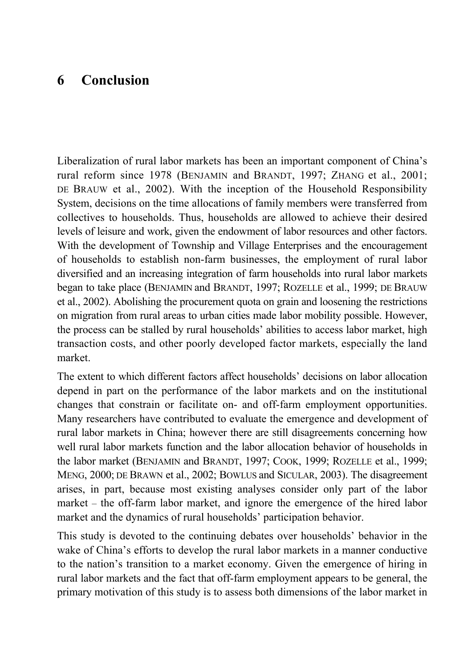## **6 Conclusion**

Liberalization of rural labor markets has been an important component of China's rural reform since 1978 (BENJAMIN and BRANDT, 1997; ZHANG et al., 2001; DE BRAUW et al., 2002). With the inception of the Household Responsibility System, decisions on the time allocations of family members were transferred from collectives to households. Thus, households are allowed to achieve their desired levels of leisure and work, given the endowment of labor resources and other factors. With the development of Township and Village Enterprises and the encouragement of households to establish non-farm businesses, the employment of rural labor diversified and an increasing integration of farm households into rural labor markets began to take place (BENJAMIN and BRANDT, 1997; ROZELLE et al., 1999; DE BRAUW et al., 2002). Abolishing the procurement quota on grain and loosening the restrictions on migration from rural areas to urban cities made labor mobility possible. However, the process can be stalled by rural households' abilities to access labor market, high transaction costs, and other poorly developed factor markets, especially the land market.

The extent to which different factors affect households' decisions on labor allocation depend in part on the performance of the labor markets and on the institutional changes that constrain or facilitate on- and off-farm employment opportunities. Many researchers have contributed to evaluate the emergence and development of rural labor markets in China; however there are still disagreements concerning how well rural labor markets function and the labor allocation behavior of households in the labor market (BENJAMIN and BRANDT, 1997; COOK, 1999; ROZELLE et al., 1999; MENG, 2000; DE BRAWN et al., 2002; BOWLUS and SICULAR, 2003). The disagreement arises, in part, because most existing analyses consider only part of the labor market – the off-farm labor market, and ignore the emergence of the hired labor market and the dynamics of rural households' participation behavior.

This study is devoted to the continuing debates over households' behavior in the wake of China's efforts to develop the rural labor markets in a manner conductive to the nation's transition to a market economy. Given the emergence of hiring in rural labor markets and the fact that off-farm employment appears to be general, the primary motivation of this study is to assess both dimensions of the labor market in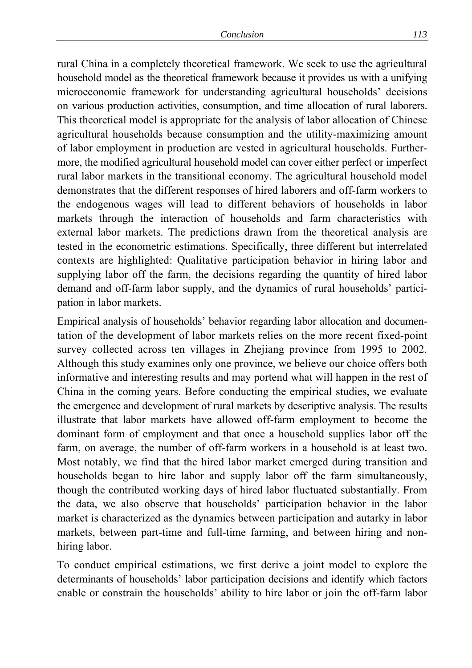rural China in a completely theoretical framework. We seek to use the agricultural household model as the theoretical framework because it provides us with a unifying microeconomic framework for understanding agricultural households' decisions on various production activities, consumption, and time allocation of rural laborers. This theoretical model is appropriate for the analysis of labor allocation of Chinese agricultural households because consumption and the utility-maximizing amount of labor employment in production are vested in agricultural households. Furthermore, the modified agricultural household model can cover either perfect or imperfect rural labor markets in the transitional economy. The agricultural household model demonstrates that the different responses of hired laborers and off-farm workers to the endogenous wages will lead to different behaviors of households in labor markets through the interaction of households and farm characteristics with external labor markets. The predictions drawn from the theoretical analysis are tested in the econometric estimations. Specifically, three different but interrelated contexts are highlighted: Qualitative participation behavior in hiring labor and supplying labor off the farm, the decisions regarding the quantity of hired labor demand and off-farm labor supply, and the dynamics of rural households' participation in labor markets.

Empirical analysis of households' behavior regarding labor allocation and documentation of the development of labor markets relies on the more recent fixed-point survey collected across ten villages in Zhejiang province from 1995 to 2002. Although this study examines only one province, we believe our choice offers both informative and interesting results and may portend what will happen in the rest of China in the coming years. Before conducting the empirical studies, we evaluate the emergence and development of rural markets by descriptive analysis. The results illustrate that labor markets have allowed off-farm employment to become the dominant form of employment and that once a household supplies labor off the farm, on average, the number of off-farm workers in a household is at least two. Most notably, we find that the hired labor market emerged during transition and households began to hire labor and supply labor off the farm simultaneously, though the contributed working days of hired labor fluctuated substantially. From the data, we also observe that households' participation behavior in the labor market is characterized as the dynamics between participation and autarky in labor markets, between part-time and full-time farming, and between hiring and nonhiring labor.

To conduct empirical estimations, we first derive a joint model to explore the determinants of households' labor participation decisions and identify which factors enable or constrain the households' ability to hire labor or join the off-farm labor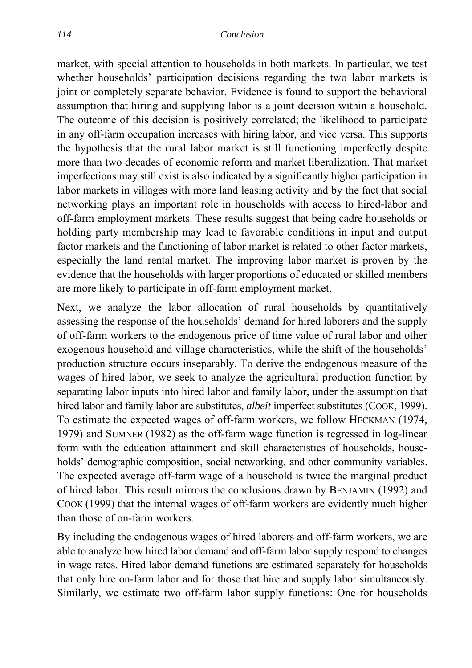market, with special attention to households in both markets. In particular, we test whether households' participation decisions regarding the two labor markets is joint or completely separate behavior. Evidence is found to support the behavioral assumption that hiring and supplying labor is a joint decision within a household. The outcome of this decision is positively correlated; the likelihood to participate in any off-farm occupation increases with hiring labor, and vice versa. This supports the hypothesis that the rural labor market is still functioning imperfectly despite more than two decades of economic reform and market liberalization. That market imperfections may still exist is also indicated by a significantly higher participation in labor markets in villages with more land leasing activity and by the fact that social networking plays an important role in households with access to hired-labor and off-farm employment markets. These results suggest that being cadre households or holding party membership may lead to favorable conditions in input and output factor markets and the functioning of labor market is related to other factor markets, especially the land rental market. The improving labor market is proven by the evidence that the households with larger proportions of educated or skilled members are more likely to participate in off-farm employment market.

Next, we analyze the labor allocation of rural households by quantitatively assessing the response of the households' demand for hired laborers and the supply of off-farm workers to the endogenous price of time value of rural labor and other exogenous household and village characteristics, while the shift of the households' production structure occurs inseparably. To derive the endogenous measure of the wages of hired labor, we seek to analyze the agricultural production function by separating labor inputs into hired labor and family labor, under the assumption that hired labor and family labor are substitutes, *albeit* imperfect substitutes (COOK, 1999). To estimate the expected wages of off-farm workers, we follow HECKMAN (1974, 1979) and SUMNER (1982) as the off-farm wage function is regressed in log-linear form with the education attainment and skill characteristics of households, households' demographic composition, social networking, and other community variables. The expected average off-farm wage of a household is twice the marginal product of hired labor. This result mirrors the conclusions drawn by BENJAMIN (1992) and COOK (1999) that the internal wages of off-farm workers are evidently much higher than those of on-farm workers.

By including the endogenous wages of hired laborers and off-farm workers, we are able to analyze how hired labor demand and off-farm labor supply respond to changes in wage rates. Hired labor demand functions are estimated separately for households that only hire on-farm labor and for those that hire and supply labor simultaneously. Similarly, we estimate two off-farm labor supply functions: One for households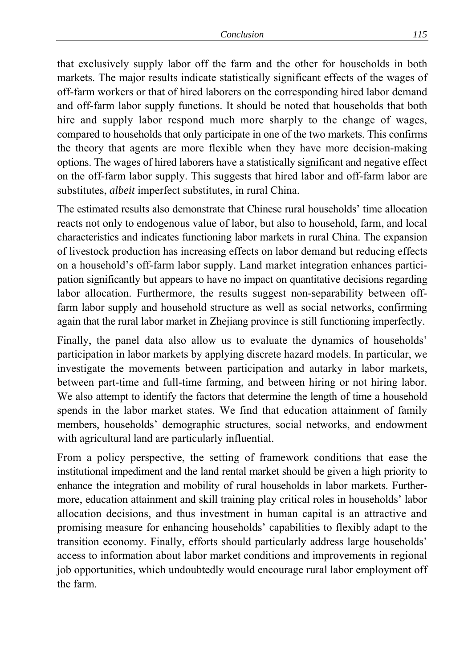that exclusively supply labor off the farm and the other for households in both markets. The major results indicate statistically significant effects of the wages of off-farm workers or that of hired laborers on the corresponding hired labor demand and off-farm labor supply functions. It should be noted that households that both hire and supply labor respond much more sharply to the change of wages, compared to households that only participate in one of the two markets. This confirms the theory that agents are more flexible when they have more decision-making options. The wages of hired laborers have a statistically significant and negative effect on the off-farm labor supply. This suggests that hired labor and off-farm labor are substitutes, *albeit* imperfect substitutes, in rural China.

The estimated results also demonstrate that Chinese rural households' time allocation reacts not only to endogenous value of labor, but also to household, farm, and local characteristics and indicates functioning labor markets in rural China. The expansion of livestock production has increasing effects on labor demand but reducing effects on a household's off-farm labor supply. Land market integration enhances participation significantly but appears to have no impact on quantitative decisions regarding labor allocation. Furthermore, the results suggest non-separability between offfarm labor supply and household structure as well as social networks, confirming again that the rural labor market in Zhejiang province is still functioning imperfectly.

Finally, the panel data also allow us to evaluate the dynamics of households' participation in labor markets by applying discrete hazard models. In particular, we investigate the movements between participation and autarky in labor markets, between part-time and full-time farming, and between hiring or not hiring labor. We also attempt to identify the factors that determine the length of time a household spends in the labor market states. We find that education attainment of family members, households' demographic structures, social networks, and endowment with agricultural land are particularly influential.

From a policy perspective, the setting of framework conditions that ease the institutional impediment and the land rental market should be given a high priority to enhance the integration and mobility of rural households in labor markets. Furthermore, education attainment and skill training play critical roles in households' labor allocation decisions, and thus investment in human capital is an attractive and promising measure for enhancing households' capabilities to flexibly adapt to the transition economy. Finally, efforts should particularly address large households' access to information about labor market conditions and improvements in regional job opportunities, which undoubtedly would encourage rural labor employment off the farm.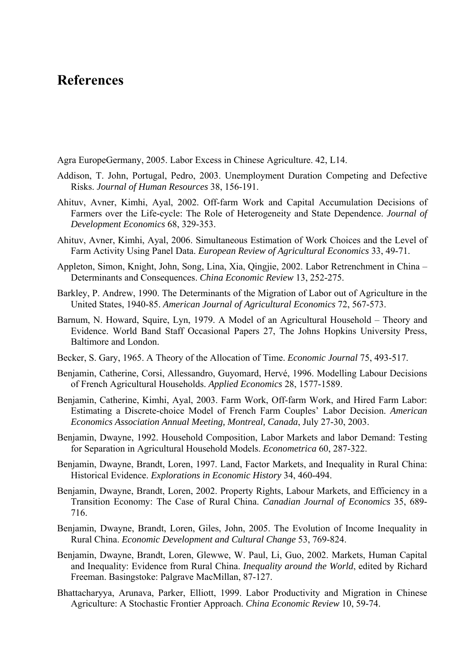#### **References**

Agra EuropeGermany, 2005. Labor Excess in Chinese Agriculture. 42, L14.

- Addison, T. John, Portugal, Pedro, 2003. Unemployment Duration Competing and Defective Risks. *Journal of Human Resources* 38, 156-191.
- Ahituv, Avner, Kimhi, Ayal, 2002. Off-farm Work and Capital Accumulation Decisions of Farmers over the Life-cycle: The Role of Heterogeneity and State Dependence. *Journal of Development Economics* 68, 329-353.
- Ahituv, Avner, Kimhi, Ayal, 2006. Simultaneous Estimation of Work Choices and the Level of Farm Activity Using Panel Data. *European Review of Agricultural Economics* 33, 49-71.
- Appleton, Simon, Knight, John, Song, Lina, Xia, Qingjie, 2002. Labor Retrenchment in China Determinants and Consequences. *China Economic Review* 13, 252-275.
- Barkley, P. Andrew, 1990. The Determinants of the Migration of Labor out of Agriculture in the United States, 1940-85. *American Journal of Agricultural Economics* 72, 567-573.
- Barnum, N. Howard, Squire, Lyn, 1979. A Model of an Agricultural Household Theory and Evidence. World Band Staff Occasional Papers 27, The Johns Hopkins University Press, Baltimore and London.
- Becker, S. Gary, 1965. A Theory of the Allocation of Time. *Economic Journal* 75, 493-517.
- Benjamin, Catherine, Corsi, Allessandro, Guyomard, Hervé, 1996. Modelling Labour Decisions of French Agricultural Households. *Applied Economics* 28, 1577-1589.
- Benjamin, Catherine, Kimhi, Ayal, 2003. Farm Work, Off-farm Work, and Hired Farm Labor: Estimating a Discrete-choice Model of French Farm Couples' Labor Decision. *American Economics Association Annual Meeting, Montreal, Canada*, July 27-30, 2003.
- Benjamin, Dwayne, 1992. Household Composition, Labor Markets and labor Demand: Testing for Separation in Agricultural Household Models. *Econometrica* 60, 287-322.
- Benjamin, Dwayne, Brandt, Loren, 1997. Land, Factor Markets, and Inequality in Rural China: Historical Evidence. *Explorations in Economic History* 34, 460-494.
- Benjamin, Dwayne, Brandt, Loren, 2002. Property Rights, Labour Markets, and Efficiency in a Transition Economy: The Case of Rural China. *Canadian Journal of Economics* 35, 689- 716.
- Benjamin, Dwayne, Brandt, Loren, Giles, John, 2005. The Evolution of Income Inequality in Rural China. *Economic Development and Cultural Change* 53, 769-824.
- Benjamin, Dwayne, Brandt, Loren, Glewwe, W. Paul, Li, Guo, 2002. Markets, Human Capital and Inequality: Evidence from Rural China. *Inequality around the World*, edited by Richard Freeman. Basingstoke: Palgrave MacMillan, 87-127.
- Bhattacharyya, Arunava, Parker, Elliott, 1999. Labor Productivity and Migration in Chinese Agriculture: A Stochastic Frontier Approach. *China Economic Review* 10, 59-74.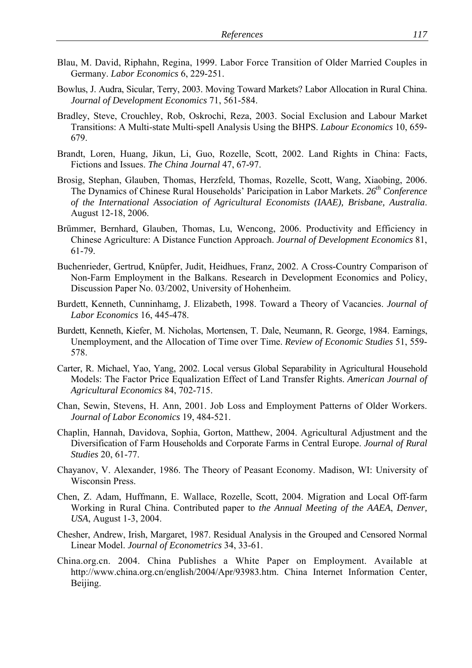- Blau, M. David, Riphahn, Regina, 1999. Labor Force Transition of Older Married Couples in Germany. *Labor Economics* 6, 229-251.
- Bowlus, J. Audra, Sicular, Terry, 2003. Moving Toward Markets? Labor Allocation in Rural China. *Journal of Development Economics* 71, 561-584.
- Bradley, Steve, Crouchley, Rob, Oskrochi, Reza, 2003. Social Exclusion and Labour Market Transitions: A Multi-state Multi-spell Analysis Using the BHPS. *Labour Economics* 10, 659- 679.
- Brandt, Loren, Huang, Jikun, Li, Guo, Rozelle, Scott, 2002. Land Rights in China: Facts, Fictions and Issues. *The China Journal* 47, 67-97.
- Brosig, Stephan, Glauben, Thomas, Herzfeld, Thomas, Rozelle, Scott, Wang, Xiaobing, 2006. The Dynamics of Chinese Rural Households' Paricipation in Labor Markets. *26th Conference of the International Association of Agricultural Economists (IAAE), Brisbane, Australia*. August 12-18, 2006.
- Brümmer, Bernhard, Glauben, Thomas, Lu, Wencong, 2006. Productivity and Efficiency in Chinese Agriculture: A Distance Function Approach. *Journal of Development Economics* 81, 61-79.
- Buchenrieder, Gertrud, Knüpfer, Judit, Heidhues, Franz, 2002. A Cross-Country Comparison of Non-Farm Employment in the Balkans. Research in Development Economics and Policy, Discussion Paper No. 03/2002, University of Hohenheim.
- Burdett, Kenneth, Cunninhamg, J. Elizabeth, 1998. Toward a Theory of Vacancies. *Journal of Labor Economics* 16, 445-478.
- Burdett, Kenneth, Kiefer, M. Nicholas, Mortensen, T. Dale, Neumann, R. George, 1984. Earnings, Unemployment, and the Allocation of Time over Time. *Review of Economic Studies* 51, 559- 578.
- Carter, R. Michael, Yao, Yang, 2002. Local versus Global Separability in Agricultural Household Models: The Factor Price Equalization Effect of Land Transfer Rights. *American Journal of Agricultural Economics* 84, 702-715.
- Chan, Sewin, Stevens, H. Ann, 2001. Job Loss and Employment Patterns of Older Workers. *Journal of Labor Economics* 19, 484-521.
- Chaplin, Hannah, Davidova, Sophia, Gorton, Matthew, 2004. Agricultural Adjustment and the Diversification of Farm Households and Corporate Farms in Central Europe. *Journal of Rural Studies* 20, 61-77.
- Chayanov, V. Alexander, 1986. The Theory of Peasant Economy. Madison, WI: University of Wisconsin Press.
- Chen, Z. Adam, Huffmann, E. Wallace, Rozelle, Scott, 2004. Migration and Local Off-farm Working in Rural China. Contributed paper to *the Annual Meeting of the AAEA*, *Denver, USA*, August 1-3, 2004.
- Chesher, Andrew, Irish, Margaret, 1987. Residual Analysis in the Grouped and Censored Normal Linear Model. *Journal of Econometrics* 34, 33-61.
- China.org.cn. 2004. China Publishes a White Paper on Employment. Available at http://www.china.org.cn/english/2004/Apr/93983.htm. China Internet Information Center, Beijing.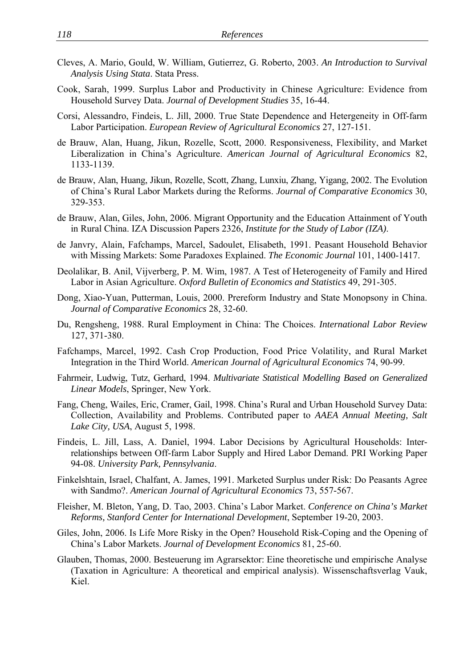- Cleves, A. Mario, Gould, W. William, Gutierrez, G. Roberto, 2003. *An Introduction to Survival Analysis Using Stata*. Stata Press.
- Cook, Sarah, 1999. Surplus Labor and Productivity in Chinese Agriculture: Evidence from Household Survey Data. *Journal of Development Studies* 35, 16-44.
- Corsi, Alessandro, Findeis, L. Jill, 2000. True State Dependence and Hetergeneity in Off-farm Labor Participation. *European Review of Agricultural Economics* 27, 127-151.
- de Brauw, Alan, Huang, Jikun, Rozelle, Scott, 2000. Responsiveness, Flexibility, and Market Liberalization in China's Agriculture. *American Journal of Agricultural Economics* 82, 1133-1139.
- de Brauw, Alan, Huang, Jikun, Rozelle, Scott, Zhang, Lunxiu, Zhang, Yigang, 2002. The Evolution of China's Rural Labor Markets during the Reforms. *Journal of Comparative Economics* 30, 329-353.
- de Brauw, Alan, Giles, John, 2006. Migrant Opportunity and the Education Attainment of Youth in Rural China. IZA Discussion Papers 2326, *Institute for the Study of Labor (IZA)*.
- de Janvry, Alain, Fafchamps, Marcel, Sadoulet, Elisabeth, 1991. Peasant Household Behavior with Missing Markets: Some Paradoxes Explained. *The Economic Journal* 101, 1400-1417.
- Deolalikar, B. Anil, Vijverberg, P. M. Wim, 1987. A Test of Heterogeneity of Family and Hired Labor in Asian Agriculture. *Oxford Bulletin of Economics and Statistics* 49, 291-305.
- Dong, Xiao-Yuan, Putterman, Louis, 2000. Prereform Industry and State Monopsony in China. *Journal of Comparative Economics* 28, 32-60.
- Du, Rengsheng, 1988. Rural Employment in China: The Choices. *International Labor Review* 127, 371-380.
- Fafchamps, Marcel, 1992. Cash Crop Production, Food Price Volatility, and Rural Market Integration in the Third World. *American Journal of Agricultural Economics* 74, 90-99.
- Fahrmeir, Ludwig, Tutz, Gerhard, 1994. *Multivariate Statistical Modelling Based on Generalized Linear Models*, Springer, New York.
- Fang, Cheng, Wailes, Eric, Cramer, Gail, 1998. China's Rural and Urban Household Survey Data: Collection, Availability and Problems. Contributed paper to *AAEA Annual Meeting, Salt Lake City, USA*, August 5, 1998.
- Findeis, L. Jill, Lass, A. Daniel, 1994. Labor Decisions by Agricultural Households: Interrelationships between Off-farm Labor Supply and Hired Labor Demand. PRI Working Paper 94-08. *University Park, Pennsylvania*.
- Finkelshtain, Israel, Chalfant, A. James, 1991. Marketed Surplus under Risk: Do Peasants Agree with Sandmo?. *American Journal of Agricultural Economics* 73, 557-567.
- Fleisher, M. Bleton, Yang, D. Tao, 2003. China's Labor Market. *Conference on China's Market Reforms, Stanford Center for International Development*, September 19-20, 2003.
- Giles, John, 2006. Is Life More Risky in the Open? Household Risk-Coping and the Opening of China's Labor Markets. *Journal of Development Economics* 81, 25-60.
- Glauben, Thomas, 2000. Besteuerung im Agrarsektor: Eine theoretische und empirische Analyse (Taxation in Agriculture: A theoretical and empirical analysis). Wissenschaftsverlag Vauk, Kiel.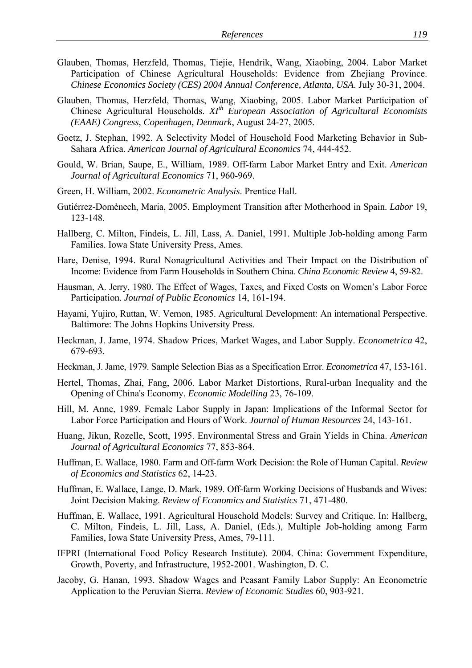- Glauben, Thomas, Herzfeld, Thomas, Tiejie, Hendrik, Wang, Xiaobing, 2004. Labor Market Participation of Chinese Agricultural Households: Evidence from Zhejiang Province. *Chinese Economics Society (CES) 2004 Annual Conference, Atlanta, USA*. July 30-31, 2004.
- Glauben, Thomas, Herzfeld, Thomas, Wang, Xiaobing, 2005. Labor Market Participation of Chinese Agricultural Households. *XIth European Association of Agricultural Economists (EAAE) Congress, Copenhagen, Denmark*, August 24-27, 2005.
- Goetz, J. Stephan, 1992. A Selectivity Model of Household Food Marketing Behavior in Sub-Sahara Africa. *American Journal of Agricultural Economics* 74, 444-452.
- Gould, W. Brian, Saupe, E., William, 1989. Off-farm Labor Market Entry and Exit. *American Journal of Agricultural Economics* 71, 960-969.
- Green, H. William, 2002. *Econometric Analysis*. Prentice Hall.
- Gutiérrez-Domènech, Maria, 2005. Employment Transition after Motherhood in Spain. *Labor* 19, 123-148.
- Hallberg, C. Milton, Findeis, L. Jill, Lass, A. Daniel, 1991. Multiple Job-holding among Farm Families. Iowa State University Press, Ames.
- Hare, Denise, 1994. Rural Nonagricultural Activities and Their Impact on the Distribution of Income: Evidence from Farm Households in Southern China. *China Economic Review* 4, 59-82.
- Hausman, A. Jerry, 1980. The Effect of Wages, Taxes, and Fixed Costs on Women's Labor Force Participation. *Journal of Public Economics* 14, 161-194.
- Hayami, Yujiro, Ruttan, W. Vernon, 1985. Agricultural Development: An international Perspective. Baltimore: The Johns Hopkins University Press.
- Heckman, J. Jame, 1974. Shadow Prices, Market Wages, and Labor Supply. *Econometrica* 42, 679-693.
- Heckman, J. Jame, 1979. Sample Selection Bias as a Specification Error. *Econometrica* 47, 153-161.
- Hertel, Thomas, Zhai, Fang, 2006. Labor Market Distortions, Rural-urban Inequality and the Opening of China's Economy. *Economic Modelling* 23, 76-109.
- Hill, M. Anne, 1989. Female Labor Supply in Japan: Implications of the Informal Sector for Labor Force Participation and Hours of Work. *Journal of Human Resources* 24, 143-161.
- Huang, Jikun, Rozelle, Scott, 1995. Environmental Stress and Grain Yields in China. *American Journal of Agricultural Economics* 77, 853-864.
- Huffman, E. Wallace, 1980. Farm and Off-farm Work Decision: the Role of Human Capital. *Review of Economics and Statistics* 62, 14-23.
- Huffman, E. Wallace, Lange, D. Mark, 1989. Off-farm Working Decisions of Husbands and Wives: Joint Decision Making. *Review of Economics and Statistics* 71, 471-480.
- Huffman, E. Wallace, 1991. Agricultural Household Models: Survey and Critique. In: Hallberg, C. Milton, Findeis, L. Jill, Lass, A. Daniel, (Eds.), Multiple Job-holding among Farm Families, Iowa State University Press, Ames, 79-111.
- IFPRI (International Food Policy Research Institute). 2004. China: Government Expenditure, Growth, Poverty, and Infrastructure, 1952-2001. Washington, D. C.
- Jacoby, G. Hanan, 1993. Shadow Wages and Peasant Family Labor Supply: An Econometric Application to the Peruvian Sierra. *Review of Economic Studies* 60, 903-921.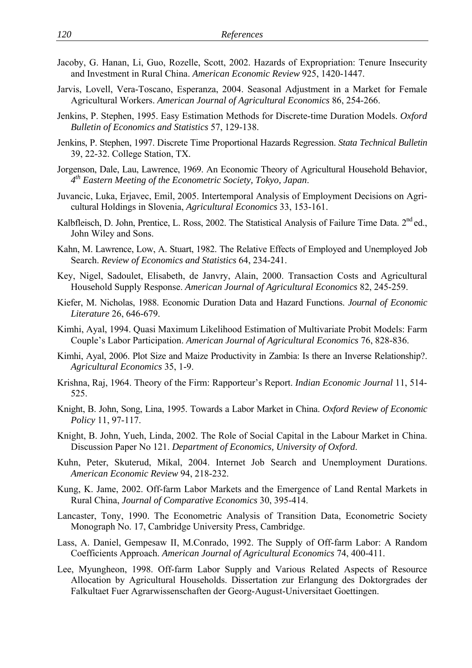- Jacoby, G. Hanan, Li, Guo, Rozelle, Scott, 2002. Hazards of Expropriation: Tenure Insecurity and Investment in Rural China. *American Economic Review* 925, 1420-1447.
- Jarvis, Lovell, Vera-Toscano, Esperanza, 2004. Seasonal Adjustment in a Market for Female Agricultural Workers. *American Journal of Agricultural Economics* 86, 254-266.
- Jenkins, P. Stephen, 1995. Easy Estimation Methods for Discrete-time Duration Models. *Oxford Bulletin of Economics and Statistics* 57, 129-138.
- Jenkins, P. Stephen, 1997. Discrete Time Proportional Hazards Regression. *Stata Technical Bulletin* 39, 22-32. College Station, TX.
- Jorgenson, Dale, Lau, Lawrence, 1969. An Economic Theory of Agricultural Household Behavior, *4th Eastern Meeting of the Econometric Society, Tokyo, Japan*.
- Juvancic, Luka, Erjavec, Emil, 2005. Intertemporal Analysis of Employment Decisions on Agricultural Holdings in Slovenia, *Agricultural Economics* 33, 153-161.
- Kalbfleisch, D. John, Prentice, L. Ross, 2002. The Statistical Analysis of Failure Time Data.  $2^{nd}$ ed., John Wiley and Sons.
- Kahn, M. Lawrence, Low, A. Stuart, 1982. The Relative Effects of Employed and Unemployed Job Search. *Review of Economics and Statistics* 64, 234-241.
- Key, Nigel, Sadoulet, Elisabeth, de Janvry, Alain, 2000. Transaction Costs and Agricultural Household Supply Response. *American Journal of Agricultural Economics* 82, 245-259.
- Kiefer, M. Nicholas, 1988. Economic Duration Data and Hazard Functions. *Journal of Economic Literature* 26, 646-679.
- Kimhi, Ayal, 1994. Quasi Maximum Likelihood Estimation of Multivariate Probit Models: Farm Couple's Labor Participation. *American Journal of Agricultural Economics* 76, 828-836.
- Kimhi, Ayal, 2006. Plot Size and Maize Productivity in Zambia: Is there an Inverse Relationship?. *Agricultural Economics* 35, 1-9.
- Krishna, Raj, 1964. Theory of the Firm: Rapporteur's Report. *Indian Economic Journal* 11, 514- 525.
- Knight, B. John, Song, Lina, 1995. Towards a Labor Market in China. *Oxford Review of Economic Policy* 11, 97-117.
- Knight, B. John, Yueh, Linda, 2002. The Role of Social Capital in the Labour Market in China. Discussion Paper No 121. *Department of Economics, University of Oxford*.
- Kuhn, Peter, Skuterud, Mikal, 2004. Internet Job Search and Unemployment Durations. *American Economic Review* 94, 218-232.
- Kung, K. Jame, 2002. Off-farm Labor Markets and the Emergence of Land Rental Markets in Rural China, *Journal of Comparative Economics* 30, 395-414.
- Lancaster, Tony, 1990. The Econometric Analysis of Transition Data, Econometric Society Monograph No. 17, Cambridge University Press, Cambridge.
- Lass, A. Daniel, Gempesaw II, M.Conrado, 1992. The Supply of Off-farm Labor: A Random Coefficients Approach. *American Journal of Agricultural Economics* 74, 400-411.
- Lee, Myungheon, 1998. Off-farm Labor Supply and Various Related Aspects of Resource Allocation by Agricultural Households. Dissertation zur Erlangung des Doktorgrades der Falkultaet Fuer Agrarwissenschaften der Georg-August-Universitaet Goettingen.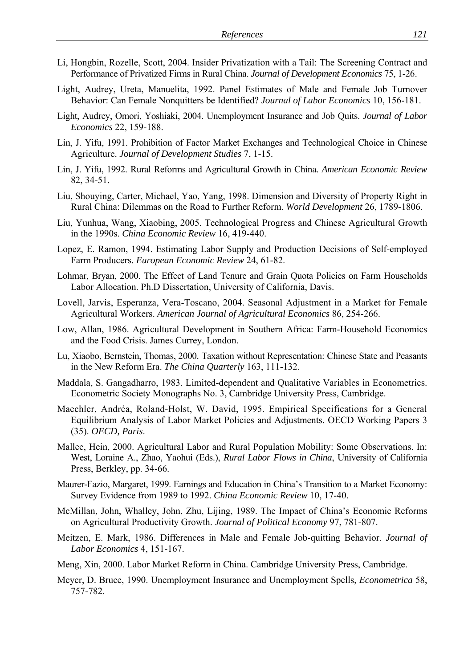- Li, Hongbin, Rozelle, Scott, 2004. Insider Privatization with a Tail: The Screening Contract and Performance of Privatized Firms in Rural China. *Journal of Development Economics* 75, 1-26.
- Light, Audrey, Ureta, Manuelita, 1992. Panel Estimates of Male and Female Job Turnover Behavior: Can Female Nonquitters be Identified? *Journal of Labor Economics* 10, 156-181.
- Light, Audrey, Omori, Yoshiaki, 2004. Unemployment Insurance and Job Quits. *Journal of Labor Economics* 22, 159-188.
- Lin, J. Yifu, 1991. Prohibition of Factor Market Exchanges and Technological Choice in Chinese Agriculture. *Journal of Development Studies* 7, 1-15.
- Lin, J. Yifu, 1992. Rural Reforms and Agricultural Growth in China. *American Economic Review* 82, 34-51.
- Liu, Shouying, Carter, Michael, Yao, Yang, 1998. Dimension and Diversity of Property Right in Rural China: Dilemmas on the Road to Further Reform. *World Development* 26, 1789-1806.
- Liu, Yunhua, Wang, Xiaobing, 2005. Technological Progress and Chinese Agricultural Growth in the 1990s. *China Economic Review* 16, 419-440.
- Lopez, E. Ramon, 1994. Estimating Labor Supply and Production Decisions of Self-employed Farm Producers. *European Economic Review* 24, 61-82.
- Lohmar, Bryan, 2000. The Effect of Land Tenure and Grain Quota Policies on Farm Households Labor Allocation. Ph.D Dissertation, University of California, Davis.
- Lovell, Jarvis, Esperanza, Vera-Toscano, 2004. Seasonal Adjustment in a Market for Female Agricultural Workers. *American Journal of Agricultural Economics* 86, 254-266.
- Low, Allan, 1986. Agricultural Development in Southern Africa: Farm-Household Economics and the Food Crisis. James Currey, London.
- Lu, Xiaobo, Bernstein, Thomas, 2000. Taxation without Representation: Chinese State and Peasants in the New Reform Era. *The China Quarterly* 163, 111-132.
- Maddala, S. Gangadharro, 1983. Limited-dependent and Qualitative Variables in Econometrics. Econometric Society Monographs No. 3, Cambridge University Press, Cambridge.
- Maechler, Andréa, Roland-Holst, W. David, 1995. Empirical Specifications for a General Equilibrium Analysis of Labor Market Policies and Adjustments. OECD Working Papers 3 (35). *OECD, Paris*.
- Mallee, Hein, 2000. Agricultural Labor and Rural Population Mobility: Some Observations. In: West, Loraine A., Zhao, Yaohui (Eds.), *Rural Labor Flows in China*, University of California Press, Berkley, pp. 34-66.
- Maurer-Fazio, Margaret, 1999. Earnings and Education in China's Transition to a Market Economy: Survey Evidence from 1989 to 1992. *China Economic Review* 10, 17-40.
- McMillan, John, Whalley, John, Zhu, Lijing, 1989. The Impact of China's Economic Reforms on Agricultural Productivity Growth. *Journal of Political Economy* 97, 781-807.
- Meitzen, E. Mark, 1986. Differences in Male and Female Job-quitting Behavior. *Journal of Labor Economics* 4, 151-167.
- Meng, Xin, 2000. Labor Market Reform in China. Cambridge University Press, Cambridge.
- Meyer, D. Bruce, 1990. Unemployment Insurance and Unemployment Spells, *Econometrica* 58, 757-782.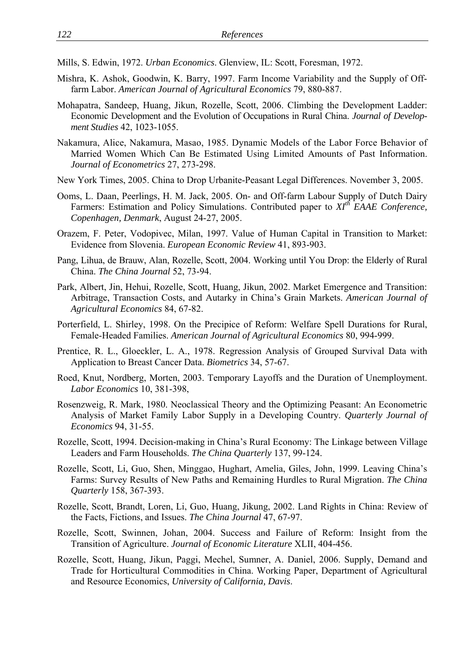Mills, S. Edwin, 1972. *Urban Economics*. Glenview, IL: Scott, Foresman, 1972.

- Mishra, K. Ashok, Goodwin, K. Barry, 1997. Farm Income Variability and the Supply of Offfarm Labor. *American Journal of Agricultural Economics* 79, 880-887.
- Mohapatra, Sandeep, Huang, Jikun, Rozelle, Scott, 2006. Climbing the Development Ladder: Economic Development and the Evolution of Occupations in Rural China. *Journal of Development Studies* 42, 1023-1055.
- Nakamura, Alice, Nakamura, Masao, 1985. Dynamic Models of the Labor Force Behavior of Married Women Which Can Be Estimated Using Limited Amounts of Past Information. *Journal of Econometrics* 27, 273-298.
- New York Times, 2005. China to Drop Urbanite-Peasant Legal Differences. November 3, 2005.
- Ooms, L. Daan, Peerlings, H. M. Jack, 2005. On- and Off-farm Labour Supply of Dutch Dairy Farmers: Estimation and Policy Simulations. Contributed paper to *XIth EAAE Conference, Copenhagen, Denmark*, August 24-27, 2005.
- Orazem, F. Peter, Vodopivec, Milan, 1997. Value of Human Capital in Transition to Market: Evidence from Slovenia. *European Economic Review* 41, 893-903.
- Pang, Lihua, de Brauw, Alan, Rozelle, Scott, 2004. Working until You Drop: the Elderly of Rural China. *The China Journal* 52, 73-94.
- Park, Albert, Jin, Hehui, Rozelle, Scott, Huang, Jikun, 2002. Market Emergence and Transition: Arbitrage, Transaction Costs, and Autarky in China's Grain Markets. *American Journal of Agricultural Economics* 84, 67-82.
- Porterfield, L. Shirley, 1998. On the Precipice of Reform: Welfare Spell Durations for Rural, Female-Headed Families. *American Journal of Agricultural Economics* 80, 994-999.
- Prentice, R. L., Gloeckler, L. A., 1978. Regression Analysis of Grouped Survival Data with Application to Breast Cancer Data. *Biometrics* 34, 57-67.
- Roed, Knut, Nordberg, Morten, 2003. Temporary Layoffs and the Duration of Unemployment. *Labor Economics* 10, 381-398,
- Rosenzweig, R. Mark, 1980. Neoclassical Theory and the Optimizing Peasant: An Econometric Analysis of Market Family Labor Supply in a Developing Country. *Quarterly Journal of Economics* 94, 31-55.
- Rozelle, Scott, 1994. Decision-making in China's Rural Economy: The Linkage between Village Leaders and Farm Households. *The China Quarterly* 137, 99-124.
- Rozelle, Scott, Li, Guo, Shen, Minggao, Hughart, Amelia, Giles, John, 1999. Leaving China's Farms: Survey Results of New Paths and Remaining Hurdles to Rural Migration. *The China Quarterly* 158, 367-393.
- Rozelle, Scott, Brandt, Loren, Li, Guo, Huang, Jikung, 2002. Land Rights in China: Review of the Facts, Fictions, and Issues. *The China Journal* 47, 67-97.
- Rozelle, Scott, Swinnen, Johan, 2004. Success and Failure of Reform: Insight from the Transition of Agriculture. *Journal of Economic Literature* XLII, 404-456.
- Rozelle, Scott, Huang, Jikun, Paggi, Mechel, Sumner, A. Daniel, 2006. Supply, Demand and Trade for Horticultural Commodities in China. Working Paper, Department of Agricultural and Resource Economics, *University of California, Davis*.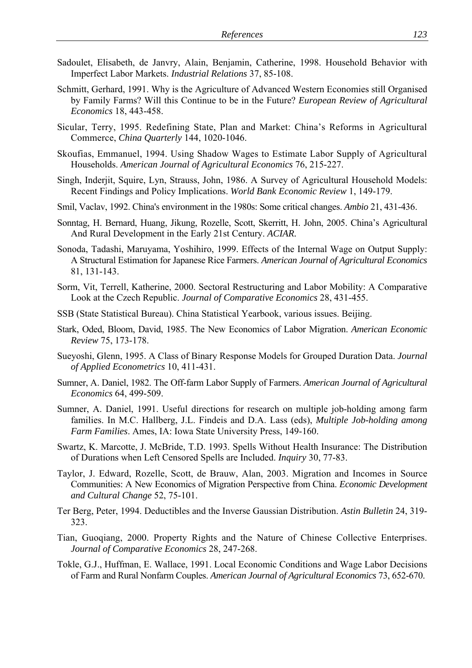- Sadoulet, Elisabeth, de Janvry, Alain, Benjamin, Catherine, 1998. Household Behavior with Imperfect Labor Markets. *Industrial Relations* 37, 85-108.
- Schmitt, Gerhard, 1991. Why is the Agriculture of Advanced Western Economies still Organised by Family Farms? Will this Continue to be in the Future? *European Review of Agricultural Economics* 18, 443-458.
- Sicular, Terry, 1995. Redefining State, Plan and Market: China's Reforms in Agricultural Commerce, *China Quarterly* 144, 1020-1046.
- Skoufias, Emmanuel, 1994. Using Shadow Wages to Estimate Labor Supply of Agricultural Households. *American Journal of Agricultural Economics* 76, 215-227.
- Singh, Inderjit, Squire, Lyn, Strauss, John, 1986. A Survey of Agricultural Household Models: Recent Findings and Policy Implications. *World Bank Economic Review* 1, 149-179.
- Smil, Vaclav, 1992. China's environment in the 1980s: Some critical changes. *Ambio* 21, 431-436.
- Sonntag, H. Bernard, Huang, Jikung, Rozelle, Scott, Skerritt, H. John, 2005. China's Agricultural And Rural Development in the Early 21st Century. *ACIAR.*
- Sonoda, Tadashi, Maruyama, Yoshihiro, 1999. Effects of the Internal Wage on Output Supply: A Structural Estimation for Japanese Rice Farmers. *American Journal of Agricultural Economics* 81, 131-143.
- Sorm, Vit, Terrell, Katherine, 2000. Sectoral Restructuring and Labor Mobility: A Comparative Look at the Czech Republic. *Journal of Comparative Economics* 28, 431-455.
- SSB (State Statistical Bureau). China Statistical Yearbook, various issues. Beijing.
- Stark, Oded, Bloom, David, 1985. The New Economics of Labor Migration. *American Economic Review* 75, 173-178.
- Sueyoshi, Glenn, 1995. A Class of Binary Response Models for Grouped Duration Data. *Journal of Applied Econometrics* 10, 411-431.
- Sumner, A. Daniel, 1982. The Off-farm Labor Supply of Farmers. *American Journal of Agricultural Economics* 64, 499-509.
- Sumner, A. Daniel, 1991. Useful directions for research on multiple job-holding among farm families. In M.C. Hallberg, J.L. Findeis and D.A. Lass (eds), *Multiple Job-holding among Farm Families*. Ames, IA: Iowa State University Press, 149-160.
- Swartz, K. Marcotte, J. McBride, T.D. 1993. Spells Without Health Insurance: The Distribution of Durations when Left Censored Spells are Included. *Inquiry* 30, 77-83.
- Taylor, J. Edward, Rozelle, Scott, de Brauw, Alan, 2003. Migration and Incomes in Source Communities: A New Economics of Migration Perspective from China. *Economic Development and Cultural Change* 52, 75-101.
- Ter Berg, Peter, 1994. Deductibles and the Inverse Gaussian Distribution. *Astin Bulletin* 24, 319- 323.
- Tian, Guoqiang, 2000. Property Rights and the Nature of Chinese Collective Enterprises. *Journal of Comparative Economics* 28, 247-268.
- Tokle, G.J., Huffman, E. Wallace, 1991. Local Economic Conditions and Wage Labor Decisions of Farm and Rural Nonfarm Couples. *American Journal of Agricultural Economics* 73, 652-670.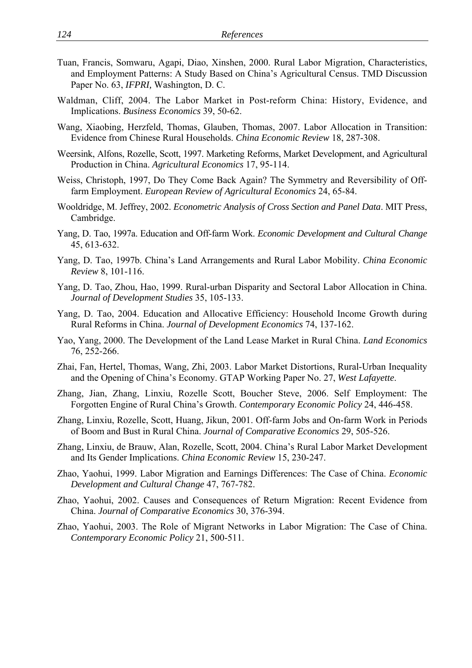- Tuan, Francis, Somwaru, Agapi, Diao, Xinshen, 2000. Rural Labor Migration, Characteristics, and Employment Patterns: A Study Based on China's Agricultural Census. TMD Discussion Paper No. 63, *IFPRI,* Washington, D. C.
- Waldman, Cliff, 2004. The Labor Market in Post-reform China: History, Evidence, and Implications. *Business Economics* 39, 50-62.
- Wang, Xiaobing, Herzfeld, Thomas, Glauben, Thomas, 2007. Labor Allocation in Transition: Evidence from Chinese Rural Households. *China Economic Review* 18, 287-308.
- Weersink, Alfons, Rozelle, Scott, 1997. Marketing Reforms, Market Development, and Agricultural Production in China. *Agricultural Economics* 17, 95-114.
- Weiss, Christoph, 1997, Do They Come Back Again? The Symmetry and Reversibility of Offfarm Employment. *European Review of Agricultural Economics* 24, 65-84.
- Wooldridge, M. Jeffrey, 2002. *Econometric Analysis of Cross Section and Panel Data*. MIT Press, Cambridge.
- Yang, D. Tao, 1997a. Education and Off-farm Work. *Economic Development and Cultural Change* 45, 613-632.
- Yang, D. Tao, 1997b. China's Land Arrangements and Rural Labor Mobility. *China Economic Review* 8, 101-116.
- Yang, D. Tao, Zhou, Hao, 1999. Rural-urban Disparity and Sectoral Labor Allocation in China. *Journal of Development Studies* 35, 105-133.
- Yang, D. Tao, 2004. Education and Allocative Efficiency: Household Income Growth during Rural Reforms in China. *Journal of Development Economics* 74, 137-162.
- Yao, Yang, 2000. The Development of the Land Lease Market in Rural China. *Land Economics* 76, 252-266.
- Zhai, Fan, Hertel, Thomas, Wang, Zhi, 2003. Labor Market Distortions, Rural-Urban Inequality and the Opening of China's Economy. GTAP Working Paper No. 27, *West Lafayette*.
- Zhang, Jian, Zhang, Linxiu, Rozelle Scott, Boucher Steve, 2006. Self Employment: The Forgotten Engine of Rural China's Growth. *Contemporary Economic Policy* 24, 446-458.
- Zhang, Linxiu, Rozelle, Scott, Huang, Jikun, 2001. Off-farm Jobs and On-farm Work in Periods of Boom and Bust in Rural China. *Journal of Comparative Economics* 29, 505-526.
- Zhang, Linxiu, de Brauw, Alan, Rozelle, Scott, 2004. China's Rural Labor Market Development and Its Gender Implications. *China Economic Review* 15, 230-247.
- Zhao, Yaohui, 1999. Labor Migration and Earnings Differences: The Case of China. *Economic Development and Cultural Change* 47, 767-782.
- Zhao, Yaohui, 2002. Causes and Consequences of Return Migration: Recent Evidence from China. *Journal of Comparative Economics* 30, 376-394.
- Zhao, Yaohui, 2003. The Role of Migrant Networks in Labor Migration: The Case of China. *Contemporary Economic Policy* 21, 500-511.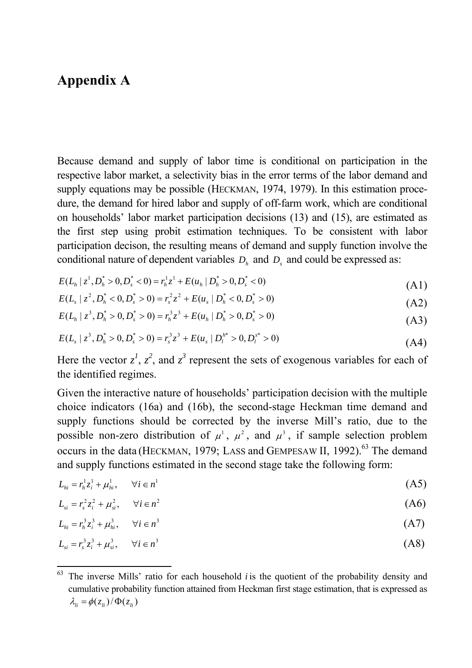## **Appendix A**

Because demand and supply of labor time is conditional on participation in the respective labor market, a selectivity bias in the error terms of the labor demand and supply equations may be possible (HECKMAN, 1974, 1979). In this estimation procedure, the demand for hired labor and supply of off-farm work, which are conditional on households' labor market participation decisions (13) and (15), are estimated as the first step using probit estimation techniques. To be consistent with labor participation decison, the resulting means of demand and supply function involve the conditional nature of dependent variables  $D_h$  and  $D_s$  and could be expressed as:

$$
E(L_h | z^1, D_h^* > 0, D_s^* < 0) = r_h^1 z^1 + E(u_h | D_h^* > 0, D_s^* < 0)
$$
\n(A1)

$$
E(L_s \mid z^2, D_h^* < 0, D_s^* > 0) = r_s^2 z^2 + E(u_s \mid D_h^* < 0, D_s^* > 0) \tag{A2}
$$

$$
E(L_h \mid z^3, D_h^* > 0, D_s^* > 0) = r_h^3 z^3 + E(u_h \mid D_h^* > 0, D_s^* > 0)
$$
\n(A3)

$$
E(L_s \mid z^3, D_h^* > 0, D_s^* > 0) = r_s^3 z^3 + E(u_s \mid D_l^{h*} > 0, D_l^{s*} > 0)
$$
\n(A4)

Here the vector  $z^1$ ,  $z^2$ , and  $z^3$  represent the sets of exogenous variables for each of the identified regimes.

Given the interactive nature of households' participation decision with the multiple choice indicators (16a) and (16b), the second-stage Heckman time demand and supply functions should be corrected by the inverse Mill's ratio, due to the possible non-zero distribution of  $\mu^1$ ,  $\mu^2$ , and  $\mu^3$ , if sample selection problem occurs in the data (HECKMAN, 1979; LASS and GEMPESAW II, 1992).<sup>63</sup> The demand and supply functions estimated in the second stage take the following form:

$$
L_{hi} = r_h^1 z_i^1 + \mu_{hi}^1, \qquad \forall i \in n^1
$$
\n(A5)

$$
L_{si} = r_s^2 z_i^2 + \mu_{si}^2, \qquad \forall i \in n^2
$$
 (A6)

$$
L_{hi} = r_h^3 z_i^3 + \mu_{hi}^3, \qquad \forall i \in n^3
$$
 (A7)

$$
L_{si} = r_s^3 z_i^3 + \mu_{si}^3, \qquad \forall i \in n^3
$$
 (A8)

<sup>63</sup> The inverse Mills' ratio for each household *i* is the quotient of the probability density and cumulative probability function attained from Heckman first stage estimation, that is expressed as  $\lambda_{ii} = \phi(z_{ii})/\Phi(z_{ii})$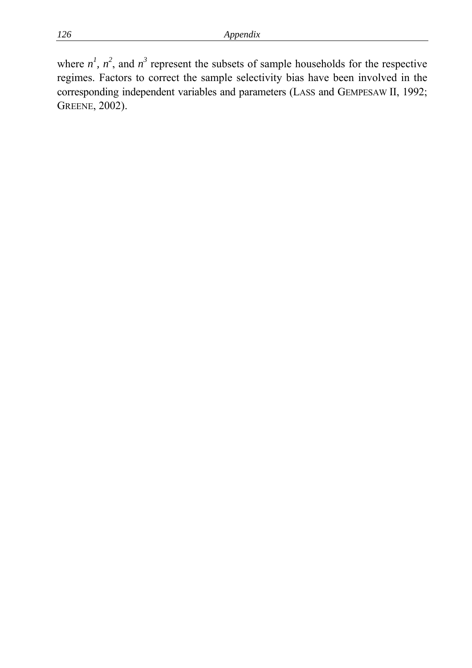where  $n^1$ ,  $n^2$ , and  $n^3$  represent the subsets of sample households for the respective regimes. Factors to correct the sample selectivity bias have been involved in the corresponding independent variables and parameters (LASS and GEMPESAW II, 1992; GREENE, 2002).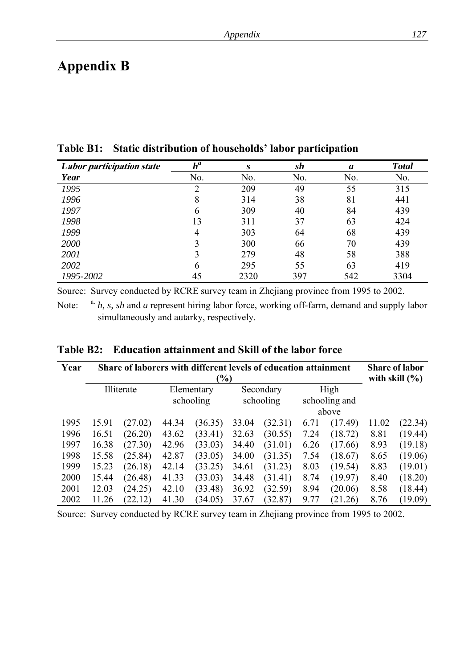## **Appendix B**

**Table B1: Static distribution of households' labor participation** 

| <b>Labor participation state</b> | $h^a$ | S    | sh  | a   | <b>Total</b> |
|----------------------------------|-------|------|-----|-----|--------------|
| Year                             | No.   | No.  | No. | No. | No.          |
| 1995                             |       | 209  | 49  | 55  | 315          |
| 1996                             | 8     | 314  | 38  | 81  | 441          |
| 1997                             | 6     | 309  | 40  | 84  | 439          |
| 1998                             | 13    | 311  | 37  | 63  | 424          |
| 1999                             | 4     | 303  | 64  | 68  | 439          |
| 2000                             |       | 300  | 66  | 70  | 439          |
| 2001                             |       | 279  | 48  | 58  | 388          |
| 2002                             | 6     | 295  | 55  | 63  | 419          |
| 1995-2002                        | 45    | 2320 | 397 | 542 | 3304         |

Source: Survey conducted by RCRE survey team in Zhejiang province from 1995 to 2002.

Note: <sup>a.</sup> *h, s, sh* and *a* represent hiring labor force, working off-farm, demand and supply labor simultaneously and autarky, respectively.

| Table B2: Education attainment and Skill of the labor force |
|-------------------------------------------------------------|
|-------------------------------------------------------------|

| Year | Share of laborers with different levels of education attainment<br>$\frac{1}{2}$ |         |                         |         |                        |         |                       |         | <b>Share of labor</b><br>with skill $(\% )$ |         |
|------|----------------------------------------------------------------------------------|---------|-------------------------|---------|------------------------|---------|-----------------------|---------|---------------------------------------------|---------|
|      | Illiterate                                                                       |         | Elementary<br>schooling |         | Secondary<br>schooling |         | High<br>schooling and |         |                                             |         |
|      |                                                                                  |         |                         |         |                        |         | above                 |         |                                             |         |
| 1995 | 15.91                                                                            | (27.02) | 44.34                   | (36.35) | 33.04                  | (32.31) | 6.71                  | (17.49) | 11.02                                       | (22.34) |
| 1996 | 16.51                                                                            | (26.20) | 43.62                   | (33.41) | 32.63                  | (30.55) | 7.24                  | (18.72) | 8.81                                        | (19.44) |
| 1997 | 16.38                                                                            | (27.30) | 42.96                   | (33.03) | 34.40                  | (31.01) | 6.26                  | (17.66) | 8.93                                        | (19.18) |
| 1998 | 15.58                                                                            | (25.84) | 42.87                   | (33.05) | 34.00                  | (31.35) | 7.54                  | (18.67) | 8.65                                        | (19.06) |
| 1999 | 15.23                                                                            | (26.18) | 42.14                   | (33.25) | 34.61                  | (31.23) | 8.03                  | (19.54) | 8.83                                        | (19.01) |
| 2000 | 15.44                                                                            | (26.48) | 41.33                   | (33.03) | 34.48                  | (31.41) | 8.74                  | (19.97) | 8.40                                        | (18.20) |
| 2001 | 12.03                                                                            | (24.25) | 42.10                   | (33.48) | 36.92                  | (32.59) | 8.94                  | (20.06) | 8.58                                        | (18.44) |
| 2002 | 11.26                                                                            | (22.12) | 41.30                   | (34.05) | 37.67                  | (32.87) | 9.77                  | (21.26) | 8.76                                        | (19.09) |

Source: Survey conducted by RCRE survey team in Zhejiang province from 1995 to 2002.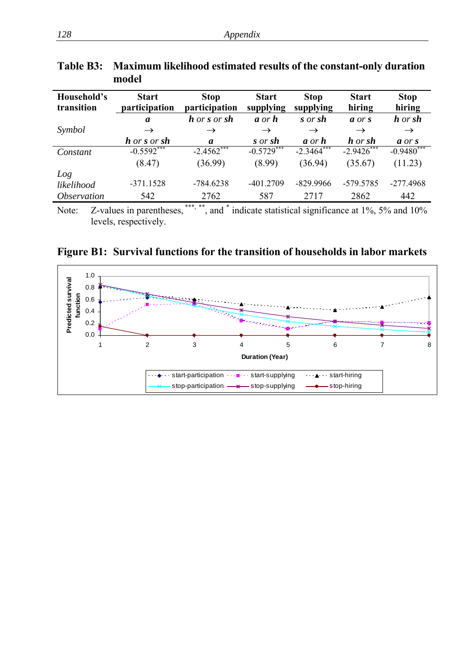| Household's<br>transition | <b>Start</b><br>participation | <b>Stop</b><br>participation | <b>Start</b><br>supplying            | <b>Stop</b><br>supplying             | <b>Start</b><br>hiring | <b>Stop</b><br>hiring |
|---------------------------|-------------------------------|------------------------------|--------------------------------------|--------------------------------------|------------------------|-----------------------|
|                           | a                             | h or s or sh                 | $\boldsymbol{a}$ or $\boldsymbol{h}$ | s or sh                              | a or s                 | h or sh               |
| Symbol                    | $\rightarrow$                 | $\rightarrow$                | $\rightarrow$                        | $\rightarrow$                        | $\rightarrow$          | $\rightarrow$         |
|                           | h or s or sh                  | a                            | s or sh                              | $\boldsymbol{a}$ or $\boldsymbol{h}$ | h or sh                | a or s                |
| Constant                  | $-0.5592$ ***                 | $-2.45\overline{62}^{***}$   | $-0.5729$                            | $-2.3464$                            | $-2.9426$              | $-0.9480***$          |
|                           | (8.47)                        | (36.99)                      | (8.99)                               | (36.94)                              | (35.67)                | (11.23)               |
| Log                       |                               |                              |                                      |                                      |                        |                       |
| likelihood                | $-371.1528$                   | $-784.6238$                  | $-401.2709$                          | $-829.9966$                          | -579.5785              | $-277.4968$           |
| <i><b>Observation</b></i> | 542                           | 2762                         | 587                                  | 2717                                 | 2862                   | 442                   |

**Table B3: Maximum likelihood estimated results of the constant-only duration model** 

Note: Z-values in parentheses,  $***$ ,  $**$ , and  $*$  indicate statistical significance at 1%, 5% and 10% levels, respectively.

**Figure B1: Survival functions for the transition of households in labor markets** 

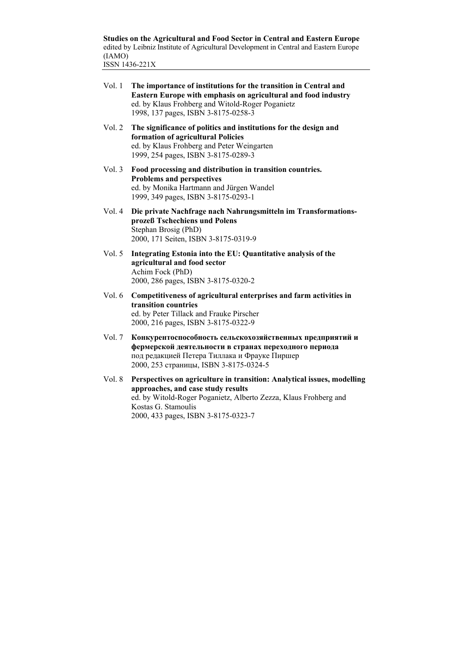**Studies on the Agricultural and Food Sector in Central and Eastern Europe**  edited by Leibniz Institute of Agricultural Development in Central and Eastern Europe (IAMO) ISSN 1436-221X

- Vol. 1 **The importance of institutions for the transition in Central and Eastern Europe with emphasis on agricultural and food industry**  ed. by Klaus Frohberg and Witold-Roger Poganietz 1998, 137 pages, ISBN 3-8175-0258-3
- Vol. 2 **The significance of politics and institutions for the design and formation of agricultural Policies**  ed. by Klaus Frohberg and Peter Weingarten 1999, 254 pages, ISBN 3-8175-0289-3
- Vol. 3 **Food processing and distribution in transition countries. Problems and perspectives**  ed. by Monika Hartmann and Jürgen Wandel 1999, 349 pages, ISBN 3-8175-0293-1
- Vol. 4 **Die private Nachfrage nach Nahrungsmitteln im Transformationsprozeß Tschechiens und Polens**  Stephan Brosig (PhD) 2000, 171 Seiten, ISBN 3-8175-0319-9
- Vol. 5 **Integrating Estonia into the EU: Quantitative analysis of the agricultural and food sector**  Achim Fock (PhD) 2000, 286 pages, ISBN 3-8175-0320-2
- Vol. 6 **Competitiveness of agricultural enterprises and farm activities in transition countries**  ed. by Peter Tillack and Frauke Pirscher 2000, 216 pages, ISBN 3-8175-0322-9
- Vol. 7 **Конкурентоспособность сельскохозяйственных предприятий и фермерской деятельности в странах переходного периода** под редакцией Петера Тиллака и Фрауке Пиршер 2000, 253 страницы, ISBN 3-8175-0324-5
- Vol. 8 **Perspectives on agriculture in transition: Analytical issues, modelling approaches, and case study results**  ed. by Witold-Roger Poganietz, Alberto Zezza, Klaus Frohberg and Kostas G. Stamoulis 2000, 433 pages, ISBN 3-8175-0323-7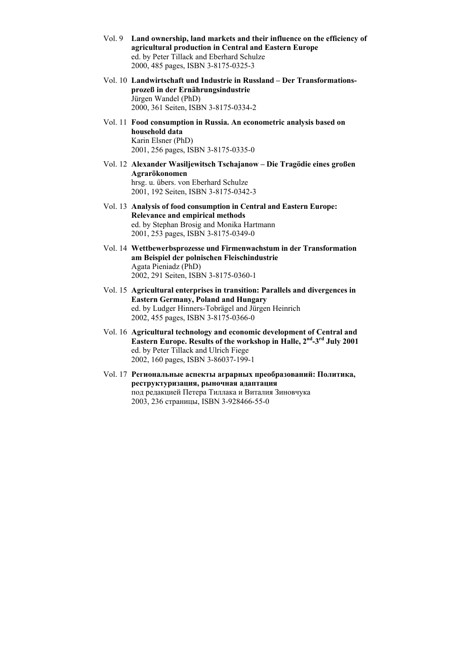- Vol. 9 **Land ownership, land markets and their influence on the efficiency of agricultural production in Central and Eastern Europe**  ed. by Peter Tillack and Eberhard Schulze 2000, 485 pages, ISBN 3-8175-0325-3
- Vol. 10 **Landwirtschaft und Industrie in Russland Der Transformationsprozeß in der Ernährungsindustrie**  Jürgen Wandel (PhD) 2000, 361 Seiten, ISBN 3-8175-0334-2
- Vol. 11 **Food consumption in Russia. An econometric analysis based on household data**  Karin Elsner (PhD) 2001, 256 pages, ISBN 3-8175-0335-0
- Vol. 12 **Alexander Wasiljewitsch Tschajanow Die Tragödie eines großen Agrarökonomen**  hrsg. u. übers. von Eberhard Schulze 2001, 192 Seiten, ISBN 3-8175-0342-3
- Vol. 13 **Analysis of food consumption in Central and Eastern Europe: Relevance and empirical methods**  ed. by Stephan Brosig and Monika Hartmann 2001, 253 pages, ISBN 3-8175-0349-0
- Vol. 14 **Wettbewerbsprozesse und Firmenwachstum in der Transformation am Beispiel der polnischen Fleischindustrie** Agata Pieniadz (PhD) 2002, 291 Seiten, ISBN 3-8175-0360-1
- Vol. 15 **Agricultural enterprises in transition: Parallels and divergences in Eastern Germany, Poland and Hungary** ed. by Ludger Hinners-Tobrägel and Jürgen Heinrich 2002, 455 pages, ISBN 3-8175-0366-0
- Vol. 16 **Agricultural technology and economic development of Central and Eastern Europe. Results of the workshop in Halle, 2nd-3rd July 2001** ed. by Peter Tillack and Ulrich Fiege 2002, 160 pages, ISBN 3-86037-199-1
- Vol. 17 **Региональные аспекты аграрных преобразований: Политика, реструктуризация, рыночная адаптация** под редакцией Петера Тиллака и Виталия Зиновчука 2003, 236 страницы, ISBN 3-928466-55-0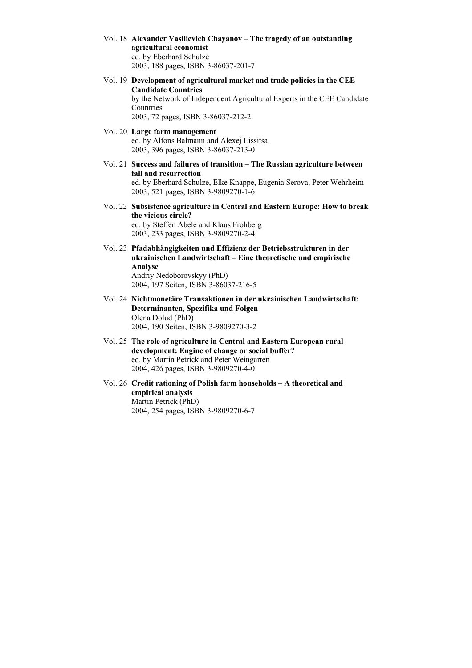- Vol. 18 **Alexander Vasilievich Chayanov The tragedy of an outstanding agricultural economist**  ed. by Eberhard Schulze 2003, 188 pages, ISBN 3-86037-201-7
- Vol. 19 **Development of agricultural market and trade policies in the CEE Candidate Countries**  by the Network of Independent Agricultural Experts in the CEE Candidate Countries

2003, 72 pages, ISBN 3-86037-212-2

- Vol. 20 **Large farm management**  ed. by Alfons Balmann and Alexej Lissitsa 2003, 396 pages, ISBN 3-86037-213-0
- Vol. 21 **Success and failures of transition The Russian agriculture between fall and resurrection**  ed. by Eberhard Schulze, Elke Knappe, Eugenia Serova, Peter Wehrheim 2003, 521 pages, ISBN 3-9809270-1-6
- Vol. 22 **Subsistence agriculture in Central and Eastern Europe: How to break the vicious circle?**  ed. by Steffen Abele and Klaus Frohberg 2003, 233 pages, ISBN 3-9809270-2-4
- Vol. 23 **Pfadabhängigkeiten und Effizienz der Betriebsstrukturen in der ukrainischen Landwirtschaft – Eine theoretische und empirische Analyse**  Andriy Nedoborovskyy (PhD) 2004, 197 Seiten, ISBN 3-86037-216-5
- Vol. 24 **Nichtmonetäre Transaktionen in der ukrainischen Landwirtschaft: Determinanten, Spezifika und Folgen**  Olena Dolud (PhD) 2004, 190 Seiten, ISBN 3-9809270-3-2
- Vol. 25 **The role of agriculture in Central and Eastern European rural development: Engine of change or social buffer?**  ed. by Martin Petrick and Peter Weingarten 2004, 426 pages, ISBN 3-9809270-4-0
- Vol. 26 **Credit rationing of Polish farm households A theoretical and empirical analysis**  Martin Petrick (PhD) 2004, 254 pages, ISBN 3-9809270-6-7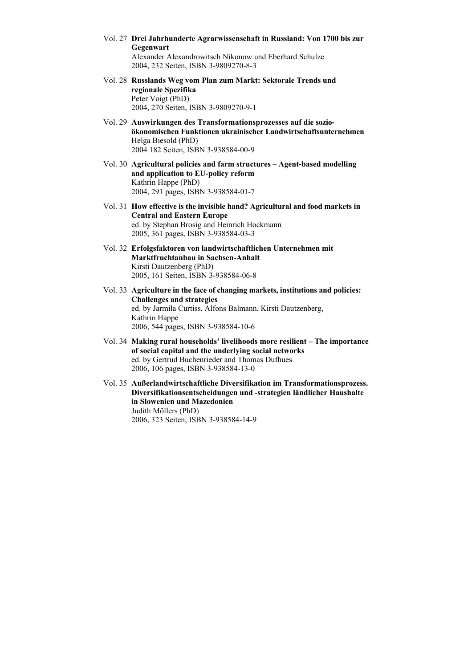- Vol. 27 **Drei Jahrhunderte Agrarwissenschaft in Russland: Von 1700 bis zur Gegenwart**  Alexander Alexandrowitsch Nikonow und Eberhard Schulze 2004, 232 Seiten, ISBN 3-9809270-8-3
- Vol. 28 **Russlands Weg vom Plan zum Markt: Sektorale Trends und regionale Spezifika**  Peter Voigt (PhD) 2004, 270 Seiten, ISBN 3-9809270-9-1
- Vol. 29 **Auswirkungen des Transformationsprozesses auf die sozioökonomischen Funktionen ukrainischer Landwirtschaftsunternehmen**  Helga Biesold (PhD) 2004 182 Seiten, ISBN 3-938584-00-9
- Vol. 30 **Agricultural policies and farm structures Agent-based modelling and application to EU-policy reform**  Kathrin Happe (PhD) 2004, 291 pages, ISBN 3-938584-01-7
- Vol. 31 **How effective is the invisible hand? Agricultural and food markets in Central and Eastern Europe**  ed. by Stephan Brosig and Heinrich Hockmann 2005, 361 pages, ISBN 3-938584-03-3
- Vol. 32 **Erfolgsfaktoren von landwirtschaftlichen Unternehmen mit Marktfruchtanbau in Sachsen-Anhalt**  Kirsti Dautzenberg (PhD) 2005, 161 Seiten, ISBN 3-938584-06-8
- Vol. 33 **Agriculture in the face of changing markets, institutions and policies: Challenges and strategies**  ed. by Jarmila Curtiss, Alfons Balmann, Kirsti Dautzenberg, Kathrin Happe 2006, 544 pages, ISBN 3-938584-10-6
- Vol. 34 **Making rural households' livelihoods more resilient The importance of social capital and the underlying social networks**  ed. by Gertrud Buchenrieder and Thomas Dufhues 2006, 106 pages, ISBN 3-938584-13-0
- Vol. 35 **Außerlandwirtschaftliche Diversifikation im Transformationsprozess. Diversifikationsentscheidungen und -strategien ländlicher Haushalte in Slowenien und Mazedonien**  Judith Möllers (PhD) 2006, 323 Seiten, ISBN 3-938584-14-9